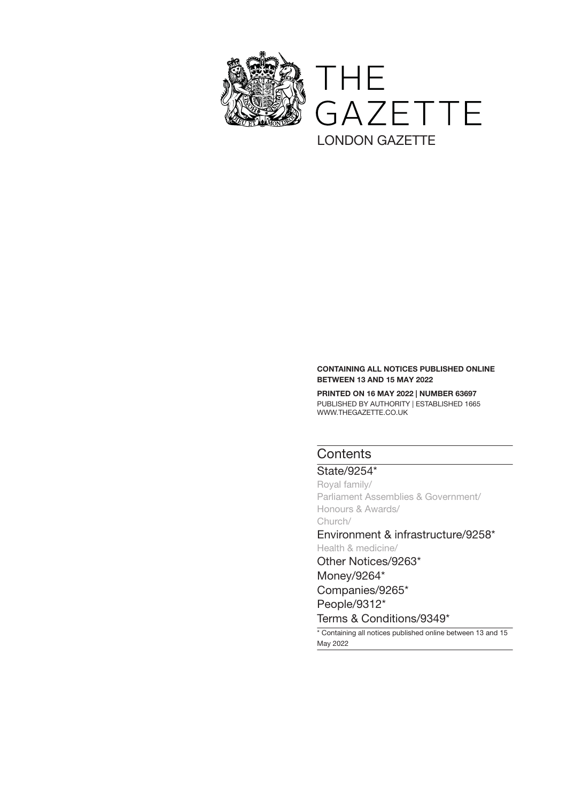

# CONTAINING ALL NOTICES PUBLISHED ONLINE BETWEEN 13 AND 15 MAY 2022

PRINTED ON 16 MAY 2022 | NUMBER 63697 PUBLISHED BY AUTHORITY | ESTABLISHED 1665 WWW.THEGAZETTE.CO.UK

# **Contents**

[State/9254\\*](#page-1-0)

Royal family/ Parliament Assemblies & Government/ Honours & Awards/ Church/

[Environment & infrastructure/9258\\*](#page-5-0) Health & medicine/

[Other Notices/9263\\*](#page-10-0) [Money/9264\\*](#page-11-0)

[Companies/9265\\*](#page-12-0)

[People/9312\\*](#page-59-0)

[Terms & Conditions/9349\\*](#page-96-0)

\* Containing all notices published online between 13 and 15 May 2022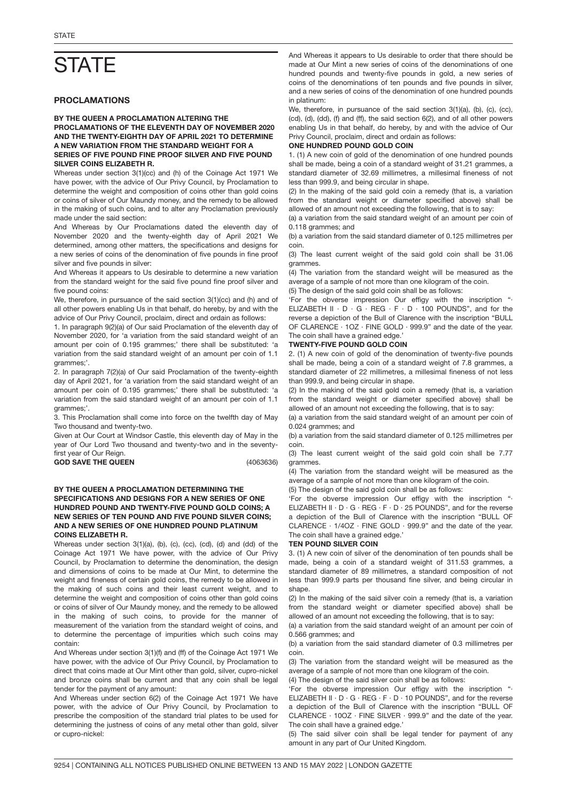# <span id="page-1-0"></span>**STATE**

# PROCLAMATIONS

# BY THE QUEEN A PROCLAMATION ALTERING THE

PROCLAMATIONS OF THE ELEVENTH DAY OF NOVEMBER 2020 AND THE TWENTY-EIGHTH DAY OF APRIL 2021 TO DETERMINE A NEW VARIATION FROM THE STANDARD WEIGHT FOR A SERIES OF FIVE POUND FINE PROOF SILVER AND FIVE POUND SILVER COINS ELIZABETH R.

Whereas under section 3(1)(cc) and (h) of the Coinage Act 1971 We have power, with the advice of Our Privy Council, by Proclamation to determine the weight and composition of coins other than gold coins or coins of silver of Our Maundy money, and the remedy to be allowed in the making of such coins, and to alter any Proclamation previously made under the said section:

And Whereas by Our Proclamations dated the eleventh day of November 2020 and the twenty-eighth day of April 2021 We determined, among other matters, the specifications and designs for a new series of coins of the denomination of five pounds in fine proof silver and five pounds in silver:

And Whereas it appears to Us desirable to determine a new variation from the standard weight for the said five pound fine proof silver and five pound coins:

We, therefore, in pursuance of the said section 3(1)(cc) and (h) and of all other powers enabling Us in that behalf, do hereby, by and with the advice of Our Privy Council, proclaim, direct and ordain as follows:

1. In paragraph 9(2)(a) of Our said Proclamation of the eleventh day of November 2020, for 'a variation from the said standard weight of an amount per coin of 0.195 grammes;' there shall be substituted: 'a variation from the said standard weight of an amount per coin of 1.1 grammes;'.

2. In paragraph 7(2)(a) of Our said Proclamation of the twenty-eighth day of April 2021, for 'a variation from the said standard weight of an amount per coin of 0.195 grammes;' there shall be substituted: 'a variation from the said standard weight of an amount per coin of 1.1 grammes;'.

3. This Proclamation shall come into force on the twelfth day of May Two thousand and twenty-two.

Given at Our Court at Windsor Castle, this eleventh day of May in the year of Our Lord Two thousand and twenty-two and in the seventyfirst year of Our Reign.

GOD SAVE THE QUEEN

(4063636)

#### BY THE QUEEN A PROCLAMATION DETERMINING THE SPECIFICATIONS AND DESIGNS FOR A NEW SERIES OF ONE HUNDRED POUND AND TWENTY-FIVE POUND GOLD COINS; A NEW SERIES OF TEN POUND AND FIVE POUND SILVER COINS; AND A NEW SERIES OF ONE HUNDRED POUND PLATINUM COINS ELIZABETH R.

Whereas under section 3(1)(a), (b), (c), (cc), (cd), (d) and (dd) of the Coinage Act 1971 We have power, with the advice of Our Privy Council, by Proclamation to determine the denomination, the design and dimensions of coins to be made at Our Mint, to determine the weight and fineness of certain gold coins, the remedy to be allowed in the making of such coins and their least current weight, and to determine the weight and composition of coins other than gold coins or coins of silver of Our Maundy money, and the remedy to be allowed in the making of such coins, to provide for the manner of measurement of the variation from the standard weight of coins, and to determine the percentage of impurities which such coins may contain:

And Whereas under section 3(1)(f) and (ff) of the Coinage Act 1971 We have power, with the advice of Our Privy Council, by Proclamation to direct that coins made at Our Mint other than gold, silver, cupro-nickel and bronze coins shall be current and that any coin shall be legal tender for the payment of any amount:

And Whereas under section 6(2) of the Coinage Act 1971 We have power, with the advice of Our Privy Council, by Proclamation to prescribe the composition of the standard trial plates to be used for determining the justness of coins of any metal other than gold, silver or cupro-nickel:

And Whereas it appears to Us desirable to order that there should be made at Our Mint a new series of coins of the denominations of one hundred pounds and twenty-five pounds in gold, a new series of coins of the denominations of ten pounds and five pounds in silver, and a new series of coins of the denomination of one hundred pounds in platinum:

We, therefore, in pursuance of the said section 3(1)(a), (b), (c), (cc), (cd), (d), (dd), (f) and (ff), the said section 6(2), and of all other powers enabling Us in that behalf, do hereby, by and with the advice of Our Privy Council, proclaim, direct and ordain as follows:

#### ONE HUNDRED POUND GOLD COIN

1. (1) A new coin of gold of the denomination of one hundred pounds shall be made, being a coin of a standard weight of 31.21 grammes, a standard diameter of 32.69 millimetres, a millesimal fineness of not less than 999.9, and being circular in shape.

(2) In the making of the said gold coin a remedy (that is, a variation from the standard weight or diameter specified above) shall be allowed of an amount not exceeding the following, that is to say:

(a) a variation from the said standard weight of an amount per coin of 0.118 grammes; and

(b) a variation from the said standard diameter of 0.125 millimetres per coin.

(3) The least current weight of the said gold coin shall be 31.06 grammes.

(4) The variation from the standard weight will be measured as the average of a sample of not more than one kilogram of the coin.

(5) The design of the said gold coin shall be as follows:

'For the obverse impression Our effigy with the inscription "· ELIZABETH II · D · G · REG · F · D · 100 POUNDS", and for the reverse a depiction of the Bull of Clarence with the inscription "BULL OF CLARENCE · 1OZ · FINE GOLD · 999.9" and the date of the year. The coin shall have a grained edge.'

# TWENTY-FIVE POUND GOLD COIN

2. (1) A new coin of gold of the denomination of twenty-five pounds shall be made, being a coin of a standard weight of 7.8 grammes, a standard diameter of 22 millimetres, a millesimal fineness of not less than 999.9, and being circular in shape.

(2) In the making of the said gold coin a remedy (that is, a variation from the standard weight or diameter specified above) shall be allowed of an amount not exceeding the following, that is to say:

(a) a variation from the said standard weight of an amount per coin of 0.024 grammes; and

(b) a variation from the said standard diameter of 0.125 millimetres per coin.

(3) The least current weight of the said gold coin shall be 7.77 grammes.

(4) The variation from the standard weight will be measured as the average of a sample of not more than one kilogram of the coin.

(5) The design of the said gold coin shall be as follows:

'For the obverse impression Our effigy with the inscription "· ELIZABETH  $II \cdot D \cdot G \cdot REG \cdot F \cdot D \cdot 25$  POUNDS", and for the reverse a depiction of the Bull of Clarence with the inscription "BULL OF CLARENCE · 1/4OZ · FINE GOLD · 999.9" and the date of the year. The coin shall have a grained edge.'

#### TEN POUND SILVER COIN

3. (1) A new coin of silver of the denomination of ten pounds shall be made, being a coin of a standard weight of 311.53 grammes, a standard diameter of 89 millimetres, a standard composition of not less than 999.9 parts per thousand fine silver, and being circular in shape.

(2) In the making of the said silver coin a remedy (that is, a variation from the standard weight or diameter specified above) shall be allowed of an amount not exceeding the following, that is to say:

(a) a variation from the said standard weight of an amount per coin of 0.566 grammes; and

(b) a variation from the said standard diameter of 0.3 millimetres per coin.

(3) The variation from the standard weight will be measured as the average of a sample of not more than one kilogram of the coin. (4) The design of the said silver coin shall be as follows:

'For the obverse impression Our effigy with the inscription "·

ELIZABETH  $II \cdot D \cdot G \cdot REG \cdot F \cdot D \cdot 10$  POUNDS", and for the reverse a depiction of the Bull of Clarence with the inscription "BULL OF CLARENCE · 10OZ · FINE SILVER · 999.9" and the date of the year. The coin shall have a grained edge.'

(5) The said silver coin shall be legal tender for payment of any amount in any part of Our United Kingdom.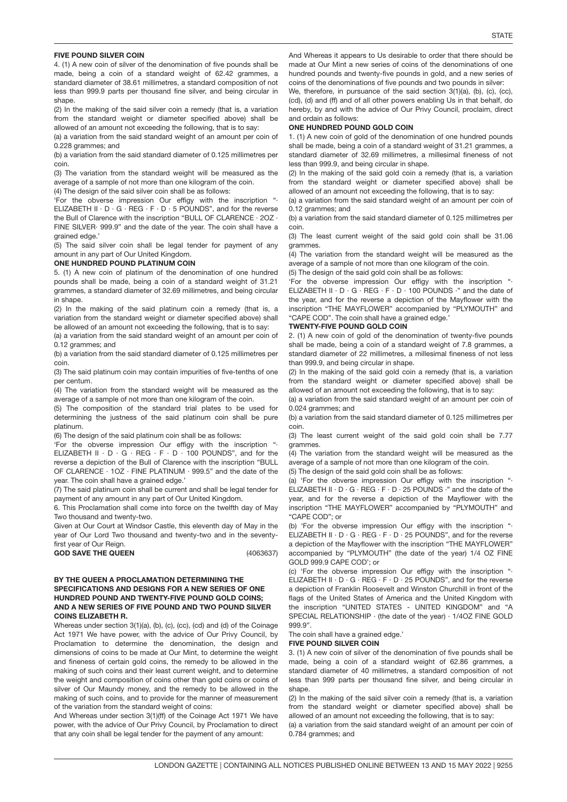#### FIVE POUND SILVER COIN

4. (1) A new coin of silver of the denomination of five pounds shall be made, being a coin of a standard weight of 62.42 grammes, a standard diameter of 38.61 millimetres, a standard composition of not less than 999.9 parts per thousand fine silver, and being circular in shape.

(2) In the making of the said silver coin a remedy (that is, a variation from the standard weight or diameter specified above) shall be allowed of an amount not exceeding the following, that is to say:

(a) a variation from the said standard weight of an amount per coin of 0.228 grammes; and

(b) a variation from the said standard diameter of 0.125 millimetres per coin.

(3) The variation from the standard weight will be measured as the average of a sample of not more than one kilogram of the coin.

(4) The design of the said silver coin shall be as follows:

'For the obverse impression Our effigy with the inscription "· ELIZABETH  $II \cdot D \cdot G \cdot REG \cdot F \cdot D \cdot 5$  POUNDS", and for the reverse the Bull of Clarence with the inscription "BULL OF CLARENCE · 2OZ · FINE SILVER· 999.9" and the date of the year. The coin shall have a grained edge.'

(5) The said silver coin shall be legal tender for payment of any amount in any part of Our United Kingdom.

#### ONE HUNDRED POUND PLATINUM COIN

5. (1) A new coin of platinum of the denomination of one hundred pounds shall be made, being a coin of a standard weight of 31.21 grammes, a standard diameter of 32.69 millimetres, and being circular in shape.

(2) In the making of the said platinum coin a remedy (that is, a variation from the standard weight or diameter specified above) shall be allowed of an amount not exceeding the following, that is to say:

(a) a variation from the said standard weight of an amount per coin of 0.12 grammes; and

(b) a variation from the said standard diameter of 0.125 millimetres per coin.

(3) The said platinum coin may contain impurities of five-tenths of one per centum.

(4) The variation from the standard weight will be measured as the average of a sample of not more than one kilogram of the coin.

(5) The composition of the standard trial plates to be used for determining the justness of the said platinum coin shall be pure platinum.

(6) The design of the said platinum coin shall be as follows:

'For the obverse impression Our effigy with the inscription "· ELIZABETH II · D · G · REG · F · D · 100 POUNDS", and for the reverse a depiction of the Bull of Clarence with the inscription "BULL OF CLARENCE · 1OZ · FINE PLATINUM · 999.5" and the date of the year. The coin shall have a grained edge.'

(7) The said platinum coin shall be current and shall be legal tender for payment of any amount in any part of Our United Kingdom.

6. This Proclamation shall come into force on the twelfth day of May Two thousand and twenty-two.

Given at Our Court at Windsor Castle, this eleventh day of May in the year of Our Lord Two thousand and twenty-two and in the seventyfirst year of Our Reign.

GOD SAVE THE QUEEN

(4063637)

#### BY THE QUEEN A PROCLAMATION DETERMINING THE SPECIFICATIONS AND DESIGNS FOR A NEW SERIES OF ONE HUNDRED POUND AND TWENTY-FIVE POUND GOLD COINS; AND A NEW SERIES OF FIVE POUND AND TWO POUND SILVER COINS ELIZABETH R.

Whereas under section 3(1)(a), (b), (c), (cc), (cd) and (d) of the Coinage Act 1971 We have power, with the advice of Our Privy Council, by Proclamation to determine the denomination, the design and dimensions of coins to be made at Our Mint, to determine the weight and fineness of certain gold coins, the remedy to be allowed in the making of such coins and their least current weight, and to determine the weight and composition of coins other than gold coins or coins of silver of Our Maundy money, and the remedy to be allowed in the making of such coins, and to provide for the manner of measurement of the variation from the standard weight of coins:

And Whereas under section 3(1)(ff) of the Coinage Act 1971 We have power, with the advice of Our Privy Council, by Proclamation to direct that any coin shall be legal tender for the payment of any amount:

And Whereas it appears to Us desirable to order that there should be made at Our Mint a new series of coins of the denominations of one hundred pounds and twenty-five pounds in gold, and a new series of coins of the denominations of five pounds and two pounds in silver:

We, therefore, in pursuance of the said section 3(1)(a), (b), (c), (cc), (cd), (d) and (ff) and of all other powers enabling Us in that behalf, do hereby, by and with the advice of Our Privy Council, proclaim, direct and ordain as follows:

#### ONE HUNDRED POUND GOLD COIN

1. (1) A new coin of gold of the denomination of one hundred pounds shall be made, being a coin of a standard weight of 31.21 grammes, a standard diameter of 32.69 millimetres, a millesimal fineness of not less than 999.9, and being circular in shape.

(2) In the making of the said gold coin a remedy (that is, a variation from the standard weight or diameter specified above) shall be allowed of an amount not exceeding the following, that is to say:

(a) a variation from the said standard weight of an amount per coin of 0.12 grammes; and

(b) a variation from the said standard diameter of 0.125 millimetres per coin.

(3) The least current weight of the said gold coin shall be 31.06 grammes.

(4) The variation from the standard weight will be measured as the average of a sample of not more than one kilogram of the coin.

(5) The design of the said gold coin shall be as follows:

'For the obverse impression Our effigy with the inscription "· ELIZABETH II · D · G · REG · F · D · 100 POUNDS ·" and the date of the year, and for the reverse a depiction of the Mayflower with the inscription "THE MAYFLOWER" accompanied by "PLYMOUTH" and "CAPE COD". The coin shall have a grained edge.'

#### TWENTY-FIVE POUND GOLD COIN

2. (1) A new coin of gold of the denomination of twenty-five pounds shall be made, being a coin of a standard weight of 7.8 grammes, a standard diameter of 22 millimetres, a millesimal fineness of not less than 999.9, and being circular in shape.

(2) In the making of the said gold coin a remedy (that is, a variation from the standard weight or diameter specified above) shall be allowed of an amount not exceeding the following, that is to say:

(a) a variation from the said standard weight of an amount per coin of 0.024 grammes; and

(b) a variation from the said standard diameter of 0.125 millimetres per coin.

(3) The least current weight of the said gold coin shall be 7.77 grammes.

(4) The variation from the standard weight will be measured as the average of a sample of not more than one kilogram of the coin.

(5) The design of the said gold coin shall be as follows:

(a) 'For the obverse impression Our effigy with the inscription "· ELIZABETH  $II \cdot D \cdot G \cdot REG \cdot F \cdot D \cdot 25$  POUNDS  $\cdot$ " and the date of the year, and for the reverse a depiction of the Mayflower with the inscription "THE MAYFLOWER" accompanied by "PLYMOUTH" and "CAPE COD"; or

(b) 'For the obverse impression Our effigy with the inscription "· ELIZABETH II · D · G · REG · F · D · 25 POUNDS", and for the reverse a depiction of the Mayflower with the inscription "THE MAYFLOWER" accompanied by "PLYMOUTH" (the date of the year) 1/4 OZ FINE GOLD 999.9 CAPE COD'; or

(c) 'For the obverse impression Our effigy with the inscription "· ELIZABETH  $II \cdot D \cdot G \cdot REG \cdot F \cdot D \cdot 25$  POUNDS", and for the reverse a depiction of Franklin Roosevelt and Winston Churchill in front of the flags of the United States of America and the United Kingdom with the inscription "UNITED STATES - UNITED KINGDOM" and "A SPECIAL RELATIONSHIP ∙ (the date of the year) ∙ 1/4OZ FINE GOLD 999.9".

The coin shall have a grained edge.'

## FIVE POUND SILVER COIN

3. (1) A new coin of silver of the denomination of five pounds shall be made, being a coin of a standard weight of 62.86 grammes, a standard diameter of 40 millimetres, a standard composition of not less than 999 parts per thousand fine silver, and being circular in shape.

(2) In the making of the said silver coin a remedy (that is, a variation from the standard weight or diameter specified above) shall be allowed of an amount not exceeding the following, that is to say:

(a) a variation from the said standard weight of an amount per coin of 0.784 grammes; and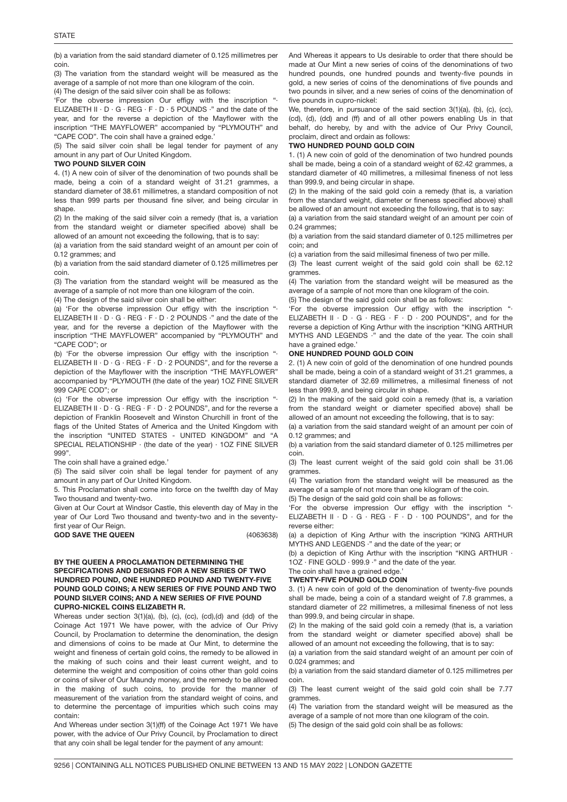(b) a variation from the said standard diameter of 0.125 millimetres per coin.

(3) The variation from the standard weight will be measured as the average of a sample of not more than one kilogram of the coin.

(4) The design of the said silver coin shall be as follows:

'For the obverse impression Our effigy with the inscription "· ELIZABETH  $II \cdot D \cdot G \cdot REG \cdot F \cdot D \cdot 5$  POUNDS  $\cdot$ " and the date of the year, and for the reverse a depiction of the Mayflower with the inscription "THE MAYFLOWER" accompanied by "PLYMOUTH" and "CAPE COD". The coin shall have a grained edge.'

(5) The said silver coin shall be legal tender for payment of any amount in any part of Our United Kingdom.

#### TWO POUND SILVER COIN

4. (1) A new coin of silver of the denomination of two pounds shall be made, being a coin of a standard weight of 31.21 grammes, a standard diameter of 38.61 millimetres, a standard composition of not less than 999 parts per thousand fine silver, and being circular in shane

(2) In the making of the said silver coin a remedy (that is, a variation from the standard weight or diameter specified above) shall be allowed of an amount not exceeding the following, that is to say:

(a) a variation from the said standard weight of an amount per coin of 0.12 grammes; and

(b) a variation from the said standard diameter of 0.125 millimetres per coin.

(3) The variation from the standard weight will be measured as the average of a sample of not more than one kilogram of the coin.

(4) The design of the said silver coin shall be either:

(a) 'For the obverse impression Our effigy with the inscription "· ELIZABETH II · D · G · REG · F · D · 2 POUNDS ·" and the date of the year, and for the reverse a depiction of the Mayflower with the inscription "THE MAYFLOWER" accompanied by "PLYMOUTH" and "CAPE COD"; or

(b) 'For the obverse impression Our effigy with the inscription "· ELIZABETH II · D · G · REG · F · D · 2 POUNDS", and for the reverse a depiction of the Mayflower with the inscription "THE MAYFLOWER" accompanied by "PLYMOUTH (the date of the year) 1OZ FINE SILVER 999 CAPE COD"; or

(c) 'For the obverse impression Our effigy with the inscription "· ELIZABETH II · D · G · REG · F · D · 2 POUNDS", and for the reverse a depiction of Franklin Roosevelt and Winston Churchill in front of the flags of the United States of America and the United Kingdom with the inscription "UNITED STATES - UNITED KINGDOM" and "A SPECIAL RELATIONSHIP ∙ (the date of the year) ∙ 1OZ FINE SILVER 999".

The coin shall have a grained edge.'

(5) The said silver coin shall be legal tender for payment of any amount in any part of Our United Kingdom.

5. This Proclamation shall come into force on the twelfth day of May Two thousand and twenty-two.

Given at Our Court at Windsor Castle, this eleventh day of May in the year of Our Lord Two thousand and twenty-two and in the seventyfirst year of Our Reign.

|  |  |  | <b>GOD SAVE THE QUEEN</b> |  |
|--|--|--|---------------------------|--|
|--|--|--|---------------------------|--|

(4063638)

#### BY THE QUEEN A PROCLAMATION DETERMINING THE SPECIFICATIONS AND DESIGNS FOR A NEW SERIES OF TWO HUNDRED POUND, ONE HUNDRED POUND AND TWENTY-FIVE POUND GOLD COINS; A NEW SERIES OF FIVE POUND AND TWO POUND SILVER COINS; AND A NEW SERIES OF FIVE POUND CUPRO-NICKEL COINS ELIZABETH R.

Whereas under section 3(1)(a), (b), (c), (cc), (cd),(d) and (dd) of the Coinage Act 1971 We have power, with the advice of Our Privy Council, by Proclamation to determine the denomination, the design and dimensions of coins to be made at Our Mint, to determine the weight and fineness of certain gold coins, the remedy to be allowed in the making of such coins and their least current weight, and to determine the weight and composition of coins other than gold coins or coins of silver of Our Maundy money, and the remedy to be allowed in the making of such coins, to provide for the manner of measurement of the variation from the standard weight of coins, and to determine the percentage of impurities which such coins may contain:

And Whereas under section 3(1)(ff) of the Coinage Act 1971 We have power, with the advice of Our Privy Council, by Proclamation to direct that any coin shall be legal tender for the payment of any amount:

And Whereas it appears to Us desirable to order that there should be made at Our Mint a new series of coins of the denominations of two hundred pounds, one hundred pounds and twenty-five pounds in gold, a new series of coins of the denominations of five pounds and two pounds in silver, and a new series of coins of the denomination of five pounds in cupro-nickel:

We, therefore, in pursuance of the said section 3(1)(a), (b), (c), (cc), (cd), (d), (dd) and (ff) and of all other powers enabling Us in that behalf, do hereby, by and with the advice of Our Privy Council, proclaim, direct and ordain as follows:

#### TWO HUNDRED POUND GOLD COIN

1. (1) A new coin of gold of the denomination of two hundred pounds shall be made, being a coin of a standard weight of 62.42 grammes, a standard diameter of 40 millimetres, a millesimal fineness of not less than 999.9, and being circular in shape.

(2) In the making of the said gold coin a remedy (that is, a variation from the standard weight, diameter or fineness specified above) shall be allowed of an amount not exceeding the following, that is to say:

(a) a variation from the said standard weight of an amount per coin of 0.24 grammes;

(b) a variation from the said standard diameter of 0.125 millimetres per coin; and

(c) a variation from the said millesimal fineness of two per mille.

(3) The least current weight of the said gold coin shall be 62.12 grammes.

(4) The variation from the standard weight will be measured as the average of a sample of not more than one kilogram of the coin.

(5) The design of the said gold coin shall be as follows:

'For the obverse impression Our effigy with the inscription "· ELIZABETH II · D · G · REG · F · D · 200 POUNDS", and for the reverse a depiction of King Arthur with the inscription "KING ARTHUR MYTHS AND LEGENDS  $\cdot$ " and the date of the year. The coin shall have a grained edge.

## ONE HUNDRED POUND GOLD COIN

2. (1) A new coin of gold of the denomination of one hundred pounds shall be made, being a coin of a standard weight of 31.21 grammes, a standard diameter of 32.69 millimetres, a millesimal fineness of not less than 999.9, and being circular in shape.

(2) In the making of the said gold coin a remedy (that is, a variation from the standard weight or diameter specified above) shall be allowed of an amount not exceeding the following, that is to say:

(a) a variation from the said standard weight of an amount per coin of 0.12 grammes; and

(b) a variation from the said standard diameter of 0.125 millimetres per coin.

(3) The least current weight of the said gold coin shall be 31.06 grammes.

(4) The variation from the standard weight will be measured as the average of a sample of not more than one kilogram of the coin.

(5) The design of the said gold coin shall be as follows:

'For the obverse impression Our effigy with the inscription "· ELIZABETH  $II \cdot D \cdot G \cdot REG \cdot F \cdot D \cdot 100$  POUNDS", and for the reverse either:

(a) a depiction of King Arthur with the inscription "KING ARTHUR MYTHS AND LEGENDS ·" and the date of the year; or

(b) a depiction of King Arthur with the inscription "KING ARTHUR · 1OZ · FINE GOLD · 999.9 ·" and the date of the year.

#### The coin shall have a grained edge.'

#### TWENTY-FIVE POUND GOLD COIN

3. (1) A new coin of gold of the denomination of twenty-five pounds shall be made, being a coin of a standard weight of 7.8 grammes, a standard diameter of 22 millimetres, a millesimal fineness of not less than 999.9, and being circular in shape.

(2) In the making of the said gold coin a remedy (that is, a variation from the standard weight or diameter specified above) shall be allowed of an amount not exceeding the following, that is to say:

(a) a variation from the said standard weight of an amount per coin of 0.024 grammes; and

(b) a variation from the said standard diameter of 0.125 millimetres per coin.

(3) The least current weight of the said gold coin shall be 7.77 grammes.

(4) The variation from the standard weight will be measured as the average of a sample of not more than one kilogram of the coin. (5) The design of the said gold coin shall be as follows:

9256 | CONTAINING ALL NOTICES PUBLISHED ONLINE BETWEEN 13 AND 15 MAY 2022 | LONDON GAZETTE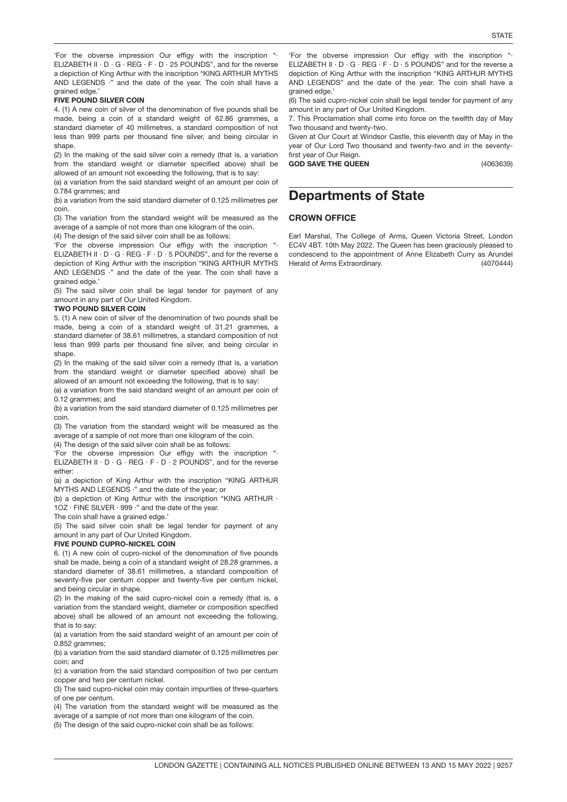'For the obverse impression Our effigy with the inscription "· ELIZABETH  $II \cdot D \cdot G \cdot REG \cdot F \cdot D \cdot 25$  POUNDS", and for the reverse a depiction of King Arthur with the inscription "KING ARTHUR MYTHS AND LEGENDS  $\cdot$ " and the date of the year. The coin shall have a grained edge.

#### FIVE POUND SILVER COIN

4. (1) A new coin of silver of the denomination of five pounds shall be made, being a coin of a standard weight of 62.86 grammes, a standard diameter of 40 millimetres, a standard composition of not less than 999 parts per thousand fine silver, and being circular in shape.

(2) In the making of the said silver coin a remedy (that is, a variation from the standard weight or diameter specified above) shall be allowed of an amount not exceeding the following, that is to say:

(a) a variation from the said standard weight of an amount per coin of 0.784 grammes; and

(b) a variation from the said standard diameter of 0.125 millimetres per coin.

(3) The variation from the standard weight will be measured as the average of a sample of not more than one kilogram of the coin.

(4) The design of the said silver coin shall be as follows:

'For the obverse impression Our effigy with the inscription "· ELIZABETH  $II \cdot D \cdot G \cdot REG \cdot F \cdot D \cdot 5$  POUNDS", and for the reverse a depiction of King Arthur with the inscription "KING ARTHUR MYTHS AND LEGENDS  $\cdot$ " and the date of the year. The coin shall have a grained edge.'

(5) The said silver coin shall be legal tender for payment of any amount in any part of Our United Kingdom.

#### TWO POUND SILVER COIN

5. (1) A new coin of silver of the denomination of two pounds shall be made, being a coin of a standard weight of 31.21 grammes, a standard diameter of 38.61 millimetres, a standard composition of not less than 999 parts per thousand fine silver, and being circular in shane

(2) In the making of the said silver coin a remedy (that is, a variation from the standard weight or diameter specified above) shall be allowed of an amount not exceeding the following, that is to say:

(a) a variation from the said standard weight of an amount per coin of 0.12 grammes; and

(b) a variation from the said standard diameter of 0.125 millimetres per coin.

(3) The variation from the standard weight will be measured as the average of a sample of not more than one kilogram of the coin.

(4) The design of the said silver coin shall be as follows:

'For the obverse impression Our effigy with the inscription "· ELIZABETH  $II \cdot D \cdot G \cdot REG \cdot F \cdot D \cdot 2$  POUNDS", and for the reverse either:

(a) a depiction of King Arthur with the inscription "KING ARTHUR MYTHS AND LEGENDS ·" and the date of the year; or

(b) a depiction of King Arthur with the inscription "KING ARTHUR · 1OZ · FINE SILVER · 999 ·" and the date of the year.

The coin shall have a grained edge.

(5) The said silver coin shall be legal tender for payment of any amount in any part of Our United Kingdom.

#### FIVE POUND CUPRO-NICKEL COIN

6. (1) A new coin of cupro-nickel of the denomination of five pounds shall be made, being a coin of a standard weight of 28.28 grammes, a standard diameter of 38.61 millimetres, a standard composition of seventy-five per centum copper and twenty-five per centum nickel, and being circular in shape.

(2) In the making of the said cupro-nickel coin a remedy (that is, a variation from the standard weight, diameter or composition specified above) shall be allowed of an amount not exceeding the following, that is to say:

(a) a variation from the said standard weight of an amount per coin of 0.852 grammes;

(b) a variation from the said standard diameter of 0.125 millimetres per coin; and

(c) a variation from the said standard composition of two per centum copper and two per centum nickel.

(3) The said cupro-nickel coin may contain impurities of three-quarters of one per centum.

(4) The variation from the standard weight will be measured as the average of a sample of not more than one kilogram of the coin.

(5) The design of the said cupro-nickel coin shall be as follows:

'For the obverse impression Our effigy with the inscription "· ELIZABETH  $II \cdot D \cdot G \cdot REG \cdot F \cdot D \cdot 5$  POUNDS" and for the reverse a depiction of King Arthur with the inscription "KING ARTHUR MYTHS AND LEGENDS" and the date of the year. The coin shall have a grained edge.'

(6) The said cupro-nickel coin shall be legal tender for payment of any amount in any part of Our United Kingdom.

7. This Proclamation shall come into force on the twelfth day of May Two thousand and twenty-two.

Given at Our Court at Windsor Castle, this eleventh day of May in the year of Our Lord Two thousand and twenty-two and in the seventyfirst year of Our Reign.

GOD SAVE THE QUEEN

(4063639)

# Departments of State

#### CROWN OFFICE

Earl Marshal, The College of Arms, Queen Victoria Street, London (4070444) EC4V 4BT. 10th May 2022. The Queen has been graciously pleased to condescend to the appointment of Anne Elizabeth Curry as Arundel Herald of Arms Extraordinary.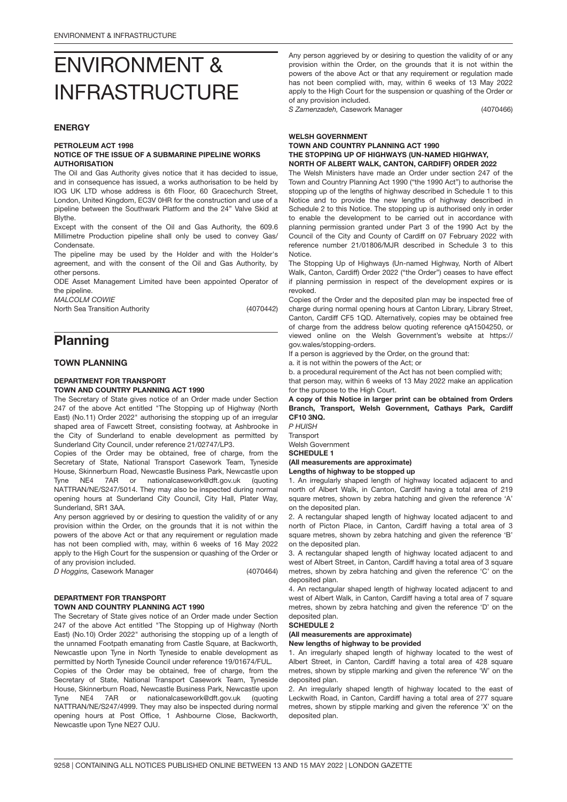# <span id="page-5-0"></span>ENVIRONMENT & INFRASTRUCTURE

# ENERGY

#### PETROLEUM ACT 1998 NOTICE OF THE ISSUE OF A SUBMARINE PIPELINE WORKS AUTHORISATION

The Oil and Gas Authority gives notice that it has decided to issue, and in consequence has issued, a works authorisation to be held by IOG UK LTD whose address is 6th Floor, 60 Gracechurch Street, London, United Kingdom, EC3V 0HR for the construction and use of a pipeline between the Southwark Platform and the 24" Valve Skid at Blythe.

Except with the consent of the Oil and Gas Authority, the 609.6 Millimetre Production pipeline shall only be used to convey Gas/ Condensate.

The pipeline may be used by the Holder and with the Holder's agreement, and with the consent of the Oil and Gas Authority, by other persons.

ODE Asset Management Limited have been appointed Operator of the pipeline.

*MALCOLM COWIE*

North Sea Transition Authority

(4070442)

# Planning

# TOWN PLANNING

# DEPARTMENT FOR TRANSPORT TOWN AND COUNTRY PLANNING ACT 1990

The Secretary of State gives notice of an Order made under Section 247 of the above Act entitled "The Stopping up of Highway (North East) (No.11) Order 2022" authorising the stopping up of an irregular shaped area of Fawcett Street, consisting footway, at Ashbrooke in the City of Sunderland to enable development as permitted by Sunderland City Council, under reference 21/02747/LP3.

Copies of the Order may be obtained, free of charge, from the Secretary of State, National Transport Casework Team, Tyneside House, Skinnerburn Road, Newcastle Business Park, Newcastle upon Tyne NE4 7AR or nationalcasework@dft.gov.uk (quoting NATTRAN/NE/S247/5014. They may also be inspected during normal opening hours at Sunderland City Council, City Hall, Plater Way, Sunderland, SR1 3AA.

Any person aggrieved by or desiring to question the validity of or any provision within the Order, on the grounds that it is not within the powers of the above Act or that any requirement or requiation made has not been complied with, may, within 6 weeks of 16 May 2022 apply to the High Court for the suspension or quashing of the Order or of any provision included.

*D Hoggins,* Casework Manager

(4070464)

# DEPARTMENT FOR TRANSPOR<mark>T</mark>

# TOWN AND COUNTRY PLANNING ACT 1990

The Secretary of State gives notice of an Order made under Section 247 of the above Act entitled "The Stopping up of Highway (North East) (No.10) Order 2022" authorising the stopping up of a length of the unnamed Footpath emanating from Castle Square, at Backworth, Newcastle upon Tyne in North Tyneside to enable development as permitted by North Tyneside Council under reference 19/01674/FUL.

Copies of the Order may be obtained, free of charge, from the Secretary of State, National Transport Casework Team, Tyneside House, Skinnerburn Road, Newcastle Business Park, Newcastle upon Tyne NE4 7AR or nationalcasework@dft.gov.uk (quoting NATTRAN/NE/S247/4999. They may also be inspected during normal opening hours at Post Office, 1 Ashbourne Close, Backworth, Newcastle upon Tyne NE27 OJU.

Any person aggrieved by or desiring to question the validity of or any provision within the Order, on the grounds that it is not within the powers of the above Act or that any requirement or regulation made has not been complied with, may, within 6 weeks of 13 May 2022 apply to the High Court for the suspension or quashing of the Order or of any provision included.

*S Zamenzadeh,* Casework Manager

(4070466)

### WELSH GOVERNMENT

#### TOWN AND COUNTRY PLANNING ACT 1990 THE STOPPING UP OF HIGHWAYS (UN-NAMED HIGHWAY, NORTH OF ALBERT WALK, CANTON, CARDIFF) ORDER 2022

The Welsh Ministers have made an Order under section 247 of the Town and Country Planning Act 1990 ("the 1990 Act") to authorise the stopping up of the lengths of highway described in Schedule 1 to this Notice and to provide the new lengths of highway described in Schedule 2 to this Notice. The stopping up is authorised only in order to enable the development to be carried out in accordance with planning permission granted under Part 3 of the 1990 Act by the Council of the City and County of Cardiff on 07 February 2022 with reference number 21/01806/MJR described in Schedule 3 to this Notice.

The Stopping Up of Highways (Un-named Highway, North of Albert Walk, Canton, Cardiff) Order 2022 ("the Order") ceases to have effect if planning permission in respect of the development expires or is revoked.

Copies of the Order and the deposited plan may be inspected free of charge during normal opening hours at Canton Library, Library Street, Canton, Cardiff CF5 1QD. Alternatively, copies may be obtained free of charge from the address below quoting reference qA1504250, or viewed online on the Welsh Government's website at https:// gov.wales/stopping-orders.

If a person is aggrieved by the Order, on the ground that:

a. it is not within the powers of the Act; or

b. a procedural requirement of the Act has not been complied with;

that person may, within 6 weeks of 13 May 2022 make an application for the purpose to the High Court.

A copy of this Notice in larger print can be obtained from Orders Branch, Transport, Welsh Government, Cathays Park, Cardiff CF10 3NQ.

*P HUISH*

**Transport** 

Welsh Government SCHEDULE 1

#### (All measurements are approximate) Lengths of highway to be stopped up

1. An irregularly shaped length of highway located adjacent to and north of Albert Walk, in Canton, Cardiff having a total area of 219 square metres, shown by zebra hatching and given the reference 'A' on the deposited plan.

2. A rectangular shaped length of highway located adjacent to and north of Picton Place, in Canton, Cardiff having a total area of 3 square metres, shown by zebra hatching and given the reference 'B' on the deposited plan.

3. A rectangular shaped length of highway located adjacent to and west of Albert Street, in Canton, Cardiff having a total area of 3 square metres, shown by zebra hatching and given the reference 'C' on the deposited plan.

4. An rectangular shaped length of highway located adjacent to and west of Albert Walk, in Canton, Cardiff having a total area of 7 square metres, shown by zebra hatching and given the reference 'D' on the deposited plan.

#### SCHEDULE 2

#### (All measurements are approximate)

#### New lengths of highway to be provided

1. An irregularly shaped length of highway located to the west of Albert Street, in Canton, Cardiff having a total area of 428 square metres, shown by stipple marking and given the reference 'W' on the deposited plan.

2. An irregularly shaped length of highway located to the east of Leckwith Road, in Canton, Cardiff having a total area of 277 square metres, shown by stipple marking and given the reference 'X' on the deposited plan.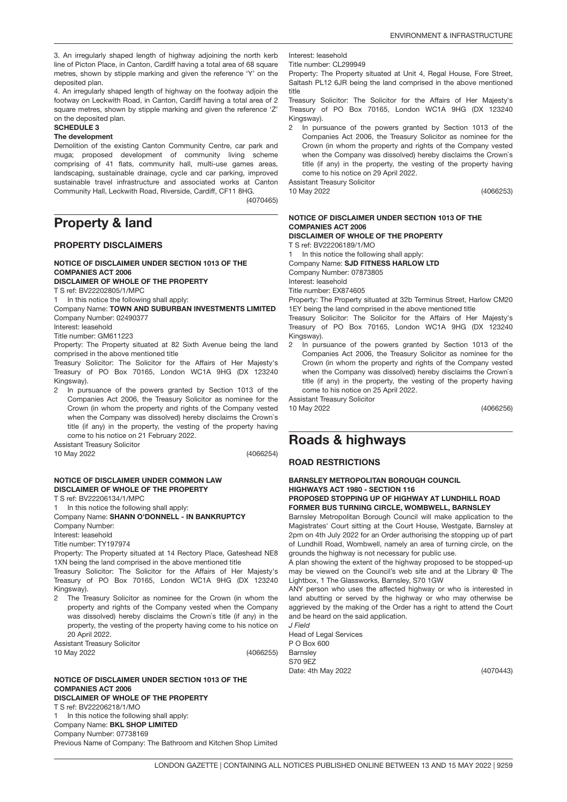3. An irregularly shaped length of highway adjoining the north kerb line of Picton Place, in Canton, Cardiff having a total area of 68 square metres, shown by stipple marking and given the reference 'Y' on the deposited plan.

4. An irregularly shaped length of highway on the footway adjoin the footway on Leckwith Road, in Canton, Cardiff having a total area of 2 square metres, shown by stipple marking and given the reference 'Z' on the deposited plan.

#### SCHEDULE 3

#### The development

Demolition of the existing Canton Community Centre, car park and muga; proposed development of community living scheme comprising of 41 flats, community hall, multi-use games areas, landscaping, sustainable drainage, cycle and car parking, improved sustainable travel infrastructure and associated works at Canton Community Hall, Leckwith Road, Riverside, Cardiff, CF11 8HG.

(4070465)

# Property & land

# PROPERTY DISCLAIMERS

#### NOTICE OF DISCLAIMER UNDER SECTION 1013 OF THE COMPANIES ACT 2006

# DISCLAIMER OF WHOLE OF THE PROPERTY

T S ref: BV22202805/1/MPC

1 In this notice the following shall apply:

Company Name: TOWN AND SUBURBAN INVESTMENTS LIMITED Company Number: 02490377

Interest: leasehold

Title number: GM611223

Property: The Property situated at 82 Sixth Avenue being the land comprised in the above mentioned title

Treasury Solicitor: The Solicitor for the Affairs of Her Majesty's Treasury of PO Box 70165, London WC1A 9HG (DX 123240 Kingsway).

In pursuance of the powers granted by Section 1013 of the Companies Act 2006, the Treasury Solicitor as nominee for the Crown (in whom the property and rights of the Company vested when the Company was dissolved) hereby disclaims the Crown`s title (if any) in the property, the vesting of the property having come to his notice on 21 February 2022.

Assistant Treasury Solicitor

10 May 2022

(4066254)

#### NOTICE OF DISCLAIMER UNDER COMMON LAW DISCLAIMER OF WHOLE OF THE PROPERTY

T S ref: BV22206134/1/MPC

In this notice the following shall apply:

Company Name: SHANN O'DONNELL - IN BANKRUPTCY Company Number:

Interest: leasehold

#### Title number: TY197974

Property: The Property situated at 14 Rectory Place, Gateshead NE8 1XN being the land comprised in the above mentioned title

Treasury Solicitor: The Solicitor for the Affairs of Her Majesty's Treasury of PO Box 70165, London WC1A 9HG (DX 123240 Kingsway).

2 The Treasury Solicitor as nominee for the Crown (in whom the property and rights of the Company vested when the Company was dissolved) hereby disclaims the Crown`s title (if any) in the property, the vesting of the property having come to his notice on 20 April 2022.

Assistant Treasury Solicitor 10 May 2022

(4066255)

#### NOTICE OF DISCLAIMER UNDER SECTION 1013 OF THE COMPANIES ACT 2006 DISCLAIMER OF WHOLE OF THE PROPERTY

T S ref: BV22206218/1/MO In this notice the following shall apply: Company Name: BKL SHOP LIMITED Company Number: 07738169 Previous Name of Company: The Bathroom and Kitchen Shop Limited Interest: leasehold Title number: CL299949

Property: The Property situated at Unit 4, Regal House, Fore Street, Saltash PL12 6JR being the land comprised in the above mentioned title

Treasury Solicitor: The Solicitor for the Affairs of Her Majesty's Treasury of PO Box 70165, London WC1A 9HG (DX 123240 Kingsway).

2 In pursuance of the powers granted by Section 1013 of the Companies Act 2006, the Treasury Solicitor as nominee for the Crown (in whom the property and rights of the Company vested when the Company was dissolved) hereby disclaims the Crown`s title (if any) in the property, the vesting of the property having come to his notice on 29 April 2022.

Assistant Treasury Solicitor 10 May 2022

(4066253)

# NOTICE OF DISCLAIMER UNDER SECTION 1013 OF THE COMPANIES ACT 2006

DISCLAIMER OF WHOLE OF THE PROPERTY T S ref: BV22206189/1/MO

1 In this notice the following shall apply:

Company Name: SJD FITNESS HARLOW LTD

Company Number: 07873805

Interest: leasehold

Title number: EX874605

Property: The Property situated at 32b Terminus Street, Harlow CM20 1EY being the land comprised in the above mentioned title

Treasury Solicitor: The Solicitor for the Affairs of Her Majesty's Treasury of PO Box 70165, London WC1A 9HG (DX 123240 Kingsway).

2 In pursuance of the powers granted by Section 1013 of the Companies Act 2006, the Treasury Solicitor as nominee for the Crown (in whom the property and rights of the Company vested when the Company was dissolved) hereby disclaims the Crown`s title (if any) in the property, the vesting of the property having come to his notice on 25 April 2022.

Assistant Treasury Solicitor 10 May 2022

(4066256)

# Roads & highways

# ROAD RESTRICTIONS

#### BARNSLEY METROPOLITAN BOROUGH COUNCIL HIGHWAYS ACT 1980 - SECTION 116 PROPOSED STOPPING UP OF HIGHWAY AT LUNDHILL ROAD FORMER BUS TURNING CIRCLE, WOMBWELL, BARNSLEY

Barnsley Metropolitan Borough Council will make application to the Magistrates' Court sitting at the Court House, Westgate, Barnsley at 2pm on 4th July 2022 for an Order authorising the stopping up of part of Lundhill Road, Wombwell, namely an area of turning circle, on the grounds the highway is not necessary for public use.

A plan showing the extent of the highway proposed to be stopped-up may be viewed on the Council's web site and at the Library @ The Lightbox, 1 The Glassworks, Barnsley, S70 1GW

ANY person who uses the affected highway or who is interested in land abutting or served by the highway or who may otherwise be aggrieved by the making of the Order has a right to attend the Court and be heard on the said application.

*J Field* Head of Legal Services P O Box 600 **Barnsley** S70 9EZ Date: 4th May 2022

(4070443)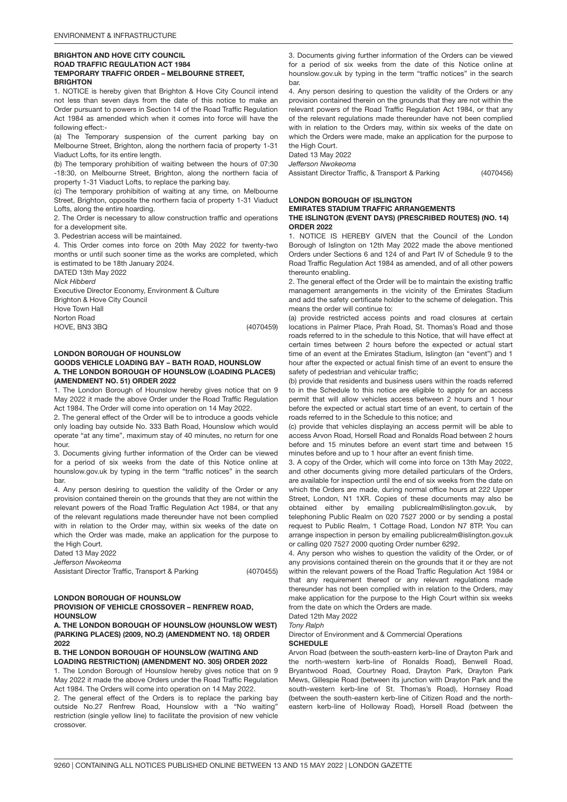#### BRIGHTON AND HOVE CITY COUNCIL ROAD TRAFFIC REGULATION ACT 1984 TEMPORARY TRAFFIC ORDER – MELBOURNE STREET, **BRIGHTON**

1. NOTICE is hereby given that Brighton & Hove City Council intend not less than seven days from the date of this notice to make an Order pursuant to powers in Section 14 of the Road Traffic Regulation Act 1984 as amended which when it comes into force will have the following effect:-

(a) The Temporary suspension of the current parking bay on Melbourne Street, Brighton, along the northern facia of property 1-31 Viaduct Lofts, for its entire length.

(b) The temporary prohibition of waiting between the hours of 07:30 -18:30, on Melbourne Street, Brighton, along the northern facia of property 1-31 Viaduct Lofts, to replace the parking bay.

(c) The temporary prohibition of waiting at any time, on Melbourne Street, Brighton, opposite the northern facia of property 1-31 Viaduct Lofts, along the entire hoarding.

2. The Order is necessary to allow construction traffic and operations for a development site.

3. Pedestrian access will be maintained.

4. This Order comes into force on 20th May 2022 for twenty-two months or until such sooner time as the works are completed, which is estimated to be 18th January 2024.

DATED 13th May 2022

*Nick Hibberd* Executive Director Economy, Environment & Culture Brighton & Hove City Council Hove Town Hall Norton Road HOVE, BN3 3BQ

(4070459)

#### LONDON BOROUGH OF HOUNSLOW GOODS VEHICLE LOADING BAY – BATH ROAD, HOUNSLOW A. THE LONDON BOROUGH OF HOUNSLOW (LOADING PLACES) (AMENDMENT NO. 51) ORDER 2022

1. The London Borough of Hounslow hereby gives notice that on 9 May 2022 it made the above Order under the Road Traffic Regulation Act 1984. The Order will come into operation on 14 May 2022.

2. The general effect of the Order will be to introduce a goods vehicle only loading bay outside No. 333 Bath Road, Hounslow which would operate "at any time", maximum stay of 40 minutes, no return for one hour.

3. Documents giving further information of the Order can be viewed for a period of six weeks from the date of this Notice online at hounslow.gov.uk by typing in the term "traffic notices" in the search bar.

4. Any person desiring to question the validity of the Order or any provision contained therein on the grounds that they are not within the relevant powers of the Road Traffic Regulation Act 1984, or that any of the relevant regulations made thereunder have not been complied with in relation to the Order may, within six weeks of the date on which the Order was made, make an application for the purpose to the High Court.

Dated 13 May 2022

*Jefferson Nwokeoma*

Assistant Director Traffic, Transport & Parking

(4070455)

# LONDON BOROUGH OF HOUNSLOW

PROVISION OF VEHICLE CROSSOVER – RENFREW ROAD, **HOUNSLOW** 

A. THE LONDON BOROUGH OF HOUNSLOW (HOUNSLOW WEST) (PARKING PLACES) (2009, NO.2) (AMENDMENT NO. 18) ORDER 2022

#### B. THE LONDON BOROUGH OF HOUNSLOW (WAITING AND LOADING RESTRICTION) (AMENDMENT NO. 305) ORDER 2022

1. The London Borough of Hounslow hereby gives notice that on 9 May 2022 it made the above Orders under the Road Traffic Regulation Act 1984. The Orders will come into operation on 14 May 2022.

2. The general effect of the Orders is to replace the parking bay outside No.27 Renfrew Road, Hounslow with a "No waiting" restriction (single yellow line) to facilitate the provision of new vehicle crossover.

3. Documents giving further information of the Orders can be viewed for a period of six weeks from the date of this Notice online at hounslow.gov.uk by typing in the term "traffic notices" in the search bar.

4. Any person desiring to question the validity of the Orders or any provision contained therein on the grounds that they are not within the relevant powers of the Road Traffic Regulation Act 1984, or that any of the relevant regulations made thereunder have not been complied with in relation to the Orders may, within six weeks of the date on which the Orders were made, make an application for the purpose to the High Court.

Dated 13 May 2022 *Jefferson Nwokeoma*

Assistant Director Traffic, & Transport & Parking

(4070456)

#### LONDON BOROUGH OF ISLINGTON EMIRATES STADIUM TRAFFIC ARRANGEMENTS THE ISLINGTON (EVENT DAYS) (PRESCRIBED ROUTES) (NO. 14) ORDER 2022

1. NOTICE IS HEREBY GIVEN that the Council of the London Borough of Islington on 12th May 2022 made the above mentioned Orders under Sections 6 and 124 of and Part IV of Schedule 9 to the Road Traffic Regulation Act 1984 as amended, and of all other powers thereunto enabling.

2. The general effect of the Order will be to maintain the existing traffic management arrangements in the vicinity of the Emirates Stadium and add the safety certificate holder to the scheme of delegation. This means the order will continue to:

(a) provide restricted access points and road closures at certain locations in Palmer Place, Prah Road, St. Thomas's Road and those roads referred to in the schedule to this Notice, that will have effect at certain times between 2 hours before the expected or actual start time of an event at the Emirates Stadium, Islington (an "event") and 1 hour after the expected or actual finish time of an event to ensure the safety of pedestrian and vehicular traffic;

(b) provide that residents and business users within the roads referred to in the Schedule to this notice are eligible to apply for an access permit that will allow vehicles access between 2 hours and 1 hour before the expected or actual start time of an event, to certain of the roads referred to in the Schedule to this notice; and

(c) provide that vehicles displaying an access permit will be able to access Arvon Road, Horsell Road and Ronalds Road between 2 hours before and 15 minutes before an event start time and between 15 minutes before and up to 1 hour after an event finish time.

3. A copy of the Order, which will come into force on 13th May 2022, and other documents giving more detailed particulars of the Orders, are available for inspection until the end of six weeks from the date on which the Orders are made, during normal office hours at 222 Upper Street, London, N1 1XR. Copies of these documents may also be obtained either by emailing publicrealm@islington.gov.uk, by telephoning Public Realm on 020 7527 2000 or by sending a postal request to Public Realm, 1 Cottage Road, London N7 8TP. You can arrange inspection in person by emailing publicrealm@islington.gov.uk or calling 020 7527 2000 quoting Order number 6292.

4. Any person who wishes to question the validity of the Order, or of any provisions contained therein on the grounds that it or they are not within the relevant powers of the Road Traffic Regulation Act 1984 or that any requirement thereof or any relevant regulations made thereunder has not been complied with in relation to the Orders, may make application for the purpose to the High Court within six weeks from the date on which the Orders are made.

Dated 12th May 2022

*Tony Ralph*

Director of Environment and & Commercial Operations

#### **SCHEDULE**

Arvon Road (between the south-eastern kerb-line of Drayton Park and the north-western kerb-line of Ronalds Road), Benwell Road, Bryantwood Road, Courtney Road, Drayton Park, Drayton Park Mews, Gillespie Road (between its junction with Drayton Park and the south-western kerb-line of St. Thomas's Road), Hornsey Road (between the south-eastern kerb-line of Citizen Road and the northeastern kerb-line of Holloway Road), Horsell Road (between the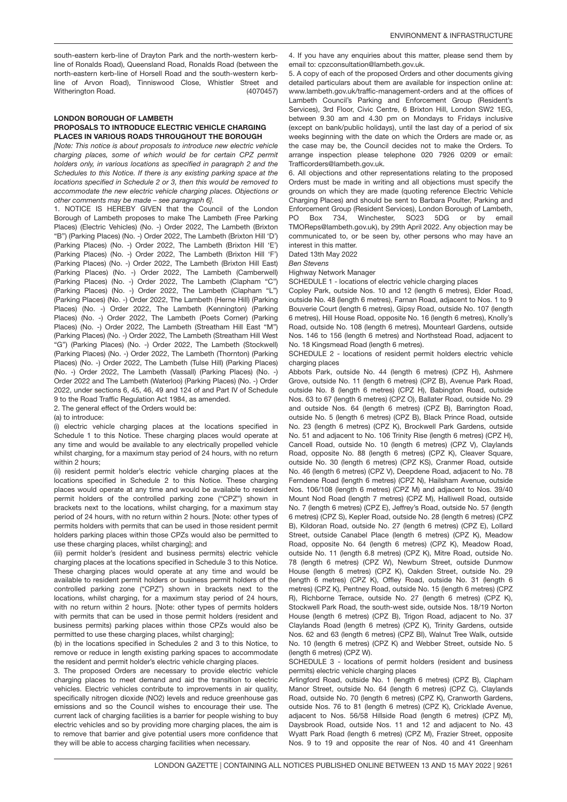#### LONDON BOROUGH OF LAMBETH PROPOSALS TO INTRODUCE ELECTRIC VEHICLE CHARGING PLACES IN VARIOUS ROADS THROUGHOUT THE BOROUGH

*[Note: This notice is about proposals to introduce new electric vehicle charging places, some of which would be for certain CPZ permit holders only, in various locations as specified in paragraph 2 and the Schedules to this Notice. If there is any existing parking space at the locations specified in Schedule 2 or 3, then this would be removed to accommodate the new electric vehicle charging places. Objections or other comments may be made – see paragraph 6].*

1. NOTICE IS HEREBY GIVEN that the Council of the London Borough of Lambeth proposes to make The Lambeth (Free Parking Places) (Electric Vehicles) (No. -) Order 2022, The Lambeth (Brixton "B") (Parking Places) (No. -) Order 2022, The Lambeth (Brixton Hill 'D') (Parking Places) (No. -) Order 2022, The Lambeth (Brixton Hill 'E') (Parking Places) (No. -) Order 2022, The Lambeth (Brixton Hill 'F') (Parking Places) (No. -) Order 2022, The Lambeth (Brixton Hill East) (Parking Places) (No. -) Order 2022, The Lambeth (Camberwell) (Parking Places) (No. -) Order 2022, The Lambeth (Clapham "C") (Parking Places) (No. -) Order 2022, The Lambeth (Clapham "L") (Parking Places) (No. -) Order 2022, The Lambeth (Herne Hill) (Parking Places) (No. -) Order 2022, The Lambeth (Kennington) (Parking Places) (No. -) Order 2022, The Lambeth (Poets Corner) (Parking Places) (No. -) Order 2022, The Lambeth (Streatham Hill East "M") (Parking Places) (No. -) Order 2022, The Lambeth (Streatham Hill West "G") (Parking Places) (No. -) Order 2022, The Lambeth (Stockwell) (Parking Places) (No. -) Order 2022, The Lambeth (Thornton) (Parking Places) (No. -) Order 2022, The Lambeth (Tulse Hill) (Parking Places) (No. -) Order 2022, The Lambeth (Vassall) (Parking Places) (No. -) Order 2022 and The Lambeth (Waterloo) (Parking Places) (No. -) Order 2022, under sections 6, 45, 46, 49 and 124 of and Part IV of Schedule 9 to the Road Traffic Regulation Act 1984, as amended.

2. The general effect of the Orders would be:

(a) to introduce:

(i) electric vehicle charging places at the locations specified in Schedule 1 to this Notice. These charging places would operate at any time and would be available to any electrically propelled vehicle whilst charging, for a maximum stay period of 24 hours, with no return within 2 hours;

(ii) resident permit holder's electric vehicle charging places at the locations specified in Schedule 2 to this Notice. These charging places would operate at any time and would be available to resident permit holders of the controlled parking zone ("CPZ") shown in brackets next to the locations, whilst charging, for a maximum stay period of 24 hours, with no return within 2 hours. [Note: other types of permits holders with permits that can be used in those resident permit holders parking places within those CPZs would also be permitted to use these charging places, whilst charging]; and

(iii) permit holder's (resident and business permits) electric vehicle charging places at the locations specified in Schedule 3 to this Notice. These charging places would operate at any time and would be available to resident permit holders or business permit holders of the controlled parking zone ("CPZ") shown in brackets next to the locations, whilst charging, for a maximum stay period of 24 hours, with no return within 2 hours. [Note: other types of permits holders with permits that can be used in those permit holders (resident and business permits) parking places within those CPZs would also be permitted to use these charging places, whilst charging];

(b) in the locations specified in Schedules 2 and 3 to this Notice, to remove or reduce in length existing parking spaces to accommodate the resident and permit holder's electric vehicle charging places.

3. The proposed Orders are necessary to provide electric vehicle charging places to meet demand and aid the transition to electric vehicles. Electric vehicles contribute to improvements in air quality, specifically nitrogen dioxide (NO2) levels and reduce greenhouse gas emissions and so the Council wishes to encourage their use. The current lack of charging facilities is a barrier for people wishing to buy electric vehicles and so by providing more charging places, the aim is to remove that barrier and give potential users more confidence that they will be able to access charging facilities when necessary.

4. If you have any enquiries about this matter, please send them by email to: cpzconsultation@lambeth.gov.uk.

5. A copy of each of the proposed Orders and other documents giving detailed particulars about them are available for inspection online at: www.lambeth.gov.uk/traffic-management-orders and at the offices of Lambeth Council's Parking and Enforcement Group (Resident's Services), 3rd Floor, Civic Centre, 6 Brixton Hill, London SW2 1EG, between 9.30 am and 4.30 pm on Mondays to Fridays inclusive (except on bank/public holidays), until the last day of a period of six weeks beginning with the date on which the Orders are made or, as the case may be, the Council decides not to make the Orders. To arrange inspection please telephone 020 7926 0209 or email: Trafficorders@lambeth.gov.uk.

6. All objections and other representations relating to the proposed Orders must be made in writing and all objections must specify the grounds on which they are made (quoting reference Electric Vehicle Charging Places) and should be sent to Barbara Poulter, Parking and Enforcement Group (Resident Services), London Borough of Lambeth, PO Box 734, Winchester, SO23 5DG or by email TMOReps@lambeth.gov.uk), by 29th April 2022. Any objection may be communicated to, or be seen by, other persons who may have an interest in this matter.

Dated 13th May 2022

*Ben Stevens*

Highway Network Manager

SCHEDULE 1 - locations of electric vehicle charging places

Copley Park, outside Nos. 10 and 12 (length 6 metres), Elder Road, outside No. 48 (length 6 metres), Farnan Road, adjacent to Nos. 1 to 9 Bouverie Court (length 6 metres), Gipsy Road, outside No. 107 (length 6 metres), Hill House Road, opposite No. 16 (length 6 metres), Knolly's Road, outside No. 108 (length 6 metres), Mountearl Gardens, outside Nos. 146 to 156 (length 6 metres) and Northstead Road, adjacent to No. 18 Kingsmead Road (length 6 metres).

SCHEDULE 2 - locations of resident permit holders electric vehicle charging places

Abbots Park, outside No. 44 (length 6 metres) (CPZ H), Ashmere Grove, outside No. 11 (length 6 metres) (CPZ B), Avenue Park Road, outside No. 8 (length 6 metres) (CPZ H), Babington Road, outside Nos. 63 to 67 (length 6 metres) (CPZ O), Ballater Road, outside No. 29 and outside Nos. 64 (length 6 metres) (CPZ B), Barrington Road, outside No. 5 (length 6 metres) (CPZ B), Black Prince Road, outside No. 23 (length 6 metres) (CPZ K), Brockwell Park Gardens, outside No. 51 and adjacent to No. 106 Trinity Rise (length 6 metres) (CPZ H), Cancell Road, outside No. 10 (length 6 metres) (CPZ V), Claylands Road, opposite No. 88 (length 6 metres) (CPZ K), Cleaver Square, outside No. 30 (length 6 metres) (CPZ KS), Cranmer Road, outside No. 46 (length 6 metres) (CPZ V), Deepdene Road, adjacent to No. 78 Ferndene Road (length 6 metres) (CPZ N), Hailsham Avenue, outside Nos. 106/108 (length 6 metres) (CPZ M) and adjacent to Nos. 39/40 Mount Nod Road (length 7 metres) (CPZ M), Halliwell Road, outside No. 7 (length 6 metres) (CPZ E), Jeffrey's Road, outside No. 57 (length 6 metres) (CPZ S), Kepler Road, outside No. 28 (length 6 metres) (CPZ B), Kildoran Road, outside No. 27 (length 6 metres) (CPZ E), Lollard Street, outside Canabel Place (length 6 metres) (CPZ K), Meadow Road, opposite No. 64 (length 6 metres) (CPZ K), Meadow Road, outside No. 11 (length 6.8 metres) (CPZ K), Mitre Road, outside No. 78 (length 6 metres) (CPZ W), Newburn Street, outside Dunmow House (length 6 metres) (CPZ K), Oakden Street, outside No. 29 (length 6 metres) (CPZ K), Offley Road, outside No. 31 (length 6 metres) (CPZ K), Pentney Road, outside No. 15 (length 6 metres) (CPZ R), Richborne Terrace, outside No. 27 (length 6 metres) (CPZ K), Stockwell Park Road, the south-west side, outside Nos. 18/19 Norton House (length 6 metres) (CPZ B), Trigon Road, adjacent to No. 37 Claylands Road (length 6 metres) (CPZ K), Trinity Gardens, outside Nos. 62 and 63 (length 6 metres) (CPZ BI), Walnut Tree Walk, outside No. 10 (length 6 metres) (CPZ K) and Webber Street, outside No. 5 (length 6 metres) (CPZ W).

SCHEDULE 3 - locations of permit holders (resident and business permits) electric vehicle charging places

Arlingford Road, outside No. 1 (length 6 metres) (CPZ B), Clapham Manor Street, outside No. 64 (length 6 metres) (CPZ C), Claylands Road, outside No. 70 (length 6 metres) (CPZ K), Cranworth Gardens, outside Nos. 76 to 81 (length 6 metres) (CPZ K), Cricklade Avenue, adjacent to Nos. 56/58 Hillside Road (length 6 metres) (CPZ M), Daysbrook Road, outside Nos. 11 and 12 and adjacent to No. 43 Wyatt Park Road (length 6 metres) (CPZ M), Frazier Street, opposite Nos. 9 to 19 and opposite the rear of Nos. 40 and 41 Greenham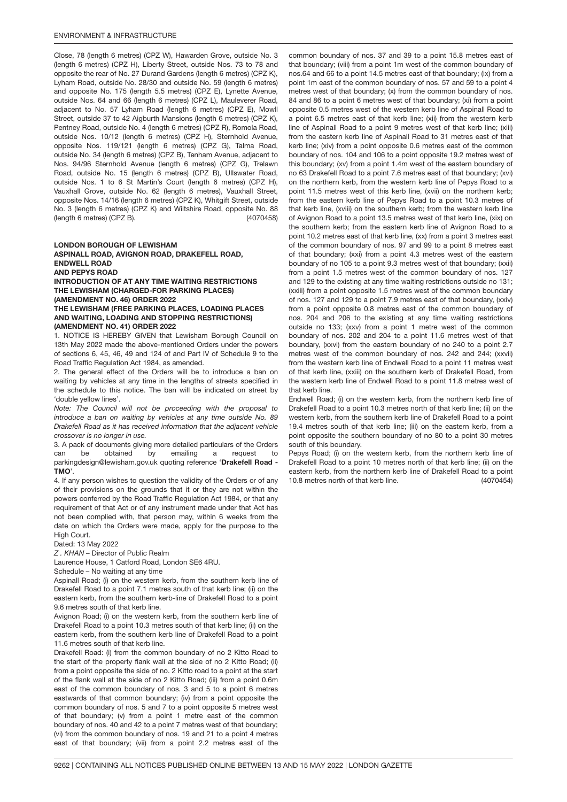(4070458) Close, 78 (length 6 metres) (CPZ W), Hawarden Grove, outside No. 3 (length 6 metres) (CPZ H), Liberty Street, outside Nos. 73 to 78 and opposite the rear of No. 27 Durand Gardens (length 6 metres) (CPZ K), Lyham Road, outside No. 28/30 and outside No. 59 (length 6 metres) and opposite No. 175 (length 5.5 metres) (CPZ E), Lynette Avenue, outside Nos. 64 and 66 (length 6 metres) (CPZ L), Mauleverer Road, adjacent to No. 57 Lyham Road (length 6 metres) (CPZ E), Mowll Street, outside 37 to 42 Aigburth Mansions (length 6 metres) (CPZ K), Pentney Road, outside No. 4 (length 6 metres) (CPZ R), Romola Road, outside Nos. 10/12 (length 6 metres) (CPZ H), Sternhold Avenue, opposite Nos. 119/121 (length 6 metres) (CPZ G), Talma Road, outside No. 34 (length 6 metres) (CPZ B), Tenham Avenue, adjacent to Nos. 94/96 Sternhold Avenue (length 6 metres) (CPZ G), Trelawn Road, outside No. 15 (length 6 metres) (CPZ B), Ullswater Road, outside Nos. 1 to 6 St Martin's Court (length 6 metres) (CPZ H), Vauxhall Grove, outside No. 62 (length 6 metres), Vauxhall Street, opposite Nos. 14/16 (length 6 metres) (CPZ K), Whitgift Street, outside No. 3 (length 6 metres) (CPZ K) and Wiltshire Road, opposite No. 88 (length 6 metres) (CPZ B).

#### LONDON BOROUGH OF LEWISHAM ASPINALL ROAD, AVIGNON ROAD, DRAKEFELL ROAD, ENDWELL ROAD AND PEPYS ROAD INTRODUCTION OF AT ANY TIME WAITING RESTRICTIONS

THE LEWISHAM (CHARGED-FOR PARKING PLACES) (AMENDMENT NO. 46) ORDER 2022

THE LEWISHAM (FREE PARKING PLACES, LOADING PLACES AND WAITING, LOADING AND STOPPING RESTRICTIONS) (AMENDMENT NO. 41) ORDER 2022

1. NOTICE IS HEREBY GIVEN that Lewisham Borough Council on 13th May 2022 made the above-mentioned Orders under the powers of sections 6, 45, 46, 49 and 124 of and Part IV of Schedule 9 to the Road Traffic Regulation Act 1984, as amended.

2. The general effect of the Orders will be to introduce a ban on waiting by vehicles at any time in the lengths of streets specified in the schedule to this notice. The ban will be indicated on street by 'double yellow lines'.

*Note: The Council will not be proceeding with the proposal to introduce a ban on waiting by vehicles at any time outside No. 89 Drakefell Road as it has received information that the adjacent vehicle crossover is no longer in use.*

3. A pack of documents giving more detailed particulars of the Orders can be obtained by emailing a request to parkingdesign@lewisham.gov.uk quoting reference 'Drakefell Road -TMO'.

4. If any person wishes to question the validity of the Orders or of any of their provisions on the grounds that it or they are not within the powers conferred by the Road Traffic Regulation Act 1984, or that any requirement of that Act or of any instrument made under that Act has not been complied with, that person may, within 6 weeks from the date on which the Orders were made, apply for the purpose to the High Court.

Dated: 13 May 2022

*Z . KHAN* – Director of Public Realm

Laurence House, 1 Catford Road, London SE6 4RU.

Schedule – No waiting at any time

Aspinall Road; (i) on the western kerb, from the southern kerb line of Drakefell Road to a point 7.1 metres south of that kerb line; (ii) on the eastern kerb, from the southern kerb-line of Drakefell Road to a point 9.6 metres south of that kerb line.

Avignon Road; (i) on the western kerb, from the southern kerb line of Drakefell Road to a point 10.3 metres south of that kerb line; (ii) on the eastern kerb, from the southern kerb line of Drakefell Road to a point 11.6 metres south of that kerb line.

Drakefell Road: (i) from the common boundary of no 2 Kitto Road to the start of the property flank wall at the side of no 2 Kitto Road; (ii) from a point opposite the side of no. 2 Kitto road to a point at the start of the flank wall at the side of no 2 Kitto Road; (iii) from a point 0.6m east of the common boundary of nos. 3 and 5 to a point 6 metres eastwards of that common boundary; (iv) from a point opposite the common boundary of nos. 5 and 7 to a point opposite 5 metres west of that boundary; (v) from a point 1 metre east of the common boundary of nos. 40 and 42 to a point 7 metres west of that boundary; (vi) from the common boundary of nos. 19 and 21 to a point 4 metres east of that boundary; (vii) from a point 2.2 metres east of the

common boundary of nos. 37 and 39 to a point 15.8 metres east of that boundary; (viii) from a point 1m west of the common boundary of nos.64 and 66 to a point 14.5 metres east of that boundary; (ix) from a point 1m east of the common boundary of nos. 57 and 59 to a point 4 metres west of that boundary; (x) from the common boundary of nos. 84 and 86 to a point 6 metres west of that boundary; (xi) from a point opposite 0.5 metres west of the western kerb line of Aspinall Road to a point 6.5 metres east of that kerb line; (xii) from the western kerb line of Aspinall Road to a point 9 metres west of that kerb line; (xiii) from the eastern kerb line of Aspinall Road to 31 metres east of that kerb line; (xiv) from a point opposite 0.6 metres east of the common boundary of nos. 104 and 106 to a point opposite 19.2 metres west of this boundary; (xv) from a point 1.4m west of the eastern boundary of no 63 Drakefell Road to a point 7.6 metres east of that boundary; (xvi) on the northern kerb, from the western kerb line of Pepys Road to a point 11.5 metres west of this kerb line, (xvii) on the northern kerb; from the eastern kerb line of Pepys Road to a point 10.3 metres of that kerb line, (xviii) on the southern kerb; from the western kerb line of Avignon Road to a point 13.5 metres west of that kerb line, (xix) on the southern kerb; from the eastern kerb line of Avignon Road to a point 10.2 metres east of that kerb line, (xx) from a point 3 metres east of the common boundary of nos. 97 and 99 to a point 8 metres east of that boundary; (xxi) from a point 4.3 metres west of the eastern boundary of no 105 to a point 9.3 metres west of that boundary; (xxii) from a point 1.5 metres west of the common boundary of nos. 127 and 129 to the existing at any time waiting restrictions outside no 131; (xxiii) from a point opposite 1.5 metres west of the common boundary of nos. 127 and 129 to a point 7.9 metres east of that boundary, (xxiv) from a point opposite 0.8 metres east of the common boundary of nos. 204 and 206 to the existing at any time waiting restrictions outside no 133; (xxv) from a point 1 metre west of the common boundary of nos. 202 and 204 to a point 11.6 metres west of that boundary, (xxvi) from the eastern boundary of no 240 to a point 2.7 metres west of the common boundary of nos. 242 and 244; (xxvii) from the western kerb line of Endwell Road to a point 11 metres west of that kerb line, (xxiii) on the southern kerb of Drakefell Road, from the western kerb line of Endwell Road to a point 11.8 metres west of that kerb line.

Endwell Road; (i) on the western kerb, from the northern kerb line of Drakefell Road to a point 10.3 metres north of that kerb line; (ii) on the western kerb, from the southern kerb line of Drakefell Road to a point 19.4 metres south of that kerb line; (iii) on the eastern kerb, from a point opposite the southern boundary of no 80 to a point 30 metres south of this boundary.

(4070454) Pepys Road; (i) on the western kerb, from the northern kerb line of Drakefell Road to a point 10 metres north of that kerb line; (ii) on the eastern kerb, from the northern kerb line of Drakefell Road to a point 10.8 metres north of that kerb line.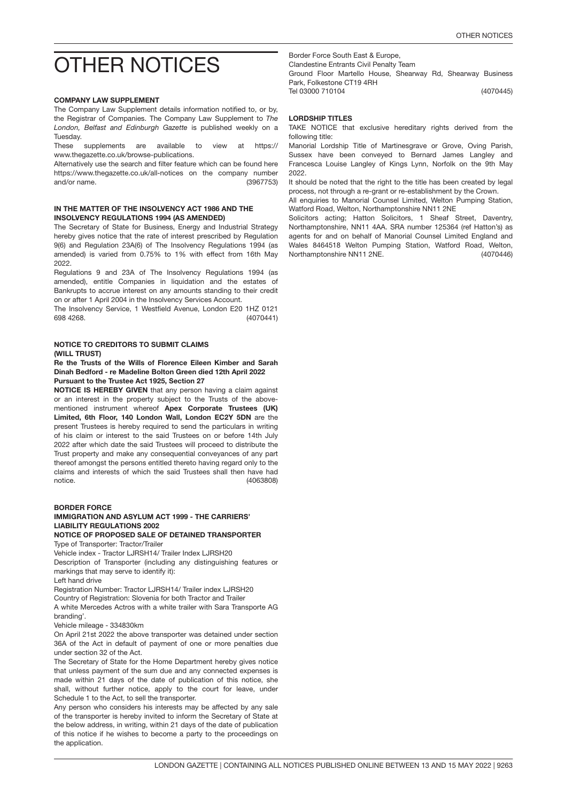# <span id="page-10-0"></span>OTHER NOTICES

# COMPANY LAW SUPPLEMENT

The Company Law Supplement details information notified to, or by, the Registrar of Companies. The Company Law Supplement to *The London, Belfast and Edinburgh Gazette* is published weekly on a Tuesday.

These supplements are available to view at https:// www.thegazette.co.uk/browse-publications.

(3967753) Alternatively use the search and filter feature which can be found here https://www.thegazette.co.uk/all-notices on the company number and/or name.

#### IN THE MATTER OF THE INSOLVENCY ACT 1986 AND THE INSOLVENCY REGULATIONS 1994 (AS AMENDED)

The Secretary of State for Business, Energy and Industrial Strategy hereby gives notice that the rate of interest prescribed by Regulation 9(6) and Regulation 23A(6) of The Insolvency Regulations 1994 (as amended) is varied from 0.75% to 1% with effect from 16th May 2022.

Regulations 9 and 23A of The Insolvency Regulations 1994 (as amended), entitle Companies in liquidation and the estates of Bankrupts to accrue interest on any amounts standing to their credit on or after 1 April 2004 in the Insolvency Services Account.

(4070441) The Insolvency Service, 1 Westfield Avenue, London E20 1HZ 0121 698 4268.

#### NOTICE TO CREDITORS TO SUBMIT CLAIMS (WILL TRUST)

Re the Trusts of the Wills of Florence Eileen Kimber and Sarah Dinah Bedford - re Madeline Bolton Green died 12th April 2022 Pursuant to the Trustee Act 1925, Section 27

(4063808) NOTICE IS HEREBY GIVEN that any person having a claim against or an interest in the property subject to the Trusts of the abovementioned instrument whereof Apex Corporate Trustees (UK) Limited, 6th Floor, 140 London Wall, London EC2Y 5DN are the present Trustees is hereby required to send the particulars in writing of his claim or interest to the said Trustees on or before 14th July 2022 after which date the said Trustees will proceed to distribute the Trust property and make any consequential conveyances of any part thereof amongst the persons entitled thereto having regard only to the claims and interests of which the said Trustees shall then have had notice.

# BORDER FORCE

### IMMIGRATION AND ASYLUM ACT 1999 - THE CARRIERS' LIABILITY REGULATIONS 2002

#### NOTICE OF PROPOSED SALE OF DETAINED TRANSPORTER Type of Transporter: Tractor/Trailer

Vehicle index - Tractor LJRSH14/ Trailer Index LJRSH20

Description of Transporter (including any distinguishing features or markings that may serve to identify it):

Left hand drive

Registration Number: Tractor LJRSH14/ Trailer index LJRSH20

Country of Registration: Slovenia for both Tractor and Trailer A white Mercedes Actros with a white trailer with Sara Transporte AG branding'.

Vehicle mileage - 334830km

On April 21st 2022 the above transporter was detained under section 36A of the Act in default of payment of one or more penalties due under section 32 of the Act.

The Secretary of State for the Home Department hereby gives notice that unless payment of the sum due and any connected expenses is made within 21 days of the date of publication of this notice, she shall, without further notice, apply to the court for leave, under Schedule 1 to the Act, to sell the transporter.

Any person who considers his interests may be affected by any sale of the transporter is hereby invited to inform the Secretary of State at the below address, in writing, within 21 days of the date of publication of this notice if he wishes to become a party to the proceedings on the application.

Border Force South East & Europe,

Clandestine Entrants Civil Penalty Team

(4070445) Ground Floor Martello House, Shearway Rd, Shearway Business Park, Folkestone CT19 4RH Tel 03000 710104

# LORDSHIP TITLES

TAKE NOTICE that exclusive hereditary rights derived from the following title:

Manorial Lordship Title of Martinesgrave or Grove, Oving Parish, Sussex have been conveyed to Bernard James Langley and Francesca Louise Langley of Kings Lynn, Norfolk on the 9th May 2022.

It should be noted that the right to the title has been created by legal process, not through a re-grant or re-establishment by the Crown.

All enquiries to Manorial Counsel Limited, Welton Pumping Station, Watford Road, Welton, Northamptonshire NN11 2NE

(4070446) Solicitors acting; Hatton Solicitors, 1 Sheaf Street, Daventry, Northamptonshire, NN11 4AA. SRA number 125364 (ref Hatton's) as agents for and on behalf of Manorial Counsel Limited England and Wales 8464518 Welton Pumping Station, Watford Road, Welton, Northamptonshire NN11 2NE.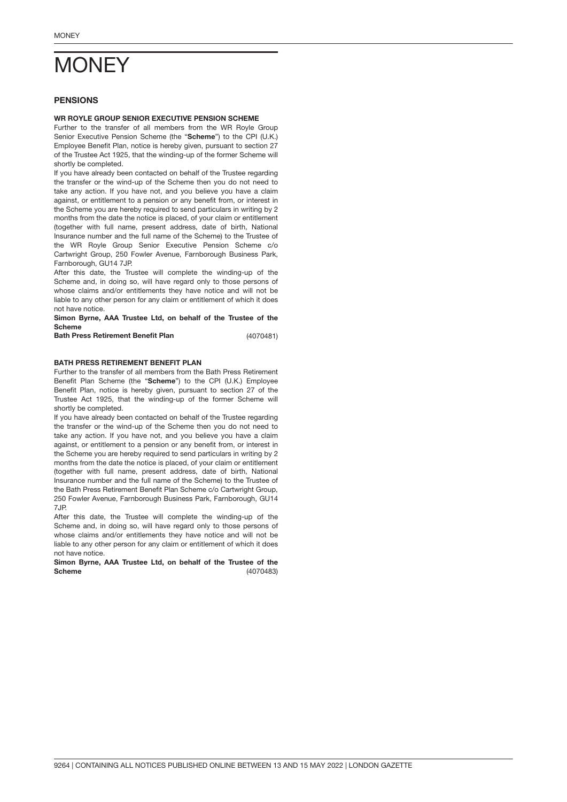# <span id="page-11-0"></span>**MONEY**

# PENSIONS

# WR ROYLE GROUP SENIOR EXECUTIVE PENSION SCHEME

Further to the transfer of all members from the WR Royle Group Senior Executive Pension Scheme (the "Scheme") to the CPI (U.K.) Employee Benefit Plan, notice is hereby given, pursuant to section 27 of the Trustee Act 1925, that the winding-up of the former Scheme will shortly be completed.

If you have already been contacted on behalf of the Trustee regarding the transfer or the wind-up of the Scheme then you do not need to take any action. If you have not, and you believe you have a claim against, or entitlement to a pension or any benefit from, or interest in the Scheme you are hereby required to send particulars in writing by 2 months from the date the notice is placed, of your claim or entitlement (together with full name, present address, date of birth, National Insurance number and the full name of the Scheme) to the Trustee of the WR Royle Group Senior Executive Pension Scheme c/o Cartwright Group, 250 Fowler Avenue, Farnborough Business Park, Farnborough, GU14 7JP.

After this date, the Trustee will complete the winding-up of the Scheme and, in doing so, will have regard only to those persons of whose claims and/or entitlements they have notice and will not be liable to any other person for any claim or entitlement of which it does not have notice.

Simon Byrne, AAA Trustee Ltd, on behalf of the Trustee of the Scheme

(4070481) Bath Press Retirement Benefit Plan

# BATH PRESS RETIREMENT BENEFIT PLAN

Further to the transfer of all members from the Bath Press Retirement Benefit Plan Scheme (the "Scheme") to the CPI (U.K.) Employee Benefit Plan, notice is hereby given, pursuant to section 27 of the Trustee Act 1925, that the winding-up of the former Scheme will shortly be completed.

If you have already been contacted on behalf of the Trustee regarding the transfer or the wind-up of the Scheme then you do not need to take any action. If you have not, and you believe you have a claim against, or entitlement to a pension or any benefit from, or interest in the Scheme you are hereby required to send particulars in writing by 2 months from the date the notice is placed, of your claim or entitlement (together with full name, present address, date of birth, National Insurance number and the full name of the Scheme) to the Trustee of the Bath Press Retirement Benefit Plan Scheme c/o Cartwright Group, 250 Fowler Avenue, Farnborough Business Park, Farnborough, GU14 7JP.

After this date, the Trustee will complete the winding-up of the Scheme and, in doing so, will have regard only to those persons of whose claims and/or entitlements they have notice and will not be liable to any other person for any claim or entitlement of which it does not have notice.

(4070483) Simon Byrne, AAA Trustee Ltd, on behalf of the Trustee of the Scheme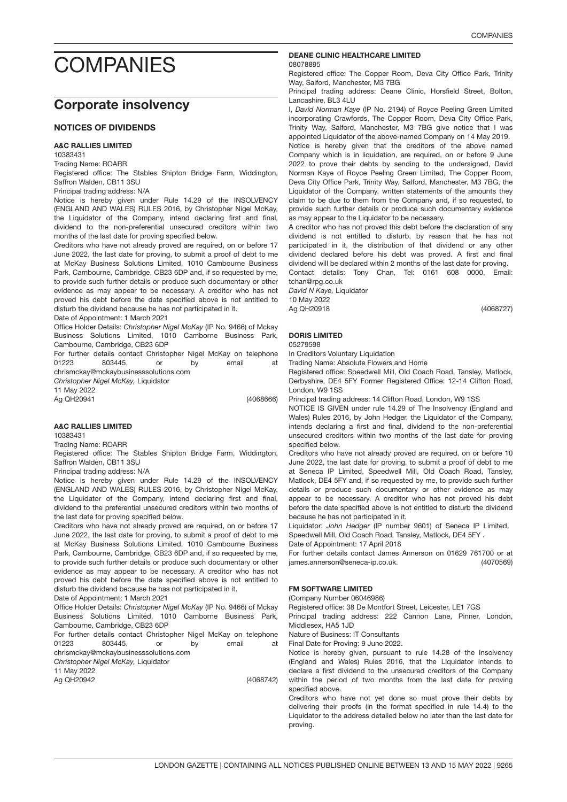# <span id="page-12-0"></span>**COMPANIES**

# Corporate insolvency

#### NOTICES OF DIVIDENDS

# A&C RALLIES LIMITED

10383431

Trading Name: ROARR

Registered office: The Stables Shipton Bridge Farm, Widdington, Saffron Walden, CB11 3SU

Principal trading address: N/A

Notice is hereby given under Rule 14.29 of the INSOLVENCY (ENGLAND AND WALES) RULES 2016, by Christopher Nigel McKay, the Liquidator of the Company, intend declaring first and final, dividend to the non-preferential unsecured creditors within two months of the last date for proving specified below.

Creditors who have not already proved are required, on or before 17 June 2022, the last date for proving, to submit a proof of debt to me at McKay Business Solutions Limited, 1010 Cambourne Business Park, Cambourne, Cambridge, CB23 6DP and, if so requested by me, to provide such further details or produce such documentary or other evidence as may appear to be necessary. A creditor who has not proved his debt before the date specified above is not entitled to disturb the dividend because he has not participated in it.

Date of Appointment: 1 March 2021

Office Holder Details: *Christopher Nigel McKay* (IP No. 9466) of Mckay Business Solutions Limited, 1010 Camborne Business Park, Cambourne, Cambridge, CB23 6DP

For further details contact Christopher Nigel McKay on telephone 01223 803445, or by email at chrismckay@mckaybusinesssolutions.com *Christopher Nigel McKay,* Liquidator

11 May 2022

Ag QH20941

(4068666)

# A&C RALLIES LIMITED

10383431

Trading Name: ROARR

Registered office: The Stables Shipton Bridge Farm, Widdington, Saffron Walden, CB11 3SU

Principal trading address: N/A

Notice is hereby given under Rule 14.29 of the INSOLVENCY (ENGLAND AND WALES) RULES 2016, by Christopher Nigel McKay, the Liquidator of the Company, intend declaring first and final, dividend to the preferential unsecured creditors within two months of the last date for proving specified below.

Creditors who have not already proved are required, on or before 17 June 2022, the last date for proving, to submit a proof of debt to me at McKay Business Solutions Limited, 1010 Cambourne Business Park, Cambourne, Cambridge, CB23 6DP and, if so requested by me, to provide such further details or produce such documentary or other evidence as may appear to be necessary. A creditor who has not proved his debt before the date specified above is not entitled to disturb the dividend because he has not participated in it.

Date of Appointment: 1 March 2021

Office Holder Details: *Christopher Nigel McKay* (IP No. 9466) of Mckay Business Solutions Limited, 1010 Camborne Business Park, Cambourne, Cambridge, CB23 6DP

For further details contact Christopher Nigel McKay on telephone 01223 803445, or by email at chrismckay@mckaybusinesssolutions.com

*Christopher Nigel McKay,* Liquidator

11 May 2022

Ag QH20942

(4068742)

#### DEANE CLINIC HEALTHCARE LIMITED 08078895

Registered office: The Copper Room, Deva City Office Park, Trinity Way, Salford, Manchester, M3 7BG

Principal trading address: Deane Clinic, Horsfield Street, Bolton, Lancashire, BL3 4LU

I, *David Norman Kaye* (IP No. 2194) of Royce Peeling Green Limited incorporating Crawfords, The Copper Room, Deva City Office Park, Trinity Way, Salford, Manchester, M3 7BG give notice that I was appointed Liquidator of the above-named Company on 14 May 2019.

Notice is hereby given that the creditors of the above named Company which is in liquidation, are required, on or before 9 June 2022 to prove their debts by sending to the undersigned, David Norman Kaye of Royce Peeling Green Limited, The Copper Room, Deva City Office Park, Trinity Way, Salford, Manchester, M3 7BG, the Liquidator of the Company, written statements of the amounts they claim to be due to them from the Company and, if so requested, to provide such further details or produce such documentary evidence as may appear to the Liquidator to be necessary.

A creditor who has not proved this debt before the declaration of any dividend is not entitled to disturb, by reason that he has not participated in it, the distribution of that dividend or any other dividend declared before his debt was proved. A first and final dividend will be declared within 2 months of the last date for proving.

Contact details: Tony Chan, Tel: 0161 608 0000, Email: tchan@rpg.co.uk

*David N Kaye,* Liquidator 10 May 2022 Ag QH20918

(4068727)

# DORIS LIMITED

# 05279598

In Creditors Voluntary Liquidation

Trading Name: Absolute Flowers and Home

Registered office: Speedwell Mill, Old Coach Road, Tansley, Matlock, Derbyshire, DE4 5FY Former Registered Office: 12-14 Clifton Road, London, W9 1SS

Principal trading address: 14 Clifton Road, London, W9 1SS

NOTICE IS GIVEN under rule 14.29 of The Insolvency (England and Wales) Rules 2016, by John Hedger, the Liquidator of the Company, intends declaring a first and final, dividend to the non-preferential unsecured creditors within two months of the last date for proving specified below.

Creditors who have not already proved are required, on or before 10 June 2022, the last date for proving, to submit a proof of debt to me at Seneca IP Limited, Speedwell Mill, Old Coach Road, Tansley, Matlock, DE4 5FY and, if so requested by me, to provide such further details or produce such documentary or other evidence as may appear to be necessary. A creditor who has not proved his debt before the date specified above is not entitled to disturb the dividend because he has not participated in it.

Liquidator: *John Hedger* (IP number 9601) of Seneca IP Limited, Speedwell Mill, Old Coach Road, Tansley, Matlock, DE4 5FY . Date of Appointment: 17 April 2018

(4070569) For further details contact James Annerson on 01629 761700 or at james.annerson@seneca-ip.co.uk.

# FM SOFTWARE LIMITED

(Company Number 06046986)

Registered office: 38 De Montfort Street, Leicester, LE1 7GS

Principal trading address: 222 Cannon Lane, Pinner, London, Middlesex, HA5 1JD

Nature of Business: IT Consultants

Final Date for Proving: 9 June 2022.

Notice is hereby given, pursuant to rule 14.28 of the Insolvency (England and Wales) Rules 2016, that the Liquidator intends to declare a first dividend to the unsecured creditors of the Company within the period of two months from the last date for proving specified above.

Creditors who have not yet done so must prove their debts by delivering their proofs (in the format specified in rule 14.4) to the Liquidator to the address detailed below no later than the last date for proving.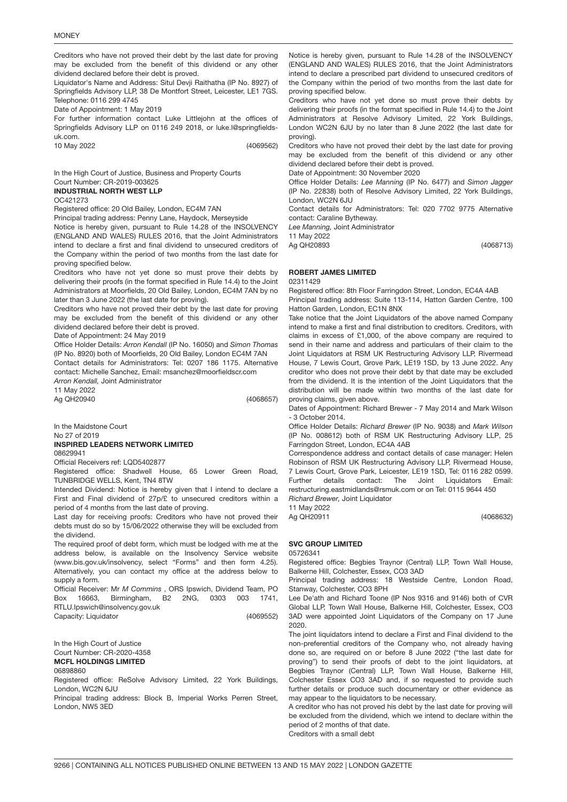Creditors who have not proved their debt by the last date for proving may be excluded from the benefit of this dividend or any other dividend declared before their debt is proved.

Liquidator's Name and Address: Situl Devji Raithatha (IP No. 8927) of Springfields Advisory LLP, 38 De Montfort Street, Leicester, LE1 7GS. Telephone: 0116 299 4745

Date of Appointment: 1 May 2019

For further information contact Luke Littlejohn at the offices of Springfields Advisory LLP on 0116 249 2018, or luke.l@springfieldsuk.com.

10 May 2022

(4069562)

In the High Court of Justice, Business and Property Courts Court Number: CR-2019-003625 INDUSTRIAL NORTH WEST LLP

OC421273

Registered office: 20 Old Bailey, London, EC4M 7AN

Principal trading address: Penny Lane, Haydock, Merseyside

Notice is hereby given, pursuant to Rule 14.28 of the INSOLVENCY (ENGLAND AND WALES) RULES 2016, that the Joint Administrators intend to declare a first and final dividend to unsecured creditors of the Company within the period of two months from the last date for proving specified below.

Creditors who have not yet done so must prove their debts by delivering their proofs (in the format specified in Rule 14.4) to the Joint Administrators at Moorfields, 20 Old Bailey, London, EC4M 7AN by no later than 3 June 2022 (the last date for proving).

Creditors who have not proved their debt by the last date for proving may be excluded from the benefit of this dividend or any other dividend declared before their debt is proved.

Date of Appointment: 24 May 2019

Office Holder Details: *Arron Kendall* (IP No. 16050) and *Simon Thomas* (IP No. 8920) both of Moorfields, 20 Old Bailey, London EC4M 7AN Contact details for Administrators: Tel: 0207 186 1175. Alternative

contact: Michelle Sanchez, Email: msanchez@moorfieldscr.com *Arron Kendall,* Joint Administrator

11 May 2022 Ag QH20940

(4068657)

(4069552)

In the Maidstone Court No 27 of 2019

# INSPIRED LEADERS NETWORK LIMITED

08629941

Official Receivers ref: LQD5402877

Registered office: Shadwell House, 65 Lower Green Road, TUNBRIDGE WELLS, Kent, TN4 8TW

Intended Dividend: Notice is hereby given that I intend to declare a First and Final dividend of 27p/£ to unsecured creditors within a period of 4 months from the last date of proving.

Last day for receiving proofs: Creditors who have not proved their debts must do so by 15/06/2022 otherwise they will be excluded from the dividend.

The required proof of debt form, which must be lodged with me at the address below, is available on the Insolvency Service website (www.bis.gov.uk/insolvency, select "Forms" and then form 4.25). Alternatively, you can contact my office at the address below to supply a form.

Official Receiver: Mr *M Commins* , ORS Ipswich, Dividend Team, PO Box 16663, Birmingham, B2 2NG, 0303 003 1741, RTLU.Ipswich@insolvency.gov.uk

Capacity: Liquidator

In the High Court of Justice Court Number: CR-2020-4358

#### MCFL HOLDINGS LIMITED 06898860

Registered office: ReSolve Advisory Limited, 22 York Buildings, London, WC2N 6JU

Principal trading address: Block B, Imperial Works Perren Street, London, NW5 3ED

Notice is hereby given, pursuant to Rule 14.28 of the INSOLVENCY (ENGLAND AND WALES) RULES 2016, that the Joint Administrators intend to declare a prescribed part dividend to unsecured creditors of the Company within the period of two months from the last date for proving specified below.

Creditors who have not yet done so must prove their debts by delivering their proofs (in the format specified in Rule 14.4) to the Joint Administrators at Resolve Advisory Limited, 22 York Buildings, London WC2N 6JU by no later than 8 June 2022 (the last date for proving).

Creditors who have not proved their debt by the last date for proving may be excluded from the benefit of this dividend or any other dividend declared before their debt is proved.

Date of Appointment: 30 November 2020

Office Holder Details: *Lee Manning* (IP No. 6477) and *Simon Jagger* (IP No. 22838) both of Resolve Advisory Limited, 22 York Buildings, London, WC2N 6JU

Contact details for Administrators: Tel: 020 7702 9775 Alternative contact: Caraline Bytheway.

(4068713)

(4068632)

*Lee Manning,* Joint Administrator

11 May 2022 Ag QH20893

# 4068632 ROBERT JAMES LIMITED

#### 02311429

Registered office: 8th Floor Farringdon Street, London, EC4A 4AB

Principal trading address: Suite 113-114, Hatton Garden Centre, 100 Hatton Garden, London, EC1N 8NX

Take notice that the Joint Liquidators of the above named Company intend to make a first and final distribution to creditors. Creditors, with claims in excess of £1,000, of the above company are required to send in their name and address and particulars of their claim to the Joint Liquidators at RSM UK Restructuring Advisory LLP, Rivermead House, 7 Lewis Court, Grove Park, LE19 1SD, by 13 June 2022. Any creditor who does not prove their debt by that date may be excluded from the dividend. It is the intention of the Joint Liquidators that the distribution will be made within two months of the last date for proving claims, given above.

Dates of Appointment: Richard Brewer - 7 May 2014 and Mark Wilson - 3 October 2014.

Office Holder Details: *Richard Brewer* (IP No. 9038) and *Mark Wilson* (IP No. 008612) both of RSM UK Restructuring Advisory LLP, 25 Farringdon Street, London, EC4A 4AB

Correspondence address and contact details of case manager: Helen Robinson of RSM UK Restructuring Advisory LLP, Rivermead House, 7 Lewis Court, Grove Park, Leicester, LE19 1SD, Tel: 0116 282 0599. Further details contact: The Joint Liquidators Email: restructuring.eastmidlands@rsmuk.com or on Tel: 0115 9644 450

*Richard Brewer,* Joint Liquidator 11 May 2022

Ag QH20911

SVC GROUP LIMITED

#### 05726341

Registered office: Begbies Traynor (Central) LLP, Town Wall House, Balkerne Hill, Colchester, Essex, CO3 3AD

Principal trading address: 18 Westside Centre, London Road, Stanway, Colchester, CO3 8PH

Lee De'ath and Richard Toone (IP Nos 9316 and 9146) both of CVR Global LLP, Town Wall House, Balkerne Hill, Colchester, Essex, CO3 3AD were appointed Joint Liquidators of the Company on 17 June 2020.

The joint liquidators intend to declare a First and Final dividend to the non-preferential creditors of the Company who, not already having done so, are required on or before 8 June 2022 ("the last date for proving") to send their proofs of debt to the joint liquidators, at Begbies Traynor (Central) LLP, Town Wall House, Balkerne Hill, Colchester Essex CO3 3AD and, if so requested to provide such further details or produce such documentary or other evidence as may appear to the liquidators to be necessary.

A creditor who has not proved his debt by the last date for proving will be excluded from the dividend, which we intend to declare within the period of 2 months of that date. Creditors with a small debt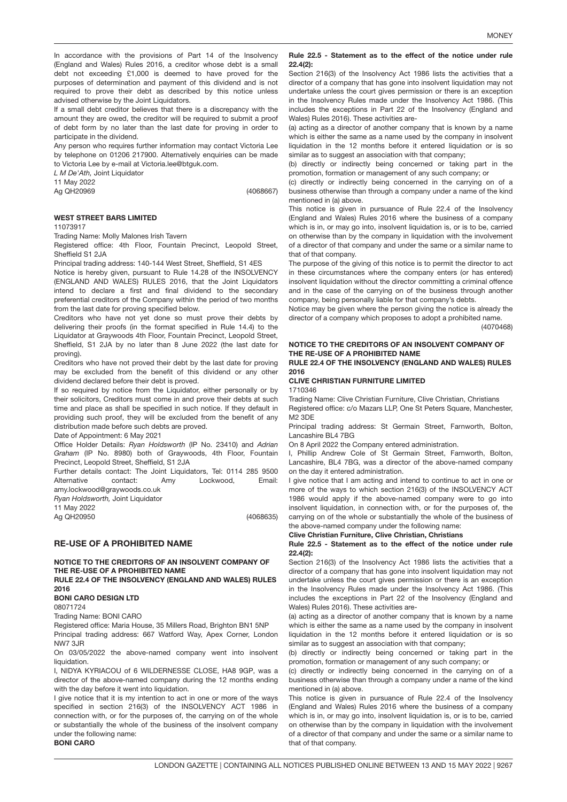In accordance with the provisions of Part 14 of the Insolvency (England and Wales) Rules 2016, a creditor whose debt is a small debt not exceeding £1,000 is deemed to have proved for the purposes of determination and payment of this dividend and is not required to prove their debt as described by this notice unless advised otherwise by the Joint Liquidators.

If a small debt creditor believes that there is a discrepancy with the amount they are owed, the creditor will be required to submit a proof of debt form by no later than the last date for proving in order to participate in the dividend.

Any person who requires further information may contact Victoria Lee by telephone on 01206 217900. Alternatively enquiries can be made to Victoria Lee by e-mail at Victoria.lee@btguk.com.

*L M De'Ath,* Joint Liquidator

11 May 2022 Ag QH20969

(4068667)

# WEST STREET BARS LIMITED

11073917

Trading Name: Molly Malones Irish Tavern

Registered office: 4th Floor, Fountain Precinct, Leopold Street, Sheffield S1 2JA

Principal trading address: 140-144 West Street, Sheffield, S1 4ES

Notice is hereby given, pursuant to Rule 14.28 of the INSOLVENCY (ENGLAND AND WALES) RULES 2016, that the Joint Liquidators intend to declare a first and final dividend to the secondary preferential creditors of the Company within the period of two months from the last date for proving specified below.

Creditors who have not yet done so must prove their debts by delivering their proofs (in the format specified in Rule 14.4) to the Liquidator at Graywoods 4th Floor, Fountain Precinct, Leopold Street, Sheffield, S1 2JA by no later than 8 June 2022 (the last date for proving).

Creditors who have not proved their debt by the last date for proving may be excluded from the benefit of this dividend or any other dividend declared before their debt is proved.

If so required by notice from the Liquidator, either personally or by their solicitors, Creditors must come in and prove their debts at such time and place as shall be specified in such notice. If they default in providing such proof, they will be excluded from the benefit of any distribution made before such debts are proved.

Date of Appointment: 6 May 2021

Office Holder Details: *Ryan Holdsworth* (IP No. 23410) and *Adrian Graham* (IP No. 8980) both of Graywoods, 4th Floor, Fountain Precinct, Leopold Street, Sheffield, S1 2JA

Further details contact: The Joint Liquidators, Tel: 0114 285 9500 Alternative contact: Amy Lockwood, Email: amy.lockwood@graywoods.co.uk

*Ryan Holdsworth,* Joint Liquidator

11 May 2022

Ag QH20950

(4068635)

#### RE-USE OF A PROHIBITED NAME

NOTICE TO THE CREDITORS OF AN INSOLVENT COMPANY OF THE RE-USE OF A PROHIBITED NAME

RULE 22.4 OF THE INSOLVENCY (ENGLAND AND WALES) RULES 2016

BONI CARO DESIGN LTD

08071724

Trading Name: BONI CARO

Registered office: Maria House, 35 Millers Road, Brighton BN1 5NP

Principal trading address: 667 Watford Way, Apex Corner, London NW7 3JR

On 03/05/2022 the above-named company went into insolvent liquidation.

I, NIDYA KYRIACOU of 6 WILDERNESSE CLOSE, HA8 9GP, was a director of the above-named company during the 12 months ending with the day before it went into liquidation.

I give notice that it is my intention to act in one or more of the ways specified in section 216(3) of the INSOLVENCY ACT 1986 in connection with, or for the purposes of, the carrying on of the whole or substantially the whole of the business of the insolvent company under the following name:

#### BONI CARO

#### Rule 22.5 - Statement as to the effect of the notice under rule 22.4(2):

Section 216(3) of the Insolvency Act 1986 lists the activities that a director of a company that has gone into insolvent liquidation may not undertake unless the court gives permission or there is an exception in the Insolvency Rules made under the Insolvency Act 1986. (This includes the exceptions in Part 22 of the Insolvency (England and Wales) Rules 2016). These activities are-

(a) acting as a director of another company that is known by a name which is either the same as a name used by the company in insolvent liquidation in the 12 months before it entered liquidation or is so similar as to suggest an association with that company:

(b) directly or indirectly being concerned or taking part in the promotion, formation or management of any such company; or

(c) directly or indirectly being concerned in the carrying on of a business otherwise than through a company under a name of the kind mentioned in (a) above.

This notice is given in pursuance of Rule 22.4 of the Insolvency (England and Wales) Rules 2016 where the business of a company which is in, or may go into, insolvent liquidation is, or is to be, carried on otherwise than by the company in liquidation with the involvement of a director of that company and under the same or a similar name to that of that company.

The purpose of the giving of this notice is to permit the director to act in these circumstances where the company enters (or has entered) insolvent liquidation without the director committing a criminal offence and in the case of the carrying on of the business through another company, being personally liable for that company's debts.

(4070468) Notice may be given where the person giving the notice is already the director of a company which proposes to adopt a prohibited name.

#### NOTICE TO THE CREDITORS OF AN INSOLVENT COMPANY OF THE RE-USE OF A PROHIBITED NAME

#### RULE 22.4 OF THE INSOLVENCY (ENGLAND AND WALES) RULES 2016

# CLIVE CHRISTIAN FURNITURE LIMITED

1710346

Trading Name: Clive Christian Furniture, Clive Christian, Christians Registered office: c/o Mazars LLP, One St Peters Square, Manchester, M2 3DE

Principal trading address: St Germain Street, Farnworth, Bolton, Lancashire BL4 7BG

On 8 April 2022 the Company entered administration.

I, Phillip Andrew Cole of St Germain Street, Farnworth, Bolton, Lancashire, BL4 7BG, was a director of the above-named company on the day it entered administration.

I give notice that I am acting and intend to continue to act in one or more of the ways to which section 216(3) of the INSOLVENCY ACT 1986 would apply if the above-named company were to go into insolvent liquidation, in connection with, or for the purposes of, the carrying on of the whole or substantially the whole of the business of the above-named company under the following name:

Clive Christian Furniture, Clive Christian, Christians

Rule 22.5 - Statement as to the effect of the notice under rule 22.4(2):

Section 216(3) of the Insolvency Act 1986 lists the activities that a director of a company that has gone into insolvent liquidation may not undertake unless the court gives permission or there is an exception in the Insolvency Rules made under the Insolvency Act 1986. (This includes the exceptions in Part 22 of the Insolvency (England and Wales) Rules 2016). These activities are-

(a) acting as a director of another company that is known by a name which is either the same as a name used by the company in insolvent liquidation in the 12 months before it entered liquidation or is so similar as to suggest an association with that company;

(b) directly or indirectly being concerned or taking part in the promotion, formation or management of any such company; or

(c) directly or indirectly being concerned in the carrying on of a business otherwise than through a company under a name of the kind mentioned in (a) above.

This notice is given in pursuance of Rule 22.4 of the Insolvency (England and Wales) Rules 2016 where the business of a company which is in, or may go into, insolvent liquidation is, or is to be, carried on otherwise than by the company in liquidation with the involvement of a director of that company and under the same or a similar name to that of that company.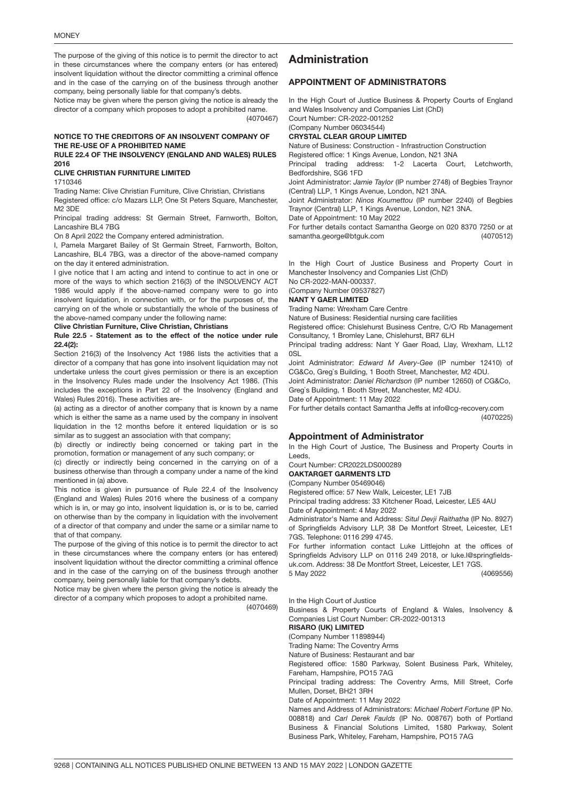The purpose of the giving of this notice is to permit the director to act in these circumstances where the company enters (or has entered) insolvent liquidation without the director committing a criminal offence and in the case of the carrying on of the business through another company, being personally liable for that company's debts.

(4070467) Notice may be given where the person giving the notice is already the director of a company which proposes to adopt a prohibited name.

# NOTICE TO THE CREDITORS OF AN INSOLVENT COMPANY OF THE RE-USE OF A PROHIBITED NAME

#### RULE 22.4 OF THE INSOLVENCY (ENGLAND AND WALES) RULES 2016 CLIVE CHRISTIAN FURNITURE LIMITED

1710346

Trading Name: Clive Christian Furniture, Clive Christian, Christians

Registered office: c/o Mazars LLP, One St Peters Square, Manchester, M2 3DE

Principal trading address: St Germain Street, Farnworth, Bolton, Lancashire BL4 7BG

On 8 April 2022 the Company entered administration.

I, Pamela Margaret Bailey of St Germain Street, Farnworth, Bolton, Lancashire, BL4 7BG, was a director of the above-named company on the day it entered administration.

I give notice that I am acting and intend to continue to act in one or more of the ways to which section 216(3) of the INSOLVENCY ACT 1986 would apply if the above-named company were to go into insolvent liquidation, in connection with, or for the purposes of, the carrying on of the whole or substantially the whole of the business of the above-named company under the following name:

Clive Christian Furniture, Clive Christian, Christians

#### Rule 22.5 - Statement as to the effect of the notice under rule 22.4(2):

Section 216(3) of the Insolvency Act 1986 lists the activities that a director of a company that has gone into insolvent liquidation may not undertake unless the court gives permission or there is an exception in the Insolvency Rules made under the Insolvency Act 1986. (This includes the exceptions in Part 22 of the Insolvency (England and Wales) Rules 2016). These activities are-

(a) acting as a director of another company that is known by a name which is either the same as a name used by the company in insolvent liquidation in the 12 months before it entered liquidation or is so similar as to suggest an association with that company;

(b) directly or indirectly being concerned or taking part in the promotion, formation or management of any such company; or

(c) directly or indirectly being concerned in the carrying on of a business otherwise than through a company under a name of the kind mentioned in (a) above.

This notice is given in pursuance of Rule 22.4 of the Insolvency (England and Wales) Rules 2016 where the business of a company which is in, or may go into, insolvent liquidation is, or is to be, carried on otherwise than by the company in liquidation with the involvement of a director of that company and under the same or a similar name to that of that company.

The purpose of the giving of this notice is to permit the director to act in these circumstances where the company enters (or has entered) insolvent liquidation without the director committing a criminal offence and in the case of the carrying on of the business through another company, being personally liable for that company's debts.

Notice may be given where the person giving the notice is already the director of a company which proposes to adopt a prohibited name.

(4070469)

# Administration

# APPOINTMENT OF ADMINISTRATORS

In the High Court of Justice Business & Property Courts of England and Wales Insolvency and Companies List (ChD)

Court Number: CR-2022-001252 (Company Number 06034544)

# CRYSTAL CLEAR GROUP LIMITED

Nature of Business: Construction - Infrastruction Construction

Registered office: 1 Kings Avenue, London, N21 3NA

Principal trading address: 1-2 Lacerta Court, Letchworth, Bedfordshire, SG6 1FD

Joint Administrator: *Jamie Taylor* (IP number 2748) of Begbies Traynor (Central) LLP, 1 Kings Avenue, London, N21 3NA.

Joint Administrator: *Ninos Koumettou* (IP number 2240) of Begbies Traynor (Central) LLP, 1 Kings Avenue, London, N21 3NA.

Date of Appointment: 10 May 2022

(4070512) For further details contact Samantha George on 020 8370 7250 or at samantha.george@btguk.com

In the High Court of Justice Business and Property Court in Manchester Insolvency and Companies List (ChD)

No CR-2022-MAN-000337.

(Company Number 09537827) NANT Y GAER LIMITED

Trading Name: Wrexham Care Centre

Nature of Business: Residential nursing care facilities

Registered office: Chislehurst Business Centre, C/O Rb Management

Consultancy, 1 Bromley Lane, Chislehurst, BR7 6LH

Principal trading address: Nant Y Gaer Road, Llay, Wrexham, LL12 0SL

Joint Administrator: *Edward M Avery-Gee* (IP number 12410) of CG&Co, Greg`s Building, 1 Booth Street, Manchester, M2 4DU.

Joint Administrator: *Daniel Richardson* (IP number 12650) of CG&Co, Greg`s Building, 1 Booth Street, Manchester, M2 4DU.

Date of Appointment: 11 May 2022

(4070225) For further details contact Samantha Jeffs at info@cg-recovery.com

## **Appointment of Administrator**

In the High Court of Justice, The Business and Property Courts in Leeds,

#### Court Number: CR2022LDS000289 OAKTARGET GARMENTS LTD

(Company Number 05469046)

Registered office: 57 New Walk, Leicester, LE1 7JB

Principal trading address: 33 Kitchener Road, Leicester, LE5 4AU Date of Appointment: 4 May 2022

Administrator's Name and Address: *Situl Devji Raithatha* (IP No. 8927) of Springfields Advisory LLP, 38 De Montfort Street, Leicester, LE1 7GS. Telephone: 0116 299 4745.

For further information contact Luke Littlejohn at the offices of Springfields Advisory LLP on 0116 249 2018, or luke.l@springfieldsuk.com. Address: 38 De Montfort Street, Leicester, LE1 7GS.

(4069556) 5 May 2022

# In the High Court of Justice

Business & Property Courts of England & Wales, Insolvency & Companies List Court Number: CR-2022-001313

RISARO (UK) LIMITED

(Company Number 11898944)

Trading Name: The Coventry Arms Nature of Business: Restaurant and bar

Registered office: 1580 Parkway, Solent Business Park, Whiteley, Fareham, Hampshire, PO15 7AG

Principal trading address: The Coventry Arms, Mill Street, Corfe Mullen, Dorset, BH21 3RH

Date of Appointment: 11 May 2022

Names and Address of Administrators: *Michael Robert Fortune* (IP No. 008818) and *Carl Derek Faulds* (IP No. 008767) both of Portland Business & Financial Solutions Limited, 1580 Parkway, Solent Business Park, Whiteley, Fareham, Hampshire, PO15 7AG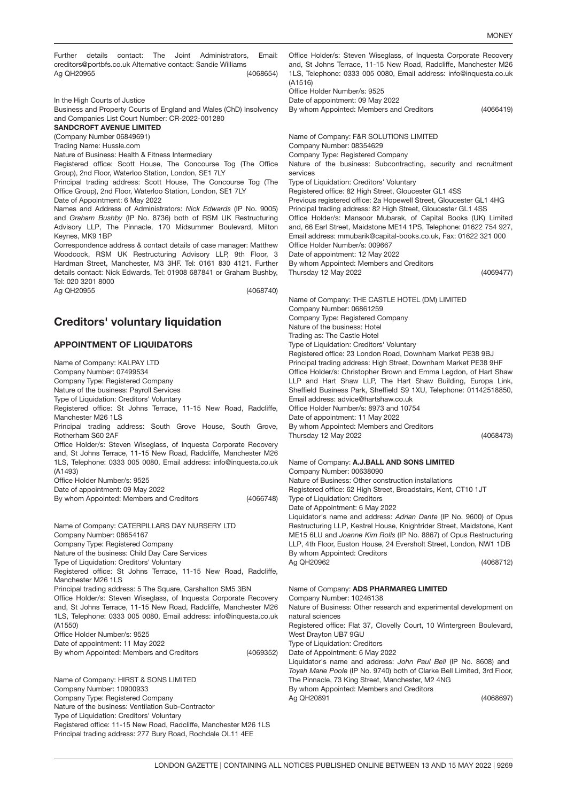(4068654) Further details contact: The Joint Administrators, Email: creditors@portbfs.co.uk Alternative contact: Sandie Williams Ag QH20965

In the High Courts of Justice Business and Property Courts of England and Wales (ChD) Insolvency and Companies List Court Number: CR-2022-001280

SANDCROFT AVENUE LIMITED

(Company Number 06849691)

Trading Name: Hussle.com

Nature of Business: Health & Fitness Intermediary

Registered office: Scott House, The Concourse Tog (The Office Group), 2nd Floor, Waterloo Station, London, SE1 7LY

Principal trading address: Scott House, The Concourse Tog (The Office Group), 2nd Floor, Waterloo Station, London, SE1 7LY

Date of Appointment: 6 May 2022

Names and Address of Administrators: *Nick Edwards* (IP No. 9005) and *Graham Bushby* (IP No. 8736) both of RSM UK Restructuring Advisory LLP, The Pinnacle, 170 Midsummer Boulevard, Milton Keynes, MK9 1BP

Correspondence address & contact details of case manager: Matthew Woodcock, RSM UK Restructuring Advisory LLP, 9th Floor, 3 Hardman Street, Manchester, M3 3HF. Tel: 0161 830 4121. Further details contact: Nick Edwards, Tel: 01908 687841 or Graham Bushby, Tel: 020 3201 8000

Ag QH20955

(4068740)

# Creditors' voluntary liquidation

# APPOINTMENT OF LIQUIDATORS

Name of Company: KALPAY LTD (4066748) Name of Company: CATERPILLARS DAY NURSERY LTD (4069352) Name of Company: HIRST & SONS LIMITED Company Number: 07499534 Company Type: Registered Company Nature of the business: Payroll Services Type of Liquidation: Creditors' Voluntary Registered office: St Johns Terrace, 11-15 New Road, Radcliffe, Manchester M26 1LS Principal trading address: South Grove House, South Grove, Rotherham S60 2AF Office Holder/s: Steven Wiseglass, of Inquesta Corporate Recovery and, St Johns Terrace, 11-15 New Road, Radcliffe, Manchester M26 1LS, Telephone: 0333 005 0080, Email address: info@inquesta.co.uk (A1493) Office Holder Number/s: 9525 Date of appointment: 09 May 2022 By whom Appointed: Members and Creditors Company Number: 08654167 Company Type: Registered Company Nature of the business: Child Day Care Services Type of Liquidation: Creditors' Voluntary Registered office: St Johns Terrace, 11-15 New Road, Radcliffe, Manchester M26 1LS Principal trading address: 5 The Square, Carshalton SM5 3BN Office Holder/s: Steven Wiseglass, of Inquesta Corporate Recovery and, St Johns Terrace, 11-15 New Road, Radcliffe, Manchester M26 1LS, Telephone: 0333 005 0080, Email address: info@inquesta.co.uk (A1550) Office Holder Number/s: 9525 Date of appointment: 11 May 2022 By whom Appointed: Members and Creditors Company Number: 10900933 Company Type: Registered Company Nature of the business: Ventilation Sub-Contractor Type of Liquidation: Creditors' Voluntary

Registered office: 11-15 New Road, Radcliffe, Manchester M26 1LS Principal trading address: 277 Bury Road, Rochdale OL11 4EE

(4066419) Name of Company: F&R SOLUTIONS LIMITED Office Holder/s: Steven Wiseglass, of Inquesta Corporate Recovery and, St Johns Terrace, 11-15 New Road, Radcliffe, Manchester M26 1LS, Telephone: 0333 005 0080, Email address: info@inquesta.co.uk (A1516) Office Holder Number/s: 9525 Date of appointment: 09 May 2022 By whom Appointed: Members and Creditors Company Number: 08354629 Company Type: Registered Company Nature of the business: Subcontracting, security and recruitment services Type of Liquidation: Creditors' Voluntary

(4069477) Registered office: 82 High Street, Gloucester GL1 4SS Previous registered office: 2a Hopewell Street, Gloucester GL1 4HG Principal trading address: 82 High Street, Gloucester GL1 4SS Office Holder/s: Mansoor Mubarak, of Capital Books (UK) Limited and, 66 Earl Street, Maidstone ME14 1PS, Telephone: 01622 754 927, Email address: mmubarik@capital-books.co.uk, Fax: 01622 321 000 Office Holder Number/s: 009667 Date of appointment: 12 May 2022 By whom Appointed: Members and Creditors Thursday 12 May 2022

Name of Company: THE CASTLE HOTEL (DM) LIMITED (4068473) Company Number: 06861259 Company Type: Registered Company Nature of the business: Hotel Trading as: The Castle Hotel Type of Liquidation: Creditors' Voluntary Registered office: 23 London Road, Downham Market PE38 9BJ Principal trading address: High Street, Downham Market PE38 9HF Office Holder/s: Christopher Brown and Emma Legdon, of Hart Shaw LLP and Hart Shaw LLP, The Hart Shaw Building, Europa Link, Sheffield Business Park, Sheffield S9 1XU, Telephone: 01142518850, Email address: advice@hartshaw.co.uk Office Holder Number/s: 8973 and 10754 Date of appointment: 11 May 2022 By whom Appointed: Members and Creditors Thursday 12 May 2022

Name of Company: A.J.BALL AND SONS LIMITED

Company Number: 00638090

Nature of Business: Other construction installations Registered office: 62 High Street, Broadstairs, Kent, CT10 1JT Type of Liquidation: Creditors Date of Appointment: 6 May 2022 Liquidator's name and address: *Adrian Dante* (IP No. 9600) of Opus Restructuring LLP, Kestrel House, Knightrider Street, Maidstone, Kent ME15 6LU and *Joanne Kim Rolls* (IP No. 8867) of Opus Restructuring

(4068712) LLP, 4th Floor, Euston House, 24 Eversholt Street, London, NW1 1DB By whom Appointed: Creditors Ag QH20962

Name of Company: ADS PHARMAREG LIMITED (4068697) Company Number: 10246138 Nature of Business: Other research and experimental development on natural sciences Registered office: Flat 37, Clovelly Court, 10 Wintergreen Boulevard, West Drayton UB7 9GU Type of Liquidation: Creditors Date of Appointment: 6 May 2022 Liquidator's name and address: *John Paul Bell* (IP No. 8608) and *Toyah Marie Poole* (IP No. 9740) both of Clarke Bell Limited, 3rd Floor, The Pinnacle, 73 King Street, Manchester, M2 4NG By whom Appointed: Members and Creditors Ag QH20891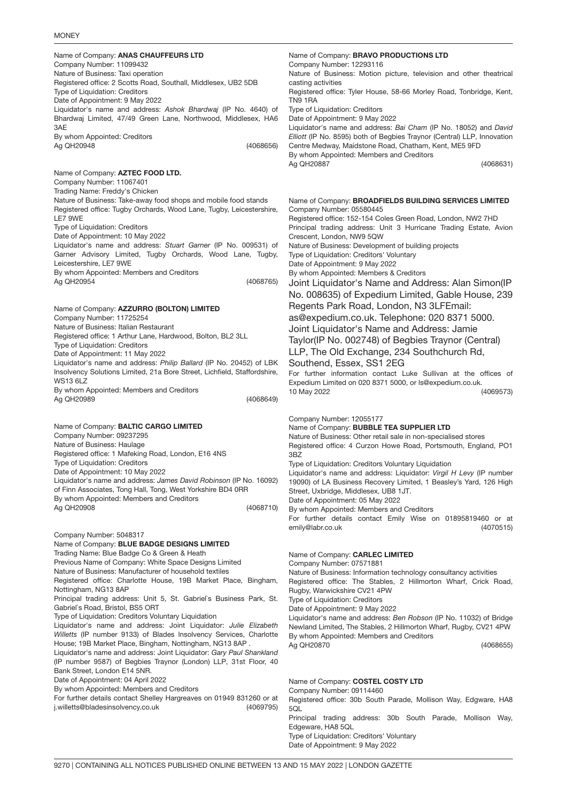Name of Company: **ANAS CHAUFFEURS LTD** (4068656) Name of Company: **AZTEC FOOD LTD.** (4068765) Name of Company: **AZZURRO (BOLTON) LIMITED** (4068649) Name of Company: **BALTIC CARGO LIMITED** (4068710) Company Number: 5048317 (4069795) Name of Company: BROADFIELDS BUILDING SERVICES LIMITED Company Number: 11099432 Nature of Business: Taxi operation Registered office: 2 Scotts Road, Southall, Middlesex, UB2 5DB Type of Liquidation: Creditors Date of Appointment: 9 May 2022 Liquidator's name and address: *Ashok Bhardwaj* (IP No. 4640) of Bhardwaj Limited, 47/49 Green Lane, Northwood, Middlesex, HA6 3AE By whom Appointed: Creditors Ag QH20948 Company Number: 11067401 Trading Name: Freddy's Chicken Nature of Business: Take-away food shops and mobile food stands Registered office: Tugby Orchards, Wood Lane, Tugby, Leicestershire, LE7 9WE Type of Liquidation: Creditors Date of Appointment: 10 May 2022 Liquidator's name and address: *Stuart Garner* (IP No. 009531) of Garner Advisory Limited, Tugby Orchards, Wood Lane, Tugby, Leicestershire, LE7 9WE By whom Appointed: Members and Creditors Ag QH20954 Company Number: 11725254 Nature of Business: Italian Restaurant Registered office: 1 Arthur Lane, Hardwood, Bolton, BL2 3LL Type of Liquidation: Creditors Date of Appointment: 11 May 2022 Liquidator's name and address: *Philip Ballard* (IP No. 20452) of LBK Insolvency Solutions Limited, 21a Bore Street, Lichfield, Staffordshire, WS13 6LZ By whom Appointed: Members and Creditors Ag QH20989 Company Number: 09237295 Nature of Business: Haulage Registered office: 1 Mafeking Road, London, E16 4NS Type of Liquidation: Creditors Date of Appointment: 10 May 2022 Liquidator's name and address: *James David Robinson* (IP No. 16092) of Finn Associates, Tong Hall, Tong, West Yorkshire BD4 0RR By whom Appointed: Members and Creditors Ag QH20908 Name of Company: BLUE BADGE DESIGNS LIMITED Trading Name: Blue Badge Co & Green & Heath Previous Name of Company: White Space Designs Limited Nature of Business: Manufacturer of household textiles Registered office: Charlotte House, 19B Market Place, Bingham, Nottingham, NG13 8AP Principal trading address: Unit 5, St. Gabriel`s Business Park, St. Gabriel`s Road, Bristol, BS5 ORT Type of Liquidation: Creditors Voluntary Liquidation Liquidator's name and address: Joint Liquidator: *Julie Elizabeth Willetts* (IP number 9133) of Blades lnsolvency Services, Charlotte House; 19B Market Place, Bingham, Nottingham, NG13 8AP . Liquidator's name and address: Joint Liquidator: *Gary Paul Shankland* (IP number 9587) of Begbies Traynor (London) LLP, 31st Floor, 40 Bank Street, London E14 5NR. Date of Appointment: 04 April 2022 By whom Appointed: Members and Creditors For further details contact Shelley Hargreaves on 01949 831260 or at j.willetts@bladesinsolvency.co.uk casting activities TN9 1RA Ag QH20887 10 May 2022 3BZ emily@labr.co.uk Ag QH20870 Company Number: 09114460  $5$  $O<sub>l</sub>$ Edgeware, HA8 5QL

Name of Company: **BRAVO PRODUCTIONS LTD** (4068631) Company Number: 12293116 Nature of Business: Motion picture, television and other theatrical Registered office: Tyler House, 58-66 Morley Road, Tonbridge, Kent, Type of Liquidation: Creditors Date of Appointment: 9 May 2022 Liquidator's name and address: *Bai Cham* (IP No. 18052) and *David Elliott* (IP No. 8595) both of Begbies Traynor (Central) LLP, Innovation Centre Medway, Maidstone Road, Chatham, Kent, ME5 9FD By whom Appointed: Members and Creditors

(4069573) Company Number: 12055177 Company Number: 05580445 Registered office: 152-154 Coles Green Road, London, NW2 7HD Principal trading address: Unit 3 Hurricane Trading Estate, Avion Crescent, London, NW9 5QW Nature of Business: Development of building projects Type of Liquidation: Creditors' Voluntary Date of Appointment: 9 May 2022 By whom Appointed: Members & Creditors Joint Liquidator's Name and Address: Alan Simon(IP No. 008635) of Expedium Limited, Gable House, 239 Regents Park Road, London, N3 3LFEmail: as@expedium.co.uk. Telephone: 020 8371 5000. Joint Liquidator's Name and Address: Jamie Taylor(IP No. 002748) of Begbies Traynor (Central) LLP, The Old Exchange, 234 Southchurch Rd, Southend, Essex, SS1 2EG For further information contact Luke Sullivan at the offices of Expedium Limited on 020 8371 5000, or ls@expedium.co.uk. Name of Company: BUBBLE TEA SUPPLIER LTD Nature of Business: Other retail sale in non-specialised stores Registered office: 4 Curzon Howe Road, Portsmouth, England, PO1 Type of Liquidation: Creditors Voluntary Liquidation Liquidator's name and address: Liquidator: *Virgil H Levy* (IP number 19090) of LA Business Recovery Limited, 1 Beasley's Yard, 126 High Street, Uxbridge, Middlesex, UB8 1JT. Date of Appointment: 05 May 2022 By whom Appointed: Members and Creditors

(4070515) For further details contact Emily Wise on 01895819460 or at

#### Name of Company: CARLEC LIMITED Company Number: 07571881 Nature of Business: Information technology consultancy activities Registered office: The Stables, 2 Hillmorton Wharf, Crick Road, Rugby, Warwickshire CV21 4PW Type of Liquidation: Creditors Date of Appointment: 9 May 2022

(4068655) Liquidator's name and address: *Ben Robson* (IP No. 11032) of Bridge Newland Limited, The Stables, 2 Hillmorton Wharf, Rugby, CV21 4PW By whom Appointed: Members and Creditors

# Name of Company: COSTEL COSTY LTD

Registered office: 30b South Parade, Mollison Way, Edgware, HA8

Principal trading address: 30b South Parade, Mollison Way, Type of Liquidation: Creditors' Voluntary

Date of Appointment: 9 May 2022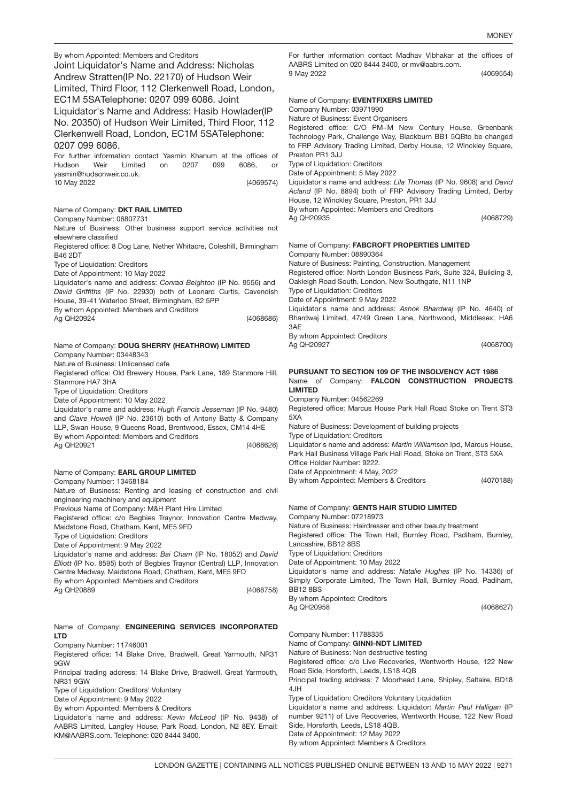(4069574) Name of Company: **DKT RAIL LIMITED** (4068686) Name of Company: **DOUG SHERRY (HEATHROW) LIMITED** (4068626) Name of Company: **EARL GROUP LIMITED** (4068758) By whom Appointed: Members and Creditors Joint Liquidator's Name and Address: Nicholas Andrew Stratten(IP No. 22170) of Hudson Weir Limited, Third Floor, 112 Clerkenwell Road, London, EC1M 5SATelephone: 0207 099 6086. Joint Liquidator's Name and Address: Hasib Howlader(IP No. 20350) of Hudson Weir Limited, Third Floor, 112 Clerkenwell Road, London, EC1M 5SATelephone: 0207 099 6086. For further information contact Yasmin Khanum at the offices of Hudson Weir Limited on 0207 099 6086, or yasmin@hudsonweir.co.uk. 10 May 2022 Company Number: 06807731 Nature of Business: Other business support service activities not elsewhere classified Registered office: 8 Dog Lane, Nether Whitacre, Coleshill, Birmingham B46 2DT Type of Liquidation: Creditors Date of Appointment: 10 May 2022 Liquidator's name and address: *Conrad Beighton* (IP No. 9556) and *David Griffiths* (IP No. 22930) both of Leonard Curtis, Cavendish House, 39-41 Waterloo Street, Birmingham, B2 5PP By whom Appointed: Members and Creditors Ag QH20924 Company Number: 03448343 Nature of Business: Unlicensed cafe Registered office: Old Brewery House, Park Lane, 189 Stanmore Hill, Stanmore HA7 3HA Type of Liquidation: Creditors Date of Appointment: 10 May 2022 Liquidator's name and address: *Hugh Francis Jesseman* (IP No. 9480) and *Claire Howell* (IP No. 23610) both of Antony Batty & Company LLP, Swan House, 9 Queens Road, Brentwood, Essex, CM14 4HE By whom Appointed: Members and Creditors Ag QH20921 Company Number: 13468184 Nature of Business: Renting and leasing of construction and civil engineering machinery and equipment Previous Name of Company: M&H Plant Hire Limited Registered office: c/o Begbies Traynor, Innovation Centre Medway, Maidstone Road, Chatham, Kent, ME5 9FD Type of Liquidation: Creditors Date of Appointment: 9 May 2022 Liquidator's name and address: *Bai Cham* (IP No. 18052) and *David Elliott* (IP No. 8595) both of Begbies Traynor (Central) LLP, Innovation Centre Medway, Maidstone Road, Chatham, Kent, ME5 9FD By whom Appointed: Members and Creditors Ag QH20889 Name of Company: ENGINEERING SERVICES INCORPORATED LTD Company Number: 11746001 Registered office: 14 Blake Drive, Bradwell, Great Yarmouth, NR31 9GW Principal trading address: 14 Blake Drive, Bradwell, Great Yarmouth, NR31 9GW Type of Liquidation: Creditors' Voluntary 9 May 2022 Ag QH20935 3AE Ag QH20927 LIMITED 5XA BB12 8BS Ag QH20958  $4.H$ 

Date of Appointment: 9 May 2022

By whom Appointed: Members & Creditors

Liquidator's name and address: *Kevin McLeod* (IP No. 9438) of AABRS Limited, Langley House, Park Road, London, N2 8EY. Email: KM@AABRS.com. Telephone: 020 8444 3400.

(4069554) For further information contact Madhav Vibhakar at the offices of AABRS Limited on 020 8444 3400, or mv@aabrs.com.

# Name of Company: EVENTFIXERS LIMITED

Company Number: 03971990

Nature of Business: Event Organisers

Registered office: C/O PM+M New Century House, Greenbank Technology Park, Challenge Way, Blackburn BB1 5QBto be changed to FRP Advisory Trading Limited, Derby House, 12 Winckley Square, Preston PR1 3JJ Type of Liquidation: Creditors

Date of Appointment: 5 May 2022

(4068729) Liquidator's name and address: *Lila Thomas* (IP No. 9608) and *David Acland* (IP No. 8894) both of FRP Advisory Trading Limited, Derby House, 12 Winckley Square, Preston, PR1 3JJ By whom Appointed: Members and Creditors

Name of Company: FABCROFT PROPERTIES LIMITED Company Number: 08890364 Nature of Business: Painting, Construction, Management

Registered office: North London Business Park, Suite 324, Building 3, Oakleigh Road South, London, New Southgate, N11 1NP Type of Liquidation: Creditors Date of Appointment: 9 May 2022 Liquidator's name and address: *Ashok Bhardwaj* (IP No. 4640) of Bhardwaj Limited, 47/49 Green Lane, Northwood, Middlesex, HA6

By whom Appointed: Creditors

```
(4068700)
```
# PURSUANT TO SECTION 109 OF THE INSOLVENCY ACT 1986 Name of Company: FALCON CONSTRUCTION PROJECTS

Company Number: 04562269 Registered office: Marcus House Park Hall Road Stoke on Trent ST3 Nature of Business: Development of building projects Type of Liquidation: Creditors Liquidator's name and address: *Martin Williamson* Ipd, Marcus House, Park Hall Business Village Park Hall Road, Stoke on Trent, ST3 5XA Office Holder Number: 9222.

 $\text{Out}$ : 4 May, 2022

| Dale of Appointment. 4 May, 2022       |           |
|----------------------------------------|-----------|
| By whom Appointed: Members & Creditors | (4070188) |

# Name of Company: GENTS HAIR STUDIO LIMITED

Company Number: 07218973

Nature of Business: Hairdresser and other beauty treatment

Registered office: The Town Hall, Burnley Road, Padiham, Burnley, Lancashire, BB12 8BS

Type of Liquidation: Creditors

Date of Appointment: 10 May 2022

Liquidator's name and address: *Natalie Hughes* (IP No. 14336) of Simply Corporate Limited, The Town Hall, Burnley Road, Padiham, By whom Appointed: Creditors

(4068627)

Company Number: 11788335 Name of Company: GINNI-NDT LIMITED

Nature of Business: Non destructive testing

Registered office: c/o Live Recoveries, Wentworth House, 122 New Road Side, Horsforth, Leeds, LS18 4QB

Principal trading address: 7 Moorhead Lane, Shipley, Saltaire, BD18

Type of Liquidation: Creditors Voluntary Liquidation

Liquidator's name and address: Liquidator: *Martin Paul Halligan* (IP number 9211) of Live Recoveries, Wentworth House, 122 New Road Side, Horsforth, Leeds, LS18 4QB. Date of Appointment: 12 May 2022 By whom Appointed: Members & Creditors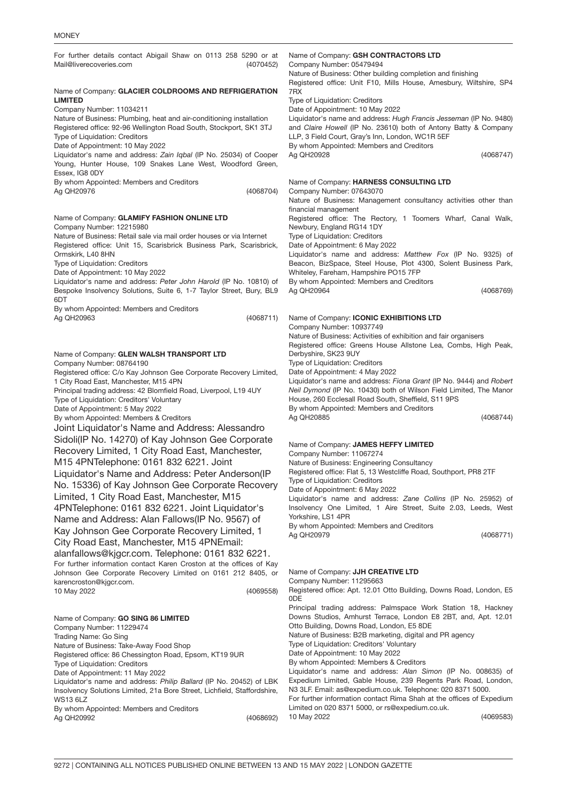(4070452) Name of Company: GLACIER COLDROOMS AND REFRIGERATION (4068704) Name of Company: GLAMIFY FASHION ONLINE LTD (4068711) (4069558) Name of Company: **GO SING 86 LIMITED** For further details contact Abigail Shaw on 0113 258 5290 or at Mail@liverecoveries.com LIMITED Company Number: 11034211 Nature of Business: Plumbing, heat and air-conditioning installation Registered office: 92-96 Wellington Road South, Stockport, SK1 3TJ Type of Liquidation: Creditors Date of Appointment: 10 May 2022 Liquidator's name and address: *Zain Iqbal* (IP No. 25034) of Cooper Young, Hunter House, 109 Snakes Lane West, Woodford Green, Essex, IG8 0DY By whom Appointed: Members and Creditors Ag QH20976 Company Number: 12215980 Nature of Business: Retail sale via mail order houses or via Internet Registered office: Unit 15, Scarisbrick Business Park, Scarisbrick, Ormskirk, L40 8HN Type of Liquidation: Creditors Date of Appointment: 10 May 2022 Liquidator's name and address: *Peter John Harold* (IP No. 10810) of Bespoke Insolvency Solutions, Suite 6, 1-7 Taylor Street, Bury, BL9 6DT By whom Appointed: Members and Creditors Ag QH20963 Name of Company: GLEN WALSH TRANSPORT LTD Company Number: 08764190 Registered office: C/o Kay Johnson Gee Corporate Recovery Limited, 1 City Road East, Manchester, M15 4PN Principal trading address: 42 Blomfield Road, Liverpool, L19 4UY Type of Liquidation: Creditors' Voluntary Date of Appointment: 5 May 2022 By whom Appointed: Members & Creditors Joint Liquidator's Name and Address: Alessandro Sidoli(IP No. 14270) of Kay Johnson Gee Corporate Recovery Limited, 1 City Road East, Manchester, M15 4PNTelephone: 0161 832 6221. Joint Liquidator's Name and Address: Peter Anderson(IP No. 15336) of Kay Johnson Gee Corporate Recovery Limited, 1 City Road East, Manchester, M15 4PNTelephone: 0161 832 6221. Joint Liquidator's Name and Address: Alan Fallows(IP No. 9567) of Kay Johnson Gee Corporate Recovery Limited, 1 City Road East, Manchester, M15 4PNEmail: alanfallows@kjgcr.com. Telephone: 0161 832 6221. For further information contact Karen Croston at the offices of Kay Johnson Gee Corporate Recovery Limited on 0161 212 8405, or karencroston@kjgcr.com. 10 May 2022 Company Number: 11229474 Trading Name: Go Sing Nature of Business: Take-Away Food Shop Registered office: 86 Chessington Road, Epsom, KT19 9UR Type of Liquidation: Creditors Date of Appointment: 11 May 2022 Liquidator's name and address: *Philip Ballard* (IP No. 20452) of LBK 7RX Ag QH20885 Ag QH20979 0DE

Insolvency Solutions Limited, 21a Bore Street, Lichfield, Staffordshire, WS13 6LZ By whom Appointed: Members and Creditors

Ag QH20992

Name of Company: GSH CONTRACTORS LTD (4068747) Name of Company: HARNESS CONSULTING LTD Company Number: 05479494 Nature of Business: Other building completion and finishing Registered office: Unit F10, Mills House, Amesbury, Wiltshire, SP4 Type of Liquidation: Creditors Date of Appointment: 10 May 2022 Liquidator's name and address: *Hugh Francis Jesseman* (IP No. 9480) and *Claire Howell* (IP No. 23610) both of Antony Batty & Company LLP, 3 Field Court, Gray's Inn, London, WC1R 5EF By whom Appointed: Members and Creditors Ag QH20928

Company Number: 07643070 Nature of Business: Management consultancy activities other than financial management Registered office: The Rectory, 1 Toomers Wharf, Canal Walk, Newbury, England RG14 1DY Type of Liquidation: Creditors Date of Appointment: 6 May 2022 Liquidator's name and address: *Matthew Fox* (IP No. 9325) of Beacon, BizSpace, Steel House, Plot 4300, Solent Business Park,

(4068769) Whiteley, Fareham, Hampshire PO15 7FP By whom Appointed: Members and Creditors Ag QH20964

Name of Company: ICONIC EXHIBITIONS LTD (4068744) Company Number: 10937749 Nature of Business: Activities of exhibition and fair organisers Registered office: Greens House Allstone Lea, Combs, High Peak, Derbyshire, SK23 9UY Type of Liquidation: Creditors Date of Appointment: 4 May 2022 Liquidator's name and address: *Fiona Grant* (IP No. 9444) and *Robert Neil Dymond* (IP No. 10430) both of Wilson Field Limited, The Manor House, 260 Ecclesall Road South, Sheffield, S11 9PS By whom Appointed: Members and Creditors

Name of Company: JAMES HEFFY LIMITED

Company Number: 11067274

Nature of Business: Engineering Consultancy

Registered office: Flat 5, 13 Westcliffe Road, Southport, PR8 2TF

Type of Liquidation: Creditors

Date of Appointment: 6 May 2022

Liquidator's name and address: *Zane Collins* (IP No. 25952) of Insolvency One Limited, 1 Aire Street, Suite 2.03, Leeds, West Yorkshire, LS1 4PR

By whom Appointed: Members and Creditors

(4068771)

Name of Company: JJH CREATIVE LTD

Company Number: 11295663

Registered office: Apt. 12.01 Otto Building, Downs Road, London, E5

(4068692) (4069583) Principal trading address: Palmspace Work Station 18, Hackney Downs Studios, Amhurst Terrace, London E8 2BT, and, Apt. 12.01 Otto Building, Downs Road, London, E5 8DE Nature of Business: B2B marketing, digital and PR agency Type of Liquidation: Creditors' Voluntary Date of Appointment: 10 May 2022 By whom Appointed: Members & Creditors Liquidator's name and address: *Alan Simon* (IP No. 008635) of Expedium Limited, Gable House, 239 Regents Park Road, London, N3 3LF. Email: as@expedium.co.uk. Telephone: 020 8371 5000. For further information contact Rima Shah at the offices of Expedium Limited on 020 8371 5000, or rs@expedium.co.uk. 10 May 2022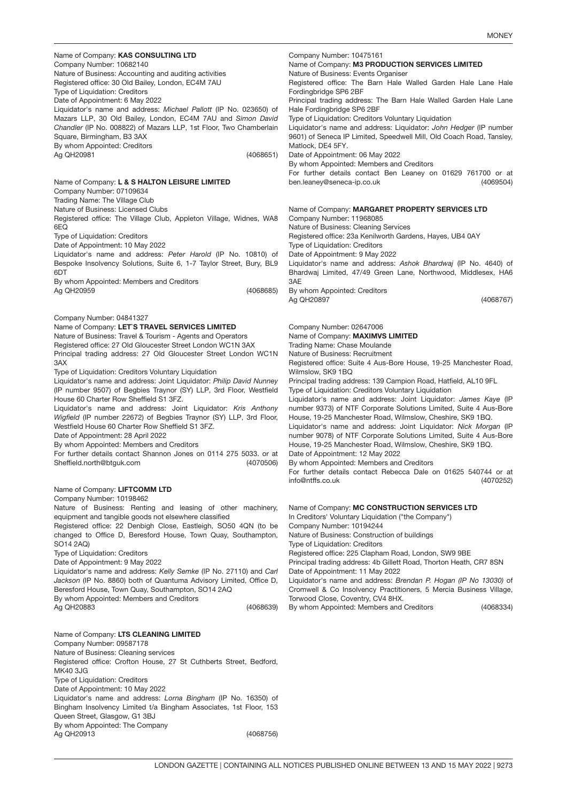|                                                                                                                                                                                                                                                                                                                                                                                                                                                                                                                                                                                                                                                                                                                                                                                                                                                                                                                                                                                                                                                                                       | <b>MONEY</b>                                                                                                                                                                                                                                                                                                                                                                                                                                                                                                                                                                                                                                                                                                                                                                                                                                                                                                                                                                                                                                                                                                                                                             |
|---------------------------------------------------------------------------------------------------------------------------------------------------------------------------------------------------------------------------------------------------------------------------------------------------------------------------------------------------------------------------------------------------------------------------------------------------------------------------------------------------------------------------------------------------------------------------------------------------------------------------------------------------------------------------------------------------------------------------------------------------------------------------------------------------------------------------------------------------------------------------------------------------------------------------------------------------------------------------------------------------------------------------------------------------------------------------------------|--------------------------------------------------------------------------------------------------------------------------------------------------------------------------------------------------------------------------------------------------------------------------------------------------------------------------------------------------------------------------------------------------------------------------------------------------------------------------------------------------------------------------------------------------------------------------------------------------------------------------------------------------------------------------------------------------------------------------------------------------------------------------------------------------------------------------------------------------------------------------------------------------------------------------------------------------------------------------------------------------------------------------------------------------------------------------------------------------------------------------------------------------------------------------|
| Name of Company: KAS CONSULTING LTD<br>Company Number: 10682140<br>Nature of Business: Accounting and auditing activities<br>Registered office: 30 Old Bailey, London, EC4M 7AU<br>Type of Liquidation: Creditors<br>Date of Appointment: 6 May 2022<br>Liquidator's name and address: Michael Pallott (IP No. 023650) of<br>Mazars LLP, 30 Old Bailey, London, EC4M 7AU and Simon David<br>Chandler (IP No. 008822) of Mazars LLP, 1st Floor, Two Chamberlain<br>Square, Birmingham, B3 3AX<br>By whom Appointed: Creditors<br>(4068651)<br>Ag QH20981<br>Name of Company: L & S HALTON LEISURE LIMITED<br>Company Number: 07109634<br>Trading Name: The Village Club<br>Nature of Business: Licensed Clubs<br>Registered office: The Village Club, Appleton Village, Widnes, WA8<br>6EQ<br>Type of Liquidation: Creditors<br>Date of Appointment: 10 May 2022<br>Liquidator's name and address: Peter Harold (IP No. 10810) of<br>Bespoke Insolvency Solutions, Suite 6, 1-7 Taylor Street, Bury, BL9<br>6DT<br>By whom Appointed: Members and Creditors<br>Ag QH20959<br>(4068685) | Company Number: 10475161<br>Name of Company: M3 PRODUCTION SERVICES LIMITED<br>Nature of Business: Events Organiser<br>Registered office: The Barn Hale Walled Garden Hale Lane Hale<br>Fordingbridge SP6 2BF<br>Principal trading address: The Barn Hale Walled Garden Hale Lane<br>Hale Fordingbridge SP6 2BF<br>Type of Liquidation: Creditors Voluntary Liquidation<br>Liquidator's name and address: Liquidator: John Hedger (IP number<br>9601) of Seneca IP Limited, Speedwell Mill, Old Coach Road, Tansley,<br>Matlock, DE4 5FY.<br>Date of Appointment: 06 May 2022<br>By whom Appointed: Members and Creditors<br>For further details contact Ben Leaney on 01629 761700 or at<br>ben.leaney@seneca-ip.co.uk<br>(4069504)<br>Name of Company: MARGARET PROPERTY SERVICES LTD<br>Company Number: 11968085<br>Nature of Business: Cleaning Services<br>Registered office: 23a Kenilworth Gardens, Hayes, UB4 0AY<br>Type of Liquidation: Creditors<br>Date of Appointment: 9 May 2022<br>Liquidator's name and address: Ashok Bhardwaj (IP No. 4640) of<br>Bhardwaj Limited, 47/49 Green Lane, Northwood, Middlesex, HA6<br>3AE<br>By whom Appointed: Creditors |
|                                                                                                                                                                                                                                                                                                                                                                                                                                                                                                                                                                                                                                                                                                                                                                                                                                                                                                                                                                                                                                                                                       | Ag QH20897<br>(4068767)                                                                                                                                                                                                                                                                                                                                                                                                                                                                                                                                                                                                                                                                                                                                                                                                                                                                                                                                                                                                                                                                                                                                                  |
| Company Number: 04841327<br>Name of Company: LET'S TRAVEL SERVICES LIMITED<br>Nature of Business: Travel & Tourism - Agents and Operators<br>Registered office: 27 Old Gloucester Street London WC1N 3AX<br>Principal trading address: 27 Old Gloucester Street London WC1N<br>3AX<br>Type of Liquidation: Creditors Voluntary Liquidation<br>Liquidator's name and address: Joint Liquidator: Philip David Nunney<br>(IP number 9507) of Begbies Traynor (SY) LLP, 3rd Floor, Westfield<br>House 60 Charter Row Sheffield S1 3FZ.<br>Liquidator's name and address: Joint Liquidator: Kris Anthony<br>Wigfield (IP number 22672) of Begbies Traynor (SY) LLP, 3rd Floor,<br>Westfield House 60 Charter Row Sheffield S1 3FZ.<br>Date of Appointment: 28 April 2022<br>By whom Appointed: Members and Creditors<br>For further details contact Shannon Jones on 0114 275 5033. or at<br>(4070506)<br>Sheffield.north@btguk.com<br>Name of Company: LIFTCOMM LTD                                                                                                                       | Company Number: 02647006<br>Name of Company: MAXIMVS LIMITED<br>Trading Name: Chase Moulande<br>Nature of Business: Recruitment<br>Registered office: Suite 4 Aus-Bore House, 19-25 Manchester Road,<br>Wilmslow, SK9 1BQ<br>Principal trading address: 139 Campion Road, Hatfield, AL10 9FL<br>Type of Liquidation: Creditors Voluntary Liquidation<br>Liquidator's name and address: Joint Liquidator: James Kaye (IP<br>number 9373) of NTF Corporate Solutions Limited, Suite 4 Aus-Bore<br>House, 19-25 Manchester Road, Wilmslow, Cheshire, SK9 1BQ.<br>Liquidator's name and address: Joint Liquidator: Nick Morgan (IP<br>number 9078) of NTF Corporate Solutions Limited, Suite 4 Aus-Bore<br>House, 19-25 Manchester Road, Wilmslow, Cheshire, SK9 1BQ.<br>Date of Appointment: 12 May 2022<br>By whom Appointed: Members and Creditors<br>For further details contact Rebecca Dale on 01625 540744 or at<br>info@ntffs.co.uk<br>(4070252)                                                                                                                                                                                                                     |
| Company Number: 10198462<br>Nature of Business: Renting and leasing of other machinery,<br>equipment and tangible goods not elsewhere classified<br>Registered office: 22 Denbigh Close, Eastleigh, SO50 4QN (to be<br>changed to Office D, Beresford House, Town Quay, Southampton,<br>SO14 2AQ)<br>Type of Liquidation: Creditors<br>Date of Appointment: 9 May 2022<br>Liquidator's name and address: Kelly Semke (IP No. 27110) and Carl<br>Jackson (IP No. 8860) both of Quantuma Advisory Limited, Office D,<br>Beresford House, Town Quay, Southampton, SO14 2AQ<br>By whom Appointed: Members and Creditors<br>(4068639)<br>Ag QH20883<br>Name of Company: LTS CLEANING LIMITED<br>Company Number: 09587178<br>Nature of Business: Cleaning services<br>Registered office: Crofton House, 27 St Cuthberts Street, Bedford,<br><b>MK40 3JG</b><br>Type of Liquidation: Creditors<br>Date of Appointment: 10 May 2022                                                                                                                                                           | Name of Company: MC CONSTRUCTION SERVICES LTD<br>In Creditors' Voluntary Liquidation ("the Company")<br>Company Number: 10194244<br>Nature of Business: Construction of buildings<br>Type of Liquidation: Creditors<br>Registered office: 225 Clapham Road, London, SW9 9BE<br>Principal trading address: 4b Gillett Road, Thorton Heath, CR7 8SN<br>Date of Appointment: 11 May 2022<br>Liquidator's name and address: Brendan P. Hogan (IP No 13030) of<br>Cromwell & Co Insolvency Practitioners, 5 Mercia Business Village,<br>Torwood Close, Coventry, CV4 8HX.<br>By whom Appointed: Members and Creditors<br>(4068334)                                                                                                                                                                                                                                                                                                                                                                                                                                                                                                                                            |

Liquidator's name and address: *Lorna Bingham* (IP No. 16350) of Bingham Insolvency Limited t/a Bingham Associates, 1st Floor, 153

Queen Street, Glasgow, G1 3BJ By whom Appointed: The Company

Ag QH20913

(4068756)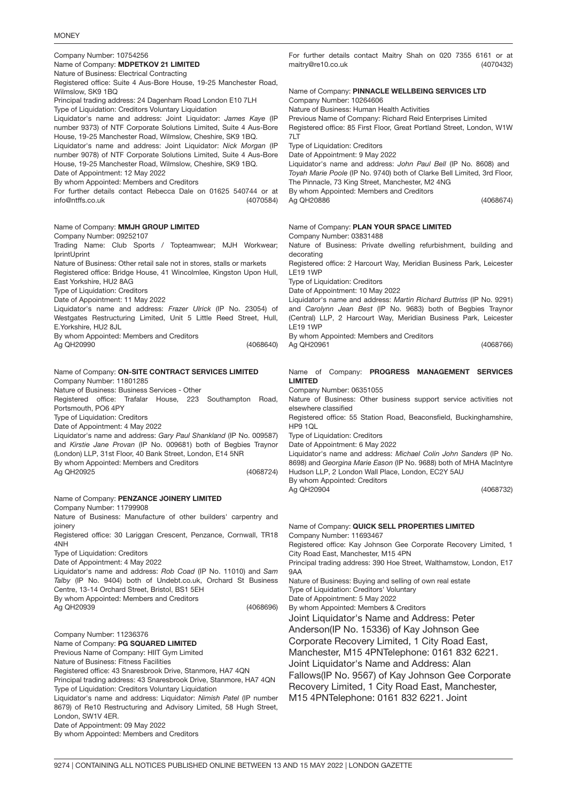| Company Number: 10754256<br>Name of Company: MDPETKOV 21 LIMITED                                                   | For further details contact Maitry Shah on 020 7355 6161 or at<br>maitry@re10.co.uk<br>(4070432) |
|--------------------------------------------------------------------------------------------------------------------|--------------------------------------------------------------------------------------------------|
| Nature of Business: Electrical Contracting                                                                         |                                                                                                  |
| Registered office: Suite 4 Aus-Bore House, 19-25 Manchester Road,                                                  |                                                                                                  |
| Wilmslow, SK9 1BQ                                                                                                  | Name of Company: PINNACLE WELLBEING SERVICES LTD                                                 |
| Principal trading address: 24 Dagenham Road London E10 7LH<br>Type of Liquidation: Creditors Voluntary Liquidation | Company Number: 10264606<br>Nature of Business: Human Health Activities                          |
| Liquidator's name and address: Joint Liquidator: James Kaye (IP                                                    | Previous Name of Company: Richard Reid Enterprises Limited                                       |
| number 9373) of NTF Corporate Solutions Limited, Suite 4 Aus-Bore                                                  | Registered office: 85 First Floor, Great Portland Street, London, W1W                            |
| House, 19-25 Manchester Road, Wilmslow, Cheshire, SK9 1BQ.                                                         | 7LT                                                                                              |
| Liquidator's name and address: Joint Liquidator: Nick Morgan (IP                                                   | Type of Liquidation: Creditors                                                                   |
| number 9078) of NTF Corporate Solutions Limited, Suite 4 Aus-Bore                                                  | Date of Appointment: 9 May 2022                                                                  |
| House, 19-25 Manchester Road, Wilmslow, Cheshire, SK9 1BQ.                                                         | Liquidator's name and address: John Paul Bell (IP No. 8608) and                                  |
| Date of Appointment: 12 May 2022                                                                                   | Toyah Marie Poole (IP No. 9740) both of Clarke Bell Limited, 3rd Floor.                          |
| By whom Appointed: Members and Creditors<br>For further details contact Rebecca Dale on 01625 540744 or at         | The Pinnacle, 73 King Street, Manchester, M2 4NG<br>By whom Appointed: Members and Creditors     |
| info@ntffs.co.uk<br>(4070584)                                                                                      | (4068674)<br>Ag QH20886                                                                          |
|                                                                                                                    |                                                                                                  |
| Name of Company: MMJH GROUP LIMITED                                                                                | Name of Company: PLAN YOUR SPACE LIMITED                                                         |
| Company Number: 09252107                                                                                           | Company Number: 03831488                                                                         |
| Trading Name: Club Sports / Topteamwear; MJH Workwear;                                                             | Nature of Business: Private dwelling refurbishment, building and                                 |
| <b>IprintUprint</b>                                                                                                | decorating                                                                                       |
| Nature of Business: Other retail sale not in stores, stalls or markets                                             | Registered office: 2 Harcourt Way, Meridian Business Park, Leicester<br><b>LE19 1WP</b>          |
| Registered office: Bridge House, 41 Wincolmlee, Kingston Upon Hull,<br>East Yorkshire, HU2 8AG                     | Type of Liquidation: Creditors                                                                   |
| Type of Liquidation: Creditors                                                                                     | Date of Appointment: 10 May 2022                                                                 |
| Date of Appointment: 11 May 2022                                                                                   | Liquidator's name and address: Martin Richard Buttriss (IP No. 9291)                             |
| Liquidator's name and address: Frazer Ulrick (IP No. 23054) of                                                     | and Carolynn Jean Best (IP No. 9683) both of Begbies Traynor                                     |
| Westgates Restructuring Limited, Unit 5 Little Reed Street, Hull,                                                  | (Central) LLP, 2 Harcourt Way, Meridian Business Park, Leicester                                 |
| E. Yorkshire, HU2 8JL                                                                                              | <b>LE19 1WP</b>                                                                                  |
| By whom Appointed: Members and Creditors<br>(4068640)<br>Ag QH20990                                                | By whom Appointed: Members and Creditors<br>(4068766)<br>Ag QH20961                              |
|                                                                                                                    |                                                                                                  |
| Name of Company: ON-SITE CONTRACT SERVICES LIMITED                                                                 | Name of Company: PROGRESS MANAGEMENT SERVICES                                                    |
| Company Number: 11801285                                                                                           | <b>LIMITED</b>                                                                                   |
| Nature of Business: Business Services - Other                                                                      | Company Number: 06351055                                                                         |
| Registered office: Trafalar House, 223 Southampton Road,                                                           | Nature of Business: Other business support service activities not                                |
| Portsmouth, PO6 4PY                                                                                                | elsewhere classified                                                                             |
| Type of Liquidation: Creditors                                                                                     | Registered office: 55 Station Road, Beaconsfield, Buckinghamshire                                |
| Date of Appointment: 4 May 2022<br>Liquidator's name and address: Gary Paul Shankland (IP No. 009587)              | HP9 1QL<br>Type of Liquidation: Creditors                                                        |
| and Kirstie Jane Provan (IP No. 009681) both of Begbies Traynor                                                    | Date of Appointment: 6 May 2022                                                                  |
| (London) LLP, 31st Floor, 40 Bank Street, London, E14 5NR                                                          | Liquidator's name and address: Michael Colin John Sanders (IP No.                                |
| By whom Appointed: Members and Creditors                                                                           | 8698) and Georgina Marie Eason (IP No. 9688) both of MHA MacIntyre                               |
| Ag QH20925<br>(4068724)                                                                                            | Hudson LLP, 2 London Wall Place, London, EC2Y 5AU                                                |
|                                                                                                                    | By whom Appointed: Creditors                                                                     |
| Name of Company: PENZANCE JOINERY LIMITED                                                                          | Ag QH20904<br>(4068732)                                                                          |
| Company Number: 11799908                                                                                           |                                                                                                  |
| Nature of Business: Manufacture of other builders' carpentry and                                                   |                                                                                                  |
| joinery                                                                                                            | Name of Company: QUICK SELL PROPERTIES LIMITED                                                   |
| Registered office: 30 Lariggan Crescent, Penzance, Cornwall, TR18                                                  | Company Number: 11693467                                                                         |
| 4NH                                                                                                                | Registered office: Kay Johnson Gee Corporate Recovery Limited, 1                                 |
| Type of Liquidation: Creditors                                                                                     | City Road East, Manchester, M15 4PN                                                              |
| Date of Appointment: 4 May 2022<br>Liquidator's name and address: Rob Coad (IP No. 11010) and Sam                  | Principal trading address: 390 Hoe Street, Walthamstow, London, E17<br>9AA                       |
| Talby (IP No. 9404) both of Undebt.co.uk, Orchard St Business                                                      | Nature of Business: Buying and selling of own real estate                                        |
| Centre, 13-14 Orchard Street, Bristol, BS1 5EH                                                                     | Type of Liquidation: Creditors' Voluntary                                                        |
| By whom Appointed: Members and Creditors                                                                           | Date of Appointment: 5 May 2022                                                                  |
| (4068696)<br>Ag QH20939                                                                                            | By whom Appointed: Members & Creditors                                                           |
|                                                                                                                    | Joint Liquidator's Name and Address: Peter                                                       |
| Company Number: 11236376                                                                                           | Anderson(IP No. 15336) of Kay Johnson Gee                                                        |
| Name of Company: PG SQUARED LIMITED                                                                                | Corporate Recovery Limited, 1 City Road East,                                                    |
| Previous Name of Company: HIIT Gym Limited                                                                         | Manchester, M15 4PNTelephone: 0161 832 6221.                                                     |
| Nature of Business: Fitness Facilities                                                                             | Joint Liquidator's Name and Address: Alan                                                        |
| Registered office: 43 Snaresbrook Drive, Stanmore, HA7 4QN                                                         | Fallows(IP No. 9567) of Kay Johnson Gee Corporate                                                |
| Principal trading address: 43 Snaresbrook Drive, Stanmore, HA7 4QN                                                 |                                                                                                  |
| Type of Liquidation: Creditors Voluntary Liquidation                                                               | Recovery Limited, 1 City Road East, Manchester,                                                  |
| Liquidator's name and address: Liquidator: Nimish Patel (IP number                                                 | M15 4PNTelephone: 0161 832 6221. Joint                                                           |
| 8679) of Re10 Restructuring and Advisory Limited, 58 Hugh Street,<br>London, SW1V 4ER.                             |                                                                                                  |
| Date of Appointment: 09 May 2022                                                                                   |                                                                                                  |
| By whom Appointed: Members and Creditors                                                                           |                                                                                                  |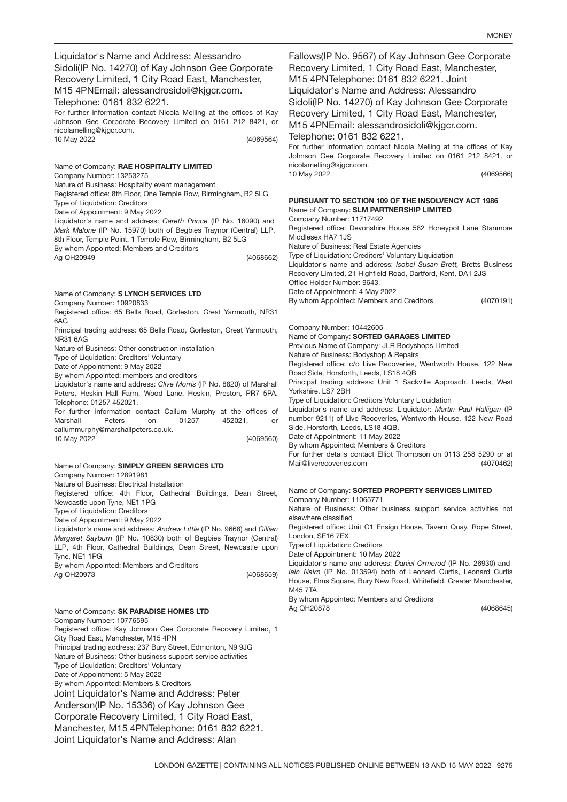(4069564) Name of Company: **RAE HOSPITALITY LIMITED** (4068662) Name of Company: S LYNCH SERVICES LTD (4069560) Name of Company: SIMPLY GREEN SERVICES LTD PURSUAN<sup>.</sup> Company N Name of Co Liquidator's Name and Address: Alessandro Sidoli(IP No. 14270) of Kay Johnson Gee Corporate Recovery Limited, 1 City Road East, Manchester, M15 4PNEmail: alessandrosidoli@kjgcr.com. Telephone: 0161 832 6221. For further information contact Nicola Melling at the offices of Kay Johnson Gee Corporate Recovery Limited on 0161 212 8421, or nicolamelling@kjgcr.com. 10 May 2022 Company Number: 13253275 Nature of Business: Hospitality event management Registered office: 8th Floor, One Temple Row, Birmingham, B2 5LG Type of Liquidation: Creditors Date of Appointment: 9 May 2022 Liquidator's name and address: *Gareth Prince* (IP No. 16090) and *Mark Malone* (IP No. 15970) both of Begbies Traynor (Central) LLP, 8th Floor, Temple Point, 1 Temple Row, Birmingham, B2 5LG By whom Appointed: Members and Creditors Ag QH20949 Company Number: 10920833 Registered office: 65 Bells Road, Gorleston, Great Yarmouth, NR31 6AG Principal trading address: 65 Bells Road, Gorleston, Great Yarmouth, NR31 6AG Nature of Business: Other construction installation Type of Liquidation: Creditors' Voluntary Date of Appointment: 9 May 2022 By whom Appointed: members and creditors Liquidator's name and address: *Clive Morris* (IP No. 8820) of Marshall Peters, Heskin Hall Farm, Wood Lane, Heskin, Preston, PR7 5PA. Telephone: 01257 452021. For further information contact Callum Murphy at the offices of Marshall Peters on 01257 452021, or callummurphy@marshallpeters.co.uk. 10 May 2022 Company Number: 12891981 Nature of Business: Electrical Installation Registered office: 4th Floor, Cathedral Buildings, Dean Street, Newcastle upon Tyne, NE1 1PG Type of Liquidation: Creditors Date of Appointment: 9 May 2022 Fallows(IP No. 9567) of Kay Johnson Gee Corporate Recovery Limited, 1 City Road East, Manchester, M15 4PNTelephone: 0161 832 6221. Joint Liquidator's Name and Address: Alessandro Sidoli(IP No. 14270) of Kay Johnson Gee Corporate Recovery Limited, 1 City Road East, Manchester, M15 4PNEmail: alessandrosidoli@kjgcr.com. Telephone: 0161 832 6221. For further information contact Nicola Melling at the offices of Kay Johnson Gee Corporate Recovery Limited on 0161 212 8421, or nicolamelling@kjgcr.com. 10 May 2022 Name of Company: SLM PARTNERSHIP LIMITED Company Number: 11717492 Middlesex HA7 1JS Nature of Business: Real Estate Agencies Type of Liquidation: Creditors' Voluntary Liquidation Office Holder Number: 9643. Date of Appointment: 4 May 2022 By whom Appointed: Members and Creditors Company Number: 10442605 Name of Company: SORTED GARAGES LIMITED Nature of Business: Bodyshop & Repairs Road Side, Horsforth, Leeds, LS18 4QB Yorkshire, LS7 2BH Type of Liquidation: Creditors Voluntary Liquidation Side, Horsforth, Leeds, LS18 4QB. Date of Appointment: 11 May 2022 By whom Appointed: Members & Creditors Mail@liverecoveries.com Company Number: 11065771

(4068659)

Liquidator's name and address: *Andrew Little* (IP No. 9668) and *Gillian Margaret Sayburn* (IP No. 10830) both of Begbies Traynor (Central) LLP, 4th Floor, Cathedral Buildings, Dean Street, Newcastle upon Tyne, NE1 1PG By whom Appointed: Members and Creditors

Ag QH20973

Name of Company: SK PARADISE HOMES LTD Company Number: 10776595 Registered office: Kay Johnson Gee Corporate Recovery Limited, 1 City Road East, Manchester, M15 4PN Principal trading address: 237 Bury Street, Edmonton, N9 9JG Nature of Business: Other business support service activities Type of Liquidation: Creditors' Voluntary Date of Appointment: 5 May 2022 By whom Appointed: Members & Creditors Joint Liquidator's Name and Address: Peter Anderson(IP No. 15336) of Kay Johnson Gee Corporate Recovery Limited, 1 City Road East, Manchester, M15 4PNTelephone: 0161 832 6221. Joint Liquidator's Name and Address: Alan

 $(1069566)$ 

| $10$ $1004$ $2022$                                                                                                                                                                                                                                                                                                                                                                                                                                                                                                                                                                                                                                                                                                                                                                            | ( コ つ つ つ つ つ ) |
|-----------------------------------------------------------------------------------------------------------------------------------------------------------------------------------------------------------------------------------------------------------------------------------------------------------------------------------------------------------------------------------------------------------------------------------------------------------------------------------------------------------------------------------------------------------------------------------------------------------------------------------------------------------------------------------------------------------------------------------------------------------------------------------------------|-----------------|
| PURSUANT TO SECTION 109 OF THE INSOLVENCY ACT 1986<br>Name of Company: SLM PARTNERSHIP LIMITED<br>Company Number: 11717492                                                                                                                                                                                                                                                                                                                                                                                                                                                                                                                                                                                                                                                                    |                 |
| Registered office: Devonshire House 582 Honeypot Lane Stanmore<br>Middlesex HA7 1JS<br>Nature of Business: Real Estate Agencies                                                                                                                                                                                                                                                                                                                                                                                                                                                                                                                                                                                                                                                               |                 |
| Type of Liquidation: Creditors' Voluntary Liquidation<br>Liquidator's name and address: Isobel Susan Brett, Bretts Business<br>Recovery Limited, 21 Highfield Road, Dartford, Kent, DA1 2JS<br>Office Holder Number: 9643.                                                                                                                                                                                                                                                                                                                                                                                                                                                                                                                                                                    |                 |
| Date of Appointment: 4 May 2022<br>By whom Appointed: Members and Creditors                                                                                                                                                                                                                                                                                                                                                                                                                                                                                                                                                                                                                                                                                                                   | (4070191)       |
| Company Number: 10442605<br>Name of Company: SORTED GARAGES LIMITED<br>Previous Name of Company: JLR Bodyshops Limited<br>Nature of Business: Bodyshop & Repairs<br>Registered office: c/o Live Recoveries, Wentworth House, 122 New<br>Road Side, Horsforth, Leeds, LS18 4QB<br>Principal trading address: Unit 1 Sackville Approach, Leeds, West<br>Yorkshire, LS7 2BH<br>Type of Liquidation: Creditors Voluntary Liquidation<br>Liquidator's name and address: Liquidator: Martin Paul Halligan (IP<br>number 9211) of Live Recoveries, Wentworth House, 122 New Road<br>Side, Horsforth, Leeds, LS18 4QB.<br>Date of Appointment: 11 May 2022<br>By whom Appointed: Members & Creditors<br>For further details contact Elliot Thompson on 0113 258 5290 or at<br>Mail@liverecoveries.com | (4070462)       |
| Name of Company: SORTED PROPERTY SERVICES LIMITED<br>Company Number: 11065771<br>Nature of Business: Other business support service activities not<br>elsewhere classified<br>Registered office: Unit C1 Ensign House, Tavern Quay, Rope Street,<br>London, SE16 7EX<br>Type of Liquidation: Creditors<br>Date of Appointment: 10 May 2022<br>Liquidator's name and address: Daniel Ormerod (IP No. 26930) and<br>lain Nairn (IP No. 013594) both of Leonard Curtis, Leonard Curtis<br>House, Elms Square, Bury New Road, Whitefield, Greater Manchester,<br><b>M45 7TA</b>                                                                                                                                                                                                                   |                 |
| By whom Appointed: Members and Creditors                                                                                                                                                                                                                                                                                                                                                                                                                                                                                                                                                                                                                                                                                                                                                      |                 |

Ag QH20878

(4068645)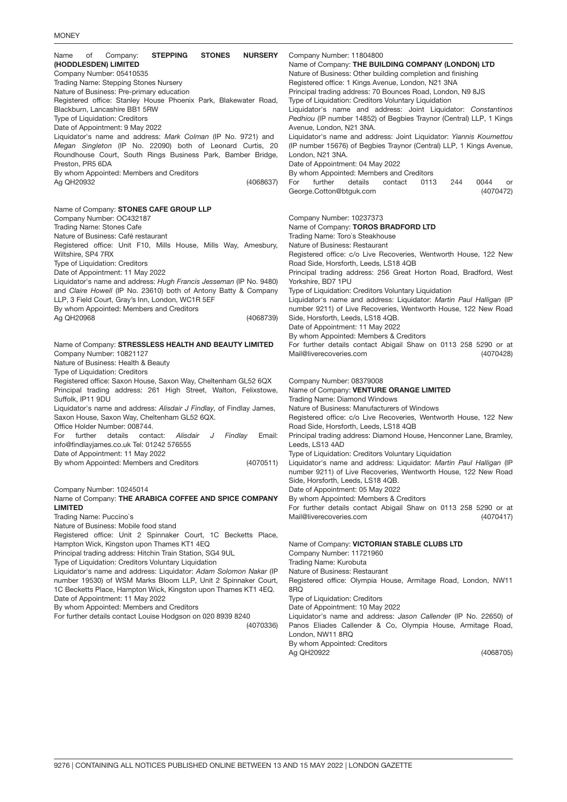Name of (4068637) Name of Company: **STONES CAFE GROUP LLP** (4068739) Name of Company: STRESSLESS HEALTH AND BEAUTY LIMITED (4070511) Company Number: 10245014 (4070336) Company Number: 11804800 (4070472) Company Number: 10237373 (4070428) Company Number: 08379008 (4070417) Name of Company: VICTORIAN STABLE CLUBS LTD (4068705) Company: STEPPING STONES NURSERY (HODDLESDEN) LIMITED Company Number: 05410535 Trading Name: Stepping Stones Nursery Nature of Business: Pre-primary education Registered office: Stanley House Phoenix Park, Blakewater Road, Blackburn, Lancashire BB1 5RW Type of Liquidation: Creditors Date of Appointment: 9 May 2022 Liquidator's name and address: *Mark Colman* (IP No. 9721) and *Megan Singleton* (IP No. 22090) both of Leonard Curtis, 20 Roundhouse Court, South Rings Business Park, Bamber Bridge, Preston, PR5 6DA By whom Appointed: Members and Creditors Ag QH20932 Company Number: OC432187 Trading Name: Stones Cafe Nature of Business: Café restaurant Registered office: Unit F10, Mills House, Mills Way, Amesbury, Wiltshire, SP4 7RX Type of Liquidation: Creditors Date of Appointment: 11 May 2022 Liquidator's name and address: *Hugh Francis Jesseman* (IP No. 9480) and *Claire Howell* (IP No. 23610) both of Antony Batty & Company LLP, 3 Field Court, Gray's Inn, London, WC1R 5EF By whom Appointed: Members and Creditors Ag QH20968 Company Number: 10821127 Nature of Business: Health & Beauty Type of Liquidation: Creditors Registered office: Saxon House, Saxon Way, Cheltenham GL52 6QX Principal trading address: 261 High Street, Walton, Felixstowe, Suffolk, IP11 9DU Liquidator's name and address: *Alisdair J Findlay,* of Findlay James, Saxon House, Saxon Way, Cheltenham GL52 6QX. Office Holder Number: 008744. For further details contact: *Alisdair J Findlay* Email: info@findlayjames.co.uk Tel: 01242 576555 Date of Appointment: 11 May 2022 By whom Appointed: Members and Creditors Name of Company: THE ARABICA COFFEE AND SPICE COMPANY LIMITED Trading Name: Puccino`s Nature of Business: Mobile food stand Registered office: Unit 2 Spinnaker Court, 1C Becketts Place, Hampton Wick, Kingston upon Thames KT1 4EQ Principal trading address: Hitchin Train Station, SG4 9UL Type of Liquidation: Creditors Voluntary Liquidation Liquidator's name and address: Liquidator: *Adam Solomon Nakar* (IP number 19530) of WSM Marks Bloom LLP, Unit 2 Spinnaker Court, 1C Becketts Place, Hampton Wick, Kingston upon Thames KT1 4EQ. Date of Appointment: 11 May 2022 By whom Appointed: Members and Creditors For further details contact Louise Hodgson on 020 8939 8240 Name of Company: THE BUILDING COMPANY (LONDON) LTD Nature of Business: Other building completion and finishing Registered office: 1 Kings Avenue, London, N21 3NA Principal trading address: 70 Bounces Road, London, N9 8JS Type of Liquidation: Creditors Voluntary Liquidation Liquidator's name and address: Joint Liquidator: *Constantinos Pedhiou* (IP number 14852) of Begbies Traynor (Central) LLP, 1 Kings Avenue, London, N21 3NA. Liquidator's name and address: Joint Liquidator: *Yiannis Koumettou* (IP number 15676) of Begbies Traynor (Central) LLP, 1 Kings Avenue, London, N21 3NA. Date of Appointment: 04 May 2022 By whom Appointed: Members and Creditors For further details contact 0113 244 0044 or George.Cotton@btguk.com Name of Company: TOROS BRADFORD LTD Trading Name: Toro`s Steakhouse Nature of Business: Restaurant Registered office: c/o Live Recoveries, Wentworth House, 122 New Road Side, Horsforth, Leeds, LS18 4QB Principal trading address: 256 Great Horton Road, Bradford, West Yorkshire, BD7 1PU Type of Liquidation: Creditors Voluntary Liquidation Liquidator's name and address: Liquidator: *Martin Paul Halligan* (IP number 9211) of Live Recoveries, Wentworth House, 122 New Road Side, Horsforth, Leeds, LS18 4QB. Date of Appointment: 11 May 2022 By whom Appointed: Members & Creditors For further details contact Abigail Shaw on 0113 258 5290 or at Mail@liverecoveries.com Name of Company: VENTURE ORANGE LIMITED Trading Name: Diamond Windows Nature of Business: Manufacturers of Windows Registered office: c/o Live Recoveries, Wentworth House, 122 New Road Side, Horsforth, Leeds, LS18 4QB Principal trading address: Diamond House, Henconner Lane, Bramley, Leeds, LS13 4AD Type of Liquidation: Creditors Voluntary Liquidation Liquidator's name and address: Liquidator: *Martin Paul Halligan* (IP number 9211) of Live Recoveries, Wentworth House, 122 New Road Side, Horsforth, Leeds, LS18 4QB. Date of Appointment: 05 May 2022 By whom Appointed: Members & Creditors For further details contact Abigail Shaw on 0113 258 5290 or at Mail@liverecoveries.com Company Number: 11721960 Trading Name: Kurobuta Nature of Business: Restaurant Registered office: Olympia House, Armitage Road, London, NW11 8RQ Type of Liquidation: Creditors Date of Appointment: 10 May 2022 Liquidator's name and address: *Jason Callender* (IP No. 22650) of Panos Eliades Callender & Co, Olympia House, Armitage Road, London, NW11 8RQ By whom Appointed: Creditors Ag QH20922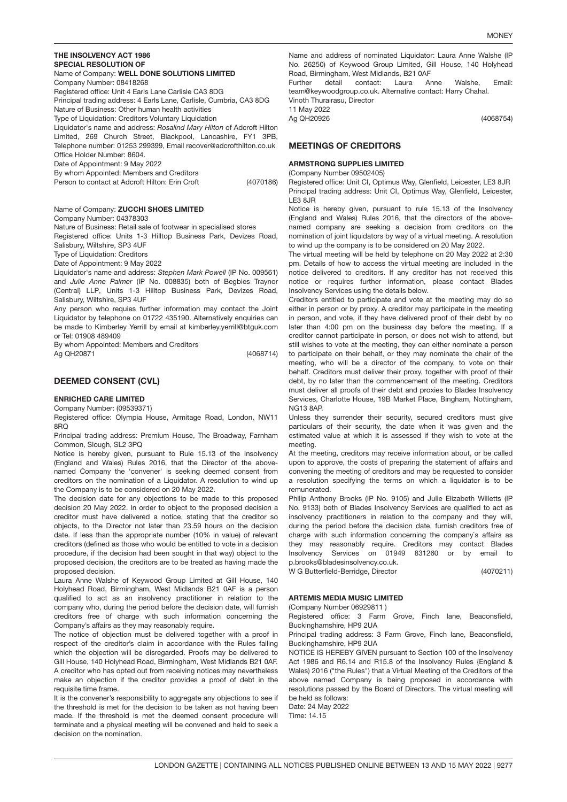(4068754)

# THE INSOLVENCY ACT 1986 SPECIAL RESOLUTION OF

# Name of Company: WELL DONE SOLUTIONS LIMITED

Company Number: 08418268

Registered office: Unit 4 Earls Lane Carlisle CA3 8DG

Principal trading address: 4 Earls Lane, Carlisle, Cumbria, CA3 8DG Nature of Business: Other human health activities

Type of Liquidation: Creditors Voluntary Liquidation

Liquidator's name and address: *Rosalind Mary Hilton* of Adcroft Hilton

Limited, 269 Church Street, Blackpool, Lancashire, FY1 3PB, Telephone number: 01253 299399, Email recover@adcrofthilton.co.uk Office Holder Number: 8604.

Date of Appointment: 9 May 2022

By whom Appointed: Members and Creditors Person to contact at Adcroft Hilton: Erin Croft

(4070186)

(4068714)

Name of Company: ZUCCHI SHOES LIMITED

Company Number: 04378303

Nature of Business: Retail sale of footwear in specialised stores

Registered office: Units 1-3 Hilltop Business Park, Devizes Road, Salisbury, Wiltshire, SP3 4UF

Type of Liquidation: Creditors

Date of Appointment: 9 May 2022

Liquidator's name and address: *Stephen Mark Powell* (IP No. 009561) and *Julie Anne Palmer* (IP No. 008835) both of Begbies Traynor (Central) LLP, Units 1-3 Hilltop Business Park, Devizes Road, Salisbury, Wiltshire, SP3 4UF

Any person who requies further information may contact the Joint Liquidator by telephone on 01722 435190. Alternatively enquiries can be made to Kimberley Yerrill by email at kimberley.yerrill@btguk.com or Tel: 01908 489409

By whom Appointed: Members and Creditors Ag QH20871

# DEEMED CONSENT (CVL)

# 4068754 ENRICHED CARE LIMITED

Company Number: (09539371)

Registered office: Olympia House, Armitage Road, London, NW11 8RQ

Principal trading address: Premium House, The Broadway, Farnham Common, Slough, SL2 3PQ

Notice is hereby given, pursuant to Rule 15.13 of the Insolvency (England and Wales) Rules 2016, that the Director of the abovenamed Company the 'convener' is seeking deemed consent from creditors on the nomination of a Liquidator. A resolution to wind up the Company is to be considered on 20 May 2022.

The decision date for any objections to be made to this proposed decision 20 May 2022. In order to object to the proposed decision a creditor must have delivered a notice, stating that the creditor so objects, to the Director not later than 23.59 hours on the decision date. If less than the appropriate number (10% in value) of relevant creditors (defined as those who would be entitled to vote in a decision procedure, if the decision had been sought in that way) object to the proposed decision, the creditors are to be treated as having made the proposed decision.

Laura Anne Walshe of Keywood Group Limited at Gill House, 140 Holyhead Road, Birmingham, West Midlands B21 0AF is a person qualified to act as an insolvency practitioner in relation to the company who, during the period before the decision date, will furnish creditors free of charge with such information concerning the Company's affairs as they may reasonably require.

The notice of objection must be delivered together with a proof in respect of the creditor's claim in accordance with the Rules failing which the objection will be disregarded. Proofs may be delivered to Gill House, 140 Holyhead Road, Birmingham, West Midlands B21 0AF. A creditor who has opted out from receiving notices may nevertheless make an objection if the creditor provides a proof of debt in the requisite time frame.

It is the convener's responsibility to aggregate any objections to see if the threshold is met for the decision to be taken as not having been made. If the threshold is met the deemed consent procedure will terminate and a physical meeting will be convened and held to seek a decision on the nomination.

Name and address of nominated Liquidator: Laura Anne Walshe (IP No. 26250) of Keywood Group Limited, Gill House, 140 Holyhead Road, Birmingham, West Midlands, B21 0AF

Further detail contact: Laura Anne Walshe, Email: team@keywoodgroup.co.uk. Alternative contact: Harry Chahal. Vinoth Thurairasu, Director

11 May 2022

Ag QH20926

# MEETINGS OF CREDITORS

# ARMSTRONG SUPPLIES LIMITE<mark>D</mark>

(Company Number 09502405)

Registered office: Unit CI, Optimus Way, Glenfield, Leicester, LE3 8JR Principal trading address: Unit CI, Optimus Way, Glenfield, Leicester, LE3 8JR

Notice is hereby given, pursuant to rule 15.13 of the Insolvency (England and Wales) Rules 2016, that the directors of the abovenamed company are seeking a decision from creditors on the nomination of joint liquidators by way of a virtual meeting. A resolution to wind up the company is to be considered on 20 May 2022.

The virtual meeting will be held by telephone on 20 May 2022 at 2:30 pm. Details of how to access the virtual meeting are included in the notice delivered to creditors. If any creditor has not received this notice or requires further information, please contact Blades Insolvency Services using the details below.

Creditors entitled to participate and vote at the meeting may do so either in person or by proxy. A creditor may participate in the meeting in person, and vote, if they have delivered proof of their debt by no later than 4:00 pm on the business day before the meeting. If a creditor cannot participate in person, or does not wish to attend, but still wishes to vote at the meeting, they can either nominate a person to participate on their behalf, or they may nominate the chair of the meeting, who will be a director of the company, to vote on their behalf. Creditors must deliver their proxy, together with proof of their debt, by no later than the commencement of the meeting. Creditors must deliver all proofs of their debt and proxies to Blades Insolvency Services, Charlotte House, 19B Market Place, Bingham, Nottingham, NG13 8AP.

Unless they surrender their security, secured creditors must give particulars of their security, the date when it was given and the estimated value at which it is assessed if they wish to vote at the meeting.

At the meeting, creditors may receive information about, or be called upon to approve, the costs of preparing the statement of affairs and convening the meeting of creditors and may be requested to consider a resolution specifying the terms on which a liquidator is to be remunerated.

Philip Anthony Brooks (IP No. 9105) and Julie Elizabeth Willetts (IP No. 9133) both of Blades Insolvency Services are qualified to act as insolvency practitioners in relation to the company and they will, during the period before the decision date, furnish creditors free of charge with such information concerning the company`s affairs as they may reasonably require. Creditors may contact Blades Insolvency Services on 01949 831260 or by email to p.brooks@bladesinsolvency.co.uk.

(4070211)

# ARTEMIS MEDIA MUSIC LIMITED

W G Butterfield-Berridge, Director

(Company Number 06929811 )

Registered office: 3 Farm Grove, Finch lane, Beaconsfield, Buckinghamshire, HP9 2UA

Principal trading address: 3 Farm Grove, Finch lane, Beaconsfield, Buckinghamshire, HP9 2UA

NOTICE IS HEREBY GIVEN pursuant to Section 100 of the Insolvency Act 1986 and R6.14 and R15.8 of the Insolvency Rules {England & Wales) 2016 ("the Rules") that a Virtual Meeting of the Creditors of the above named Company is being proposed in accordance with resolutions passed by the Board of Directors. The virtual meeting will be held as follows:

Date: 24 May 2022

Time: 14.15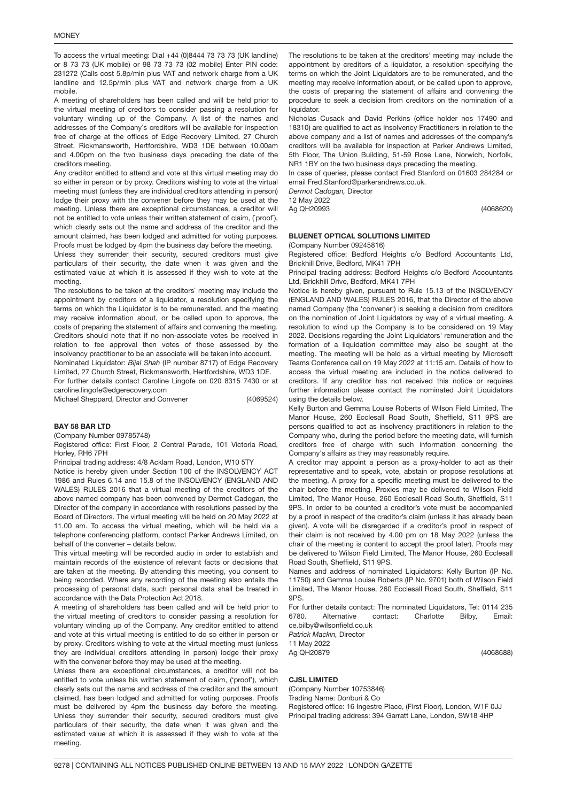To access the virtual meeting: Dial +44 (0)8444 73 73 73 (UK landline) or 8 73 73 (UK mobile) or 98 73 73 73 (02 mobile) Enter PIN code: 231272 (Calls cost 5.8p/min plus VAT and network charge from a UK landline and 12.5p/min plus VAT and network charge from a UK mobile.

A meeting of shareholders has been called and will be held prior to the virtual meeting of creditors to consider passing a resolution for voluntary winding up of the Company. A list of the names and addresses of the Company`s creditors will be available for inspection free of charge at the offices of Edge Recovery Limited, 27 Church Street, Rickmansworth, Hertfordshire, WD3 1DE between 10.00am and 4.00pm on the two business days preceding the date of the creditors meeting.

Any creditor entitled to attend and vote at this virtual meeting may do so either in person or by proxy. Creditors wishing to vote at the virtual meeting must (unless they are individual creditors attending in person) lodge their proxy with the convener before they may be used at the meeting. Unless there are exceptional circumstances, a creditor will not be entitled to vote unless their written statement of claim, (proof), which clearly sets out the name and address of the creditor and the amount claimed, has been lodged and admitted for voting purposes. Proofs must be lodged by 4pm the business day before the meeting.

Unless they surrender their security, secured creditors must give particulars of their security, the date when it was given and the estimated value at which it is assessed if they wish to vote at the meeting.

The resolutions to be taken at the creditors` meeting may include the appointment by creditors of a liquidator, a resolution specifying the terms on which the Liquidator is to be remunerated, and the meeting may receive information about, or be called upon to approve, the costs of preparing the statement of affairs and convening the meeting. Creditors should note that if no non-associate votes be received in relation to fee approval then votes of those assessed by the insolvency practitioner to be an associate will be taken into account.

Nominated Liquidator: *Bijal Shah* (IP number 8717) of Edge Recovery Limited, 27 Church Street, Rickmansworth, Hertfordshire, WD3 1DE. For further details contact Caroline Lingofe on 020 8315 7430 or at

caroline.lingofe@edgerecovery.com

(4069524) Michael Sheppard, Director and Convener

## BAY 58 BAR <mark>LTD</mark>

(Company Number 09785748)

Registered office: First Floor, 2 Central Parade, 101 Victoria Road, Horley, RH6 7PH

Principal trading address: 4/8 Acklam Road, London, W10 5TY

Notice is hereby given under Section 100 of the INSOLVENCY ACT 1986 and Rules 6.14 and 15.8 of the INSOLVENCY (ENGLAND AND WALES) RULES 2016 that a virtual meeting of the creditors of the above named company has been convened by Dermot Cadogan, the Director of the company in accordance with resolutions passed by the Board of Directors. The virtual meeting will be held on 20 May 2022 at 11.00 am. To access the virtual meeting, which will be held via a telephone conferencing platform, contact Parker Andrews Limited, on behalf of the convener – details below.

This virtual meeting will be recorded audio in order to establish and maintain records of the existence of relevant facts or decisions that are taken at the meeting. By attending this meeting, you consent to being recorded. Where any recording of the meeting also entails the processing of personal data, such personal data shall be treated in accordance with the Data Protection Act 2018.

A meeting of shareholders has been called and will be held prior to the virtual meeting of creditors to consider passing a resolution for voluntary winding up of the Company. Any creditor entitled to attend and vote at this virtual meeting is entitled to do so either in person or by proxy. Creditors wishing to vote at the virtual meeting must (unless they are individual creditors attending in person) lodge their proxy with the convener before they may be used at the meeting.

Unless there are exceptional circumstances, a creditor will not be entitled to vote unless his written statement of claim, ('proof'), which clearly sets out the name and address of the creditor and the amount claimed, has been lodged and admitted for voting purposes. Proofs must be delivered by 4pm the business day before the meeting. Unless they surrender their security, secured creditors must give particulars of their security, the date when it was given and the estimated value at which it is assessed if they wish to vote at the meeting.

The resolutions to be taken at the creditors' meeting may include the appointment by creditors of a liquidator, a resolution specifying the terms on which the Joint Liquidators are to be remunerated, and the meeting may receive information about, or be called upon to approve, the costs of preparing the statement of affairs and convening the procedure to seek a decision from creditors on the nomination of a liquidator.

Nicholas Cusack and David Perkins (office holder nos 17490 and 18310) are qualified to act as Insolvency Practitioners in relation to the above company and a list of names and addresses of the company's creditors will be available for inspection at Parker Andrews Limited, 5th Floor, The Union Building, 51-59 Rose Lane, Norwich, Norfolk, NR1 1BY on the two business days preceding the meeting.

In case of queries, please contact Fred Stanford on 01603 284284 or email Fred.Stanford@parkerandrews.co.uk.

*Dermot Cadogan,* Director

12 May 2022 Ag QH20993

BLUENET OPTICAL SOLUTIONS LIMITED

(Company Number 09245816)

Registered office: Bedford Heights c/o Bedford Accountants Ltd, Brickhill Drive, Bedford, MK41 7PH

Principal trading address: Bedford Heights c/o Bedford Accountants Ltd, Brickhill Drive, Bedford, MK41 7PH

Notice is hereby given, pursuant to Rule 15.13 of the INSOLVENCY (ENGLAND AND WALES) RULES 2016, that the Director of the above named Company (the 'convener') is seeking a decision from creditors on the nomination of Joint Liquidators by way of a virtual meeting. A resolution to wind up the Company is to be considered on 19 May 2022. Decisions regarding the Joint Liquidators' remuneration and the formation of a liquidation committee may also be sought at the meeting. The meeting will be held as a virtual meeting by Microsoft Teams Conference call on 19 May 2022 at 11:15 am. Details of how to access the virtual meeting are included in the notice delivered to creditors. If any creditor has not received this notice or requires further information please contact the nominated Joint Liquidators using the details below.

Kelly Burton and Gemma Louise Roberts of Wilson Field Limited, The Manor House, 260 Ecclesall Road South, Sheffield, S11 9PS are persons qualified to act as insolvency practitioners in relation to the Company who, during the period before the meeting date, will furnish creditors free of charge with such information concerning the Company's affairs as they may reasonably require.

A creditor may appoint a person as a proxy-holder to act as their representative and to speak, vote, abstain or propose resolutions at the meeting. A proxy for a specific meeting must be delivered to the chair before the meeting. Proxies may be delivered to Wilson Field Limited, The Manor House, 260 Ecclesall Road South, Sheffield, S11 9PS. In order to be counted a creditor's vote must be accompanied by a proof in respect of the creditor's claim (unless it has already been given). A vote will be disregarded if a creditor's proof in respect of their claim is not received by 4.00 pm on 18 May 2022 (unless the chair of the meeting is content to accept the proof later). Proofs may be delivered to Wilson Field Limited, The Manor House, 260 Ecclesall Road South, Sheffield, S11 9PS.

Names and address of nominated Liquidators: Kelly Burton (IP No. 11750) and Gemma Louise Roberts (IP No. 9701) both of Wilson Field Limited, The Manor House, 260 Ecclesall Road South, Sheffield, S11 9PS.

For further details contact: The nominated Liquidators, Tel: 0114 235 6780. Alternative contact: Charlotte Bilby, Email: ce.bilby@wilsonfield.co.uk

*Patrick Mackin,* Director

11 May 2022 Ag QH20879

(4068688)

(4068620)

# CJSL LIMITED

(Company Number 10753846) Trading Name: Donburi & Co Registered office: 16 Ingestre Place, (First Floor), London, W1F 0JJ

Principal trading address: 394 Garratt Lane, London, SW18 4HP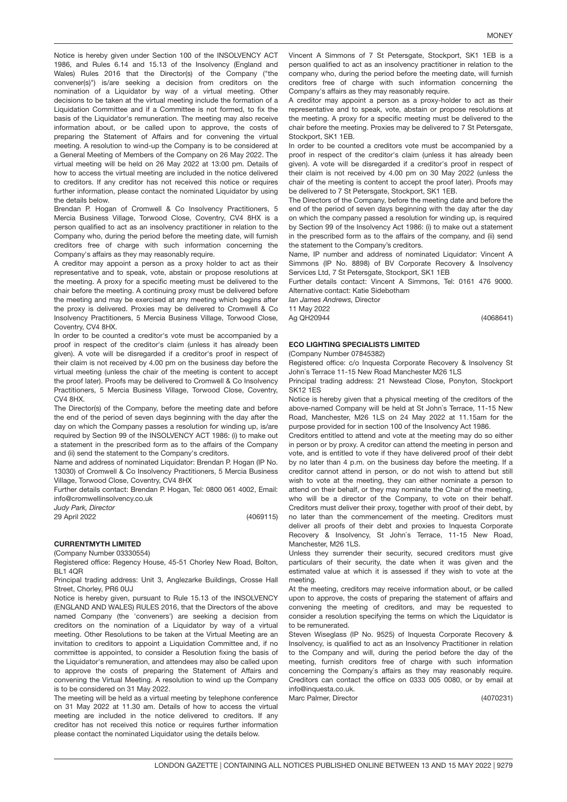(4068641)

Notice is hereby given under Section 100 of the INSOLVENCY ACT 1986, and Rules 6.14 and 15.13 of the Insolvency (England and Wales) Rules 2016 that the Director(s) of the Company ("the convener(s)") is/are seeking a decision from creditors on the nomination of a Liquidator by way of a virtual meeting. Other decisions to be taken at the virtual meeting include the formation of a Liquidation Committee and if a Committee is not formed, to fix the basis of the Liquidator's remuneration. The meeting may also receive information about, or be called upon to approve, the costs of preparing the Statement of Affairs and for convening the virtual meeting. A resolution to wind-up the Company is to be considered at a General Meeting of Members of the Company on 26 May 2022. The virtual meeting will be held on 26 May 2022 at 13:00 pm. Details of how to access the virtual meeting are included in the notice delivered to creditors. If any creditor has not received this notice or requires further information, please contact the nominated Liquidator by using the details below.

Brendan P. Hogan of Cromwell & Co Insolvency Practitioners, 5 Mercia Business Village, Torwood Close, Coventry, CV4 8HX is a person qualified to act as an insolvency practitioner in relation to the Company who, during the period before the meeting date, will furnish creditors free of charge with such information concerning the Company's affairs as they may reasonably require.

A creditor may appoint a person as a proxy holder to act as their representative and to speak, vote, abstain or propose resolutions at the meeting. A proxy for a specific meeting must be delivered to the chair before the meeting. A continuing proxy must be delivered before the meeting and may be exercised at any meeting which begins after the proxy is delivered. Proxies may be delivered to Cromwell & Co Insolvency Practitioners, 5 Mercia Business Village, Torwood Close, Coventry, CV4 8HX.

In order to be counted a creditor's vote must be accompanied by a proof in respect of the creditor's claim (unless it has already been given). A vote will be disregarded if a creditor's proof in respect of their claim is not received by 4.00 pm on the business day before the virtual meeting (unless the chair of the meeting is content to accept the proof later). Proofs may be delivered to Cromwell & Co Insolvency Practitioners, 5 Mercia Business Village, Torwood Close, Coventry, CV4 8HX.

The Director(s) of the Company, before the meeting date and before the end of the period of seven days beginning with the day after the day on which the Company passes a resolution for winding up, is/are required by Section 99 of the INSOLVENCY ACT 1986: (i) to make out a statement in the prescribed form as to the affairs of the Company and (ii) send the statement to the Company's creditors.

Name and address of nominated Liquidator: Brendan P. Hogan (IP No. 13030) of Cromwell & Co Insolvency Practitioners, 5 Mercia Business Village, Torwood Close, Coventry, CV4 8HX

Further details contact: Brendan P. Hogan, Tel: 0800 061 4002, Email: info@cromwellinsolvency.co.uk

*Judy Park, Director* 29 April 2022

(4069115)

# 4068641 CURRENTMYTH LIMITED

(Company Number 03330554)

Registered office: Regency House, 45-51 Chorley New Road, Bolton,  $RI 1 4OR$ 

Principal trading address: Unit 3, Anglezarke Buildings, Crosse Hall Street, Chorley, PR6 0UJ

Notice is hereby given, pursuant to Rule 15.13 of the INSOLVENCY (ENGLAND AND WALES) RULES 2016, that the Directors of the above named Company (the 'conveners') are seeking a decision from creditors on the nomination of a Liquidator by way of a virtual meeting. Other Resolutions to be taken at the Virtual Meeting are an invitation to creditors to appoint a Liquidation Committee and, if no committee is appointed, to consider a Resolution fixing the basis of the Liquidator's remuneration, and attendees may also be called upon to approve the costs of preparing the Statement of Affairs and convening the Virtual Meeting. A resolution to wind up the Company is to be considered on 31 May 2022.

The meeting will be held as a virtual meeting by telephone conference on 31 May 2022 at 11.30 am. Details of how to access the virtual meeting are included in the notice delivered to creditors. If any creditor has not received this notice or requires further information please contact the nominated Liquidator using the details below.

Vincent A Simmons of 7 St Petersgate, Stockport, SK1 1EB is a person qualified to act as an insolvency practitioner in relation to the company who, during the period before the meeting date, will furnish creditors free of charge with such information concerning the Company's affairs as they may reasonably require.

A creditor may appoint a person as a proxy-holder to act as their representative and to speak, vote, abstain or propose resolutions at the meeting. A proxy for a specific meeting must be delivered to the chair before the meeting. Proxies may be delivered to 7 St Petersgate, Stockport, SK1 1EB.

In order to be counted a creditors vote must be accompanied by a proof in respect of the creditor's claim (unless it has already been given). A vote will be disregarded if a creditor's proof in respect of their claim is not received by 4.00 pm on 30 May 2022 (unless the chair of the meeting is content to accept the proof later). Proofs may be delivered to 7 St Petersgate, Stockport, SK1 1EB.

The Directors of the Company, before the meeting date and before the end of the period of seven days beginning with the day after the day on which the company passed a resolution for winding up, is required by Section 99 of the Insolvency Act 1986: (i) to make out a statement in the prescribed form as to the affairs of the company, and (ii) send the statement to the Company's creditors.

Name, IP number and address of nominated Liquidator: Vincent A Simmons (IP No. 8898) of BV Corporate Recovery & Insolvency Services Ltd, 7 St Petersgate, Stockport, SK1 1EB

Further details contact: Vincent A Simmons, Tel: 0161 476 9000. Alternative contact: Katie Sidebotham

*Ian James Andrews,* Director

11 May 2022 Ag QH20944

# ECO LIGHTING SPECIALISTS LIMITED

(Company Number 07845382)

Registered office: c/o Inquesta Corporate Recovery & Insolvency St John`s Terrace 11-15 New Road Manchester M26 1LS

Principal trading address: 21 Newstead Close, Ponyton, Stockport SK12 1ES

Notice is hereby given that a physical meeting of the creditors of the above-named Company will be held at St John`s Terrace, 11-15 New Road, Manchester, M26 1LS on 24 May 2022 at 11.15am for the purpose provided for in section 100 of the Insolvency Act 1986.

Creditors entitled to attend and vote at the meeting may do so either in person or by proxy. A creditor can attend the meeting in person and vote, and is entitled to vote if they have delivered proof of their debt by no later than 4 p.m. on the business day before the meeting. If a creditor cannot attend in person, or do not wish to attend but still wish to vote at the meeting, they can either nominate a person to attend on their behalf, or they may nominate the Chair of the meeting, who will be a director of the Company, to vote on their behalf. Creditors must deliver their proxy, together with proof of their debt, by no later than the commencement of the meeting. Creditors must deliver all proofs of their debt and proxies to Inquesta Corporate Recovery & Insolvency, St John`s Terrace, 11-15 New Road, Manchester, M26 1LS.

Unless they surrender their security, secured creditors must give particulars of their security, the date when it was given and the estimated value at which it is assessed if they wish to vote at the meeting.

At the meeting, creditors may receive information about, or be called upon to approve, the costs of preparing the statement of affairs and convening the meeting of creditors, and may be requested to consider a resolution specifying the terms on which the Liquidator is to be remunerated.

Steven Wiseglass (IP No. 9525) of Inquesta Corporate Recovery & Insolvency, is qualified to act as an Insolvency Practitioner in relation to the Company and will, during the period before the day of the meeting, furnish creditors free of charge with such information concerning the Company`s affairs as they may reasonably require. Creditors can contact the office on 0333 005 0080, or by email at info@inquesta.co.uk.

Marc Palmer, Director

(4070231)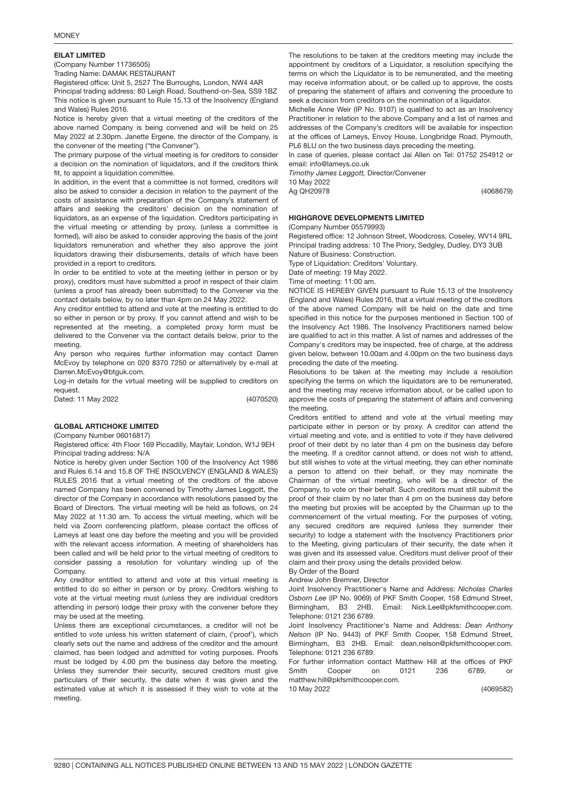# EILAT LIMITED

(Company Number 11736505)

Trading Name: DAMAK RESTAURANT

Registered office: Unit 5, 2527 The Burroughs, London, NW4 4AR Principal trading address: 80 Leigh Road, Southend-on-Sea, SS9 1BZ This notice is given pursuant to Rule 15.13 of the Insolvency (England and Wales) Rules 2016.

Notice is hereby given that a virtual meeting of the creditors of the above named Company is being convened and will be held on 25 May 2022 at 2.30pm. Janette Ergene, the director of the Company, is the convener of the meeting ("the Convener").

The primary purpose of the virtual meeting is for creditors to consider a decision on the nomination of liquidators, and if the creditors think fit, to appoint a liquidation committee.

In addition, in the event that a committee is not formed, creditors will also be asked to consider a decision in relation to the payment of the costs of assistance with preparation of the Company's statement of affairs and seeking the creditors' decision on the nomination of liquidators, as an expense of the liquidation. Creditors participating in the virtual meeting or attending by proxy, (unless a committee is formed), will also be asked to consider approving the basis of the joint liquidators remuneration and whether they also approve the joint liquidators drawing their disbursements, details of which have been provided in a report to creditors.

In order to be entitled to vote at the meeting (either in person or by proxy), creditors must have submitted a proof in respect of their claim (unless a proof has already been submitted) to the Convener via the contact details below, by no later than 4pm on 24 May 2022.

Any creditor entitled to attend and vote at the meeting is entitled to do so either in person or by proxy. If you cannot attend and wish to be represented at the meeting, a completed proxy form must be delivered to the Convener via the contact details below, prior to the meeting.

Any person who requires further information may contact Darren McEvoy by telephone on 020 8370 7250 or alternatively by e-mail at Darren.McEvoy@btguk.com.

Log-in details for the virtual meeting will be supplied to creditors on request.

Dated: 11 May 2022

(4070520)

# 4068679 GLOBAL ARTICHOKE LIMITED

(Company Number 06016817)

Registered office: 4th Floor 169 Piccadilly, Mayfair, London, W1J 9EH Principal trading address: N/A

Notice is hereby given under Section 100 of the Insolvency Act 1986 and Rules 6.14 and 15.8 OF THE INSOLVENCY (ENGLAND & WALES) RULES 2016 that a virtual meeting of the creditors of the above named Company has been convened by Timothy James Leggott, the director of the Company in accordance with resolutions passed by the Board of Directors. The virtual meeting will be held as follows, on 24 May 2022 at 11.30 am. To access the virtual meeting, which will be held via Zoom conferencing platform, please contact the offices of Lameys at least one day before the meeting and you will be provided with the relevant access information. A meeting of shareholders has been called and will be held prior to the virtual meeting of creditors to consider passing a resolution for voluntary winding up of the **Company** 

Any creditor entitled to attend and vote at this virtual meeting is entitled to do so either in person or by proxy. Creditors wishing to vote at the virtual meeting must (unless they are individual creditors attending in person) lodge their proxy with the convener before they may be used at the meeting.

Unless there are exceptional circumstances, a creditor will not be entitled to vote unless his written statement of claim, ('proof'), which clearly sets out the name and address of the creditor and the amount claimed, has been lodged and admitted for voting purposes. Proofs must be lodged by 4.00 pm the business day before the meeting. Unless they surrender their security, secured creditors must give particulars of their security, the date when it was given and the estimated value at which it is assessed if they wish to vote at the meeting.

The resolutions to be taken at the creditors meeting may include the appointment by creditors of a Liquidator, a resolution specifying the terms on which the Liquidator is to be remunerated, and the meeting may receive information about, or be called up to approve, the costs of preparing the statement of affairs and convening the procedure to seek a decision from creditors on the nomination of a liquidator.

Michelle Anne Weir (IP No. 9107) is qualified to act as an Insolvency Practitioner in relation to the above Company and a list of names and addresses of the Company's creditors will be available for inspection at the offices of Lameys, Envoy House, Longbridge Road, Plymouth, PL6 8LU on the two business days preceding the meeting.

In case of queries, please contact Jai Allen on Tel: 01752 254912 or email: info@lameys.co.uk

*Timothy James Leggott,* Director/Convener 10 May 2022

Ag QH20978

(4068679)

# 4069582 HIGHGROVE DEVELOPMENTS LIMITED

(Company Number 05579993)

Registered office: 12 Johnson Street, Woodcross, Coseley, WV14 9RL Principal trading address: 10 The Priory, Sedgley, Dudley, DY3 3UB

Nature of Business: Construction.

Type of Liquidation: Creditors' Voluntary.

Date of meeting: 19 May 2022. Time of meeting: 11:00 am.

NOTICE IS HEREBY GIVEN pursuant to Rule 15.13 of the Insolvency (England and Wales) Rules 2016, that a virtual meeting of the creditors of the above named Company will be held on the date and time specified in this notice for the purposes mentioned in Section 100 of the Insolvency Act 1986. The Insolvency Practitioners named below are qualified to act in this matter. A list of names and addresses of the Company's creditors may be inspected, free of charge, at the address given below, between 10.00am and 4.00pm on the two business days preceding the date of the meeting.

Resolutions to be taken at the meeting may include a resolution specifying the terms on which the liquidators are to be remunerated, and the meeting may receive information about, or be called upon to approve the costs of preparing the statement of affairs and convening the meeting.

Creditors entitled to attend and vote at the virtual meeting may participate either in person or by proxy. A creditor can attend the virtual meeting and vote, and is entitled to vote if they have delivered proof of their debt by no later than 4 pm on the business day before the meeting. If a creditor cannot attend, or does not wish to attend, but still wishes to vote at the virtual meeting, they can ether nominate a person to attend on their behalf, or they may nominate the Chairman of the virtual meeting, who will be a director of the Company, to vote on their behalf. Such creditors must still submit the proof of their claim by no later than 4 pm on the business day before the meeting but proxies will be accepted by the Chairman up to the commencement of the virtual meeting. For the purposes of voting, any secured creditors are required (unless they surrender their security) to lodge a statement with the Insolvency Practitioners prior to the Meeting, giving particulars of their security, the date when it was given and its assessed value. Creditors must deliver proof of their claim and their proxy using the details provided below.

By Order of the Board

10 May 2022

### Andrew John Bremner, Director

Joint Insolvency Practitioner's Name and Address: *Nicholas Charles Osborn Lee* (IP No. 9069) of PKF Smith Cooper, 158 Edmund Street, Birmingham, B3 2HB. Email: Nick.Lee@pkfsmithcooper.com. Telephone: 0121 236 6789.

Joint Insolvency Practitioner's Name and Address: *Dean Anthony Nelson* (IP No. 9443) of PKF Smith Cooper, 158 Edmund Street, Birmingham, B3 2HB. Email: dean.nelson@pkfsmithcooper.com. Telephone: 0121 236 6789.

For further information contact Matthew Hill at the offices of PKF Smith Cooper on 0121 236 6789, or matthew.hill@pkfsmithcooper.com.

(4069582)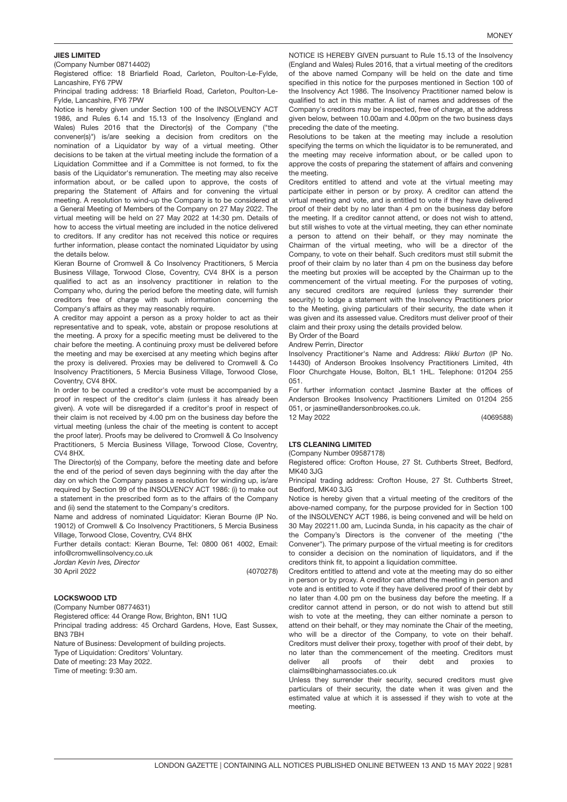# JIES LIMITE<mark>D</mark>

(Company Number 08714402)

Registered office: 18 Briarfield Road, Carleton, Poulton-Le-Fylde, Lancashire, FY6 7PW

Principal trading address: 18 Briarfield Road, Carleton, Poulton-Le-Fylde, Lancashire, FY6 7PW

Notice is hereby given under Section 100 of the INSOLVENCY ACT 1986, and Rules 6.14 and 15.13 of the Insolvency (England and Wales) Rules 2016 that the Director(s) of the Company ("the convener(s)") is/are seeking a decision from creditors on the nomination of a Liquidator by way of a virtual meeting. Other decisions to be taken at the virtual meeting include the formation of a Liquidation Committee and if a Committee is not formed, to fix the basis of the Liquidator's remuneration. The meeting may also receive information about, or be called upon to approve, the costs of preparing the Statement of Affairs and for convening the virtual meeting. A resolution to wind-up the Company is to be considered at a General Meeting of Members of the Company on 27 May 2022. The virtual meeting will be held on 27 May 2022 at 14:30 pm. Details of how to access the virtual meeting are included in the notice delivered to creditors. If any creditor has not received this notice or requires further information, please contact the nominated Liquidator by using the details below.

Kieran Bourne of Cromwell & Co Insolvency Practitioners, 5 Mercia Business Village, Torwood Close, Coventry, CV4 8HX is a person qualified to act as an insolvency practitioner in relation to the Company who, during the period before the meeting date, will furnish creditors free of charge with such information concerning the Company's affairs as they may reasonably require.

A creditor may appoint a person as a proxy holder to act as their representative and to speak, vote, abstain or propose resolutions at the meeting. A proxy for a specific meeting must be delivered to the chair before the meeting. A continuing proxy must be delivered before the meeting and may be exercised at any meeting which begins after the proxy is delivered. Proxies may be delivered to Cromwell & Co Insolvency Practitioners, 5 Mercia Business Village, Torwood Close, Coventry, CV4 8HX.

In order to be counted a creditor's vote must be accompanied by a proof in respect of the creditor's claim (unless it has already been given). A vote will be disregarded if a creditor's proof in respect of their claim is not received by 4.00 pm on the business day before the virtual meeting (unless the chair of the meeting is content to accept the proof later). Proofs may be delivered to Cromwell & Co Insolvency Practitioners, 5 Mercia Business Village, Torwood Close, Coventry, CV4 8HX.

The Director(s) of the Company, before the meeting date and before the end of the period of seven days beginning with the day after the day on which the Company passes a resolution for winding up, is/are required by Section 99 of the INSOLVENCY ACT 1986: (i) to make out a statement in the prescribed form as to the affairs of the Company and (ii) send the statement to the Company's creditors.

Name and address of nominated Liquidator: Kieran Bourne (IP No. 19012) of Cromwell & Co Insolvency Practitioners, 5 Mercia Business Village, Torwood Close, Coventry, CV4 8HX

Further details contact: Kieran Bourne, Tel: 0800 061 4002, Email: info@cromwellinsolvency.co.uk

*Jordan Kevin Ives, Director*

30 April 2022

(4070278)

## LOCKSWOOD <mark>LTD</mark>

(Company Number 08774631)

Registered office: 44 Orange Row, Brighton, BN1 1UQ Principal trading address: 45 Orchard Gardens, Hove, East Sussex, BN3 7BH Nature of Business: Development of building projects. Type of Liquidation: Creditors' Voluntary.

Date of meeting: 23 May 2022.

Time of meeting: 9:30 am.

NOTICE IS HEREBY GIVEN pursuant to Rule 15.13 of the Insolvency (England and Wales) Rules 2016, that a virtual meeting of the creditors of the above named Company will be held on the date and time specified in this notice for the purposes mentioned in Section 100 of the Insolvency Act 1986. The Insolvency Practitioner named below is qualified to act in this matter. A list of names and addresses of the Company's creditors may be inspected, free of charge, at the address given below, between 10.00am and 4.00pm on the two business days preceding the date of the meeting.

Resolutions to be taken at the meeting may include a resolution specifying the terms on which the liquidator is to be remunerated, and the meeting may receive information about, or be called upon to approve the costs of preparing the statement of affairs and convening the meeting.

Creditors entitled to attend and vote at the virtual meeting may participate either in person or by proxy. A creditor can attend the virtual meeting and vote, and is entitled to vote if they have delivered proof of their debt by no later than 4 pm on the business day before the meeting. If a creditor cannot attend, or does not wish to attend, but still wishes to vote at the virtual meeting, they can ether nominate a person to attend on their behalf, or they may nominate the Chairman of the virtual meeting, who will be a director of the Company, to vote on their behalf. Such creditors must still submit the proof of their claim by no later than 4 pm on the business day before the meeting but proxies will be accepted by the Chairman up to the commencement of the virtual meeting. For the purposes of voting, any secured creditors are required (unless they surrender their security) to lodge a statement with the Insolvency Practitioners prior to the Meeting, giving particulars of their security, the date when it was given and its assessed value. Creditors must deliver proof of their claim and their proxy using the details provided below.

By Order of the Board

Andrew Perrin, Director

Insolvency Practitioner's Name and Address: *Rikki Burton* (IP No. 14430) of Anderson Brookes Insolvency Practitioners Limited, 4th Floor Churchgate House, Bolton, BL1 1HL. Telephone: 01204 255 051.

For further information contact Jasmine Baxter at the offices of Anderson Brookes Insolvency Practitioners Limited on 01204 255 051, or jasmine@andersonbrookes.co.uk. 12 May 2022

(4069588)

# LTS CLEANING LIMITED

(Company Number 09587178)

Registered office: Crofton House, 27 St. Cuthberts Street, Bedford,  $MK40.3$ JG

Principal trading address: Crofton House, 27 St. Cuthberts Street, Bedford, MK40 3JG

Notice is hereby given that a virtual meeting of the creditors of the above-named company, for the purpose provided for in Section 100 of the INSOLVENCY ACT 1986, is being convened and will be held on 30 May 202211.00 am, Lucinda Sunda, in his capacity as the chair of the Company's Directors is the convener of the meeting ("the Convener"). The primary purpose of the virtual meeting is for creditors to consider a decision on the nomination of liquidators, and if the creditors think fit, to appoint a liquidation committee.

Creditors entitled to attend and vote at the meeting may do so either in person or by proxy. A creditor can attend the meeting in person and vote and is entitled to vote if they have delivered proof of their debt by no later than 4.00 pm on the business day before the meeting. If a creditor cannot attend in person, or do not wish to attend but still wish to vote at the meeting, they can either nominate a person to attend on their behalf, or they may nominate the Chair of the meeting, who will be a director of the Company, to vote on their behalf. Creditors must deliver their proxy, together with proof of their debt, by no later than the commencement of the meeting. Creditors must deliver all proofs of their debt and proxies to claims@binghamassociates.co.uk

Unless they surrender their security, secured creditors must give particulars of their security, the date when it was given and the estimated value at which it is assessed if they wish to vote at the meeting.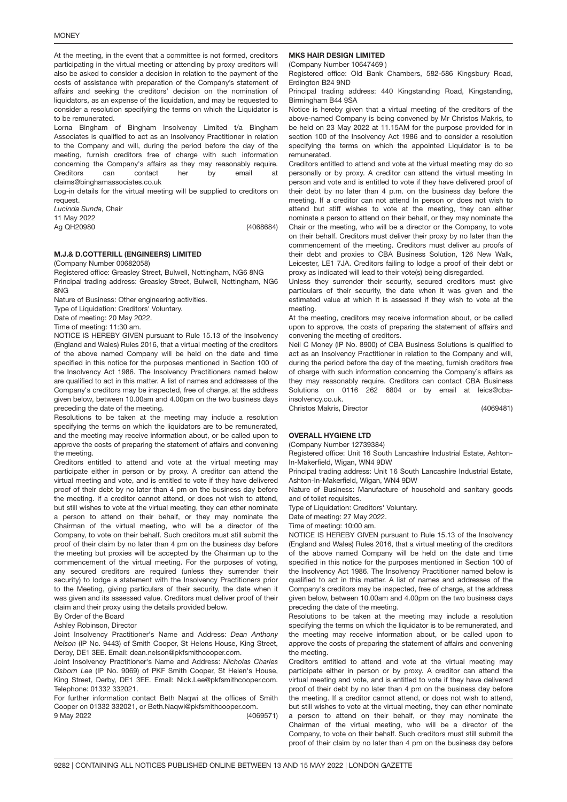At the meeting, in the event that a committee is not formed, creditors participating in the virtual meeting or attending by proxy creditors will also be asked to consider a decision in relation to the payment of the costs of assistance with preparation of the Company's statement of affairs and seeking the creditors' decision on the nomination of liquidators, as an expense of the liquidation, and may be requested to consider a resolution specifying the terms on which the Liquidator is to be remunerated.

Lorna Bingham of Bingham Insolvency Limited t/a Bingham Associates is qualified to act as an Insolvency Practitioner in relation to the Company and will, during the period before the day of the meeting, furnish creditors free of charge with such information concerning the Company's affairs as they may reasonably require. Creditors can contact her by email claims@binghamassociates.co.uk

Log-in details for the virtual meeting will be supplied to creditors on request.

*Lucinda Sunda,* Chair 11 May 2022

Ag QH20980

(4068684)

# 4069571 M.J.& D.COTTERILL (ENGINEERS) LIMITED

(Company Number 00682058)

Registered office: Greasley Street, Bulwell, Nottingham, NG6 8NG Principal trading address: Greasley Street, Bulwell, Nottingham, NG6 8NG

Nature of Business: Other engineering activities.

Type of Liquidation: Creditors' Voluntary.

Date of meeting: 20 May 2022.

Time of meeting: 11:30 am.

NOTICE IS HEREBY GIVEN pursuant to Rule 15.13 of the Insolvency (England and Wales) Rules 2016, that a virtual meeting of the creditors of the above named Company will be held on the date and time specified in this notice for the purposes mentioned in Section 100 of the Insolvency Act 1986. The Insolvency Practitioners named below are qualified to act in this matter. A list of names and addresses of the Company's creditors may be inspected, free of charge, at the address given below, between 10.00am and 4.00pm on the two business days preceding the date of the meeting.

Resolutions to be taken at the meeting may include a resolution specifying the terms on which the liquidators are to be remunerated, and the meeting may receive information about, or be called upon to approve the costs of preparing the statement of affairs and convening the meeting.

Creditors entitled to attend and vote at the virtual meeting may participate either in person or by proxy. A creditor can attend the virtual meeting and vote, and is entitled to vote if they have delivered proof of their debt by no later than 4 pm on the business day before the meeting. If a creditor cannot attend, or does not wish to attend, but still wishes to vote at the virtual meeting, they can ether nominate a person to attend on their behalf, or they may nominate the Chairman of the virtual meeting, who will be a director of the Company, to vote on their behalf. Such creditors must still submit the proof of their claim by no later than 4 pm on the business day before the meeting but proxies will be accepted by the Chairman up to the commencement of the virtual meeting. For the purposes of voting, any secured creditors are required (unless they surrender their security) to lodge a statement with the Insolvency Practitioners prior to the Meeting, giving particulars of their security, the date when it was given and its assessed value. Creditors must deliver proof of their claim and their proxy using the details provided below.

By Order of the Board

Ashley Robinson, Director

Joint Insolvency Practitioner's Name and Address: *Dean Anthony Nelson* (IP No. 9443) of Smith Cooper, St Helens House, King Street, Derby, DE1 3EE. Email: dean.nelson@pkfsmithcooper.com.

Joint Insolvency Practitioner's Name and Address: *Nicholas Charles Osborn Lee* (IP No. 9069) of PKF Smith Cooper, St Helen's House, King Street, Derby, DE1 3EE. Email: Nick.Lee@pkfsmithcooper.com. Telephone: 01332 332021.

For further information contact Beth Naqwi at the offices of Smith Cooper on 01332 332021, or Beth.Naqwi@pkfsmithcooper.com. 9 May 2022

(4069571)

# MKS HAIR DESIGN LIMITED

(Company Number 10647469 )

Registered office: Old Bank Chambers, 582-586 Kingsbury Road, Erdington B24 9ND

Principal trading address: 440 Kingstanding Road, Kingstanding, Birmingham B44 9SA

Notice is hereby given that a virtual meeting of the creditors of the above-named Company is being convened by Mr Christos Makris, to be held on 23 May 2022 at 11.15AM for the purpose provided for in section 100 of the Insolvency Act 1986 and to consider a resolution specifying the terms on which the appointed Liquidator is to be remunerated.

Creditors entitled to attend and vote at the virtual meeting may do so personally or by proxy. A creditor can attend the virtual meeting In person and vote and is entitled to vote if they have delivered proof of their debt by no later than 4 p.m. on the business day before the meeting. If a creditor can not attend In person or does not wish to attend but stiff wishes to vote at the meeting, they can either nominate a person to attend on their behalf, or they may nominate the Chair or the meeting, who will be a director or the Company, to vote on their behalf. Creditors must deliver their proxy by no later than the commencement of the meeting. Creditors must deliver au proofs of their debt and proxies to CBA Business Solution, 126 New Walk, Leicester, LE1 7JA. Creditors failing to lodge a proof of their debt or proxy as indicated will lead to their vote(s) being disregarded.

Unless they surrender their security, secured creditors must give particulars of their security, the date when it was given and the estimated value at which It is assessed if they wish to vote at the meeting.

At the meeting, creditors may receive information about, or be called upon to approve, the costs of preparing the statement of affairs and convening the meeting of creditors.

Neil C Money (IP No. 8900) of CBA Business Solutions is qualified to act as an Insolvency Practitioner in relation to the Company and will, during the period before the day of the meeting, furnish creditors free of charge with such information concerning the Company`s affairs as they may reasonably require. Creditors can contact CBA Business Solutions on 0116 262 6804 or by email at leics@cbainsolvency.co.uk.

(4069481) Christos Makris, Director

# 4069585 OVERALL HYGIENE LTD

(Company Number 12739384)

Registered office: Unit 16 South Lancashire Industrial Estate, Ashton-In-Makerfield, Wigan, WN4 9DW

Principal trading address: Unit 16 South Lancashire Industrial Estate, Ashton-In-Makerfield, Wigan, WN4 9DW

Nature of Business: Manufacture of household and sanitary goods and of toilet requisites.

Type of Liquidation: Creditors' Voluntary.

Date of meeting: 27 May 2022.

Time of meeting: 10:00 am.

NOTICE IS HEREBY GIVEN pursuant to Rule 15.13 of the Insolvency (England and Wales) Rules 2016, that a virtual meeting of the creditors of the above named Company will be held on the date and time specified in this notice for the purposes mentioned in Section 100 of the Insolvency Act 1986. The Insolvency Practitioner named below is qualified to act in this matter. A list of names and addresses of the Company's creditors may be inspected, free of charge, at the address given below, between 10.00am and 4.00pm on the two business days preceding the date of the meeting.

Resolutions to be taken at the meeting may include a resolution specifying the terms on which the liquidator is to be remunerated, and the meeting may receive information about, or be called upon to approve the costs of preparing the statement of affairs and convening the meeting.

Creditors entitled to attend and vote at the virtual meeting may participate either in person or by proxy. A creditor can attend the virtual meeting and vote, and is entitled to vote if they have delivered proof of their debt by no later than 4 pm on the business day before the meeting. If a creditor cannot attend, or does not wish to attend, but still wishes to vote at the virtual meeting, they can ether nominate a person to attend on their behalf, or they may nominate the Chairman of the virtual meeting, who will be a director of the Company, to vote on their behalf. Such creditors must still submit the proof of their claim by no later than 4 pm on the business day before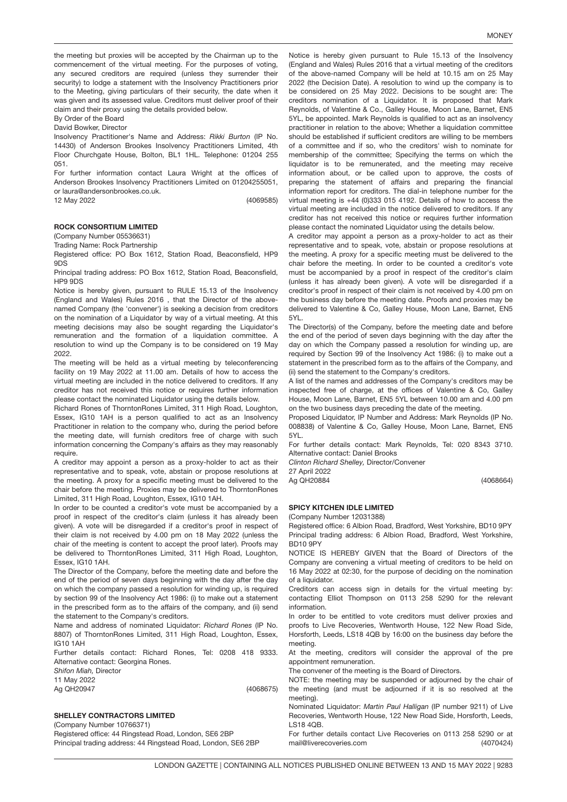the meeting but proxies will be accepted by the Chairman up to the commencement of the virtual meeting. For the purposes of voting, any secured creditors are required (unless they surrender their security) to lodge a statement with the Insolvency Practitioners prior to the Meeting, giving particulars of their security, the date when it was given and its assessed value. Creditors must deliver proof of their claim and their proxy using the details provided below.

By Order of the Board

David Bowker, Director

Insolvency Practitioner's Name and Address: *Rikki Burton* (IP No. 14430) of Anderson Brookes Insolvency Practitioners Limited, 4th Floor Churchgate House, Bolton, BL1 1HL. Telephone: 01204 255 051.

For further information contact Laura Wright at the offices of Anderson Brookes Insolvency Practitioners Limited on 01204255051, or laura@andersonbrookes.co.uk.

12 May 2022

(4069585)

### 4068675 ROCK CONSORTIUM LIMITED

(Company Number 05536631)

Trading Name: Rock Partnership

Registered office: PO Box 1612, Station Road, Beaconsfield, HP9 9DS

Principal trading address: PO Box 1612, Station Road, Beaconsfield, HP9 9DS

Notice is hereby given, pursuant to RULE 15.13 of the Insolvency (England and Wales) Rules 2016 , that the Director of the abovenamed Company (the 'convener') is seeking a decision from creditors on the nomination of a Liquidator by way of a virtual meeting. At this meeting decisions may also be sought regarding the Liquidator's remuneration and the formation of a liquidation committee. A resolution to wind up the Company is to be considered on 19 May 2022.

The meeting will be held as a virtual meeting by teleconferencing facility on 19 May 2022 at 11.00 am. Details of how to access the virtual meeting are included in the notice delivered to creditors. If any creditor has not received this notice or requires further information please contact the nominated Liquidator using the details below.

Richard Rones of ThorntonRones Limited, 311 High Road, Loughton, Essex, IG10 1AH is a person qualified to act as an Insolvency Practitioner in relation to the company who, during the period before the meeting date, will furnish creditors free of charge with such information concerning the Company's affairs as they may reasonably require.

A creditor may appoint a person as a proxy-holder to act as their representative and to speak, vote, abstain or propose resolutions at the meeting. A proxy for a specific meeting must be delivered to the chair before the meeting. Proxies may be delivered to ThorntonRones Limited, 311 High Road, Loughton, Essex, IG10 1AH.

In order to be counted a creditor's vote must be accompanied by a proof in respect of the creditor's claim (unless it has already been given). A vote will be disregarded if a creditor's proof in respect of their claim is not received by 4.00 pm on 18 May 2022 (unless the chair of the meeting is content to accept the proof later). Proofs may be delivered to ThorntonRones Limited, 311 High Road, Loughton, Essex, IG10 1AH.

The Director of the Company, before the meeting date and before the end of the period of seven days beginning with the day after the day on which the company passed a resolution for winding up, is required by section 99 of the Insolvency Act 1986: (i) to make out a statement in the prescribed form as to the affairs of the company, and (ii) send the statement to the Company's creditors.

Name and address of nominated Liquidator: *Richard Rones* (IP No. 8807) of ThorntonRones Limited, 311 High Road, Loughton, Essex, IG10 1AH

Further details contact: Richard Rones, Tel: 0208 418 9333. Alternative contact: Georgina Rones.

*Shifon Miah,* Director

11 May 2022

Ag QH20947

(4068675)

# SHELLEY CONTRACTORS LIMITE<mark>D</mark>

(Company Number 10766371) Registered office: 44 Ringstead Road, London, SE6 2BP Principal trading address: 44 Ringstead Road, London, SE6 2BP (4068664)

Notice is hereby given pursuant to Rule 15.13 of the Insolvency (England and Wales) Rules 2016 that a virtual meeting of the creditors of the above-named Company will be held at 10.15 am on 25 May 2022 (the Decision Date). A resolution to wind up the company is to be considered on 25 May 2022. Decisions to be sought are: The creditors nomination of a Liquidator. It is proposed that Mark Reynolds, of Valentine & Co., Galley House, Moon Lane, Barnet, EN5 5YL, be appointed. Mark Reynolds is qualified to act as an insolvency practitioner in relation to the above; Whether a liquidation committee should be established if sufficient creditors are willing to be members of a committee and if so, who the creditors' wish to nominate for membership of the committee; Specifying the terms on which the liquidator is to be remunerated, and the meeting may receive information about, or be called upon to approve, the costs of preparing the statement of affairs and preparing the financial information report for creditors. The dial-in telephone number for the virtual meeting is +44 (0)333 015 4192. Details of how to access the virtual meeting are included in the notice delivered to creditors. If any creditor has not received this notice or requires further information please contact the nominated Liquidator using the details below.

A creditor may appoint a person as a proxy-holder to act as their representative and to speak, vote, abstain or propose resolutions at the meeting. A proxy for a specific meeting must be delivered to the chair before the meeting. In order to be counted a creditor's vote must be accompanied by a proof in respect of the creditor's claim (unless it has already been given). A vote will be disregarded if a creditor's proof in respect of their claim is not received by 4.00 pm on the business day before the meeting date. Proofs and proxies may be delivered to Valentine & Co, Galley House, Moon Lane, Barnet, EN5 5YL.

The Director(s) of the Company, before the meeting date and before the end of the period of seven days beginning with the day after the day on which the Company passed a resolution for winding up, are required by Section 99 of the Insolvency Act 1986: (i) to make out a statement in the prescribed form as to the affairs of the Company, and (ii) send the statement to the Company's creditors.

A list of the names and addresses of the Company's creditors may be inspected free of charge, at the offices of Valentine & Co, Galley House, Moon Lane, Barnet, EN5 5YL between 10.00 am and 4.00 pm on the two business days preceding the date of the meeting.

Proposed Liquidator, IP Number and Address: Mark Reynolds (IP No. 008838) of Valentine & Co, Galley House, Moon Lane, Barnet, EN5 5YL.

For further details contact: Mark Reynolds, Tel: 020 8343 3710. Alternative contact: Daniel Brooks

*Clinton Richard Shelley,* Director/Convener

27 April 2022

Ag QH20884

## SPICY KITCHEN IDLE LIMITED

(Company Number 12031388)

Registered office: 6 Albion Road, Bradford, West Yorkshire, BD10 9PY Principal trading address: 6 Albion Road, Bradford, West Yorkshire, BD10 9PY

NOTICE IS HEREBY GIVEN that the Board of Directors of the Company are convening a virtual meeting of creditors to be held on 16 May 2022 at 02:30, for the purpose of deciding on the nomination of a liquidator.

Creditors can access sign in details for the virtual meeting by: contacting Elliot Thompson on 0113 258 5290 for the relevant information.

In order to be entitled to vote creditors must deliver proxies and proofs to Live Recoveries, Wentworth House, 122 New Road Side, Horsforth, Leeds, LS18 4QB by 16:00 on the business day before the meeting.

At the meeting, creditors will consider the approval of the pre appointment remuneration.

The convener of the meeting is the Board of Directors.

NOTE: the meeting may be suspended or adjourned by the chair of the meeting (and must be adjourned if it is so resolved at the meeting).

Nominated Liquidator: *Martin Paul Halligan* (IP number 9211) of Live Recoveries, Wentworth House, 122 New Road Side, Horsforth, Leeds, LS18 4QB.

(4070424) For further details contact Live Recoveries on 0113 258 5290 or at mail@liverecoveries.com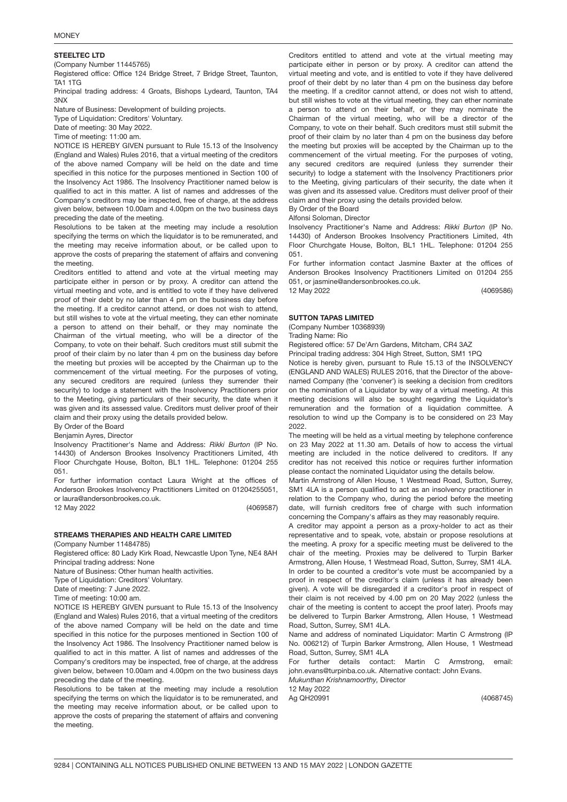# STEELTEC LT<mark>D</mark>

(Company Number 11445765)

Registered office: Office 124 Bridge Street, 7 Bridge Street, Taunton, TA1 1TG

Principal trading address: 4 Groats, Bishops Lydeard, Taunton, TA4 3NX

Nature of Business: Development of building projects.

Type of Liquidation: Creditors' Voluntary.

Date of meeting: 30 May 2022.

Time of meeting: 11:00 am.

NOTICE IS HEREBY GIVEN pursuant to Rule 15.13 of the Insolvency (England and Wales) Rules 2016, that a virtual meeting of the creditors of the above named Company will be held on the date and time specified in this notice for the purposes mentioned in Section 100 of the Insolvency Act 1986. The Insolvency Practitioner named below is qualified to act in this matter. A list of names and addresses of the Company's creditors may be inspected, free of charge, at the address given below, between 10.00am and 4.00pm on the two business days preceding the date of the meeting.

Resolutions to be taken at the meeting may include a resolution specifying the terms on which the liquidator is to be remunerated, and the meeting may receive information about, or be called upon to approve the costs of preparing the statement of affairs and convening the meeting.

Creditors entitled to attend and vote at the virtual meeting may participate either in person or by proxy. A creditor can attend the virtual meeting and vote, and is entitled to vote if they have delivered proof of their debt by no later than 4 pm on the business day before the meeting. If a creditor cannot attend, or does not wish to attend, but still wishes to vote at the virtual meeting, they can ether nominate a person to attend on their behalf, or they may nominate the Chairman of the virtual meeting, who will be a director of the Company, to vote on their behalf. Such creditors must still submit the proof of their claim by no later than 4 pm on the business day before the meeting but proxies will be accepted by the Chairman up to the commencement of the virtual meeting. For the purposes of voting, any secured creditors are required (unless they surrender their security) to lodge a statement with the Insolvency Practitioners prior to the Meeting, giving particulars of their security, the date when it was given and its assessed value. Creditors must deliver proof of their claim and their proxy using the details provided below.

By Order of the Board

Benjamin Ayres, Director

Insolvency Practitioner's Name and Address: *Rikki Burton* (IP No. 14430) of Anderson Brookes Insolvency Practitioners Limited, 4th Floor Churchgate House, Bolton, BL1 1HL. Telephone: 01204 255 051.

(4069587) For further information contact Laura Wright at the offices of Anderson Brookes Insolvency Practitioners Limited on 01204255051, or laura@andersonbrookes.co.uk. 12 May 2022

# STREAMS THERAPIES AND HEALTH CARE LIMITED

(Company Number 11484785)

Registered office: 80 Lady Kirk Road, Newcastle Upon Tyne, NE4 8AH Principal trading address: None

Nature of Business: Other human health activities.

Type of Liquidation: Creditors' Voluntary.

Date of meeting: 7 June 2022.

Time of meeting: 10:00 am.

NOTICE IS HEREBY GIVEN pursuant to Rule 15.13 of the Insolvency (England and Wales) Rules 2016, that a virtual meeting of the creditors of the above named Company will be held on the date and time specified in this notice for the purposes mentioned in Section 100 of the Insolvency Act 1986. The Insolvency Practitioner named below is qualified to act in this matter. A list of names and addresses of the Company's creditors may be inspected, free of charge, at the address given below, between 10.00am and 4.00pm on the two business days preceding the date of the meeting.

Resolutions to be taken at the meeting may include a resolution specifying the terms on which the liquidator is to be remunerated, and the meeting may receive information about, or be called upon to approve the costs of preparing the statement of affairs and convening the meeting.

Creditors entitled to attend and vote at the virtual meeting may participate either in person or by proxy. A creditor can attend the virtual meeting and vote, and is entitled to vote if they have delivered proof of their debt by no later than 4 pm on the business day before the meeting. If a creditor cannot attend, or does not wish to attend, but still wishes to vote at the virtual meeting, they can ether nominate a person to attend on their behalf, or they may nominate the Chairman of the virtual meeting, who will be a director of the Company, to vote on their behalf. Such creditors must still submit the proof of their claim by no later than 4 pm on the business day before the meeting but proxies will be accepted by the Chairman up to the commencement of the virtual meeting. For the purposes of voting, any secured creditors are required (unless they surrender their security) to lodge a statement with the Insolvency Practitioners prior to the Meeting, giving particulars of their security, the date when it was given and its assessed value. Creditors must deliver proof of their claim and their proxy using the details provided below.

By Order of the Board

Alfonsi Soloman, Director Insolvency Practitioner's Name and Address: *Rikki Burton* (IP No. 14430) of Anderson Brookes Insolvency Practitioners Limited, 4th Floor Churchgate House, Bolton, BL1 1HL. Telephone: 01204 255

051. For further information contact Jasmine Baxter at the offices of Anderson Brookes Insolvency Practitioners Limited on 01204 255

(4069586) 051, or jasmine@andersonbrookes.co.uk. 12 May 2022

# SUTTON TAPAS LIMITED

(Company Number 10368939)

Trading Name: Rio

Registered office: 57 De'Arn Gardens, Mitcham, CR4 3AZ

Principal trading address: 304 High Street, Sutton, SM1 1PQ

Notice is hereby given, pursuant to Rule 15.13 of the INSOLVENCY (ENGLAND AND WALES) RULES 2016, that the Director of the abovenamed Company (the 'convener') is seeking a decision from creditors on the nomination of a Liquidator by way of a virtual meeting. At this meeting decisions will also be sought regarding the Liquidator's remuneration and the formation of a liquidation committee. A resolution to wind up the Company is to be considered on 23 May 2022.

The meeting will be held as a virtual meeting by telephone conference on 23 May 2022 at 11.30 am. Details of how to access the virtual meeting are included in the notice delivered to creditors. If any creditor has not received this notice or requires further information please contact the nominated Liquidator using the details below.

Martin Armstrong of Allen House, 1 Westmead Road, Sutton, Surrey, SM1 4LA is a person qualified to act as an insolvency practitioner in relation to the Company who, during the period before the meeting date, will furnish creditors free of charge with such information concerning the Company's affairs as they may reasonably require.

A creditor may appoint a person as a proxy-holder to act as their representative and to speak, vote, abstain or propose resolutions at the meeting. A proxy for a specific meeting must be delivered to the chair of the meeting. Proxies may be delivered to Turpin Barker Armstrong, Allen House, 1 Westmead Road, Sutton, Surrey, SM1 4LA. In order to be counted a creditor's vote must be accompanied by a proof in respect of the creditor's claim (unless it has already been given). A vote will be disregarded if a creditor's proof in respect of their claim is not received by 4.00 pm on 20 May 2022 (unless the chair of the meeting is content to accept the proof later). Proofs may be delivered to Turpin Barker Armstrong, Allen House, 1 Westmead Road, Sutton, Surrey, SM1 4LA.

Name and address of nominated Liquidator: Martin C Armstrong (IP No. 006212) of Turpin Barker Armstrong, Allen House, 1 Westmead Road, Sutton, Surrey, SM1 4LA

For further details contact: Martin C Armstrong, email: john.evans@turpinba.co.uk. Alternative contact: John Evans. *Mukunthan Krishnamoorthy,* Director

12 May 2022 Ag QH20991

(4068745)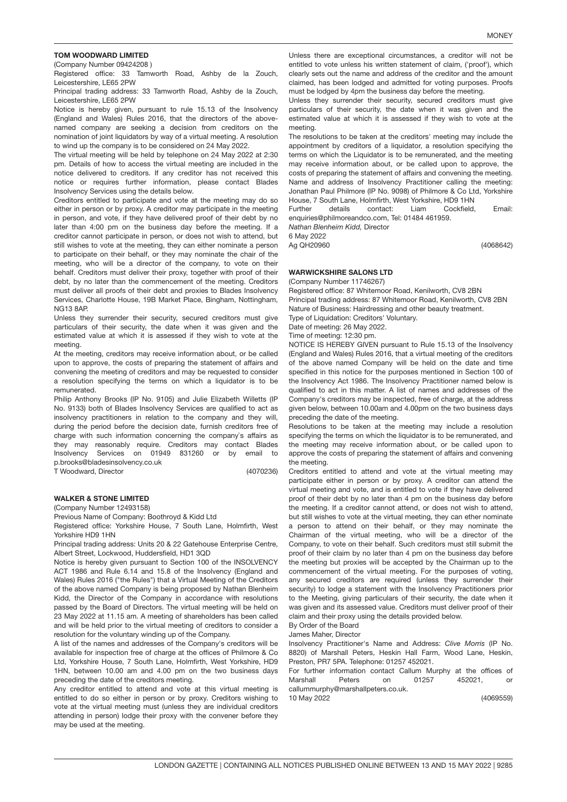(4068642)

# TOM WOODWARD LIMIT<mark>ED</mark>

(Company Number 09424208 )

Registered office: 33 Tamworth Road, Ashby de la Zouch, Leicestershire, LE65 2PW

Principal trading address: 33 Tamworth Road, Ashby de la Zouch, Leicestershire, LE65 2PW

Notice is hereby given, pursuant to rule 15.13 of the Insolvency (England and Wales) Rules 2016, that the directors of the abovenamed company are seeking a decision from creditors on the nomination of joint liquidators by way of a virtual meeting. A resolution to wind up the company is to be considered on 24 May 2022.

The virtual meeting will be held by telephone on 24 May 2022 at 2:30 pm. Details of how to access the virtual meeting are included in the notice delivered to creditors. If any creditor has not received this notice or requires further information, please contact Blades Insolvency Services using the details below.

Creditors entitled to participate and vote at the meeting may do so either in person or by proxy. A creditor may participate in the meeting in person, and vote, if they have delivered proof of their debt by no later than 4:00 pm on the business day before the meeting. If a creditor cannot participate in person, or does not wish to attend, but still wishes to vote at the meeting, they can either nominate a person to participate on their behalf, or they may nominate the chair of the meeting, who will be a director of the company, to vote on their behalf. Creditors must deliver their proxy, together with proof of their debt, by no later than the commencement of the meeting. Creditors must deliver all proofs of their debt and proxies to Blades Insolvency Services, Charlotte House, 19B Market Place, Bingham, Nottingham, NG13 8AP.

Unless they surrender their security, secured creditors must give particulars of their security, the date when it was given and the estimated value at which it is assessed if they wish to vote at the meeting.

At the meeting, creditors may receive information about, or be called upon to approve, the costs of preparing the statement of affairs and convening the meeting of creditors and may be requested to consider a resolution specifying the terms on which a liquidator is to be remunerated.

Philip Anthony Brooks (IP No. 9105) and Julie Elizabeth Willetts (IP No. 9133) both of Blades Insolvency Services are qualified to act as insolvency practitioners in relation to the company and they will, during the period before the decision date, furnish creditors free of charge with such information concerning the company`s affairs as they may reasonably require. Creditors may contact Blades Insolvency Services on 01949 831260 or by email to p.brooks@bladesinsolvency.co.uk

T Woodward, Director

(4070236)

# 4068642 WALKER & STONE LIMITED

(Company Number 12493158)

Previous Name of Company: Boothroyd & Kidd Ltd

Registered office: Yorkshire House, 7 South Lane, Holmfirth, West Yorkshire HD9 1HN

Principal trading address: Units 20 & 22 Gatehouse Enterprise Centre, Albert Street, Lockwood, Huddersfield, HD1 3QD

Notice is hereby given pursuant to Section 100 of the INSOLVENCY ACT 1986 and Rule 6.14 and 15.8 of the Insolvency (England and Wales) Rules 2016 ("the Rules") that a Virtual Meeting of the Creditors of the above named Company is being proposed by Nathan Blenheim Kidd, the Director of the Company in accordance with resolutions passed by the Board of Directors. The virtual meeting will be held on 23 May 2022 at 11.15 am. A meeting of shareholders has been called and will be held prior to the virtual meeting of creditors to consider a resolution for the voluntary winding up of the Company.

A list of the names and addresses of the Company's creditors will be available for inspection free of charge at the offices of Philmore & Co Ltd, Yorkshire House, 7 South Lane, Holmfirth, West Yorkshire, HD9 1HN, between 10.00 am and 4.00 pm on the two business days preceding the date of the creditors meeting.

Any creditor entitled to attend and vote at this virtual meeting is entitled to do so either in person or by proxy. Creditors wishing to vote at the virtual meeting must (unless they are individual creditors attending in person) lodge their proxy with the convener before they may be used at the meeting.

Unless there are exceptional circumstances, a creditor will not be entitled to vote unless his written statement of claim, ('proof'), which clearly sets out the name and address of the creditor and the amount claimed, has been lodged and admitted for voting purposes. Proofs must be lodged by 4pm the business day before the meeting.

Unless they surrender their security, secured creditors must give particulars of their security, the date when it was given and the estimated value at which it is assessed if they wish to vote at the meeting.

The resolutions to be taken at the creditors' meeting may include the appointment by creditors of a liquidator, a resolution specifying the terms on which the Liquidator is to be remunerated, and the meeting may receive information about, or be called upon to approve, the costs of preparing the statement of affairs and convening the meeting. Name and address of Insolvency Practitioner calling the meeting: Jonathan Paul Philmore (IP No. 9098) of Philmore & Co Ltd, Yorkshire House, 7 South Lane, Holmfirth, West Yorkshire, HD9 1HN

Further details contact: Liam Cockfield, Email: enquiries@philmoreandco.com, Tel: 01484 461959.

*Nathan Blenheim Kidd,* Director

6 May 2022

Ag QH20960

# WARWICKSHIRE SALONS LTD

(Company Number 11746267)

Registered office: 87 Whitemoor Road, Kenilworth, CV8 2BN Principal trading address: 87 Whitemoor Road, Kenilworth, CV8 2BN Nature of Business: Hairdressing and other beauty treatment. Type of Liquidation: Creditors' Voluntary.

Date of meeting: 26 May 2022.

Time of meeting: 12:30 pm.

NOTICE IS HEREBY GIVEN pursuant to Rule 15.13 of the Insolvency (England and Wales) Rules 2016, that a virtual meeting of the creditors of the above named Company will be held on the date and time specified in this notice for the purposes mentioned in Section 100 of the Insolvency Act 1986. The Insolvency Practitioner named below is qualified to act in this matter. A list of names and addresses of the Company's creditors may be inspected, free of charge, at the address given below, between 10.00am and 4.00pm on the two business days preceding the date of the meeting.

Resolutions to be taken at the meeting may include a resolution specifying the terms on which the liquidator is to be remunerated, and the meeting may receive information about, or be called upon to approve the costs of preparing the statement of affairs and convening the meeting.

Creditors entitled to attend and vote at the virtual meeting may participate either in person or by proxy. A creditor can attend the virtual meeting and vote, and is entitled to vote if they have delivered proof of their debt by no later than 4 pm on the business day before the meeting. If a creditor cannot attend, or does not wish to attend, but still wishes to vote at the virtual meeting, they can ether nominate a person to attend on their behalf, or they may nominate the Chairman of the virtual meeting, who will be a director of the Company, to vote on their behalf. Such creditors must still submit the proof of their claim by no later than 4 pm on the business day before the meeting but proxies will be accepted by the Chairman up to the commencement of the virtual meeting. For the purposes of voting, any secured creditors are required (unless they surrender their security) to lodge a statement with the Insolvency Practitioners prior to the Meeting, giving particulars of their security, the date when it was given and its assessed value. Creditors must deliver proof of their claim and their proxy using the details provided below.

By Order of the Board

James Maher, Director

Insolvency Practitioner's Name and Address: *Clive Morris* (IP No. 8820) of Marshall Peters, Heskin Hall Farm, Wood Lane, Heskin, Preston, PR7 5PA. Telephone: 01257 452021.

For further information contact Callum Murphy at the offices of Marshall Peters on 01257 452021, or callummurphy@marshallpeters.co.uk.

10 May 2022

(4069559)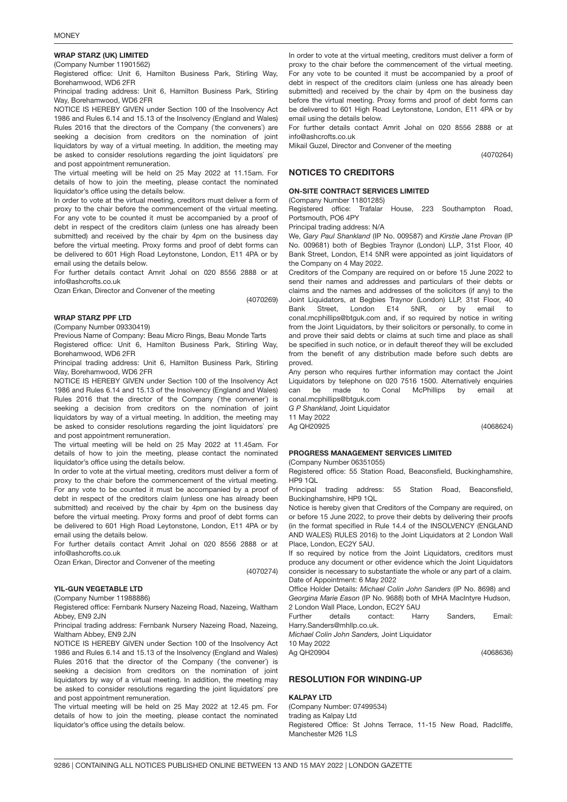# 4070269 WRAP STARZ (UK) LIMITED

(Company Number 11901562)

Registered office: Unit 6, Hamilton Business Park, Stirling Way, Borehamwood, WD6 2FR

Principal trading address: Unit 6, Hamilton Business Park, Stirling Way, Borehamwood, WD6 2FR

NOTICE IS HEREBY GIVEN under Section 100 of the Insolvency Act 1986 and Rules 6.14 and 15.13 of the Insolvency (England and Wales) Rules 2016 that the directors of the Company (the conveners) are seeking a decision from creditors on the nomination of joint liquidators by way of a virtual meeting. In addition, the meeting may be asked to consider resolutions regarding the joint liquidators` pre and post appointment remuneration.

The virtual meeting will be held on 25 May 2022 at 11.15am. For details of how to join the meeting, please contact the nominated liquidator's office using the details below.

In order to vote at the virtual meeting, creditors must deliver a form of proxy to the chair before the commencement of the virtual meeting. For any vote to be counted it must be accompanied by a proof of debt in respect of the creditors claim (unless one has already been submitted) and received by the chair by 4pm on the business day before the virtual meeting. Proxy forms and proof of debt forms can be delivered to 601 High Road Leytonstone, London, E11 4PA or by email using the details below.

For further details contact Amrit Johal on 020 8556 2888 or at info@ashcrofts.co.uk

Ozan Erkan, Director and Convener of the meeting

(4070269)

# WRAP STARZ PPF LTD

(Company Number 09330419)

Previous Name of Company: Beau Micro Rings, Beau Monde Tarts

Registered office: Unit 6, Hamilton Business Park, Stirling Way,

Borehamwood, WD6 2FR Principal trading address: Unit 6, Hamilton Business Park, Stirling Way, Borehamwood, WD6 2FR

NOTICE IS HEREBY GIVEN under Section 100 of the Insolvency Act 1986 and Rules 6.14 and 15.13 of the Insolvency (England and Wales) Rules 2016 that the director of the Company (the convener) is seeking a decision from creditors on the nomination of joint liquidators by way of a virtual meeting. In addition, the meeting may be asked to consider resolutions regarding the joint liquidators` pre and post appointment remuneration.

The virtual meeting will be held on 25 May 2022 at 11.45am. For details of how to join the meeting, please contact the nominated liquidator's office using the details below.

In order to vote at the virtual meeting, creditors must deliver a form of proxy to the chair before the commencement of the virtual meeting. For any vote to be counted it must be accompanied by a proof of debt in respect of the creditors claim (unless one has already been submitted) and received by the chair by 4pm on the business day before the virtual meeting. Proxy forms and proof of debt forms can be delivered to 601 High Road Leytonstone, London, E11 4PA or by email using the details below.

For further details contact Amrit Johal on 020 8556 2888 or at info@ashcrofts.co.uk

Ozan Erkan, Director and Convener of the meeting

(4070274)

## YIL-GUN VEGETABLE <mark>LTD</mark>

(Company Number 11988886)

Registered office: Fernbank Nursery Nazeing Road, Nazeing, Waltham Abbey, EN9 2JN

Principal trading address: Fernbank Nursery Nazeing Road, Nazeing, Waltham Abbey, EN9 2JN

NOTICE IS HEREBY GIVEN under Section 100 of the Insolvency Act 1986 and Rules 6.14 and 15.13 of the Insolvency (England and Wales) Rules 2016 that the director of the Company (the convener) is seeking a decision from creditors on the nomination of joint liquidators by way of a virtual meeting. In addition, the meeting may be asked to consider resolutions regarding the joint liquidators` pre and post appointment remuneration.

The virtual meeting will be held on 25 May 2022 at 12.45 pm. For details of how to join the meeting, please contact the nominated liquidator's office using the details below.

In order to vote at the virtual meeting, creditors must deliver a form of proxy to the chair before the commencement of the virtual meeting. For any vote to be counted it must be accompanied by a proof of debt in respect of the creditors claim (unless one has already been submitted) and received by the chair by 4pm on the business day before the virtual meeting. Proxy forms and proof of debt forms can be delivered to 601 High Road Leytonstone, London, E11 4PA or by email using the details below.

For further details contact Amrit Johal on 020 8556 2888 or at info@ashcrofts.co.uk

Mikail Guzel, Director and Convener of the meeting

(4070264)

# NOTICES TO CREDITORS

# 4068624 ON-SITE CONTRACT SERVICES LIMITED

(Company Number 11801285)

Registered office: Trafalar House, 223 Southampton Road, Portsmouth, PO6 4PY

Principal trading address: N/A

We, *Gary Paul Shankland* (IP No. 009587) and *Kirstie Jane Provan* (IP No. 009681) both of Begbies Traynor (London) LLP, 31st Floor, 40 Bank Street, London, E14 5NR were appointed as joint liquidators of the Company on 4 May 2022.

Creditors of the Company are required on or before 15 June 2022 to send their names and addresses and particulars of their debts or claims and the names and addresses of the solicitors (if any) to the Joint Liquidators, at Begbies Traynor (London) LLP, 31st Floor, 40 Bank Street, London E14 5NR, or by email to conal.mcphillips@btguk.com and, if so required by notice in writing from the Joint Liquidators, by their solicitors or personally, to come in and prove their said debts or claims at such time and place as shall be specified in such notice, or in default thereof they will be excluded from the benefit of any distribution made before such debts are proved.

Any person who requires further information may contact the Joint Liquidators by telephone on 020 7516 1500. Alternatively enquiries can be made to Conal McPhillips by email at conal.mcphillips@btguk.com

*G P Shankland,* Joint Liquidator

11 May 2022 Ag QH20925

(4068624)

# 4068636 PROGRESS MANAGEMENT SERVICES LIMITED

(Company Number 06351055)

Registered office: 55 Station Road, Beaconsfield, Buckinghamshire, HP9 1QL

Principal trading address: 55 Station Road, Beaconsfield, Buckinghamshire, HP9 1QL

Notice is hereby given that Creditors of the Company are required, on or before 15 June 2022, to prove their debts by delivering their proofs (in the format specified in Rule 14.4 of the INSOLVENCY (ENGLAND AND WALES) RULES 2016) to the Joint Liquidators at 2 London Wall Place, London, EC2Y 5AU.

If so required by notice from the Joint Liquidators, creditors must produce any document or other evidence which the Joint Liquidators consider is necessary to substantiate the whole or any part of a claim. Date of Appointment: 6 May 2022

Office Holder Details: *Michael Colin John Sanders* (IP No. 8698) and *Georgina Marie Eason* (IP No. 9688) both of MHA MacIntyre Hudson, 2 London Wall Place, London, EC2Y 5AU

Further details contact: Harry Sanders, Email: Harry.Sanders@mhllp.co.uk.

*Michael Colin John Sanders,* Joint Liquidator

10 May 2022 Ag QH20904

(4068636)

# RESOLUTION FOR WINDING-UP

# KALPAY LT<mark>D</mark>

(Company Number: 07499534) trading as Kalpay Ltd Registered Office: St Johns Terrace, 11-15 New Road, Radcliffe, Manchester M26 1LS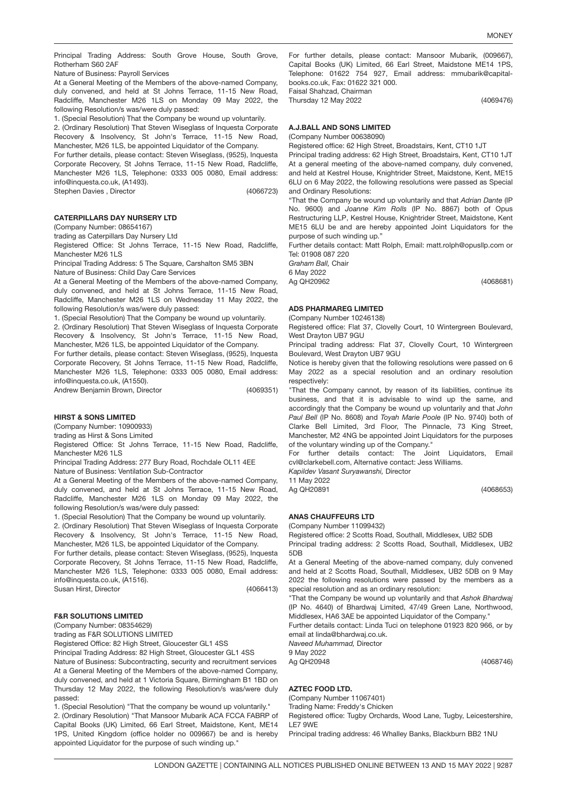(4069476)

Principal Trading Address: South Grove House, South Grove, Rotherham S60 2AF

Nature of Business: Payroll Services

At a General Meeting of the Members of the above-named Company, duly convened, and held at St Johns Terrace, 11-15 New Road, Radcliffe, Manchester M26 1LS on Monday 09 May 2022, the following Resolution/s was/were duly passed:

1. (Special Resolution) That the Company be wound up voluntarily.

2. (Ordinary Resolution) That Steven Wiseglass of Inquesta Corporate Recovery & Insolvency, St John's Terrace, 11-15 New Road, Manchester, M26 1LS, be appointed Liquidator of the Company.

For further details, please contact: Steven Wiseglass, (9525), Inquesta Corporate Recovery, St Johns Terrace, 11-15 New Road, Radcliffe, Manchester M26 1LS, Telephone: 0333 005 0080, Email address: info@inquesta.co.uk, (A1493). Stephen Davies , Director

(4066723)

# CATERPILLARS DAY NURSERY LTD

(Company Number: 08654167)

trading as Caterpillars Day Nursery Ltd

Registered Office: St Johns Terrace, 11-15 New Road, Radcliffe, Manchester M26 1LS

Principal Trading Address: 5 The Square, Carshalton SM5 3BN

Nature of Business: Child Day Care Services

At a General Meeting of the Members of the above-named Company, duly convened, and held at St Johns Terrace, 11-15 New Road, Radcliffe, Manchester M26 1LS on Wednesday 11 May 2022, the following Resolution/s was/were duly passed:

1. (Special Resolution) That the Company be wound up voluntarily.

2. (Ordinary Resolution) That Steven Wiseglass of Inquesta Corporate Recovery & Insolvency, St John's Terrace, 11-15 New Road, Manchester, M26 1LS, be appointed Liquidator of the Company.

For further details, please contact: Steven Wiseglass, (9525), Inquesta Corporate Recovery, St Johns Terrace, 11-15 New Road, Radcliffe, Manchester M26 1LS, Telephone: 0333 005 0080, Email address: info@inquesta.co.uk, (A1550).

Andrew Benjamin Brown, Director

(4069351)

## 4066413 HIRST & SONS LIMITED

(Company Number: 10900933)

trading as Hirst & Sons Limited

Registered Office: St Johns Terrace, 11-15 New Road, Radcliffe, Manchester M26 1LS

Principal Trading Address: 277 Bury Road, Rochdale OL11 4EE

Nature of Business: Ventilation Sub-Contractor

At a General Meeting of the Members of the above-named Company, duly convened, and held at St Johns Terrace, 11-15 New Road, Radcliffe, Manchester M26 1LS on Monday 09 May 2022, the following Resolution/s was/were duly passed:

1. (Special Resolution) That the Company be wound up voluntarily.

2. (Ordinary Resolution) That Steven Wiseglass of Inquesta Corporate Recovery & Insolvency, St John's Terrace, 11-15 New Road, Manchester, M26 1LS, be appointed Liquidator of the Company.

For further details, please contact: Steven Wiseglass, (9525), Inquesta Corporate Recovery, St Johns Terrace, 11-15 New Road, Radcliffe, Manchester M26 1LS, Telephone: 0333 005 0080, Email address: info@inquesta.co.uk, (A1516).

Susan Hirst, Director

(4066413)

### 4069476 F&R SOLUTIONS LIMITED

(Company Number: 08354629)

trading as F&R SOLUTIONS LIMITED

Registered Office: 82 High Street, Gloucester GL1 4SS

Principal Trading Address: 82 High Street, Gloucester GL1 4SS

Nature of Business: Subcontracting, security and recruitment services At a General Meeting of the Members of the above-named Company, duly convened, and held at 1 Victoria Square, Birmingham B1 1BD on Thursday 12 May 2022, the following Resolution/s was/were duly passed:

1. (Special Resolution) "That the company be wound up voluntarily."

2. (Ordinary Resolution) "That Mansoor Mubarik ACA FCCA FABRP of Capital Books (UK) Limited, 66 Earl Street, Maidstone, Kent, ME14 1PS, United Kingdom (office holder no 009667) be and is hereby appointed Liquidator for the purpose of such winding up."

For further details, please contact: Mansoor Mubarik, (009667), Capital Books (UK) Limited, 66 Earl Street, Maidstone ME14 1PS, Telephone: 01622 754 927, Email address: mmubarik@capitalbooks.co.uk, Fax: 01622 321 000.

Faisal Shahzad, Chairman Thursday 12 May 2022

# A.J.BALL AND SONS LIMITED

(Company Number 00638090)

Registered office: 62 High Street, Broadstairs, Kent, CT10 1JT

Principal trading address: 62 High Street, Broadstairs, Kent, CT10 1JT At a general meeting of the above-named company, duly convened, and held at Kestrel House, Knightrider Street, Maidstone, Kent, ME15 6LU on 6 May 2022, the following resolutions were passed as Special and Ordinary Resolutions:

"That the Company be wound up voluntarily and that *Adrian Dante* (IP No. 9600) and *Joanne Kim Rolls* (IP No. 8867) both of Opus Restructuring LLP, Kestrel House, Knightrider Street, Maidstone, Kent ME15 6LU be and are hereby appointed Joint Liquidators for the purpose of such winding up."

Further details contact: Matt Rolph, Email: matt.rolph@opusllp.com or Tel: 01908 087 220

*Graham Ball,* Chair 6 May 2022

Ag QH20962

(4068681)

(4068653)

(4068746)

### 4068653 ADS PHARMAREG LIMITED

(Company Number 10246138) Registered office: Flat 37, Clovelly Court, 10 Wintergreen Boulevard, West Drayton UB7 9GU

Principal trading address: Flat 37, Clovelly Court, 10 Wintergreen Boulevard, West Drayton UB7 9GU

Notice is hereby given that the following resolutions were passed on 6 May 2022 as a special resolution and an ordinary resolution respectively:

"That the Company cannot, by reason of its liabilities, continue its business, and that it is advisable to wind up the same, and accordingly that the Company be wound up voluntarily and that *John Paul Bell* (IP No. 8608) and *Toyah Marie Poole* (IP No. 9740) both of Clarke Bell Limited, 3rd Floor, The Pinnacle, 73 King Street, Manchester, M2 4NG be appointed Joint Liquidators for the purposes of the voluntary winding up of the Company."

For further details contact: The Joint Liquidators, Email cvl@clarkebell.com, Alternative contact: Jess Williams.

*Kapildev Vasant Suryawanshi,* Director

11 May 2022 Ag QH20891

### 4068746 ANAS CHAUFFEURS LTD

(Company Number 11099432)

Registered office: 2 Scotts Road, Southall, Middlesex, UB2 5DB

Principal trading address: 2 Scotts Road, Southall, Middlesex, UB2 5DB

At a General Meeting of the above-named company, duly convened and held at 2 Scotts Road, Southall, Middlesex, UB2 5DB on 9 May 2022 the following resolutions were passed by the members as a special resolution and as an ordinary resolution:

"That the Company be wound up voluntarily and that *Ashok Bhardwaj* (IP No. 4640) of Bhardwaj Limited, 47/49 Green Lane, Northwood, Middlesex, HA6 3AE be appointed Liquidator of the Company.

Further details contact: Linda Tuci on telephone 01923 820 966, or by email at linda@bhardwaj.co.uk.

*Naveed Muhammad,* Director

9 May 2022

Ag QH20948

# AZTEC FOOD LTD.

(Company Number 11067401)

Trading Name: Freddy's Chicken

Registered office: Tugby Orchards, Wood Lane, Tugby, Leicestershire, LE7 9WE

Principal trading address: 46 Whalley Banks, Blackburn BB2 1NU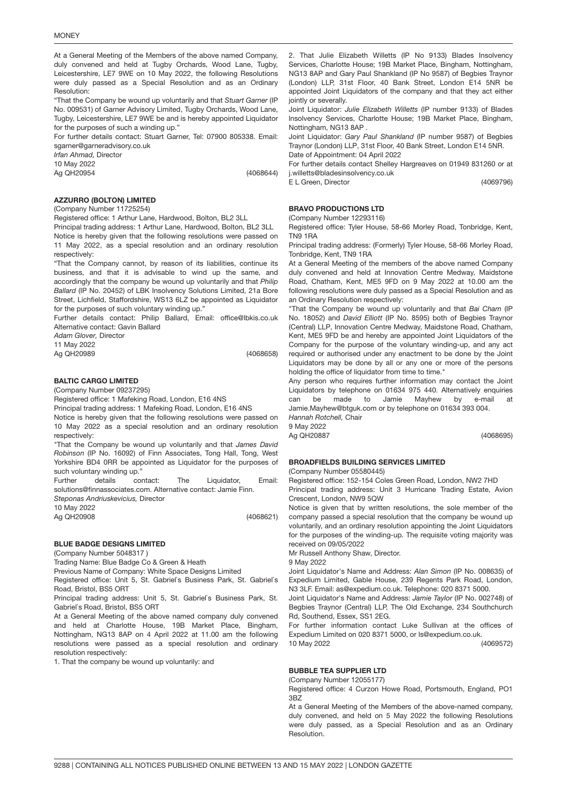At a General Meeting of the Members of the above named Company, duly convened and held at Tugby Orchards, Wood Lane, Tugby, Leicestershire, LE7 9WE on 10 May 2022, the following Resolutions were duly passed as a Special Resolution and as an Ordinary Resolution:

"That the Company be wound up voluntarily and that *Stuart Garner* (IP No. 009531) of Garner Advisory Limited, Tugby Orchards, Wood Lane, Tugby, Leicestershire, LE7 9WE be and is hereby appointed Liquidator for the purposes of such a winding up."

For further details contact: Stuart Garner, Tel: 07900 805338. Email: sgarner@garneradvisory.co.uk

*Irfan Ahmad,* Director 10 May 2022

Ag QH20954

(4068644)

#### AZZURRO (BOLTON) LIMITED (Company Number 11725254)

Registered office: 1 Arthur Lane, Hardwood, Bolton, BL2 3LL

Principal trading address: 1 Arthur Lane, Hardwood, Bolton, BL2 3LL

Notice is hereby given that the following resolutions were passed on 11 May 2022, as a special resolution and an ordinary resolution respectively:

"That the Company cannot, by reason of its liabilities, continue its business, and that it is advisable to wind up the same, and accordingly that the company be wound up voluntarily and that *Philip Ballard* (IP No. 20452) of LBK Insolvency Solutions Limited, 21a Bore Street, Lichfield, Staffordshire, WS13 6LZ be appointed as Liquidator for the purposes of such voluntary winding up."

Further details contact: Philip Ballard, Email: office@lbkis.co.uk Alternative contact: Gavin Ballard

*Adam Glover,* Director

11 May 2022 Ag QH20989

(4068658)

# BALTIC CARGO LIMITED

(Company Number 09237295)

Registered office: 1 Mafeking Road, London, E16 4NS

Principal trading address: 1 Mafeking Road, London, E16 4NS

Notice is hereby given that the following resolutions were passed on 10 May 2022 as a special resolution and an ordinary resolution respectively:

"That the Company be wound up voluntarily and that *James David Robinson* (IP No. 16092) of Finn Associates, Tong Hall, Tong, West Yorkshire BD4 0RR be appointed as Liquidator for the purposes of such voluntary winding up."

Further details contact: The Liquidator, Email: solutions@finnassociates.com. Alternative contact: Jamie Finn.

*Steponas Andriuskevicius,* Director 10 May 2022

Ag QH20908

(4068621)

# BLUE BADGE DESIGNS LIMITE<mark>D</mark>

(Company Number 5048317 )

Trading Name: Blue Badge Co & Green & Heath

Previous Name of Company: White Space Designs Limited

Registered office: Unit 5, St. Gabriel`s Business Park, St. Gabriel`s Road, Bristol, BS5 ORT

Principal trading address: Unit 5, St. Gabriel`s Business Park, St. Gabriel`s Road, Bristol, BS5 ORT

At a General Meeting of the above named company duly convened and held at Charlotte House, 19B Market Place, Bingham, Nottingham, NG13 8AP on 4 April 2022 at 11.00 am the following resolutions were passed as a special resolution and ordinary resolution respectively:

1. That the company be wound up voluntarily: and

2. That Julie Elizabeth Willetts (IP No 9133) Blades Insolvency Services, Charlotte House; 19B Market Place, Bingham, Nottingham, NG13 8AP and Gary Paul Shankland (IP No 9587) of Begbies Traynor (London) LLP, 31st Floor, 40 Bank Street, London E14 5NR be appointed Joint Liquidators of the company and that they act either jointly or severally.

Joint Liquidator: *Julie Elizabeth Willetts* (IP number 9133) of Blades lnsolvency Services, Charlotte House; 19B Market Place, Bingham, Nottingham, NG13 8AP .

Joint Liquidator: *Gary Paul Shankland* (IP number 9587) of Begbies Traynor (London) LLP, 31st Floor, 40 Bank Street, London E14 5NR. Date of Appointment: 04 April 2022

For further details contact Shelley Hargreaves on 01949 831260 or at j.willetts@bladesinsolvency.co.uk

(4069796)

# BRAVO PRODUCTIONS LTD

#### (Company Number 12293116)

E L Green, Director

Registered office: Tyler House, 58-66 Morley Road, Tonbridge, Kent, TN9 1RA

Principal trading address: (Formerly) Tyler House, 58-66 Morley Road, Tonbridge, Kent, TN9 1RA

At a General Meeting of the members of the above named Company duly convened and held at Innovation Centre Medway, Maidstone Road, Chatham, Kent, ME5 9FD on 9 May 2022 at 10.00 am the following resolutions were duly passed as a Special Resolution and as an Ordinary Resolution respectively:

"That the Company be wound up voluntarily and that *Bai Cham* (IP No. 18052) and *David Elliott* (IP No. 8595) both of Begbies Traynor (Central) LLP, Innovation Centre Medway, Maidstone Road, Chatham, Kent, ME5 9FD be and hereby are appointed Joint Liquidators of the Company for the purpose of the voluntary winding-up, and any act required or authorised under any enactment to be done by the Joint Liquidators may be done by all or any one or more of the persons holding the office of liquidator from time to time."

Any person who requires further information may contact the Joint Liquidators by telephone on 01634 975 440. Alternatively enquiries can be made to Jamie Mayhew by e-mail at Jamie.Mayhew@btguk.com or by telephone on 01634 393 004. *Hannah Rotchell,* Chair

9 May 2022 Ag QH20887

(4068695)

# BROADFIELDS BUILDING SERVICES LIMITED

(Company Number 05580445)

Registered office: 152-154 Coles Green Road, London, NW2 7HD

Principal trading address: Unit 3 Hurricane Trading Estate, Avion Crescent, London, NW9 5QW

Notice is given that by written resolutions, the sole member of the company passed a special resolution that the company be wound up voluntarily, and an ordinary resolution appointing the Joint Liquidators for the purposes of the winding-up. The requisite voting majority was received on 09/05/2022

Mr Russell Anthony Shaw, Director.

9 May 2022

Joint Liquidator's Name and Address: *Alan Simon* (IP No. 008635) of Expedium Limited, Gable House, 239 Regents Park Road, London, N3 3LF. Email: as@expedium.co.uk. Telephone: 020 8371 5000.

Joint Liquidator's Name and Address: *Jamie Taylor* (IP No. 002748) of Begbies Traynor (Central) LLP, The Old Exchange, 234 Southchurch Rd, Southend, Essex, SS1 2EG.

For further information contact Luke Sullivan at the offices of Expedium Limited on 020 8371 5000, or ls@expedium.co.uk. 10 May 2022

(4069572)

# 4070516 BUBBLE TEA SUPPLIER LTD

#### (Company Number 12055177)

Registered office: 4 Curzon Howe Road, Portsmouth, England, PO1 3BZ

At a General Meeting of the Members of the above-named company, duly convened, and held on 5 May 2022 the following Resolutions were duly passed, as a Special Resolution and as an Ordinary Resolution.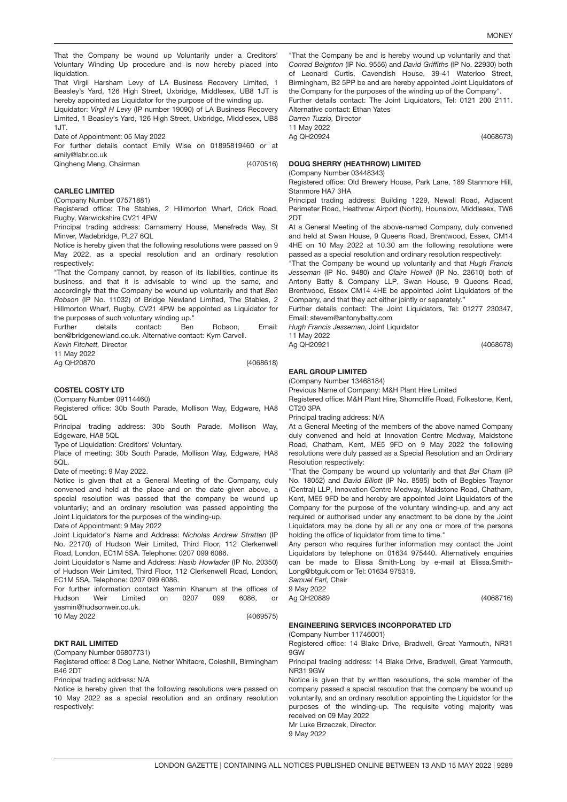That the Company be wound up Voluntarily under a Creditors' Voluntary Winding Up procedure and is now hereby placed into liquidation.

That Virgil Harsham Levy of LA Business Recovery Limited, 1 Beasley's Yard, 126 High Street, Uxbridge, Middlesex, UB8 1JT is hereby appointed as Liquidator for the purpose of the winding up.

Liquidator: *Virgil H Levy* (IP number 19090) of LA Business Recovery Limited, 1 Beasley's Yard, 126 High Street, Uxbridge, Middlesex, UB8 1JT.

Date of Appointment: 05 May 2022

For further details contact Emily Wise on 01895819460 or at emily@labr.co.uk

(4070516) Qingheng Meng, Chairman

CARLEC LIMITED

(Company Number 07571881)

Registered office: The Stables, 2 Hillmorton Wharf, Crick Road, Rugby, Warwickshire CV21 4PW

Principal trading address: Carnsmerry House, Menefreda Way, St Minver, Wadebridge, PL27 6QL

Notice is hereby given that the following resolutions were passed on 9 May 2022, as a special resolution and an ordinary resolution respectively:

"That the Company cannot, by reason of its liabilities, continue its business, and that it is advisable to wind up the same, and accordingly that the Company be wound up voluntarily and that *Ben Robson* (IP No. 11032) of Bridge Newland Limited, The Stables, 2 Hillmorton Wharf, Rugby, CV21 4PW be appointed as Liquidator for the purposes of such voluntary winding up.'

Further details contact: Ben Robson, Email: ben@bridgenewland.co.uk. Alternative contact: Kym Carvell.

*Kevin Fitchett,* Director

11 May 2022 Ag QH20870

(4068618)

#### 4069575 COSTEL COSTY LTD

(Company Number 09114460)

Registered office: 30b South Parade, Mollison Way, Edgware, HA8 5QL

Principal trading address: 30b South Parade, Mollison Way, Edgeware, HA8 5QL

Type of Liquidation: Creditors' Voluntary.

Place of meeting: 30b South Parade, Mollison Way, Edgware, HA8 5QL.

Date of meeting: 9 May 2022.

Notice is given that at a General Meeting of the Company, duly convened and held at the place and on the date given above, a special resolution was passed that the company be wound up voluntarily; and an ordinary resolution was passed appointing the Joint Liquidators for the purposes of the winding-up.

Date of Appointment: 9 May 2022

Joint Liquidator's Name and Address: *Nicholas Andrew Stratten* (IP No. 22170) of Hudson Weir Limited, Third Floor, 112 Clerkenwell Road, London, EC1M 5SA. Telephone: 0207 099 6086.

Joint Liquidator's Name and Address: *Hasib Howlader* (IP No. 20350) of Hudson Weir Limited, Third Floor, 112 Clerkenwell Road, London, EC1M 5SA. Telephone: 0207 099 6086.

For further information contact Yasmin Khanum at the offices of Hudson Weir Limited on 0207 099 6086, or yasmin@hudsonweir.co.uk.

10 May 2022

(4069575)

#### DKT RAIL LIMITED

(Company Number 06807731)

Registered office: 8 Dog Lane, Nether Whitacre, Coleshill, Birmingham B46 2DT

Principal trading address: N/A

Notice is hereby given that the following resolutions were passed on 10 May 2022 as a special resolution and an ordinary resolution respectively:

"That the Company be and is hereby wound up voluntarily and that *Conrad Beighton* (IP No. 9556) and *David Griffiths* (IP No. 22930) both of Leonard Curtis, Cavendish House, 39-41 Waterloo Street, Birmingham, B2 5PP be and are hereby appointed Joint Liquidators of the Company for the purposes of the winding up of the Company".

Further details contact: The Joint Liquidators, Tel: 0121 200 2111. Alternative contact: Ethan Yates

*Darren Tuzzio,* Director 11 May 2022 Ag QH20924

(4068673)

(4068678)

## 4068678 DOUG SHERRY (HEATHROW) LIMITED

(Company Number 03448343)

Registered office: Old Brewery House, Park Lane, 189 Stanmore Hill, Stanmore HA7 3HA

Principal trading address: Building 1229, Newall Road, Adjacent Perimeter Road, Heathrow Airport (North), Hounslow, Middlesex, TW6 2DT

At a General Meeting of the above-named Company, duly convened and held at Swan House, 9 Queens Road, Brentwood, Essex, CM14 4HE on 10 May 2022 at 10.30 am the following resolutions were passed as a special resolution and ordinary resolution respectively:

"That the Company be wound up voluntarily and that *Hugh Francis Jesseman* (IP No. 9480) and *Claire Howell* (IP No. 23610) both of Antony Batty & Company LLP, Swan House, 9 Queens Road, Brentwood, Essex CM14 4HE be appointed Joint Liquidators of the Company, and that they act either jointly or separately."

Further details contact: The Joint Liquidators, Tel: 01277 230347, Email: stevem@antonybatty.com

*Hugh Francis Jesseman,* Joint Liquidator

11 May 2022 Ag QH20921

#### EARL GROUP LIMITED

(Company Number 13468184)

Previous Name of Company: M&H Plant Hire Limited

Registered office: M&H Plant Hire, Shorncliffe Road, Folkestone, Kent, CT20 3PA

Principal trading address: N/A

At a General Meeting of the members of the above named Company duly convened and held at Innovation Centre Medway, Maidstone Road, Chatham, Kent, ME5 9FD on 9 May 2022 the following resolutions were duly passed as a Special Resolution and an Ordinary Resolution respectively:

"That the Company be wound up voluntarily and that *Bai Cham* (IP No. 18052) and *David Elliott* (IP No. 8595) both of Begbies Traynor (Central) LLP, Innovation Centre Medway, Maidstone Road, Chatham, Kent, ME5 9FD be and hereby are appointed Joint Liquidators of the Company for the purpose of the voluntary winding-up, and any act required or authorised under any enactment to be done by the Joint Liquidators may be done by all or any one or more of the persons holding the office of liquidator from time to time."

Any person who requires further information may contact the Joint Liquidators by telephone on 01634 975440. Alternatively enquiries can be made to Elissa Smith-Long by e-mail at Elissa.Smith-Long@btguk.com or Tel: 01634 975319.

*Samuel Earl,* Chair 9 May 2022 Ag QH20889

(4068716)

## 4069555 ENGINEERING SERVICES INCORPORATED LTD

(Company Number 11746001)

Registered office: 14 Blake Drive, Bradwell, Great Yarmouth, NR31 9GW

Principal trading address: 14 Blake Drive, Bradwell, Great Yarmouth, NR31 9GW

Notice is given that by written resolutions, the sole member of the company passed a special resolution that the company be wound up voluntarily, and an ordinary resolution appointing the Liquidator for the purposes of the winding-up. The requisite voting majority was received on 09 May 2022

Mr Luke Brzeczek, Director.

9 May 2022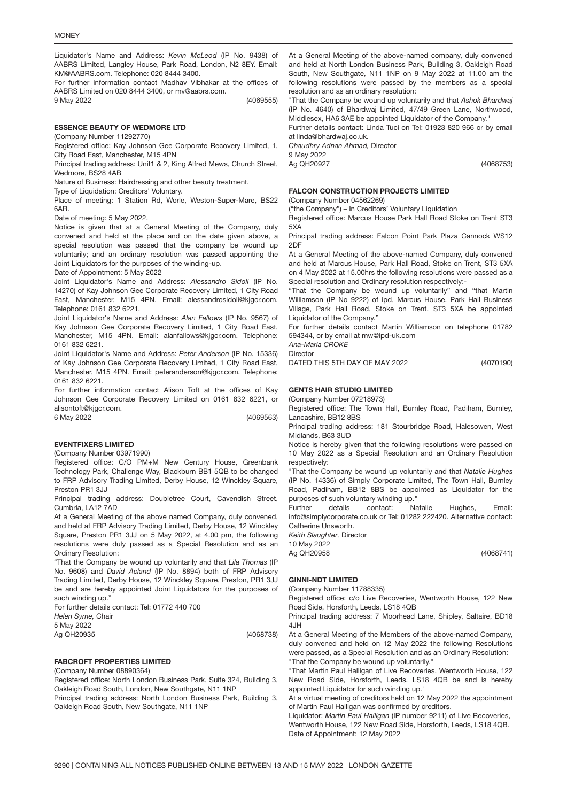Liquidator's Name and Address: *Kevin McLeod* (IP No. 9438) of AABRS Limited, Langley House, Park Road, London, N2 8EY. Email: KM@AABRS.com. Telephone: 020 8444 3400.

For further information contact Madhav Vibhakar at the offices of AABRS Limited on 020 8444 3400, or mv@aabrs.com. 9 May 2022

(4069555)

## ESSENCE BEAUTY OF WEDMORE LTD

(Company Number 11292770)

Registered office: Kay Johnson Gee Corporate Recovery Limited, 1, City Road East, Manchester, M15 4PN

Principal trading address: Unit1 & 2, King Alfred Mews, Church Street, Wedmore, BS28 4AB

Nature of Business: Hairdressing and other beauty treatment.

Type of Liquidation: Creditors' Voluntary.

Place of meeting: 1 Station Rd, Worle, Weston-Super-Mare, BS22 6AR.

Date of meeting: 5 May 2022.

Notice is given that at a General Meeting of the Company, duly convened and held at the place and on the date given above, a special resolution was passed that the company be wound up voluntarily; and an ordinary resolution was passed appointing the Joint Liquidators for the purposes of the winding-up.

Date of Appointment: 5 May 2022

Joint Liquidator's Name and Address: *Alessandro Sidoli* (IP No. 14270) of Kay Johnson Gee Corporate Recovery Limited, 1 City Road East, Manchester, M15 4PN. Email: alessandrosidoli@kjgcr.com. Telephone: 0161 832 6221.

Joint Liquidator's Name and Address: *Alan Fallows* (IP No. 9567) of Kay Johnson Gee Corporate Recovery Limited, 1 City Road East, Manchester, M15 4PN. Email: alanfallows@kjgcr.com. Telephone: 0161 832 6221.

Joint Liquidator's Name and Address: *Peter Anderson* (IP No. 15336) of Kay Johnson Gee Corporate Recovery Limited, 1 City Road East, Manchester, M15 4PN. Email: peteranderson@kjgcr.com. Telephone: 0161 832 6221.

For further information contact Alison Toft at the offices of Kay Johnson Gee Corporate Recovery Limited on 0161 832 6221, or alisontoft@kjgcr.com. 6 May 2022

(4069563)

## EVENTFIXERS LIMITED

(Company Number 03971990)

Registered office: C/O PM+M New Century House, Greenbank Technology Park, Challenge Way, Blackburn BB1 5QB to be changed to FRP Advisory Trading Limited, Derby House, 12 Winckley Square, Preston PR1 3JJ

Principal trading address: Doubletree Court, Cavendish Street, Cumbria, LA12 7AD

At a General Meeting of the above named Company, duly convened, and held at FRP Advisory Trading Limited, Derby House, 12 Winckley Square, Preston PR1 3JJ on 5 May 2022, at 4.00 pm, the following resolutions were duly passed as a Special Resolution and as an Ordinary Resolution:

"That the Company be wound up voluntarily and that *Lila Thomas* (IP No. 9608) and *David Acland* (IP No. 8894) both of FRP Advisory Trading Limited, Derby House, 12 Winckley Square, Preston, PR1 3JJ be and are hereby appointed Joint Liquidators for the purposes of such winding up.

For further details contact: Tel: 01772 440 700 *Helen Syme,* Chair 5 May 2022

Ag QH20935

(4068738)

### FABCROFT PROPERTIES LIMITE<mark>D</mark>

(Company Number 08890364)

Registered office: North London Business Park, Suite 324, Building 3, Oakleigh Road South, London, New Southgate, N11 1NP

Principal trading address: North London Business Park, Building 3, Oakleigh Road South, New Southgate, N11 1NP

At a General Meeting of the above-named company, duly convened and held at North London Business Park, Building 3, Oakleigh Road South, New Southgate, N11 1NP on 9 May 2022 at 11.00 am the following resolutions were passed by the members as a special resolution and as an ordinary resolution:

"That the Company be wound up voluntarily and that *Ashok Bhardwaj* (IP No. 4640) of Bhardwaj Limited, 47/49 Green Lane, Northwood, Middlesex, HA6 3AE be appointed Liquidator of the Company."

Further details contact: Linda Tuci on Tel: 01923 820 966 or by email at linda@bhardwaj.co.uk.

*Chaudhry Adnan Ahmad,* Director 9 May 2022 Ag QH20927

(4068753)

## FALCON CONSTRUCTION PROJECTS LIMITED

(Company Number 04562269)

("the Company") – In Creditors' Voluntary Liquidation

Registered office: Marcus House Park Hall Road Stoke on Trent ST3 5XA

Principal trading address: Falcon Point Park Plaza Cannock WS12 2DF

At a General Meeting of the above-named Company, duly convened and held at Marcus House, Park Hall Road, Stoke on Trent, ST3 5XA on 4 May 2022 at 15.00hrs the following resolutions were passed as a Special resolution and Ordinary resolution respectively:-

"That the Company be wound up voluntarily" and "that Martin Williamson (IP No 9222) of ipd, Marcus House, Park Hall Business Village, Park Hall Road, Stoke on Trent, ST3 5XA be appointed Liquidator of the Company."

For further details contact Martin Williamson on telephone 01782 594344, or by email at mw@ipd-uk.com

*Ana-Maria CROKE*

**Director** DATED THIS 5TH DAY OF MAY 2022

(4070190)

## GENTS HAIR STUDIO LIMITED

(Company Number 07218973)

Registered office: The Town Hall, Burnley Road, Padiham, Burnley, Lancashire, BB12 8BS

Principal trading address: 181 Stourbridge Road, Halesowen, West Midlands, B63 3UD

Notice is hereby given that the following resolutions were passed on 10 May 2022 as a Special Resolution and an Ordinary Resolution respectively:

"That the Company be wound up voluntarily and that *Natalie Hughes* (IP No. 14336) of Simply Corporate Limited, The Town Hall, Burnley Road, Padiham, BB12 8BS be appointed as Liquidator for the purposes of such voluntary winding up."

Further details contact: Natalie Hughes, Email: info@simplycorporate.co.uk or Tel: 01282 222420. Alternative contact: Catherine Unsworth.

*Keith Slaughter,* Director

10 May 2022 Ag QH20958

(4068741)

## GINNI-NDT LIMITED

(Company Number 11788335)

Registered office: c/o Live Recoveries, Wentworth House, 122 New Road Side, Horsforth, Leeds, LS18 4QB

Principal trading address: 7 Moorhead Lane, Shipley, Saltaire, BD18  $4.H$ 

At a General Meeting of the Members of the above-named Company, duly convened and held on 12 May 2022 the following Resolutions were passed, as a Special Resolution and as an Ordinary Resolution: "That the Company be wound up voluntarily."

"That Martin Paul Halligan of Live Recoveries, Wentworth House, 122 New Road Side, Horsforth, Leeds, LS18 4QB be and is hereby appointed Liquidator for such winding up."

At a virtual meeting of creditors held on 12 May 2022 the appointment of Martin Paul Halligan was confirmed by creditors.

Liquidator: *Martin Paul Halligan* (IP number 9211) of Live Recoveries, Wentworth House, 122 New Road Side, Horsforth, Leeds, LS18 4QB. Date of Appointment: 12 May 2022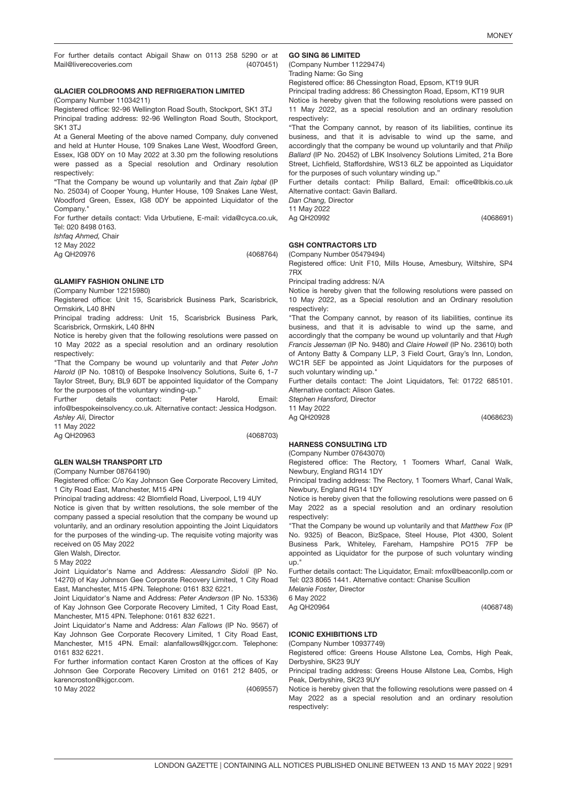(4068691)

(4070451) For further details contact Abigail Shaw on 0113 258 5290 or at Mail@liverecoveries.com

#### 4068764 GLACIER COLDROOMS AND REFRIGERATION LIMITED

(Company Number 11034211)

Registered office: 92-96 Wellington Road South, Stockport, SK1 3TJ Principal trading address: 92-96 Wellington Road South, Stockport, **SK1 3TJ** 

At a General Meeting of the above named Company, duly convened and held at Hunter House, 109 Snakes Lane West, Woodford Green, Essex, IG8 0DY on 10 May 2022 at 3.30 pm the following resolutions were passed as a Special resolution and Ordinary resolution respectively:

"That the Company be wound up voluntarily and that *Zain Iqbal* (IP No. 25034) of Cooper Young, Hunter House, 109 Snakes Lane West, Woodford Green, Essex, IG8 0DY be appointed Liquidator of the Company."

For further details contact: Vida Urbutiene, E-mail: vida@cyca.co.uk, Tel: 020 8498 0163.

*Ishfaq Ahmed,* Chair

12 May 2022 Ag QH20976

(4068764)

## GLAMIFY FASHION ONLINE LTD

(Company Number 12215980)

Registered office: Unit 15, Scarisbrick Business Park, Scarisbrick, Ormskirk, L40 8HN

Principal trading address: Unit 15, Scarisbrick Business Park, Scarisbrick, Ormskirk, L40 8HN

Notice is hereby given that the following resolutions were passed on 10 May 2022 as a special resolution and an ordinary resolution respectively:

"That the Company be wound up voluntarily and that *Peter John Harold* (IP No. 10810) of Bespoke Insolvency Solutions, Suite 6, 1-7 Taylor Street, Bury, BL9 6DT be appointed liquidator of the Company for the purposes of the voluntary winding-up."

Further details contact: Peter Harold, Email: info@bespokeinsolvency.co.uk. Alternative contact: Jessica Hodgson. *Ashley Ali,* Director

11 May 2022 Ag QH20963

(4068703)

## 4069557 GLEN WALSH TRANSPORT LTD

(Company Number 08764190)

Registered office: C/o Kay Johnson Gee Corporate Recovery Limited, 1 City Road East, Manchester, M15 4PN

Principal trading address: 42 Blomfield Road, Liverpool, L19 4UY

Notice is given that by written resolutions, the sole member of the company passed a special resolution that the company be wound up voluntarily, and an ordinary resolution appointing the Joint Liquidators for the purposes of the winding-up. The requisite voting majority was received on 05 May 2022

Glen Walsh, Director.

5 May 2022

Joint Liquidator's Name and Address: *Alessandro Sidoli* (IP No. 14270) of Kay Johnson Gee Corporate Recovery Limited, 1 City Road East, Manchester, M15 4PN. Telephone: 0161 832 6221.

Joint Liquidator's Name and Address: *Peter Anderson* (IP No. 15336) of Kay Johnson Gee Corporate Recovery Limited, 1 City Road East, Manchester, M15 4PN. Telephone: 0161 832 6221.

Joint Liquidator's Name and Address: *Alan Fallows* (IP No. 9567) of Kay Johnson Gee Corporate Recovery Limited, 1 City Road East, Manchester, M15 4PN. Email: alanfallows@kjgcr.com. Telephone: 0161 832 6221.

For further information contact Karen Croston at the offices of Kay Johnson Gee Corporate Recovery Limited on 0161 212 8405, or karencroston@kjgcr.com.

10 May 2022

(4069557)

4068691 GO SING 86 LIMITED

(Company Number 11229474) Trading Name: Go Sing

Registered office: 86 Chessington Road, Epsom, KT19 9UR

Principal trading address: 86 Chessington Road, Epsom, KT19 9UR

Notice is hereby given that the following resolutions were passed on 11 May 2022, as a special resolution and an ordinary resolution respectively:

"That the Company cannot, by reason of its liabilities, continue its business, and that it is advisable to wind up the same, and accordingly that the company be wound up voluntarily and that *Philip Ballard* (IP No. 20452) of LBK Insolvency Solutions Limited, 21a Bore Street, Lichfield, Staffordshire, WS13 6LZ be appointed as Liquidator for the purposes of such voluntary winding up."

Further details contact: Philip Ballard, Email: office@lbkis.co.uk Alternative contact: Gavin Ballard.

*Dan Chang,* Director

11 May 2022

Ag QH20992

#### 4068623 GSH CONTRACTORS LTD

(Company Number 05479494) Registered office: Unit F10, Mills House, Amesbury, Wiltshire, SP4 7RX

Principal trading address: N/A

Notice is hereby given that the following resolutions were passed on 10 May 2022, as a Special resolution and an Ordinary resolution respectively:

"That the Company cannot, by reason of its liabilities, continue its business, and that it is advisable to wind up the same, and accordingly that the company be wound up voluntarily and that *Hugh Francis Jesseman* (IP No. 9480) and *Claire Howell* (IP No. 23610) both of Antony Batty & Company LLP, 3 Field Court, Gray's Inn, London, WC1R 5EF be appointed as Joint Liquidators for the purposes of such voluntary winding up."

Further details contact: The Joint Liquidators, Tel: 01722 685101. Alternative contact: Alison Gates.

*Stephen Hansford,* Director

11 May 2022

Ag QH20928

## 4068748 HARNESS CONSULTING LTD

(Company Number 07643070)

Registered office: The Rectory, 1 Toomers Wharf, Canal Walk, Newbury, England RG14 1DY

Principal trading address: The Rectory, 1 Toomers Wharf, Canal Walk, Newbury, England RG14 1DY

Notice is hereby given that the following resolutions were passed on 6 May 2022 as a special resolution and an ordinary resolution respectively:

"That the Company be wound up voluntarily and that *Matthew Fox* (IP No. 9325) of Beacon, BizSpace, Steel House, Plot 4300, Solent Business Park, Whiteley, Fareham, Hampshire PO15 7FP be appointed as Liquidator for the purpose of such voluntary winding up."

Further details contact: The Liquidator, Email: mfox@beaconllp.com or Tel: 023 8065 1441. Alternative contact: Chanise Scullion

*Melanie Foster,* Director

6 May 2022

Ag QH20964

(4068748)

(4068623)

#### 4068752 ICONIC EXHIBITIONS LTD

(Company Number 10937749)

Registered office: Greens House Allstone Lea, Combs, High Peak, Derbyshire, SK23 9UY

Principal trading address: Greens House Allstone Lea, Combs, High Peak, Derbyshire, SK23 9UY

Notice is hereby given that the following resolutions were passed on 4 May 2022 as a special resolution and an ordinary resolution respectively: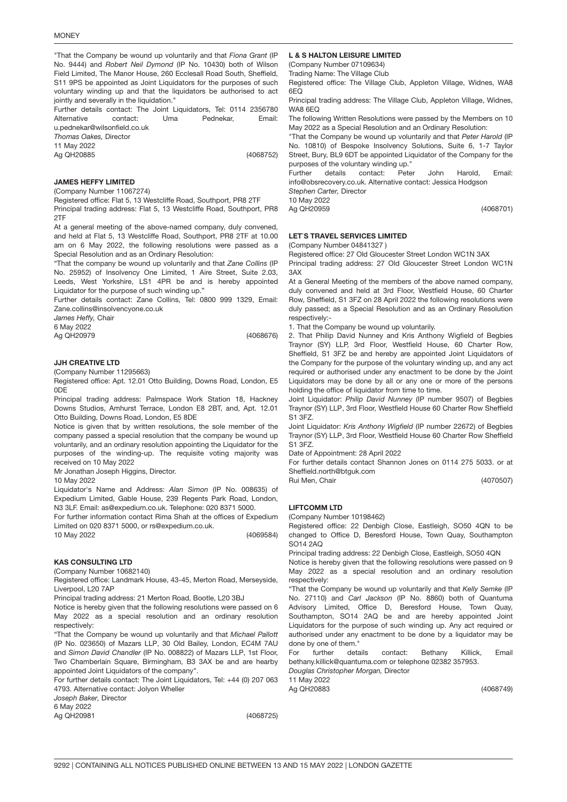"That the Company be wound up voluntarily and that *Fiona Grant* (IP No. 9444) and *Robert Neil Dymond* (IP No. 10430) both of Wilson Field Limited, The Manor House, 260 Ecclesall Road South, Sheffield, S11 9PS be appointed as Joint Liquidators for the purposes of such voluntary winding up and that the liquidators be authorised to act jointly and severally in the liquidation."

Further details contact: The Joint Liquidators, Tel: 0114 2356780 Alternative contact: Uma Pednekar, Email: u.pednekar@wilsonfield.co.uk

*Thomas Oakes,* Director

11 May 2022

Ag QH20885

(4068752)

## 4068676 JAMES HEFFY LIMITED

(Company Number 11067274)

Registered office: Flat 5, 13 Westcliffe Road, Southport, PR8 2TF Principal trading address: Flat 5, 13 Westcliffe Road, Southport, PR8 2TF

At a general meeting of the above-named company, duly convened, and held at Flat 5, 13 Westcliffe Road, Southport, PR8 2TF at 10.00 am on 6 May 2022, the following resolutions were passed as a Special Resolution and as an Ordinary Resolution:

"That the company be wound up voluntarily and that *Zane Collins* (IP No. 25952) of Insolvency One Limited, 1 Aire Street, Suite 2.03, Leeds, West Yorkshire, LS1 4PR be and is hereby appointed Liquidator for the purpose of such winding up."

Further details contact: Zane Collins, Tel: 0800 999 1329, Email: Zane.collins@insolvencyone.co.uk

*James Heffy,* Chair 6 May 2022

Ag QH20979

(4068676)

## 4069584 JJH CREATIVE LTD

(Company Number 11295663)

Registered office: Apt. 12.01 Otto Building, Downs Road, London, E5 0DE

Principal trading address: Palmspace Work Station 18, Hackney Downs Studios, Amhurst Terrace, London E8 2BT, and, Apt. 12.01 Otto Building, Downs Road, London, E5 8DE

Notice is given that by written resolutions, the sole member of the company passed a special resolution that the company be wound up voluntarily, and an ordinary resolution appointing the Liquidator for the purposes of the winding-up. The requisite voting majority was received on 10 May 2022

Mr Jonathan Joseph Higgins, Director.

10 May 2022

Liquidator's Name and Address: *Alan Simon* (IP No. 008635) of Expedium Limited, Gable House, 239 Regents Park Road, London, N3 3LF. Email: as@expedium.co.uk. Telephone: 020 8371 5000.

For further information contact Rima Shah at the offices of Expedium Limited on 020 8371 5000, or rs@expedium.co.uk.

(4069584) 10 May 2022

#### KAS CONSULTING L<mark>TD</mark>

(Company Number 10682140)

Registered office: Landmark House, 43-45, Merton Road, Merseyside, Liverpool, L20 7AP

Principal trading address: 21 Merton Road, Bootle, L20 3BJ

Notice is hereby given that the following resolutions were passed on 6 May 2022 as a special resolution and an ordinary resolution respectively:

"That the Company be wound up voluntarily and that *Michael Pallott* (IP No. 023650) of Mazars LLP, 30 Old Bailey, London, EC4M 7AU and *Simon David Chandler* (IP No. 008822) of Mazars LLP, 1st Floor, Two Chamberlain Square, Birmingham, B3 3AX be and are hearby appointed Joint Liquidators of the company".

For further details contact: The Joint Liquidators, Tel: +44 (0) 207 063 4793. Alternative contact: Jolyon Wheller

*Joseph Baker,* Director

6 May 2022 Ag QH20981

(4068725)

## L & S HALTON LEISURE LIMITED

(Company Number 07109634)

Trading Name: The Village Club

Registered office: The Village Club, Appleton Village, Widnes, WA8 6EQ

Principal trading address: The Village Club, Appleton Village, Widnes, WA8 6EQ

The following Written Resolutions were passed by the Members on 10 May 2022 as a Special Resolution and an Ordinary Resolution:

"That the Company be wound up voluntarily and that *Peter Harold* (IP No. 10810) of Bespoke Insolvency Solutions, Suite 6, 1-7 Taylor Street, Bury, BL9 6DT be appointed Liquidator of the Company for the purposes of the voluntary winding up."

Further details contact: Peter John Harold, Email: info@obsrecovery.co.uk. Alternative contact: Jessica Hodgson

*Stephen Carter,* Director 10 May 2022

Ag QH20959

#### LET`S TRAVEL SERVICES LIMITED

(Company Number 04841327 )

Registered office: 27 Old Gloucester Street London WC1N 3AX Principal trading address: 27 Old Gloucester Street London WC1N 3AX

At a General Meeting of the members of the above named company, duly convened and held at 3rd Floor, Westfield House, 60 Charter Row, Sheffield, S1 3FZ on 28 April 2022 the following resolutions were duly passed; as a Special Resolution and as an Ordinary Resolution respectively:-

1. That the Company be wound up voluntarily.

2. That Philip David Nunney and Kris Anthony Wigfield of Begbies Traynor (SY) LLP, 3rd Floor, Westfield House, 60 Charter Row, Sheffield, S1 3FZ be and hereby are appointed Joint Liquidators of the Company for the purpose of the voluntary winding up, and any act required or authorised under any enactment to be done by the Joint Liquidators may be done by all or any one or more of the persons holding the office of liquidator from time to time.

Joint Liquidator: *Philip David Nunney* (IP number 9507) of Begbies Traynor (SY) LLP, 3rd Floor, Westfield House 60 Charter Row Sheffield S1 3FZ.

Joint Liquidator: *Kris Anthony Wigfield* (IP number 22672) of Begbies Traynor (SY) LLP, 3rd Floor, Westfield House 60 Charter Row Sheffield S1 3FZ.

Date of Appointment: 28 April 2022

For further details contact Shannon Jones on 0114 275 5033. or at Sheffield.north@btguk.com

(4070507) Rui Men, Chair

#### LIFTCOMM LTD

(Company Number 10198462)

Registered office: 22 Denbigh Close, Eastleigh, SO50 4QN to be changed to Office D, Beresford House, Town Quay, Southampton  $SOM4 240$ 

Principal trading address: 22 Denbigh Close, Eastleigh, SO50 4QN

Notice is hereby given that the following resolutions were passed on 9 May 2022 as a special resolution and an ordinary resolution respectively:

"That the Company be wound up voluntarily and that *Kelly Semke* (IP No. 27110) and *Carl Jackson* (IP No. 8860) both of Quantuma Advisory Limited, Office D, Beresford House, Town Quay, Southampton, SO14 2AQ be and are hereby appointed Joint Liquidators for the purpose of such winding up. Any act required or authorised under any enactment to be done by a liquidator may be done by one of them."

For further details contact: Bethany Killick, Email bethany.killick@quantuma.com or telephone 02382 357953.

*Douglas Christopher Morgan,* Director

11 May 2022 Ag QH20883

(4068749)

(4068701)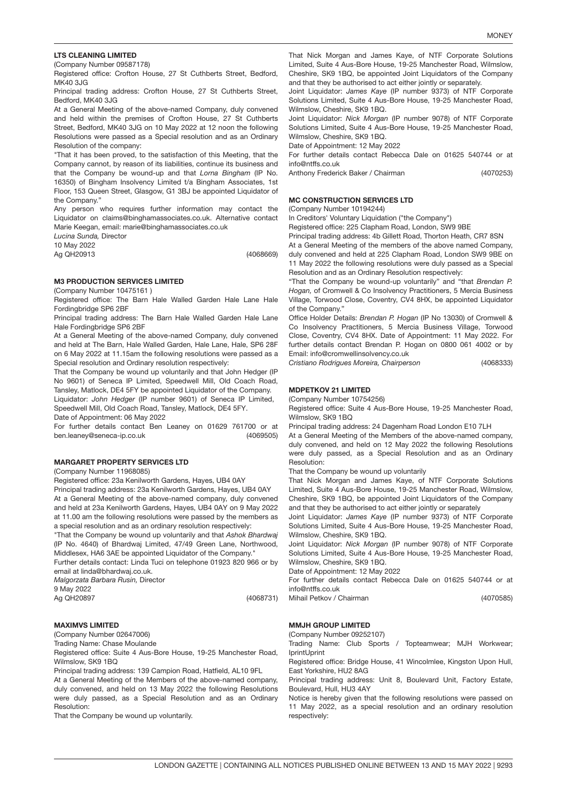## LTS CLEANING LIMITED

(Company Number 09587178)

Registered office: Crofton House, 27 St Cuthberts Street, Bedford, MK40 3JG

Principal trading address: Crofton House, 27 St Cuthberts Street, Bedford, MK40 3JG

At a General Meeting of the above-named Company, duly convened and held within the premises of Crofton House, 27 St Cuthberts Street, Bedford, MK40 3JG on 10 May 2022 at 12 noon the following Resolutions were passed as a Special resolution and as an Ordinary Resolution of the company:

"That it has been proved, to the satisfaction of this Meeting, that the Company cannot, by reason of its liabilities, continue its business and that the Company be wound-up and that *Lorna Bingham* (IP No. 16350) of Bingham Insolvency Limited t/a Bingham Associates, 1st Floor, 153 Queen Street, Glasgow, G1 3BJ be appointed Liquidator of the Company."

Any person who requires further information may contact the Liquidator on claims@binghamassociates.co.uk. Alternative contact Marie Keegan, email: marie@binghamassociates.co.uk

*Lucina Sunda,* Director 10 May 2022

Ag QH20913

(4068669)

### M3 PRODUCTION SERVICES LIMITED

(Company Number 10475161 )

Registered office: The Barn Hale Walled Garden Hale Lane Hale Fordingbridge SP6 2BF

Principal trading address: The Barn Hale Walled Garden Hale Lane Hale Fordingbridge SP6 2BF

At a General Meeting of the above-named Company, duly convened and held at The Barn, Hale Walled Garden, Hale Lane, Hale, SP6 28F on 6 May 2022 at 11.15am the following resolutions were passed as a Special resolution and Ordinary resolution respectively:

That the Company be wound up voluntarily and that John Hedger (IP No 9601) of Seneca IP Limited, Speedwell Mill, Old Coach Road, Tansley, Matlock, DE4 5FY be appointed Liquidator of the Company. Liquidator: *John Hedger* (IP number 9601) of Seneca IP Limited, Speedwell Mill, Old Coach Road, Tansley, Matlock, DE4 5FY. Date of Appointment: 06 May 2022

(4069505) For further details contact Ben Leaney on 01629 761700 or at ben.leaney@seneca-ip.co.uk

## MARGARET PROPERTY SERVICES LTD

(Company Number 11968085)

Registered office: 23a Kenilworth Gardens, Hayes, UB4 0AY

Principal trading address: 23a Kenilworth Gardens, Hayes, UB4 0AY At a General Meeting of the above-named company, duly convened and held at 23a Kenilworth Gardens, Hayes, UB4 0AY on 9 May 2022 at 11.00 am the following resolutions were passed by the members as a special resolution and as an ordinary resolution respectively:

"That the Company be wound up voluntarily and that *Ashok Bhardwaj* (IP No. 4640) of Bhardwaj Limited, 47/49 Green Lane, Northwood, Middlesex, HA6 3AE be appointed Liquidator of the Company."

Further details contact: Linda Tuci on telephone 01923 820 966 or by email at linda@bhardwaj.co.uk.

*Malgorzata Barbara Rusin,* Director

9 May 2022

Ag QH20897

(4068731)

#### MAXIMVS LIMITED

(Company Number 02647006)

Trading Name: Chase Moulande

Registered office: Suite 4 Aus-Bore House, 19-25 Manchester Road, Wilmslow, SK9 1BQ

Principal trading address: 139 Campion Road, Hatfield, AL10 9FL

At a General Meeting of the Members of the above-named company, duly convened, and held on 13 May 2022 the following Resolutions were duly passed, as a Special Resolution and as an Ordinary Resolution:

That the Company be wound up voluntarily.

That Nick Morgan and James Kaye, of NTF Corporate Solutions Limited, Suite 4 Aus-Bore House, 19-25 Manchester Road, Wilmslow, Cheshire, SK9 1BQ, be appointed Joint Liquidators of the Company and that they be authorised to act either jointly or separately.

Joint Liquidator: *James Kaye* (IP number 9373) of NTF Corporate Solutions Limited, Suite 4 Aus-Bore House, 19-25 Manchester Road, Wilmslow, Cheshire, SK9 1BQ.

Joint Liquidator: *Nick Morgan* (IP number 9078) of NTF Corporate Solutions Limited, Suite 4 Aus-Bore House, 19-25 Manchester Road, Wilmslow, Cheshire, SK9 1BQ.

Date of Appointment: 12 May 2022

For further details contact Rebecca Dale on 01625 540744 or at info@ntffs.co.uk

(4070253) Anthony Frederick Baker / Chairman

#### MC CONSTRUCTION SERVICES LTD

(Company Number 10194244)

In Creditors' Voluntary Liquidation ("the Company")

Registered office: 225 Clapham Road, London, SW9 9BE

Principal trading address: 4b Gillett Road, Thorton Heath, CR7 8SN

At a General Meeting of the members of the above named Company, duly convened and held at 225 Clapham Road, London SW9 9BE on 11 May 2022 the following resolutions were duly passed as a Special Resolution and as an Ordinary Resolution respectively:

"That the Company be wound-up voluntarily" and "that *Brendan P. Hogan,* of Cromwell & Co Insolvency Practitioners, 5 Mercia Business Village, Torwood Close, Coventry, CV4 8HX, be appointed Liquidator of the Company."

(4068333) Office Holder Details: *Brendan P. Hogan* (IP No 13030) of Cromwell & Co Insolvency Practitioners, 5 Mercia Business Village, Torwood Close, Coventry, CV4 8HX. Date of Appointment: 11 May 2022. For further details contact Brendan P. Hogan on 0800 061 4002 or by Email: info@cromwellinsolvency.co.uk

*Cristiano Rodrigues Moreira, Chairperson*

## MDPETKOV 21 LIMITED

(Company Number 10754256)

Registered office: Suite 4 Aus-Bore House, 19-25 Manchester Road, Wilmslow, SK9 1BQ

Principal trading address: 24 Dagenham Road London E10 7LH

At a General Meeting of the Members of the above-named company, duly convened, and held on 12 May 2022 the following Resolutions were duly passed, as a Special Resolution and as an Ordinary Resolution:

That the Company be wound up voluntarily

That Nick Morgan and James Kaye, of NTF Corporate Solutions Limited, Suite 4 Aus-Bore House, 19-25 Manchester Road, Wilmslow, Cheshire, SK9 1BQ, be appointed Joint Liquidators of the Company and that they be authorised to act either jointly or separately

Joint Liquidator: *James Kaye* (IP number 9373) of NTF Corporate Solutions Limited, Suite 4 Aus-Bore House, 19-25 Manchester Road, Wilmslow, Cheshire, SK9 1BQ.

Joint Liquidator: *Nick Morgan* (IP number 9078) of NTF Corporate Solutions Limited, Suite 4 Aus-Bore House, 19-25 Manchester Road, Wilmslow, Cheshire, SK9 1BQ.

Date of Appointment: 12 May 2022

For further details contact Rebecca Dale on 01625 540744 or at info@ntffs.co.uk

(4070585) Mihail Petkov / Chairman

## MMJH GROUP LIMITED

(Company Number 09252107)

Trading Name: Club Sports / Topteamwear; MJH Workwear; IprintUprint

Registered office: Bridge House, 41 Wincolmlee, Kingston Upon Hull, East Yorkshire, HU2 8AG

Principal trading address: Unit 8, Boulevard Unit, Factory Estate, Boulevard, Hull, HU3 4AY

Notice is hereby given that the following resolutions were passed on 11 May 2022, as a special resolution and an ordinary resolution respectively: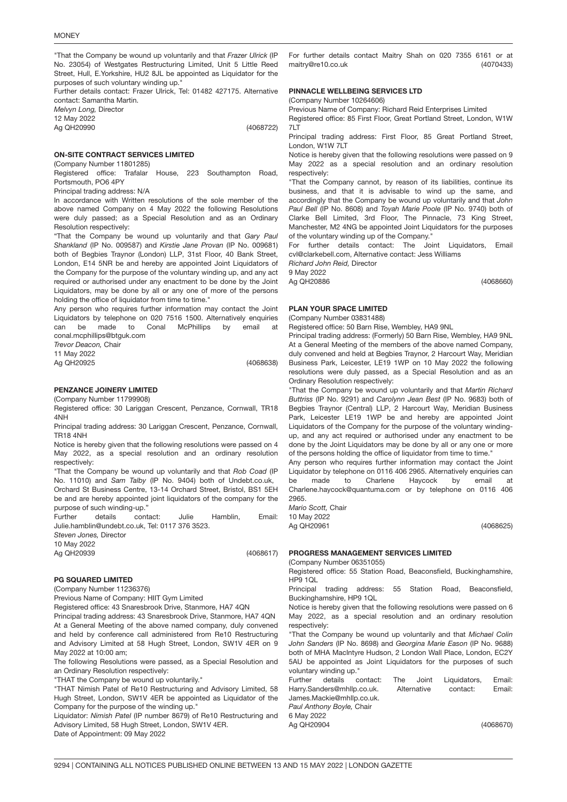"That the Company be wound up voluntarily and that *Frazer Ulrick* (IP No. 23054) of Westgates Restructuring Limited, Unit 5 Little Reed Street, Hull, E.Yorkshire, HU2 8JL be appointed as Liquidator for the purposes of such voluntary winding up."

Further details contact: Frazer Ulrick, Tel: 01482 427175. Alternative contact: Samantha Martin.

*Melvyn Long,* Director 12 May 2022 Ag QH20990

(4068722)

## 4068638 ON-SITE CONTRACT SERVICES LIMITED

(Company Number 11801285)

Registered office: Trafalar House, 223 Southampton Road, Portsmouth, PO6 4PY

Principal trading address: N/A

In accordance with Written resolutions of the sole member of the above named Company on 4 May 2022 the following Resolutions were duly passed; as a Special Resolution and as an Ordinary Resolution respectively:

"That the Company be wound up voluntarily and that *Gary Paul Shankland* (IP No. 009587) and *Kirstie Jane Provan* (IP No. 009681) both of Begbies Traynor (London) LLP, 31st Floor, 40 Bank Street, London, E14 5NR be and hereby are appointed Joint Liquidators of the Company for the purpose of the voluntary winding up, and any act required or authorised under any enactment to be done by the Joint Liquidators, may be done by all or any one of more of the persons holding the office of liquidator from time to time."

Any person who requires further information may contact the Joint Liquidators by telephone on 020 7516 1500. Alternatively enquiries can be made to Conal McPhillips by email at conal.mcphillips@btguk.com

*Trevor Deacon,* Chair

11 May 2022 Ag QH20925

(4068638)

## 4068617 PENZANCE JOINERY LIMITED

(Company Number 11799908)

Registered office: 30 Lariggan Crescent, Penzance, Cornwall, TR18 4NH

Principal trading address: 30 Lariggan Crescent, Penzance, Cornwall, TR18 4NH

Notice is hereby given that the following resolutions were passed on 4 May 2022, as a special resolution and an ordinary resolution respectively:

"That the Company be wound up voluntarily and that *Rob Coad* (IP No. 11010) and *Sam Talby* (IP No. 9404) both of Undebt.co.uk, Orchard St Business Centre, 13-14 Orchard Street, Bristol, BS1 5EH be and are hereby appointed joint liquidators of the company for the purpose of such winding-up."

Further details contact: Julie Hamblin, Email: Julie.hamblin@undebt.co.uk, Tel: 0117 376 3523.

*Steven Jones,* Director

10 May 2022

Ag QH20939

(4068617)

### PG SQUARED LIMITED

(Company Number 11236376)

Previous Name of Company: HIIT Gym Limited

Registered office: 43 Snaresbrook Drive, Stanmore, HA7 4QN

Principal trading address: 43 Snaresbrook Drive, Stanmore, HA7 4QN At a General Meeting of the above named company, duly convened and held by conference call administered from Re10 Restructuring and Advisory Limited at 58 Hugh Street, London, SW1V 4ER on 9 May 2022 at 10:00 am;

The following Resolutions were passed, as a Special Resolution and an Ordinary Resolution respectively:

"THAT the Company be wound up voluntarily."

"THAT Nimish Patel of Re10 Restructuring and Advisory Limited, 58 Hugh Street, London, SW1V 4ER be appointed as Liquidator of the Company for the purpose of the winding up."

Liquidator: *Nimish Patel* (IP number 8679) of Re10 Restructuring and Advisory Limited, 58 Hugh Street, London, SW1V 4ER. Date of Appointment: 09 May 2022

(4070433) For further details contact Maitry Shah on 020 7355 6161 or at maitry@re10.co.uk

## 4068660 PINNACLE WELLBEING SERVICES LTD

(Company Number 10264606)

Previous Name of Company: Richard Reid Enterprises Limited

Registered office: 85 First Floor, Great Portland Street, London, W1W 7LT

Principal trading address: First Floor, 85 Great Portland Street, London, W1W 7LT

Notice is hereby given that the following resolutions were passed on 9 May 2022 as a special resolution and an ordinary resolution respectively:

"That the Company cannot, by reason of its liabilities, continue its business, and that it is advisable to wind up the same, and accordingly that the Company be wound up voluntarily and that *John Paul Bell* (IP No. 8608) and *Toyah Marie Poole* (IP No. 9740) both of Clarke Bell Limited, 3rd Floor, The Pinnacle, 73 King Street, Manchester, M2 4NG be appointed Joint Liquidators for the purposes of the voluntary winding up of the Company."

For further details contact: The Joint Liquidators, Email cvl@clarkebell.com, Alternative contact: Jess Williams

*Richard John Reid,* Director

9 May 2022 Ag QH20886

(4068660)

(4068625)

## PLAN YOUR SPACE LIMITED

(Company Number 03831488)

Registered office: 50 Barn Rise, Wembley, HA9 9NL

Principal trading address: (Formerly) 50 Barn Rise, Wembley, HA9 9NL At a General Meeting of the members of the above named Company, duly convened and held at Begbies Traynor, 2 Harcourt Way, Meridian Business Park, Leicester, LE19 1WP on 10 May 2022 the following resolutions were duly passed, as a Special Resolution and as an Ordinary Resolution respectively:

"That the Company be wound up voluntarily and that *Martin Richard Buttriss* (IP No. 9291) and *Carolynn Jean Best* (IP No. 9683) both of Begbies Traynor (Central) LLP, 2 Harcourt Way, Meridian Business Park, Leicester LE19 1WP be and hereby are appointed Joint Liquidators of the Company for the purpose of the voluntary windingup, and any act required or authorised under any enactment to be done by the Joint Liquidators may be done by all or any one or more of the persons holding the office of liquidator from time to time."

Any person who requires further information may contact the Joint Liquidator by telephone on 0116 406 2965. Alternatively enquiries can be made to Charlene Haycock by email at Charlene.haycock@quantuma.com or by telephone on 0116 406 2965.

*Mario Scott,* Chair 10 May 2022 Ag QH20961

4068670 PROGRESS MANAGEMENT SERVICES LIMITED

(Company Number 06351055)

Registered office: 55 Station Road, Beaconsfield, Buckinghamshire, HP9 1QL

Principal trading address: 55 Station Road, Beaconsfield, Buckinghamshire, HP9 1QL

Notice is hereby given that the following resolutions were passed on 6 May 2022, as a special resolution and an ordinary resolution respectively:

"That the Company be wound up voluntarily and that *Michael Colin John Sanders* (IP No. 8698) and *Georgina Marie Eason* (IP No. 9688) both of MHA MacIntyre Hudson, 2 London Wall Place, London, EC2Y 5AU be appointed as Joint Liquidators for the purposes of such voluntary winding up."

(4068670) Further details contact: The Joint Liquidators, Email: Harry.Sanders@mhllp.co.uk. Alternative contact: Email: James.Mackie@mhllp.co.uk. *Paul Anthony Boyle,* Chair 6 May 2022 Ag QH20904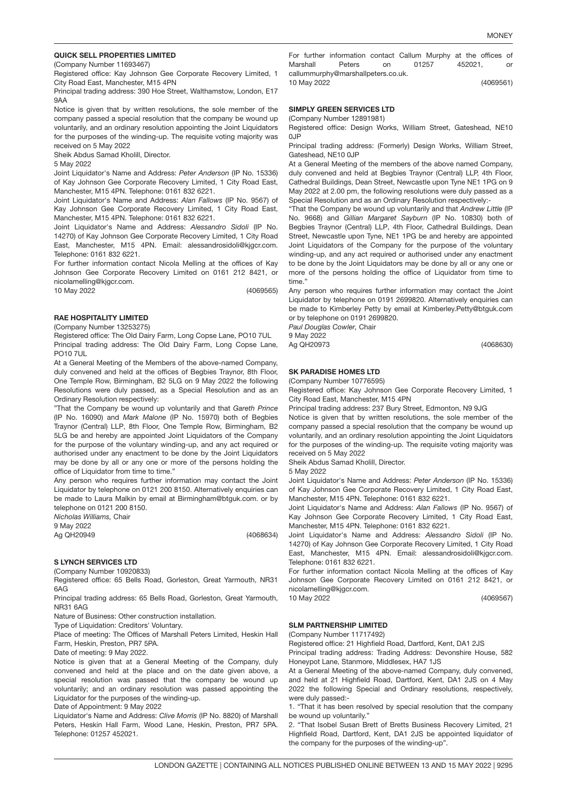## 4069565 QUICK SELL PROPERTIES LIMITED

(Company Number 11693467)

Registered office: Kay Johnson Gee Corporate Recovery Limited, 1 City Road East, Manchester, M15 4PN

Principal trading address: 390 Hoe Street, Walthamstow, London, E17 9AA

Notice is given that by written resolutions, the sole member of the company passed a special resolution that the company be wound up voluntarily, and an ordinary resolution appointing the Joint Liquidators for the purposes of the winding-up. The requisite voting majority was received on 5 May 2022

Sheik Abdus Samad Kholill, Director.

5 May 2022

Joint Liquidator's Name and Address: *Peter Anderson* (IP No. 15336) of Kay Johnson Gee Corporate Recovery Limited, 1 City Road East, Manchester, M15 4PN. Telephone: 0161 832 6221.

Joint Liquidator's Name and Address: *Alan Fallows* (IP No. 9567) of Kay Johnson Gee Corporate Recovery Limited, 1 City Road East, Manchester, M15 4PN. Telephone: 0161 832 6221.

Joint Liquidator's Name and Address: *Alessandro Sidoli* (IP No. 14270) of Kay Johnson Gee Corporate Recovery Limited, 1 City Road East, Manchester, M15 4PN. Email: alessandrosidoli@kjgcr.com. Telephone: 0161 832 6221.

For further information contact Nicola Melling at the offices of Kay Johnson Gee Corporate Recovery Limited on 0161 212 8421, or nicolamelling@kjgcr.com. 10 May 2022

(4069565)

## RAE HOSPITALITY LIMITED

(Company Number 13253275)

Registered office: The Old Dairy Farm, Long Copse Lane, PO10 7UL Principal trading address: The Old Dairy Farm, Long Copse Lane, PO10 7UL

At a General Meeting of the Members of the above-named Company, duly convened and held at the offices of Begbies Traynor, 8th Floor, One Temple Row, Birmingham, B2 5LG on 9 May 2022 the following Resolutions were duly passed, as a Special Resolution and as an Ordinary Resolution respectively:

"That the Company be wound up voluntarily and that *Gareth Prince* (IP No. 16090) and *Mark Malone* (IP No. 15970) both of Begbies Traynor (Central) LLP, 8th Floor, One Temple Row, Birmingham, B2 5LG be and hereby are appointed Joint Liquidators of the Company for the purpose of the voluntary winding-up, and any act required or authorised under any enactment to be done by the Joint Liquidators may be done by all or any one or more of the persons holding the office of Liquidator from time to time."

Any person who requires further information may contact the Joint Liquidator by telephone on 0121 200 8150. Alternatively enquiries can be made to Laura Malkin by email at Birmingham@btguk.com. or by telephone on 0121 200 8150.

*Nicholas Williams,* Chair 9 May 2022 Ag QH20949

(4068634)

#### S LYNCH SERVICES LTD

(Company Number 10920833)

Registered office: 65 Bells Road, Gorleston, Great Yarmouth, NR31 6AG

Principal trading address: 65 Bells Road, Gorleston, Great Yarmouth, NR31 6AG

Nature of Business: Other construction installation.

Type of Liquidation: Creditors' Voluntary.

Place of meeting: The Offices of Marshall Peters Limited, Heskin Hall Farm, Heskin, Preston, PR7 5PA.

Date of meeting: 9 May 2022.

Notice is given that at a General Meeting of the Company, duly convened and held at the place and on the date given above, a special resolution was passed that the company be wound up voluntarily; and an ordinary resolution was passed appointing the Liquidator for the purposes of the winding-up.

Date of Appointment: 9 May 2022

Liquidator's Name and Address: *Clive Morris* (IP No. 8820) of Marshall Peters, Heskin Hall Farm, Wood Lane, Heskin, Preston, PR7 5PA. Telephone: 01257 452021.

For further information contact Callum Murphy at the offices of Marshall Peters on 01257 452021, or callummurphy@marshallpeters.co.uk. 10 May 2022

(4069561)

#### SIMPLY GREEN SERVICES LTD

(Company Number 12891981)

Registered office: Design Works, William Street, Gateshead, NE10  $0$ J $\overline{P}$ 

Principal trading address: (Formerly) Design Works, William Street, Gateshead, NE10 0JP

At a General Meeting of the members of the above named Company, duly convened and held at Begbies Traynor (Central) LLP, 4th Floor, Cathedral Buildings, Dean Street, Newcastle upon Tyne NE1 1PG on 9 May 2022 at 2.00 pm, the following resolutions were duly passed as a Special Resolution and as an Ordinary Resolution respectively:-

"That the Company be wound up voluntarily and that *Andrew Little* (IP No. 9668) and *Gillian Margaret Sayburn* (IP No. 10830) both of Begbies Traynor (Central) LLP, 4th Floor, Cathedral Buildings, Dean Street, Newcastle upon Tyne, NE1 1PG be and hereby are appointed Joint Liquidators of the Company for the purpose of the voluntary winding-up, and any act required or authorised under any enactment to be done by the Joint Liquidators may be done by all or any one or more of the persons holding the office of Liquidator from time to time."

Any person who requires further information may contact the Joint Liquidator by telephone on 0191 2699820. Alternatively enquiries can be made to Kimberley Petty by email at Kimberley.Petty@btguk.com or by telephone on 0191 2699820.

*Paul Douglas Cowler,* Chair

9 May 2022 Ag QH20973

#### SK PARADISE HOMES LTD

(Company Number 10776595)

Registered office: Kay Johnson Gee Corporate Recovery Limited, 1 City Road East, Manchester, M15 4PN

Principal trading address: 237 Bury Street, Edmonton, N9 9JG

Notice is given that by written resolutions, the sole member of the company passed a special resolution that the company be wound up voluntarily, and an ordinary resolution appointing the Joint Liquidators for the purposes of the winding-up. The requisite voting majority was received on 5 May 2022

Sheik Abdus Samad Kholill, Director.

5 May 2022

Joint Liquidator's Name and Address: *Peter Anderson* (IP No. 15336) of Kay Johnson Gee Corporate Recovery Limited, 1 City Road East, Manchester, M15 4PN. Telephone: 0161 832 6221.

Joint Liquidator's Name and Address: *Alan Fallows* (IP No. 9567) of Kay Johnson Gee Corporate Recovery Limited, 1 City Road East, Manchester, M15 4PN. Telephone: 0161 832 6221.

Joint Liquidator's Name and Address: *Alessandro Sidoli* (IP No. 14270) of Kay Johnson Gee Corporate Recovery Limited, 1 City Road East, Manchester, M15 4PN. Email: alessandrosidoli@kjgcr.com. Telephone: 0161 832 6221.

For further information contact Nicola Melling at the offices of Kay Johnson Gee Corporate Recovery Limited on 0161 212 8421, or nicolamelling@kjgcr.com. 10 May 2022

(4069567)

(4068630)

## SLM PARTNERSHIP LIMITED

(Company Number 11717492)

Registered office: 21 Highfield Road, Dartford, Kent, DA1 2JS

Principal trading address: Trading Address: Devonshire House, 582 Honeypot Lane, Stanmore, Middlesex, HA7 1JS

At a General Meeting of the above-named Company, duly convened, and held at 21 Highfield Road, Dartford, Kent, DA1 2JS on 4 May 2022 the following Special and Ordinary resolutions, respectively, were duly passed:-

1. "That it has been resolved by special resolution that the company be wound up voluntarily."

2. "That Isobel Susan Brett of Bretts Business Recovery Limited, 21 Highfield Road, Dartford, Kent, DA1 2JS be appointed liquidator of the company for the purposes of the winding-up".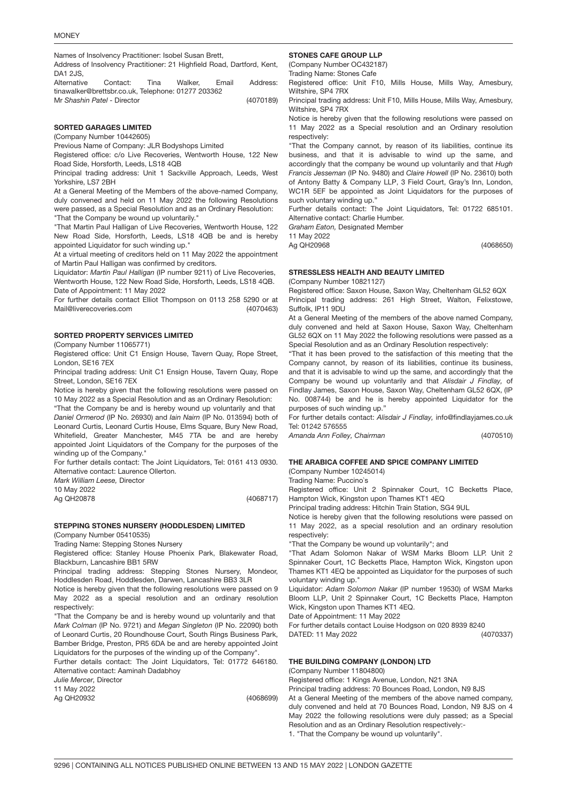Names of Insolvency Practitioner: Isobel Susan Brett,

Address of Insolvency Practitioner: 21 Highfield Road, Dartford, Kent, DA1 2JS,

(4070189) Alternative Contact: Tina Walker, Email Address: tinawalker@brettsbr.co.uk, Telephone: 01277 203362 Mr *Shashin Patel* - Director

## SORTED GARAGES LIMITED

(Company Number 10442605)

Previous Name of Company: JLR Bodyshops Limited

Registered office: c/o Live Recoveries, Wentworth House, 122 New Road Side, Horsforth, Leeds, LS18 4QB

Principal trading address: Unit 1 Sackville Approach, Leeds, West Yorkshire, LS7 2BH

At a General Meeting of the Members of the above-named Company, duly convened and held on 11 May 2022 the following Resolutions were passed, as a Special Resolution and as an Ordinary Resolution: "That the Company be wound up voluntarily."

"That Martin Paul Halligan of Live Recoveries, Wentworth House, 122 New Road Side, Horsforth, Leeds, LS18 4QB be and is hereby appointed Liquidator for such winding up."

At a virtual meeting of creditors held on 11 May 2022 the appointment of Martin Paul Halligan was confirmed by creditors.

Liquidator: *Martin Paul Halligan* (IP number 9211) of Live Recoveries, Wentworth House, 122 New Road Side, Horsforth, Leeds, LS18 4QB. Date of Appointment: 11 May 2022

(4070463) For further details contact Elliot Thompson on 0113 258 5290 or at Mail@liverecoveries.com

## SORTED PROPERTY SERVICES LIMITED

(Company Number 11065771)

Registered office: Unit C1 Ensign House, Tavern Quay, Rope Street, London, SE16 7EX

Principal trading address: Unit C1 Ensign House, Tavern Quay, Rope Street, London, SE16 7EX

Notice is hereby given that the following resolutions were passed on 10 May 2022 as a Special Resolution and as an Ordinary Resolution:

"That the Company be and is hereby wound up voluntarily and that *Daniel Ormerod* (IP No. 26930) and *Iain Nairn* (IP No. 013594) both of Leonard Curtis, Leonard Curtis House, Elms Square, Bury New Road, Whitefield, Greater Manchester, M45 7TA be and are hereby appointed Joint Liquidators of the Company for the purposes of the winding up of the Company."

For further details contact: The Joint Liquidators, Tel: 0161 413 0930. Alternative contact: Laurence Ollerton.

*Mark William Leese,* Director

10 May 2022

(4068717) Ag QH20878

## STEPPING STONES NURSERY (HODDLESDEN) LIMITED

(Company Number 05410535)

Trading Name: Stepping Stones Nursery

Registered office: Stanley House Phoenix Park, Blakewater Road, Blackburn, Lancashire BB1 5RW

Principal trading address: Stepping Stones Nursery, Mondeor, Hoddlesden Road, Hoddlesden, Darwen, Lancashire BB3 3LR

Notice is hereby given that the following resolutions were passed on 9 May 2022 as a special resolution and an ordinary resolution respectively:

"That the Company be and is hereby wound up voluntarily and that *Mark Colman* (IP No. 9721) and *Megan Singleton* (IP No. 22090) both of Leonard Curtis, 20 Roundhouse Court, South Rings Business Park, Bamber Bridge, Preston, PR5 6DA be and are hereby appointed Joint Liquidators for the purposes of the winding up of the Company".

Further details contact: The Joint Liquidators, Tel: 01772 646180. Alternative contact: Aaminah Dadabhoy

*Julie Mercer,* Director

11 May 2022

Ag QH20932

4068650 STONES CAFE GROUP LLP

(Company Number OC432187) Trading Name: Stones Cafe

Registered office: Unit F10, Mills House, Mills Way, Amesbury, Wiltshire, SP4 7RX

Principal trading address: Unit F10, Mills House, Mills Way, Amesbury, Wiltshire, SP4 7RX

Notice is hereby given that the following resolutions were passed on 11 May 2022 as a Special resolution and an Ordinary resolution respectively:

"That the Company cannot, by reason of its liabilities, continue its business, and that it is advisable to wind up the same, and accordingly that the company be wound up voluntarily and that *Hugh Francis Jesseman* (IP No. 9480) and *Claire Howell* (IP No. 23610) both of Antony Batty & Company LLP, 3 Field Court, Gray's Inn, London, WC1R 5EF be appointed as Joint Liquidators for the purposes of such voluntary winding up."

Further details contact: The Joint Liquidators, Tel: 01722 685101. Alternative contact: Charlie Humber.

*Graham Eaton,* Designated Member

11 May 2022 Ag QH20968

(4068650)

## STRESSLESS HEALTH AND BEAUTY LIMITED

(Company Number 10821127)

Registered office: Saxon House, Saxon Way, Cheltenham GL52 6QX Principal trading address: 261 High Street, Walton, Felixstowe, Suffolk, IP11 9DU

At a General Meeting of the members of the above named Company, duly convened and held at Saxon House, Saxon Way, Cheltenham GL52 6QX on 11 May 2022 the following resolutions were passed as a Special Resolution and as an Ordinary Resolution respectively:

"That it has been proved to the satisfaction of this meeting that the Company cannot, by reason of its liabilities, continue its business, and that it is advisable to wind up the same, and accordingly that the Company be wound up voluntarily and that *Alisdair J Findlay,* of Findlay James, Saxon House, Saxon Way, Cheltenham GL52 6QX, (IP No. 008744) be and he is hereby appointed Liquidator for the purposes of such winding up."

For further details contact: *Alisdair J Findlay,* info@findlayjames.co.uk Tel: 01242 576555 *Amanda Ann Folley, Chairman*

(4070510)

## THE ARABICA COFFEE AND SPICE COMPANY LIMITED

(Company Number 10245014)

Trading Name: Puccino`s

Registered office: Unit 2 Spinnaker Court, 1C Becketts Place, Hampton Wick, Kingston upon Thames KT1 4EQ

Principal trading address: Hitchin Train Station, SG4 9UL

Notice is hereby given that the following resolutions were passed on 11 May 2022, as a special resolution and an ordinary resolution respectively:

"That the Company be wound up voluntarily"; and

"That Adam Solomon Nakar of WSM Marks Bloom LLP. Unit 2 Spinnaker Court, 1C Becketts Place, Hampton Wick, Kingston upon Thames KT1 4EQ be appointed as Liquidator for the purposes of such voluntary winding up."

Liquidator: *Adam Solomon Nakar* (IP number 19530) of WSM Marks Bloom LLP, Unit 2 Spinnaker Court, 1C Becketts Place, Hampton Wick, Kingston upon Thames KT1 4EQ.

Date of Appointment: 11 May 2022

(4070337) For further details contact Louise Hodgson on 020 8939 8240 DATED: 11 May 2022

## THE BUILDING COMPANY (LONDON) LTD

(Company Number 11804800)

Registered office: 1 Kings Avenue, London, N21 3NA

Principal trading address: 70 Bounces Road, London, N9 8JS

At a General Meeting of the members of the above named company, duly convened and held at 70 Bounces Road, London, N9 8JS on 4 May 2022 the following resolutions were duly passed; as a Special Resolution and as an Ordinary Resolution respectively:- 1. "That the Company be wound up voluntarily".

9296 | CONTAINING ALL NOTICES PUBLISHED ONLINE BETWEEN 13 AND 15 MAY 2022 | LONDON GAZETTE

(4068699)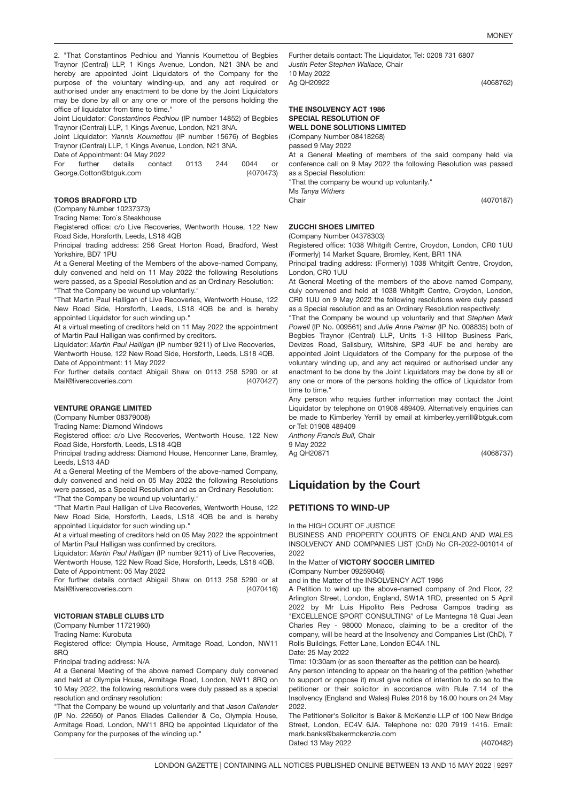(4068762)

2. "That Constantinos Pedhiou and Yiannis Koumettou of Begbies Traynor (Central) LLP, 1 Kings Avenue, London, N21 3NA be and hereby are appointed Joint Liquidators of the Company for the purpose of the voluntary winding-up, and any act required or authorised under any enactment to be done by the Joint Liquidators may be done by all or any one or more of the persons holding the office of liquidator from time to time."

Joint Liquidator: *Constantinos Pedhiou* (IP number 14852) of Begbies Traynor (Central) LLP, 1 Kings Avenue, London, N21 3NA.

Joint Liquidator: *Yiannis Koumettou* (IP number 15676) of Begbies Traynor (Central) LLP, 1 Kings Avenue, London, N21 3NA. Date of Appointment: 04 May 2022

(4070473) For further details contact 0113 244 0044 or George.Cotton@btguk.com

## TOROS BRADFORD <mark>LTD</mark>

(Company Number 10237373)

Trading Name: Toro`s Steakhouse

Registered office: c/o Live Recoveries, Wentworth House, 122 New Road Side, Horsforth, Leeds, LS18 4QB

Principal trading address: 256 Great Horton Road, Bradford, West Yorkshire, BD7 1PU

At a General Meeting of the Members of the above-named Company, duly convened and held on 11 May 2022 the following Resolutions were passed, as a Special Resolution and as an Ordinary Resolution: "That the Company be wound up voluntarily."

"That Martin Paul Halligan of Live Recoveries, Wentworth House, 122 New Road Side, Horsforth, Leeds, LS18 4QB be and is hereby appointed Liquidator for such winding up."

At a virtual meeting of creditors held on 11 May 2022 the appointment of Martin Paul Halligan was confirmed by creditors.

Liquidator: *Martin Paul Halligan* (IP number 9211) of Live Recoveries, Wentworth House, 122 New Road Side, Horsforth, Leeds, LS18 4QB. Date of Appointment: 11 May 2022

(4070427) For further details contact Abigail Shaw on 0113 258 5290 or at Mail@liverecoveries.com

#### VENTURE ORANGE LIMITED

(Company Number 08379008)

Trading Name: Diamond Windows

Registered office: c/o Live Recoveries, Wentworth House, 122 New Road Side, Horsforth, Leeds, LS18 4QB

Principal trading address: Diamond House, Henconner Lane, Bramley, Leeds, LS13 4AD

At a General Meeting of the Members of the above-named Company, duly convened and held on 05 May 2022 the following Resolutions were passed, as a Special Resolution and as an Ordinary Resolution: "That the Company be wound up voluntarily."

"That Martin Paul Halligan of Live Recoveries, Wentworth House, 122 New Road Side, Horsforth, Leeds, LS18 4QB be and is hereby appointed Liquidator for such winding up."

At a virtual meeting of creditors held on 05 May 2022 the appointment of Martin Paul Halligan was confirmed by creditors.

Liquidator: *Martin Paul Halligan* (IP number 9211) of Live Recoveries, Wentworth House, 122 New Road Side, Horsforth, Leeds, LS18 4QB. Date of Appointment: 05 May 2022

(4070416) For further details contact Abigail Shaw on 0113 258 5290 or at Mail@liverecoveries.com

## VICTORIAN STABLE CLUBS LT<mark>D</mark>

(Company Number 11721960)

Trading Name: Kurobuta

Registered office: Olympia House, Armitage Road, London, NW11 8RQ

Principal trading address: N/A

At a General Meeting of the above named Company duly convened and held at Olympia House, Armitage Road, London, NW11 8RQ on 10 May 2022, the following resolutions were duly passed as a special resolution and ordinary resolution:

"That the Company be wound up voluntarily and that *Jason Callender* (IP No. 22650) of Panos Eliades Callender & Co, Olympia House, Armitage Road, London, NW11 8RQ be appointed Liquidator of the Company for the purposes of the winding up."

Further details contact: The Liquidator, Tel: 0208 731 6807 *Justin Peter Stephen Wallace,* Chair 10 May 2022 Ag QH20922

#### THE INSOLVENCY ACT 1986 SPECIAL RESOLUTION OF WELL DONE SOLUTIONS LIMITED

(Company Number 08418268) passed 9 May 2022

At a General Meeting of members of the said company held via conference call on 9 May 2022 the following Resolution was passed as a Special Resolution:

"That the company be wound up voluntarily."

Ms *Tanya Withers* **Chair** 

(4070187)

## ZUCCHI SHOES LIMITED

(Company Number 04378303)

Registered office: 1038 Whitgift Centre, Croydon, London, CR0 1UU (Formerly) 14 Market Square, Bromley, Kent, BR1 1NA

Principal trading address: (Formerly) 1038 Whitgift Centre, Croydon, London, CR0 1UU

At General Meeting of the members of the above named Company, duly convened and held at 1038 Whitgift Centre, Croydon, London, CR0 1UU on 9 May 2022 the following resolutions were duly passed as a Special resolution and as an Ordinary Resolution respectively:

"That the Company be wound up voluntarily and that *Stephen Mark Powell* (IP No. 009561) and *Julie Anne Palmer* (IP No. 008835) both of Begbies Traynor (Central) LLP, Units 1-3 Hilltop Business Park, Devizes Road, Salisbury, Wiltshire, SP3 4UF be and hereby are appointed Joint Liquidators of the Company for the purpose of the voluntary winding up, and any act required or authorised under any enactment to be done by the Joint Liquidators may be done by all or any one or more of the persons holding the office of Liquidator from time to time.

Any person who requies further information may contact the Joint Liquidator by telephone on 01908 489409. Alternatively enquiries can be made to Kimberley Yerrill by email at kimberley.yerrill@btguk.com or Tel: 01908 489409

*Anthony Francis Bull,* Chair 9 May 2022 Ag QH20871

(4068737)

## Liquidation by the Court

#### PETITIONS TO WIND-UP

In the HIGH COURT OF JUSTICE

BUSINESS AND PROPERTY COURTS OF ENGLAND AND WALES INSOLVENCY AND COMPANIES LIST (ChD) No CR-2022-001014 of 2022

#### In the Matter of VICTORY SOCCER LIMITED

(Company Number 09259046)

and in the Matter of the INSOLVENCY ACT 1986

A Petition to wind up the above-named company of 2nd Floor, 22 Arlington Street, London, England, SW1A 1RD, presented on 5 April 2022 by Mr Luis Hipolito Reis Pedrosa Campos trading as "EXCELLENCE SPORT CONSULTING" of Le Mantegna 18 Quai Jean Charles Rey - 98000 Monaco, claiming to be a creditor of the company, will be heard at the Insolvency and Companies List (ChD), 7 Rolls Buildings, Fetter Lane, London EC4A 1NL

Date: 25 May 2022

Time: 10:30am (or as soon thereafter as the petition can be heard).

Any person intending to appear on the hearing of the petition (whether to support or oppose it) must give notice of intention to do so to the petitioner or their solicitor in accordance with Rule 7.14 of the Insolvency (England and Wales) Rules 2016 by 16.00 hours on 24 May 2022.

(4070482) The Petitioner's Solicitor is Baker & McKenzie LLP of 100 New Bridge Street, London, EC4V 6JA. Telephone no: 020 7919 1416. Email: mark.banks@bakermckenzie.com Dated 13 May 2022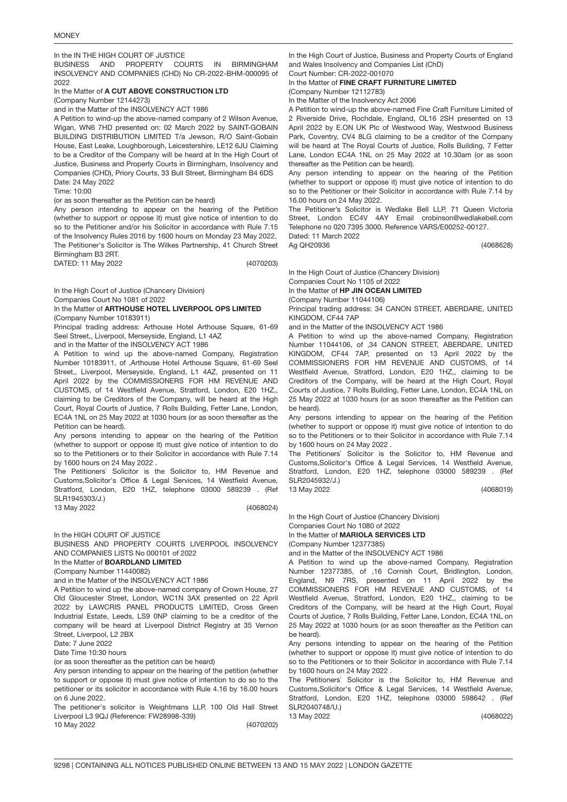#### **MONEY**

In the IN THE HIGH COURT OF JUSTICE

BUSINESS AND PROPERTY COURTS IN BIRMINGHAM INSOLVENCY AND COMPANIES (CHD) No CR-2022-BHM-000095 of 2022

#### In the Matter of A CUT ABOVE CONSTRUCTION LTD

(Company Number 12144273)

and in the Matter of the INSOLVENCY ACT 1986

A Petition to wind-up the above-named company of 2 Wilson Avenue, Wigan, WN6 7HD presented on: 02 March 2022 by SAINT-GOBAIN BUILDING DISTRIBUTION LIMITED T/a Jewson, R/O Saint-Gobain House, East Leake, Loughborough, Leicestershire, LE12 6JU Claiming to be a Creditor of the Company will be heard at In the High Court of Justice, Business and Property Courts in Birmingham, Insolvency and Companies (CHD), Priory Courts, 33 Bull Street, Birmingham B4 6DS Date: 24 May 2022

Time: 10:00

(or as soon thereafter as the Petition can be heard)

Any person intending to appear on the hearing of the Petition (whether to support or oppose it) must give notice of intention to do so to the Petitioner and/or his Solicitor in accordance with Rule 7.15 of the Insolvency Rules 2016 by 1600 hours on Monday 23 May 2022. The Petitioner's Solicitor is The Wilkes Partnership, 41 Church Street Birmingham B3 2RT.

DATED: 11 May 2022

(4070203)

In the High Court of Justice (Chancery Division)

Companies Court No 1081 of 2022

In the Matter of ARTHOUSE HOTEL LIVERPOOL OPS LIMITED (Company Number 10183911)

Principal trading address: Arthouse Hotel Arthouse Square, 61-69 Seel Street,, Liverpool, Merseyside, England, L1 4AZ

and in the Matter of the INSOLVENCY ACT 1986

A Petition to wind up the above-named Company, Registration Number 10183911, of ,Arthouse Hotel Arthouse Square, 61-69 Seel Street,, Liverpool, Merseyside, England, L1 4AZ, presented on 11 April 2022 by the COMMISSIONERS FOR HM REVENUE AND CUSTOMS, of 14 Westfield Avenue, Stratford, London, E20 1HZ,, claiming to be Creditors of the Company, will be heard at the High Court, Royal Courts of Justice, 7 Rolls Building, Fetter Lane, London, EC4A 1NL on 25 May 2022 at 1030 hours (or as soon thereafter as the Petition can be heard).

Any persons intending to appear on the hearing of the Petition (whether to support or oppose it) must give notice of intention to do so to the Petitioners or to their Solicitor in accordance with Rule 7.14 by 1600 hours on 24 May 2022 .

(4068024) The Petitioners` Solicitor is the Solicitor to, HM Revenue and Customs,Solicitor's Office & Legal Services, 14 Westfield Avenue, Stratford, London, E20 1HZ, telephone 03000 589239 . (Ref SLR1945303/J.)

13 May 2022

In the HIGH COURT OF JUSTICE BUSINESS AND PROPERTY COURTS LIVERPOOL INSOLVENCY AND COMPANIES LISTS No 000101 of 2022

In the Matter of **BOARDLAND LIMITED** 

(Company Number 11440082)

and in the Matter of the INSOLVENCY ACT 1986

A Petition to wind up the above-named company of Crown House, 27 Old Gloucester Street, London, WC1N 3AX presented on 22 April 2022 by LAWCRIS PANEL PRODUCTS LIMITED, Cross Green Industrial Estate, Leeds, LS9 0NP claiming to be a creditor of the company will be heard at Liverpool District Registry at 35 Vernon Street, Liverpool, L2 2BX

Date: 7 June 2022

Date Time 10:30 hours

(or as soon thereafter as the petition can be heard)

Any person intending to appear on the hearing of the petition (whether to support or oppose it) must give notice of intention to do so to the petitioner or its solicitor in accordance with Rule 4.16 by 16.00 hours on 6 June 2022.

The petitioner's solicitor is Weightmans LLP, 100 Old Hall Street Liverpool L3 9QJ (Reference: FW28998-339) 10 May 2022

(4070202)

In the High Court of Justice, Business and Property Courts of England and Wales Insolvency and Companies List (ChD)

Court Number: CR-2022-001070 In the Matter of FINE CRAFT FURNITURE LIMITED (Company Number 12112783)

In the Matter of the Insolvency Act 2006

A Petition to wind-up the above-named Fine Craft Furniture Limited of 2 Riverside Drive, Rochdale, England, OL16 2SH presented on 13 April 2022 by E.ON UK Plc of Westwood Way, Westwood Business Park, Coventry, CV4 8LG claiming to be a creditor of the Company will be heard at The Royal Courts of Justice, Rolls Building, 7 Fetter Lane, London EC4A 1NL on 25 May 2022 at 10.30am (or as soon thereafter as the Petition can be heard).

Any person intending to appear on the hearing of the Petition (whether to support or oppose it) must give notice of intention to do so to the Petitioner or their Solicitor in accordance with Rule 7.14 by 16.00 hours on 24 May 2022.

The Petitioner's Solicitor is Wedlake Bell LLP, 71 Queen Victoria Street, London EC4V 4AY Email crobinson@wedlakebell.com Telephone no 020 7395 3000. Reference VARS/E00252-00127.

Dated: 11 March 2022 Ag QH20936

(4068628)

In the High Court of Justice (Chancery Division) Companies Court No 1105 of 2022 In the Matter of HP JIN OCEAN LIMITED (Company Number 11044106)

Principal trading address: 34 CANON STREET, ABERDARE, UNITED KINGDOM, CF44 7AP

and in the Matter of the INSOLVENCY ACT 1986

A Petition to wind up the above-named Company, Registration Number 11044106, of ,34 CANON STREET, ABERDARE, UNITED KINGDOM, CF44 7AP, presented on 13 April 2022 by the COMMISSIONERS FOR HM REVENUE AND CUSTOMS, of 14 Westfield Avenue, Stratford, London, E20 1HZ,, claiming to be Creditors of the Company, will be heard at the High Court, Royal Courts of Justice, 7 Rolls Building, Fetter Lane, London, EC4A 1NL on 25 May 2022 at 1030 hours (or as soon thereafter as the Petition can be heard).

Any persons intending to appear on the hearing of the Petition (whether to support or oppose it) must give notice of intention to do so to the Petitioners or to their Solicitor in accordance with Rule 7.14 by 1600 hours on 24 May 2022 .

The Petitioners` Solicitor is the Solicitor to, HM Revenue and Customs,Solicitor's Office & Legal Services, 14 Westfield Avenue, Stratford, London, E20 1HZ, telephone 03000 589239 . (Ref SLR2045932/J.) 13 May 2022

(4068019)

In the High Court of Justice (Chancery Division) Companies Court No 1080 of 2022 In the Matter of MARIOLA SERVICES LTD

#### (Company Number 12377385)

and in the Matter of the INSOLVENCY ACT 1986

A Petition to wind up the above-named Company, Registration Number 12377385, of ,16 Cornish Court, Bridlington, London, England, N9 7RS, presented on 11 April 2022 by the COMMISSIONERS FOR HM REVENUE AND CUSTOMS, of 14 Westfield Avenue, Stratford, London, E20 1HZ,, claiming to be Creditors of the Company, will be heard at the High Court, Royal Courts of Justice, 7 Rolls Building, Fetter Lane, London, EC4A 1NL on 25 May 2022 at 1030 hours (or as soon thereafter as the Petition can be heard).

Any persons intending to appear on the hearing of the Petition (whether to support or oppose it) must give notice of intention to do so to the Petitioners or to their Solicitor in accordance with Rule 7.14 by 1600 hours on 24 May 2022 .

The Petitioners` Solicitor is the Solicitor to, HM Revenue and Customs,Solicitor's Office & Legal Services, 14 Westfield Avenue, Stratford, London, E20 1HZ, telephone 03000 598642 . (Ref SLR2040748/U.)

13 May 2022

(4068022)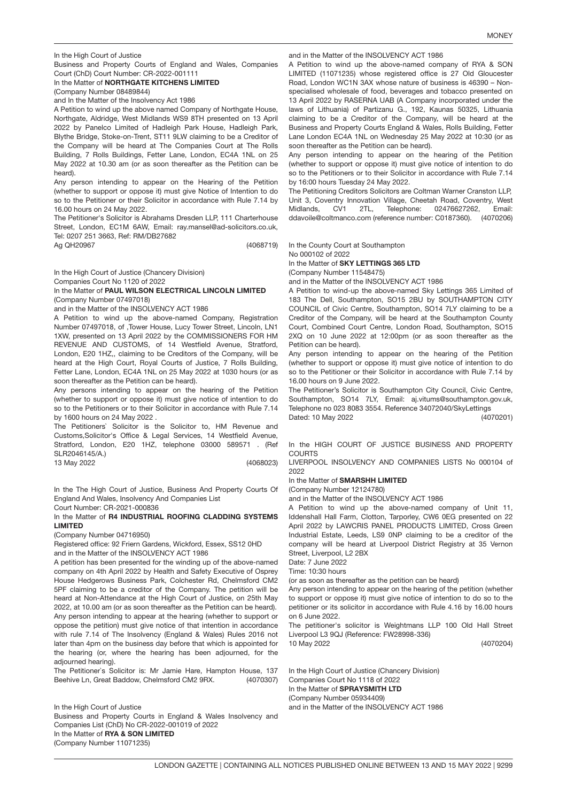## In the High Court of Justice

Business and Property Courts of England and Wales, Companies Court (ChD) Court Number: CR-2022-001111

#### In the Matter of NORTHGATE KITCHENS LIMITED

(Company Number 08489844)

and In the Matter of the Insolvency Act 1986

A Petition to wind up the above named Company of Northgate House, Northgate, Aldridge, West Midlands WS9 8TH presented on 13 April 2022 by Panelco Limited of Hadleigh Park House, Hadleigh Park, Blythe Bridge, Stoke-on-Trent, ST11 9LW claiming to be a Creditor of the Company will be heard at The Companies Court at The Rolls Building, 7 Rolls Buildings, Fetter Lane, London, EC4A 1NL on 25 May 2022 at 10.30 am (or as soon thereafter as the Petition can be heard).

Any person intending to appear on the Hearing of the Petition (whether to support or oppose it) must give Notice of Intention to do so to the Petitioner or their Solicitor in accordance with Rule 7.14 by 16.00 hours on 24 May 2022.

The Petitioner's Solicitor is Abrahams Dresden LLP, 111 Charterhouse Street, London, EC1M 6AW, Email: ray.mansel@ad-solicitors.co.uk, Tel: 0207 251 3663, Ref: RM/DB27682 Ag QH20967

(4068719)

4068023 In the High Court of Justice (Chancery Division)

Companies Court No 1120 of 2022

#### In the Matter of PAUL WILSON ELECTRICAL LINCOLN LIMITED (Company Number 07497018)

and in the Matter of the INSOLVENCY ACT 1986

A Petition to wind up the above-named Company, Registration Number 07497018, of ,Tower House, Lucy Tower Street, Lincoln, LN1 1XW, presented on 13 April 2022 by the COMMISSIONERS FOR HM REVENUE AND CUSTOMS, of 14 Westfield Avenue, Stratford, London, E20 1HZ,, claiming to be Creditors of the Company, will be heard at the High Court, Royal Courts of Justice, 7 Rolls Building, Fetter Lane, London, EC4A 1NL on 25 May 2022 at 1030 hours (or as soon thereafter as the Petition can be heard).

Any persons intending to appear on the hearing of the Petition (whether to support or oppose it) must give notice of intention to do so to the Petitioners or to their Solicitor in accordance with Rule 7.14 by 1600 hours on 24 May 2022 .

The Petitioners` Solicitor is the Solicitor to, HM Revenue and Customs,Solicitor's Office & Legal Services, 14 Westfield Avenue, Stratford, London, E20 1HZ, telephone 03000 589571 . (Ref SLR2046145/A.) 13 May 2022

(4068023)

In the The High Court of Justice, Business And Property Courts Of England And Wales, Insolvency And Companies List

Court Number: CR-2021-000836

#### In the Matter of R4 INDUSTRIAL ROOFING CLADDING SYSTEMS LIMITED

(Company Number 04716950)

Registered office: 92 Friern Gardens, Wickford, Essex, SS12 0HD

and in the Matter of the INSOLVENCY ACT 1986

A petition has been presented for the winding up of the above-named company on 4th April 2022 by Health and Safety Executive of Osprey House Hedgerows Business Park, Colchester Rd, Chelmsford CM2 5PF claiming to be a creditor of the Company. The petition will be heard at Non-Attendance at the High Court of Justice, on 25th May 2022, at 10.00 am (or as soon thereafter as the Petition can be heard). Any person intending to appear at the hearing (whether to support or oppose the petition) must give notice of that intention in accordance with rule 7.14 of The Insolvency (England & Wales) Rules 2016 not later than 4pm on the business day before that which is appointed for the hearing (or, where the hearing has been adjourned, for the adjourned hearing).

(4070307) The Petitioner`s Solicitor is: Mr Jamie Hare, Hampton House, 137 Beehive Ln, Great Baddow, Chelmsford CM2 9RX.

In the High Court of Justice Business and Property Courts in England & Wales Insolvency and Companies List (ChD) No CR-2022-001019 of 2022 In the Matter of RYA & SON LIMITED (Company Number 11071235)

and in the Matter of the INSOLVENCY ACT 1986

A Petition to wind up the above-named company of RYA & SON LIMITED (11071235) whose registered office is 27 Old Gloucester Road, London WC1N 3AX whose nature of business is 46390 – Nonspecialised wholesale of food, beverages and tobacco presented on 13 April 2022 by RASERNA UAB (A Company incorporated under the laws of Lithuania) of Partizanu G., 192, Kaunas 50325, Lithuania claiming to be a Creditor of the Company, will be heard at the Business and Property Courts England & Wales, Rolls Building, Fetter Lane London EC4A 1NL on Wednesday 25 May 2022 at 10:30 (or as soon thereafter as the Petition can be heard).

Any person intending to appear on the hearing of the Petition (whether to support or oppose it) must give notice of intention to do so to the Petitioners or to their Solicitor in accordance with Rule 7.14 by 16:00 hours Tuesday 24 May 2022.

(4070206) The Petitioning Creditors Solicitors are Coltman Warner Cranston LLP, Unit 3, Coventry Innovation Village, Cheetah Road, Coventry, West Midlands, CV1 2TL, Telephone: 02476627262, Email: ddavoile@coltmanco.com (reference number: C0187360).

In the County Court at Southampton

No 000102 of 2022 In the Matter of SKY LETTINGS 365 LTD

(Company Number 11548475) and in the Matter of the INSOLVENCY ACT 1986

A Petition to wind-up the above-named Sky Lettings 365 Limited of 183 The Dell, Southampton, SO15 2BU by SOUTHAMPTON CITY COUNCIL of Civic Centre, Southampton, SO14 7LY claiming to be a Creditor of the Company, will be heard at the Southampton County Court, Combined Court Centre, London Road, Southampton, SO15 2XQ on 10 June 2022 at 12:00pm (or as soon thereafter as the Petition can be heard).

Any person intending to appear on the hearing of the Petition (whether to support or oppose it) must give notice of intention to do so to the Petitioner or their Solicitor in accordance with Rule 7.14 by 16.00 hours on 9 June 2022.

(4070201) The Petitioner's Solicitor is Southampton City Council, Civic Centre, Southampton, SO14 7LY, Email: aj.vitums@southampton.gov.uk, Telephone no 023 8083 3554. Reference 34072040/SkyLettings Dated: 10 May 2022

In the HIGH COURT OF JUSTICE BUSINESS AND PROPERTY COURTS

LIVERPOOL INSOLVENCY AND COMPANIES LISTS No 000104 of 2022

#### In the Matter of **SMARSHH LIMITED**

(Company Number 12124780)

and in the Matter of the INSOLVENCY ACT 1986

A Petition to wind up the above-named company of Unit 11, Iddenshall Hall Farm, Clotton, Tarporley, CW6 0EG presented on 22 April 2022 by LAWCRIS PANEL PRODUCTS LIMITED, Cross Green Industrial Estate, Leeds, LS9 0NP claiming to be a creditor of the company will be heard at Liverpool District Registry at 35 Vernon Street, Liverpool, L2 2BX

Date: 7 June 2022

Time: 10:30 hours

(or as soon as thereafter as the petition can be heard)

Any person intending to appear on the hearing of the petition (whether to support or oppose it) must give notice of intention to do so to the petitioner or its solicitor in accordance with Rule 4.16 by 16.00 hours on 6 June 2022.

The petitioner's solicitor is Weightmans LLP 100 Old Hall Street Liverpool L3 9QJ (Reference: FW28998-336) 10 May 2022

(4070204)

In the High Court of Justice (Chancery Division) Companies Court No 1118 of 2022 In the Matter of SPRAYSMITH LTD (Company Number 05934409) and in the Matter of the INSOLVENCY ACT 1986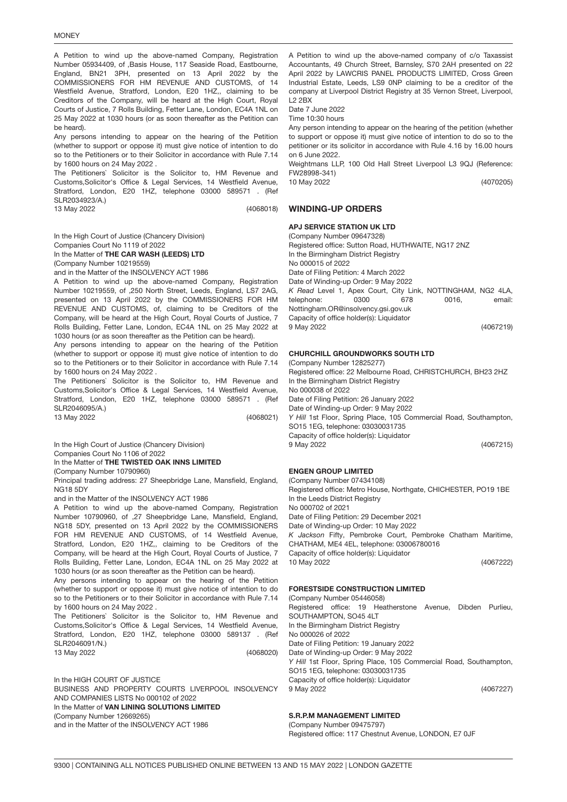A Petition to wind up the above-named Company, Registration Number 05934409, of ,Basis House, 117 Seaside Road, Eastbourne, England, BN21 3PH, presented on 13 April 2022 by the COMMISSIONERS FOR HM REVENUE AND CUSTOMS, of 14 Westfield Avenue, Stratford, London, E20 1HZ,, claiming to be Creditors of the Company, will be heard at the High Court, Royal Courts of Justice, 7 Rolls Building, Fetter Lane, London, EC4A 1NL on 25 May 2022 at 1030 hours (or as soon thereafter as the Petition can be heard).

Any persons intending to appear on the hearing of the Petition (whether to support or oppose it) must give notice of intention to do so to the Petitioners or to their Solicitor in accordance with Rule 7.14 by 1600 hours on 24 May 2022 .

(4068018) The Petitioners` Solicitor is the Solicitor to, HM Revenue and Customs,Solicitor's Office & Legal Services, 14 Westfield Avenue, Stratford, London, E20 1HZ, telephone 03000 589571 . (Ref SLR2034923/A.) 13 May 2022

In the High Court of Justice (Chancery Division)

Companies Court No 1119 of 2022 In the Matter of THE CAR WASH (LEEDS) LTD

(Company Number 10219559)

and in the Matter of the INSOLVENCY ACT 1986

A Petition to wind up the above-named Company, Registration Number 10219559, of ,250 North Street, Leeds, England, LS7 2AG, presented on 13 April 2022 by the COMMISSIONERS FOR HM REVENUE AND CUSTOMS, of, claiming to be Creditors of the Company, will be heard at the High Court, Royal Courts of Justice, 7 Rolls Building, Fetter Lane, London, EC4A 1NL on 25 May 2022 at 1030 hours (or as soon thereafter as the Petition can be heard).

Any persons intending to appear on the hearing of the Petition (whether to support or oppose it) must give notice of intention to do so to the Petitioners or to their Solicitor in accordance with Rule 7.14 by 1600 hours on 24 May 2022 .

The Petitioners` Solicitor is the Solicitor to, HM Revenue and Customs,Solicitor's Office & Legal Services, 14 Westfield Avenue, Stratford, London, E20 1HZ, telephone 03000 589571 . (Ref SLR2046095/A.) 13 May 2022

(4068021)

In the High Court of Justice (Chancery Division) Companies Court No 1106 of 2022 In the Matter of THE TWISTED OAK INNS LIMITED

(Company Number 10790960)

Principal trading address: 27 Sheepbridge Lane, Mansfield, England, NG18 5DY

and in the Matter of the INSOLVENCY ACT 1986

A Petition to wind up the above-named Company, Registration Number 10790960, of ,27 Sheepbridge Lane, Mansfield, England, NG18 5DY, presented on 13 April 2022 by the COMMISSIONERS FOR HM REVENUE AND CUSTOMS, of 14 Westfield Avenue, Stratford, London, E20 1HZ,, claiming to be Creditors of the Company, will be heard at the High Court, Royal Courts of Justice, 7 Rolls Building, Fetter Lane, London, EC4A 1NL on 25 May 2022 at 1030 hours (or as soon thereafter as the Petition can be heard).

Any persons intending to appear on the hearing of the Petition (whether to support or oppose it) must give notice of intention to do so to the Petitioners or to their Solicitor in accordance with Rule 7.14 by 1600 hours on 24 May 2022 .

(4068020) The Petitioners` Solicitor is the Solicitor to, HM Revenue and Customs,Solicitor's Office & Legal Services, 14 Westfield Avenue, Stratford, London, E20 1HZ, telephone 03000 589137 . (Ref SLR2046091/N.)

13 May 2022

In the HIGH COURT OF JUSTICE BUSINESS AND PROPERTY COURTS LIVERPOOL INSOLVENCY AND COMPANIES LISTS No 000102 of 2022 In the Matter of VAN LINING SOLUTIONS LIMITED (Company Number 12669265) and in the Matter of the INSOLVENCY ACT 1986

A Petition to wind up the above-named company of c/o Taxassist Accountants, 49 Church Street, Barnsley, S70 2AH presented on 22 April 2022 by LAWCRIS PANEL PRODUCTS LIMITED, Cross Green Industrial Estate, Leeds, LS9 0NP claiming to be a creditor of the company at Liverpool District Registry at 35 Vernon Street, Liverpool, L2 2BX

Date 7 June 2022

Time 10:30 hours

Any person intending to appear on the hearing of the petition (whether to support or oppose it) must give notice of intention to do so to the petitioner or its solicitor in accordance with Rule 4.16 by 16.00 hours on 6 June 2022.

Weightmans LLP, 100 Old Hall Street Liverpool L3 9QJ (Reference: FW28998-341) 10 May 2022

(4070205)

#### WINDING-UP ORDERS

## APJ SERVICE STATION UK LTD

(4067219) (Company Number 09647328) Registered office: Sutton Road, HUTHWAITE, NG17 2NZ In the Birmingham District Registry No 000015 of 2022 Date of Filing Petition: 4 March 2022 Date of Winding-up Order: 9 May 2022 *K Read* Level 1, Apex Court, City Link, NOTTINGHAM, NG2 4LA, telephone: 0300 678 0016, email: Nottingham.OR@insolvency.gsi.gov.uk Capacity of office holder(s): Liquidator 9 May 2022

## 4067215 CHURCHILL GROUNDWORKS SOUTH LTD

(4067215) (Company Number 12825277) Registered office: 22 Melbourne Road, CHRISTCHURCH, BH23 2HZ In the Birmingham District Registry No 000038 of 2022 Date of Filing Petition: 26 January 2022 Date of Winding-up Order: 9 May 2022 *Y Hill* 1st Floor, Spring Place, 105 Commercial Road, Southampton, SO15 1EG, telephone: 03030031735 Capacity of office holder(s): Liquidator 9 May 2022

## ENGEN GROUP LIMITED

(4067222) (Company Number 07434108) Registered office: Metro House, Northgate, CHICHESTER, PO19 1BE In the Leeds District Registry No 000702 of 2021 Date of Filing Petition: 29 December 2021 Date of Winding-up Order: 10 May 2022 *K Jackson* Fifty, Pembroke Court, Pembroke Chatham Maritime, CHATHAM, ME4 4EL, telephone: 03006780016 Capacity of office holder(s): Liquidator 10 May 2022

## 4067227 FORESTSIDE CONSTRUCTION LIMITED

(4067227) (Company Number 05446058) Registered office: 19 Heatherstone Avenue, Dibden Purlieu, SOUTHAMPTON, SO45 4LT In the Birmingham District Registry No 000026 of 2022 Date of Filing Petition: 19 January 2022 Date of Winding-up Order: 9 May 2022 *Y Hill* 1st Floor, Spring Place, 105 Commercial Road, Southampton, SO15 1EG, telephone: 03030031735 Capacity of office holder(s): Liquidator 9 May 2022

## S.R.P.M MANAGEMENT LIMITED

(Company Number 09475797) Registered office: 117 Chestnut Avenue, LONDON, E7 0JF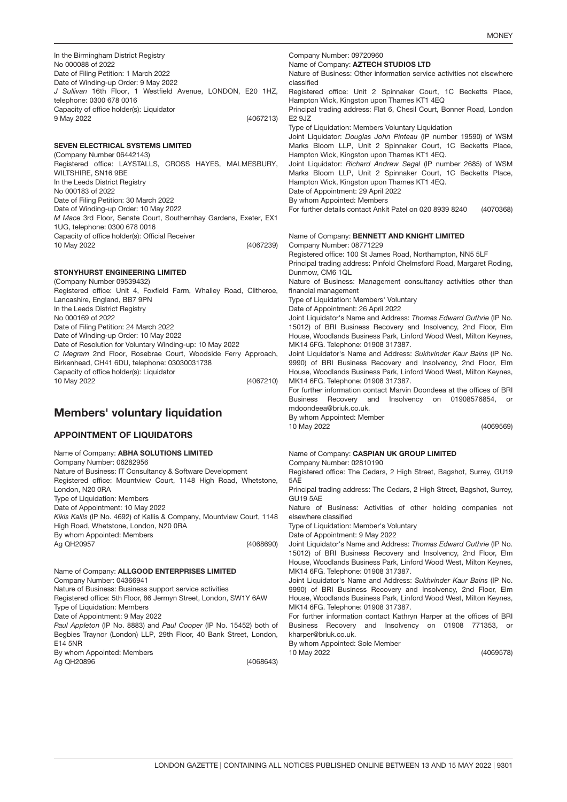| In the Birmingham District Registry                         |           |
|-------------------------------------------------------------|-----------|
| No 000088 of 2022                                           |           |
| Date of Filing Petition: 1 March 2022                       |           |
| Date of Winding-up Order: 9 May 2022                        |           |
| J Sullivan 16th Floor, 1 Westfield Avenue, LONDON, E20 1HZ, |           |
| telephone: 0300 678 0016                                    |           |
| Capacity of office holder(s): Liquidator                    |           |
| 9 May 2022                                                  | (4067213) |

#### SEVEN ELECTRICAL SYSTEMS LIMITED

(4067239) (Company Number 06442143) Registered office: LAYSTALLS, CROSS HAYES, MALMESBURY, WILTSHIRE, SN16 9BE In the Leeds District Registry No 000183 of 2022 Date of Filing Petition: 30 March 2022 Date of Winding-up Order: 10 May 2022 *M Mace* 3rd Floor, Senate Court, Southernhay Gardens, Exeter, EX1 1UG, telephone: 0300 678 0016 Capacity of office holder(s): Official Receiver 10 May 2022

## STONYHURST ENGINEERING LIMITE<mark>D</mark>

(4067210) (Company Number 09539432) Registered office: Unit 4, Foxfield Farm, Whalley Road, Clitheroe, Lancashire, England, BB7 9PN In the Leeds District Registry No 000169 of 2022 Date of Filing Petition: 24 March 2022 Date of Winding-up Order: 10 May 2022 Date of Resolution for Voluntary Winding-up: 10 May 2022 *C Megram* 2nd Floor, Rosebrae Court, Woodside Ferry Approach, Birkenhead, CH41 6DU, telephone: 03030031738 Capacity of office holder(s): Liquidator 10 May 2022

## Members' voluntary liquidation

#### APPOINTMENT OF LIQUIDATORS

Name of Company: ABHA SOLUTIONS LIMITED  $(4068690)$ Company Number: 06282956 Nature of Business: IT Consultancy & Software Development Registered office: Mountview Court, 1148 High Road, Whetstone, London, N20 0RA Type of Liquidation: Members Date of Appointment: 10 May 2022 *Kikis Kallis* (IP No. 4692) of Kallis & Company, Mountview Court, 1148 High Road, Whetstone, London, N20 0RA By whom Appointed: Members Ag QH20957

Name of Company: ALLGOOD ENTERPRISES LIMITED (4068643) Company Number: 04366941 Nature of Business: Business support service activities Registered office: 5th Floor, 86 Jermyn Street, London, SW1Y 6AW Type of Liquidation: Members Date of Appointment: 9 May 2022 *Paul Appleton* (IP No. 8883) and *Paul Cooper* (IP No. 15452) both of Begbies Traynor (London) LLP, 29th Floor, 40 Bank Street, London, E14 5NR By whom Appointed: Members Ag QH20896

Company Number: 09720960 (4070368) Name of Company: BENNETT AND KNIGHT LIMITED (4069569) Name of Company: CASPIAN UK GROUP LIMITED Name of Company: AZTECH STUDIOS LTD Nature of Business: Other information service activities not elsewhere classified Registered office: Unit 2 Spinnaker Court, 1C Becketts Place, Hampton Wick, Kingston upon Thames KT1 4EQ Principal trading address: Flat 6, Chesil Court, Bonner Road, London E2 9.17 Type of Liquidation: Members Voluntary Liquidation Joint Liquidator: *Douglas John Pinteau* (IP number 19590) of WSM Marks Bloom LLP, Unit 2 Spinnaker Court, 1C Becketts Place, Hampton Wick, Kingston upon Thames KT1 4EQ. Joint Liquidator: *Richard Andrew Segal* (IP number 2685) of WSM Marks Bloom LLP, Unit 2 Spinnaker Court, 1C Becketts Place, Hampton Wick, Kingston upon Thames KT1 4EQ. Date of Appointment: 29 April 2022 By whom Appointed: Members For further details contact Ankit Patel on 020 8939 8240 Company Number: 08771229 Registered office: 100 St James Road, Northampton, NN5 5LF Principal trading address: Pinfold Chelmsford Road, Margaret Roding, Dunmow, CM6 1QL Nature of Business: Management consultancy activities other than financial management Type of Liquidation: Members' Voluntary Date of Appointment: 26 April 2022 Joint Liquidator's Name and Address: *Thomas Edward Guthrie* (IP No. 15012) of BRI Business Recovery and Insolvency, 2nd Floor, Elm House, Woodlands Business Park, Linford Wood West, Milton Keynes, MK14 6FG. Telephone: 01908 317387. Joint Liquidator's Name and Address: *Sukhvinder Kaur Bains* (IP No. 9990) of BRI Business Recovery and Insolvency, 2nd Floor, Elm House, Woodlands Business Park, Linford Wood West, Milton Keynes, MK14 6FG. Telephone: 01908 317387. For further information contact Marvin Doondeea at the offices of BRI Business Recovery and Insolvency on 01908576854, or mdoondeea@briuk.co.uk. By whom Appointed: Member 10 May 2022 Company Number: 02810190 Registered office: The Cedars, 2 High Street, Bagshot, Surrey, GU19 5AE Principal trading address: The Cedars, 2 High Street, Bagshot, Surrey, GU19 5AE Nature of Business: Activities of other holding companies not elsewhere classified Type of Liquidation: Member's Voluntary Date of Appointment: 9 May 2022

Joint Liquidator's Name and Address: *Thomas Edward Guthrie* (IP No. 15012) of BRI Business Recovery and Insolvency, 2nd Floor, Elm House, Woodlands Business Park, Linford Wood West, Milton Keynes, MK14 6FG. Telephone: 01908 317387.

Joint Liquidator's Name and Address: *Sukhvinder Kaur Bains* (IP No. 9990) of BRI Business Recovery and Insolvency, 2nd Floor, Elm House, Woodlands Business Park, Linford Wood West, Milton Keynes, MK14 6FG. Telephone: 01908 317387.

For further information contact Kathryn Harper at the offices of BRI Business Recovery and Insolvency on 01908 771353, or kharper@briuk.co.uk.

By whom Appointed: Sole Member 10 May 2022

(4069578)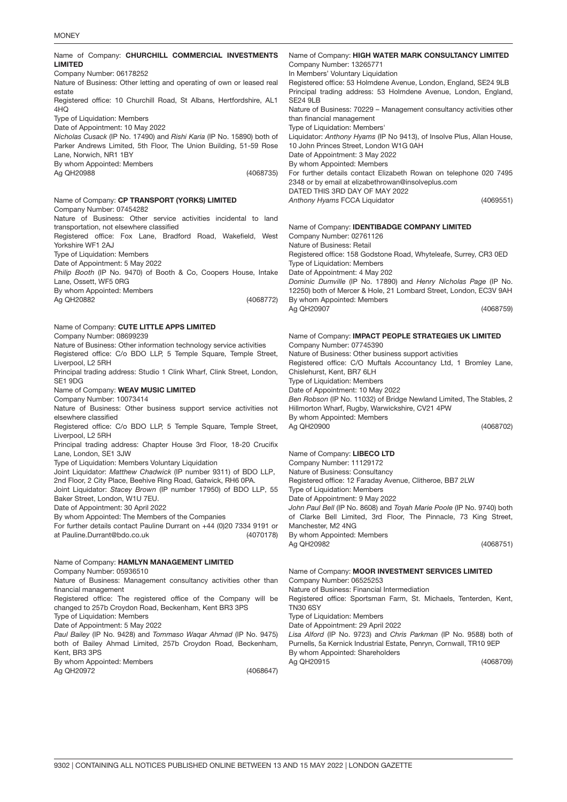| Name of Company: CHURCHILL COMMERCIAL INVESTMENTS<br><b>LIMITED</b>                                                                        | Name of Company: HIGH WATER MARK CONSULTANCY LIMITED<br>Company Number: 13265771                                |
|--------------------------------------------------------------------------------------------------------------------------------------------|-----------------------------------------------------------------------------------------------------------------|
| Company Number: 06178252<br>Nature of Business: Other letting and operating of own or leased real                                          | In Members' Voluntary Liquidation<br>Registered office: 53 Holmdene Avenue, London, England, SE24 9LB           |
| estate<br>Registered office: 10 Churchill Road, St Albans, Hertfordshire, AL1                                                              | Principal trading address: 53 Holmdene Avenue, London, England<br>SE24 9LB                                      |
| 4HQ                                                                                                                                        | Nature of Business: 70229 - Management consultancy activities other                                             |
| Type of Liquidation: Members                                                                                                               | than financial management                                                                                       |
| Date of Appointment: 10 May 2022                                                                                                           | Type of Liquidation: Members'                                                                                   |
| Nicholas Cusack (IP No. 17490) and Rishi Karia (IP No. 15890) both of<br>Parker Andrews Limited, 5th Floor, The Union Building, 51-59 Rose | Liquidator: Anthony Hyams (IP No 9413), of Insolve Plus, Allan House,<br>10 John Princes Street, London W1G 0AH |
| Lane, Norwich, NR1 1BY                                                                                                                     | Date of Appointment: 3 May 2022                                                                                 |
| By whom Appointed: Members                                                                                                                 | By whom Appointed: Members                                                                                      |
| Ag QH20988<br>(4068735)                                                                                                                    | For further details contact Elizabeth Rowan on telephone 020 7495                                               |
|                                                                                                                                            | 2348 or by email at elizabethrowan@insolveplus.com                                                              |
|                                                                                                                                            | DATED THIS 3RD DAY OF MAY 2022                                                                                  |
| Name of Company: CP TRANSPORT (YORKS) LIMITED                                                                                              | (4069551)<br>Anthony Hyams FCCA Liquidator                                                                      |
| Company Number: 07454282                                                                                                                   |                                                                                                                 |
| Nature of Business: Other service activities incidental to land                                                                            |                                                                                                                 |
| transportation, not elsewhere classified                                                                                                   | Name of Company: <b>IDENTIBADGE COMPANY LIMITED</b>                                                             |
| Registered office: Fox Lane, Bradford Road, Wakefield, West                                                                                | Company Number: 02761126                                                                                        |
| Yorkshire WF1 2AJ                                                                                                                          | Nature of Business: Retail                                                                                      |
| Type of Liquidation: Members                                                                                                               | Registered office: 158 Godstone Road, Whyteleafe, Surrey, CR3 0ED                                               |
| Date of Appointment: 5 May 2022                                                                                                            | Type of Liquidation: Members                                                                                    |
| Philip Booth (IP No. 9470) of Booth & Co, Coopers House, Intake                                                                            | Date of Appointment: 4 May 202                                                                                  |
| Lane, Ossett, WF5 0RG                                                                                                                      | Dominic Dumville (IP No. 17890) and Henry Nicholas Page (IP No.                                                 |
| By whom Appointed: Members                                                                                                                 | 12250) both of Mercer & Hole, 21 Lombard Street, London, EC3V 9AH                                               |
| Ag QH20882<br>(4068772)                                                                                                                    | By whom Appointed: Members                                                                                      |
|                                                                                                                                            | Ag QH20907<br>(4068759)                                                                                         |
|                                                                                                                                            |                                                                                                                 |
| Name of Company: CUTE LITTLE APPS LIMITED                                                                                                  |                                                                                                                 |
| Company Number: 08699239                                                                                                                   | Name of Company: IMPACT PEOPLE STRATEGIES UK LIMITED                                                            |
| Nature of Business: Other information technology service activities<br>Registered office: C/o BDO LLP, 5 Temple Square, Temple Street,     | Company Number: 07745390<br>Nature of Business: Other business support activities                               |
| Liverpool, L2 5RH                                                                                                                          | Registered office: C/O Muftals Accountancy Ltd, 1 Bromley Lane                                                  |
| Principal trading address: Studio 1 Clink Wharf, Clink Street, London,                                                                     | Chislehurst, Kent, BR7 6LH                                                                                      |
| SE1 9DG                                                                                                                                    | Type of Liquidation: Members                                                                                    |
| Name of Company: WEAV MUSIC LIMITED                                                                                                        | Date of Appointment: 10 May 2022                                                                                |
| Company Number: 10073414                                                                                                                   | Ben Robson (IP No. 11032) of Bridge Newland Limited, The Stables, 2                                             |
| Nature of Business: Other business support service activities not                                                                          | Hillmorton Wharf, Rugby, Warwickshire, CV21 4PW                                                                 |
| elsewhere classified                                                                                                                       | By whom Appointed: Members                                                                                      |
| Registered office: C/o BDO LLP, 5 Temple Square, Temple Street,                                                                            | Ag QH20900<br>(4068702)                                                                                         |
| Liverpool, L2 5RH                                                                                                                          |                                                                                                                 |
| Principal trading address: Chapter House 3rd Floor, 18-20 Crucifix                                                                         |                                                                                                                 |
| Lane, London, SE1 3JW                                                                                                                      | Name of Company: LIBECO LTD                                                                                     |
| Type of Liquidation: Members Voluntary Liquidation                                                                                         | Company Number: 11129172                                                                                        |
| Joint Liquidator: Matthew Chadwick (IP number 9311) of BDO LLP,                                                                            | Nature of Business: Consultancy                                                                                 |
| 2nd Floor, 2 City Place, Beehive Ring Road, Gatwick, RH6 0PA.                                                                              | Registered office: 12 Faraday Avenue, Clitheroe, BB7 2LW                                                        |
| Joint Liquidator: Stacey Brown (IP number 17950) of BDO LLP, 55                                                                            | Type of Liquidation: Members                                                                                    |
| Baker Street, London, W1U 7EU.                                                                                                             | Date of Appointment: 9 May 2022                                                                                 |
| Date of Appointment: 30 April 2022                                                                                                         | John Paul Bell (IP No. 8608) and Toyah Marie Poole (IP No. 9740) both                                           |
| By whom Appointed: The Members of the Companies                                                                                            | of Clarke Bell Limited, 3rd Floor, The Pinnacle, 73 King Street                                                 |
| For further details contact Pauline Durrant on +44 (0)20 7334 9191 or                                                                      | Manchester, M2 4NG                                                                                              |
| at Pauline.Durrant@bdo.co.uk<br>(4070178)                                                                                                  | By whom Appointed: Members<br>Ag QH20982<br>(4068751)                                                           |
|                                                                                                                                            |                                                                                                                 |
| Name of Company: HAMLYN MANAGEMENT LIMITED                                                                                                 |                                                                                                                 |
| Company Number: 05936510                                                                                                                   | Name of Company: MOOR INVESTMENT SERVICES LIMITED                                                               |
| Nature of Business: Management consultancy activities other than                                                                           | Company Number: 06525253                                                                                        |
| financial management                                                                                                                       | Nature of Business: Financial Intermediation                                                                    |
| Registered office: The registered office of the Company will be                                                                            | Registered office: Sportsman Farm, St. Michaels, Tenterden, Kent                                                |
| changed to 257b Croydon Road, Beckenham, Kent BR3 3PS                                                                                      | <b>TN30 6SY</b>                                                                                                 |
| Type of Liquidation: Members                                                                                                               | Type of Liquidation: Members                                                                                    |
| Date of Appointment: 5 May 2022                                                                                                            | Date of Appointment: 29 April 2022                                                                              |
| Paul Bailey (IP No. 9428) and Tommaso Wagar Ahmad (IP No. 9475)                                                                            | Lisa Alford (IP No. 9723) and Chris Parkman (IP No. 9588) both of                                               |
| both of Bailey Ahmad Limited, 257b Croydon Road, Beckenham,                                                                                | Purnells, 5a Kernick Industrial Estate, Penryn, Cornwall, TR10 9EP                                              |
| Kent, BR3 3PS                                                                                                                              | By whom Appointed: Shareholders                                                                                 |
| By whom Appointed: Members                                                                                                                 | Ag QH20915<br>(4068709)                                                                                         |
| Ag QH20972<br>(4068647)                                                                                                                    |                                                                                                                 |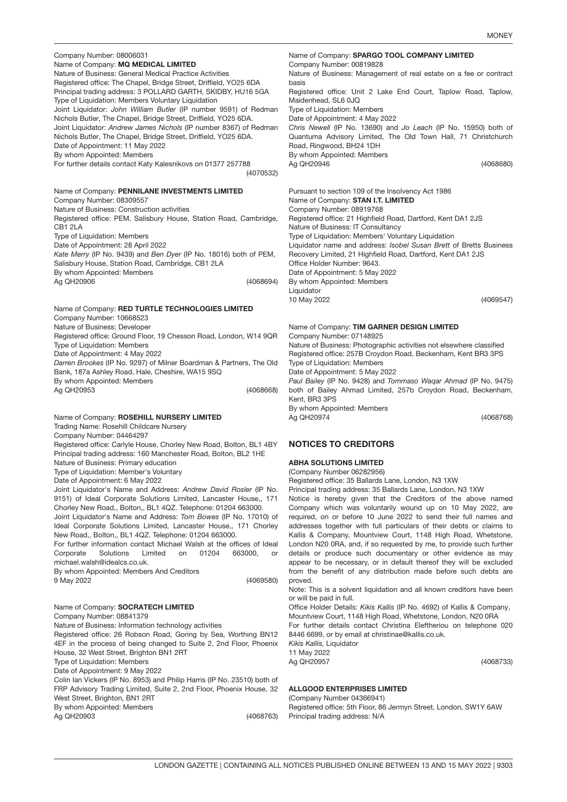#### Company Number: 08006031 (4070532) Name of Company: PENNILANE INVESTMENTS LIMITED (4068694) Name of Company: RED TURTLE TECHNOLOGIES LIMITED (4068668) Name of Company: ROSEHILL NURSERY LIMITED Name of Company: MQ MEDICAL LIMITED Nature of Business: General Medical Practice Activities Registered office: The Chapel, Bridge Street, Driffield, YO25 6DA Principal trading address: 3 POLLARD GARTH, SKIDBY, HU16 5GA Type of Liquidation: Members Voluntary Liquidation Joint Liquidator: *John William Butler* (IP number 9591) of Redman Nichols Butler, The Chapel, Bridge Street, Driffield, YO25 6DA. Joint Liquidator: *Andrew James Nichols* (IP number 8367) of Redman Nichols Butler, The Chapel, Bridge Street, Driffield, YO25 6DA. Date of Appointment: 11 May 2022 By whom Appointed: Members For further details contact Katy Kalesnikovs on 01377 257788 Company Number: 08309557 Nature of Business: Construction activities Registered office: PEM, Salisbury House, Station Road, Cambridge, CB<sub>1</sub> 2LA Type of Liquidation: Members Date of Appointment: 28 April 2022 *Kate Merry* (IP No. 9439) and *Ben Dyer* (IP No. 18016) both of PEM, Salisbury House, Station Road, Cambridge, CB1 2LA By whom Appointed: Members Ag QH20906 Company Number: 10668523 Nature of Business: Developer Registered office: Ground Floor, 19 Chesson Road, London, W14 9QR Type of Liquidation: Members Date of Appointment: 4 May 2022 *Darren Brookes* (IP No. 9297) of Milner Boardman & Partners, The Old Bank, 187a Ashley Road, Hale, Cheshire, WA15 9SQ By whom Appointed: Members Ag QH20953 Trading Name: Rosehill Childcare Nursery Company Number: 04464297 Registered office: Carlyle House, Chorley New Road, Bolton, BL1 4BY Principal trading address: 160 Manchester Road, Bolton, BL2 1HE Nature of Business: Primary education Type of Liquidation: Member's Voluntary Date of Appointment: 6 May 2022 Joint Liquidator's Name and Address: *Andrew David Rosler* (IP No. 9151) of Ideal Corporate Solutions Limited, Lancaster House,, 171 basis Liquidator

Chorley New Road,, Bolton,, BL1 4QZ. Telephone: 01204 663000. Joint Liquidator's Name and Address: *Tom Bowes* (IP No. 17010) of Ideal Corporate Solutions Limited, Lancaster House,, 171 Chorley New Road,, Bolton,, BL1 4QZ. Telephone: 01204 663000.

For further information contact Michael Walsh at the offices of Ideal Corporate Solutions Limited on 01204 663000, or michael.walsh@idealcs.co.uk.

By whom Appointed: Members And Creditors

9 May 2022

(4069580)

|                                                                          | P        |
|--------------------------------------------------------------------------|----------|
|                                                                          | C        |
| Name of Company: SOCRATECH LIMITED                                       |          |
| Company Number: 08841379                                                 | N        |
| Nature of Business: Information technology activities                    | F        |
| Registered office: 26 Robson Road, Goring by Sea, Worthing BN12          | 8        |
| 4EF in the process of being changed to Suite 2, 2nd Floor, Phoenix       | k        |
| House, 32 West Street, Brighton BN1 2RT                                  |          |
| Type of Liquidation: Members                                             |          |
| Date of Appointment: 9 May 2022                                          |          |
| Colin Ian Vickers (IP No. 8953) and Philip Harris (IP No. 23510) both of |          |
| FRP Advisory Trading Limited, Suite 2, 2nd Floor, Phoenix House, 32      | F        |
| West Street, Brighton, BN1 2RT                                           | $\left($ |
| By whom Appointed: Members                                               |          |
| Aa QH20903<br>(4068763)                                                  | F        |
|                                                                          |          |

Name of Company: SPARGO TOOL COMPANY LIMITED (4068680) Pursuant to section 109 of the Insolvency Act 1986 Company Number: 00819828 Nature of Business: Management of real estate on a fee or contract Registered office: Unit 2 Lake End Court, Taplow Road, Taplow, Maidenhead, SL6 0JQ Type of Liquidation: Members Date of Appointment: 4 May 2022 *Chris Newell* (IP No. 13690) and *Jo Leach* (IP No. 15950) both of Name of Company: STAN I.T. LIMITED Company Number: 08919768

Quantuma Advisory Limited, The Old Town Hall, 71 Christchurch Road, Ringwood, BH24 1DH By whom Appointed: Members Ag QH20946

(4069547) Name of Company: TIM GARNER DESIGN LIMITED Registered office: 21 Highfield Road, Dartford, Kent DA1 2JS Nature of Business: IT Consultancy Type of Liquidation: Members' Voluntary Liquidation Liquidator name and address: *Isobel Susan Brett* of Bretts Business Recovery Limited, 21 Highfield Road, Dartford, Kent DA1 2JS Office Holder Number: 9643. Date of Appointment: 5 May 2022 By whom Appointed: Members 10 May 2022

(4068768) Company Number: 07148925 Nature of Business: Photographic activities not elsewhere classified Registered office: 257B Croydon Road, Beckenham, Kent BR3 3PS Type of Liquidation: Members Date of Appointment: 5 May 2022 *Paul Bailey* (IP No. 9428) and *Tommaso Waqar Ahmad* (IP No. 9475) both of Bailey Ahmad Limited, 257b Croydon Road, Beckenham, Kent, BR3 3PS By whom Appointed: Members Ag QH20974

## NOTICES TO CREDITORS

## ABHA SOLUTIONS LIMIT<mark>ED</mark>

(Company Number 06282956)

Registered office: 35 Ballards Lane, London, N3 1XW

Principal trading address: 35 Ballards Lane, London, N3 1XW

Notice is hereby given that the Creditors of the above named Company which was voluntarily wound up on 10 May 2022, are required, on or before 10 June 2022 to send their full names and addresses together with full particulars of their debts or claims to Kallis & Company, Mountview Court, 1148 High Road, Whetstone, London N20 0RA, and, if so requested by me, to provide such further details or produce such documentary or other evidence as may appear to be necessary, or in default thereof they will be excluded from the benefit of any distribution made before such debts are proved.

Note: This is a solvent liquidation and all known creditors have been or will be paid in full.

Office Holder Details: *Kikis Kallis* (IP No. 4692) of Kallis & Company,

Mountview Court, 1148 High Road, Whetstone, London, N20 0RA For further details contact Christina Eleftheriou on telephone 020 8446 6699, or by email at christinae@kallis.co.uk. *Kikis Kallis,* Liquidator

(4068733)

11 May 2022

Ag QH20957

## ALLGOOD ENTERPRISES LIMITED

(Company Number 04366941)

Registered office: 5th Floor, 86 Jermyn Street, London, SW1Y 6AW Principal trading address: N/A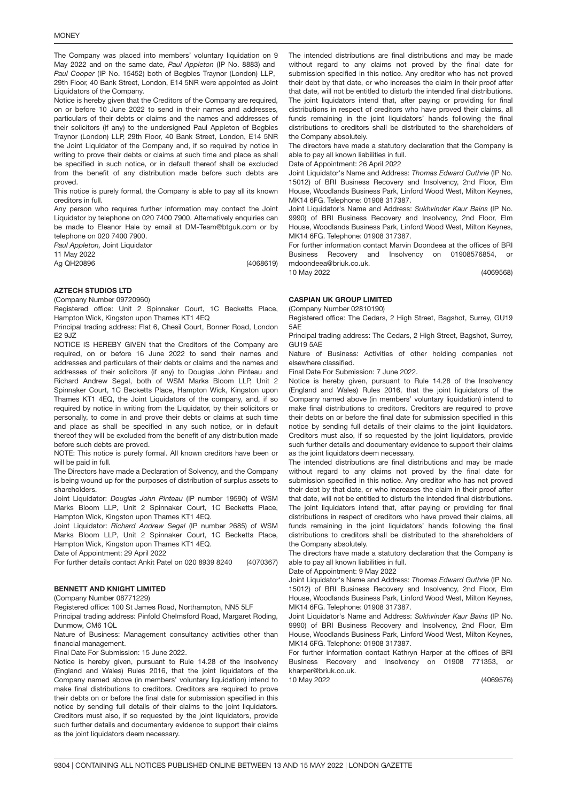The Company was placed into members' voluntary liquidation on 9 May 2022 and on the same date, *Paul Appleton* (IP No. 8883) and *Paul Cooper* (IP No. 15452) both of Begbies Traynor (London) LLP, 29th Floor, 40 Bank Street, London, E14 5NR were appointed as Joint Liquidators of the Company.

Notice is hereby given that the Creditors of the Company are required, on or before 10 June 2022 to send in their names and addresses, particulars of their debts or claims and the names and addresses of their solicitors (if any) to the undersigned Paul Appleton of Begbies Traynor (London) LLP, 29th Floor, 40 Bank Street, London, E14 5NR the Joint Liquidator of the Company and, if so required by notice in writing to prove their debts or claims at such time and place as shall be specified in such notice, or in default thereof shall be excluded from the benefit of any distribution made before such debts are proved.

This notice is purely formal, the Company is able to pay all its known creditors in full.

Any person who requires further information may contact the Joint Liquidator by telephone on 020 7400 7900. Alternatively enquiries can be made to Eleanor Hale by email at DM-Team@btguk.com or by telephone on 020 7400 7900.

*Paul Appleton,* Joint Liquidator

11 May 2022 Ag QH20896

(4068619)

## AZTECH STUDIOS LTD

(Company Number 09720960)

Registered office: Unit 2 Spinnaker Court, 1C Becketts Place, Hampton Wick, Kingston upon Thames KT1 4EQ

Principal trading address: Flat 6, Chesil Court, Bonner Road, London E2 9JZ

NOTICE IS HEREBY GIVEN that the Creditors of the Company are required, on or before 16 June 2022 to send their names and addresses and particulars of their debts or claims and the names and addresses of their solicitors (if any) to Douglas John Pinteau and Richard Andrew Segal, both of WSM Marks Bloom LLP, Unit 2 Spinnaker Court, 1C Becketts Place, Hampton Wick, Kingston upon Thames KT1 4EQ, the Joint Liquidators of the company, and, if so required by notice in writing from the Liquidator, by their solicitors or personally, to come in and prove their debts or claims at such time and place as shall be specified in any such notice, or in default thereof they will be excluded from the benefit of any distribution made before such debts are proved.

NOTE: This notice is purely formal. All known creditors have been or will be paid in full.

The Directors have made a Declaration of Solvency, and the Company is being wound up for the purposes of distribution of surplus assets to shareholders.

Joint Liquidator: *Douglas John Pinteau* (IP number 19590) of WSM Marks Bloom LLP, Unit 2 Spinnaker Court, 1C Becketts Place, Hampton Wick, Kingston upon Thames KT1 4EQ.

Joint Liquidator: *Richard Andrew Segal* (IP number 2685) of WSM Marks Bloom LLP, Unit 2 Spinnaker Court, 1C Becketts Place, Hampton Wick, Kingston upon Thames KT1 4EQ.

Date of Appointment: 29 April 2022

(4070367) For further details contact Ankit Patel on 020 8939 8240

## BENNETT AND KNIGHT LIMITED

(Company Number 08771229)

Registered office: 100 St James Road, Northampton, NN5 5LF

Principal trading address: Pinfold Chelmsford Road, Margaret Roding, Dunmow, CM6 1QL

Nature of Business: Management consultancy activities other than financial management.

Final Date For Submission: 15 June 2022.

Notice is hereby given, pursuant to Rule 14.28 of the Insolvency (England and Wales) Rules 2016, that the joint liquidators of the Company named above (in members' voluntary liquidation) intend to make final distributions to creditors. Creditors are required to prove their debts on or before the final date for submission specified in this notice by sending full details of their claims to the joint liquidators. Creditors must also, if so requested by the joint liquidators, provide such further details and documentary evidence to support their claims as the joint liquidators deem necessary.

The intended distributions are final distributions and may be made without regard to any claims not proved by the final date for submission specified in this notice. Any creditor who has not proved their debt by that date, or who increases the claim in their proof after that date, will not be entitled to disturb the intended final distributions. The joint liquidators intend that, after paying or providing for final distributions in respect of creditors who have proved their claims, all funds remaining in the joint liquidators' hands following the final distributions to creditors shall be distributed to the shareholders of the Company absolutely.

The directors have made a statutory declaration that the Company is able to pay all known liabilities in full.

Date of Appointment: 26 April 2022

Joint Liquidator's Name and Address: *Thomas Edward Guthrie* (IP No. 15012) of BRI Business Recovery and Insolvency, 2nd Floor, Elm House, Woodlands Business Park, Linford Wood West, Milton Keynes, MK14 6FG. Telephone: 01908 317387.

Joint Liquidator's Name and Address: *Sukhvinder Kaur Bains* (IP No. 9990) of BRI Business Recovery and Insolvency, 2nd Floor, Elm House, Woodlands Business Park, Linford Wood West, Milton Keynes, MK14 6FG. Telephone: 01908 317387.

For further information contact Marvin Doondeea at the offices of BRI Business Recovery and Insolvency on 01908576854, or mdoondeea@briuk.co.uk. 10 May 2022

(4069568)

## CASPIAN UK GROUP LIMITED

(Company Number 02810190)

Registered office: The Cedars, 2 High Street, Bagshot, Surrey, GU19 5AE

Principal trading address: The Cedars, 2 High Street, Bagshot, Surrey, GU19 5AE

Nature of Business: Activities of other holding companies not elsewhere classified.

Final Date For Submission: 7 June 2022.

Notice is hereby given, pursuant to Rule 14.28 of the Insolvency (England and Wales) Rules 2016, that the joint liquidators of the Company named above (in members' voluntary liquidation) intend to make final distributions to creditors. Creditors are required to prove their debts on or before the final date for submission specified in this notice by sending full details of their claims to the joint liquidators. Creditors must also, if so requested by the joint liquidators, provide such further details and documentary evidence to support their claims as the joint liquidators deem necessary.

The intended distributions are final distributions and may be made without regard to any claims not proved by the final date for submission specified in this notice. Any creditor who has not proved their debt by that date, or who increases the claim in their proof after that date, will not be entitled to disturb the intended final distributions. The joint liquidators intend that, after paying or providing for final distributions in respect of creditors who have proved their claims, all funds remaining in the joint liquidators' hands following the final distributions to creditors shall be distributed to the shareholders of the Company absolutely.

The directors have made a statutory declaration that the Company is able to pay all known liabilities in full.

Date of Appointment: 9 May 2022

Joint Liquidator's Name and Address: *Thomas Edward Guthrie* (IP No. 15012) of BRI Business Recovery and Insolvency, 2nd Floor, Elm House, Woodlands Business Park, Linford Wood West, Milton Keynes, MK14 6FG. Telephone: 01908 317387.

Joint Liquidator's Name and Address: *Sukhvinder Kaur Bains* (IP No. 9990) of BRI Business Recovery and Insolvency, 2nd Floor, Elm House, Woodlands Business Park, Linford Wood West, Milton Keynes, MK14 6FG. Telephone: 01908 317387.

For further information contact Kathryn Harper at the offices of BRI Business Recovery and Insolvency on 01908 771353, or kharper@briuk.co.uk. 10 May 2022

(4069576)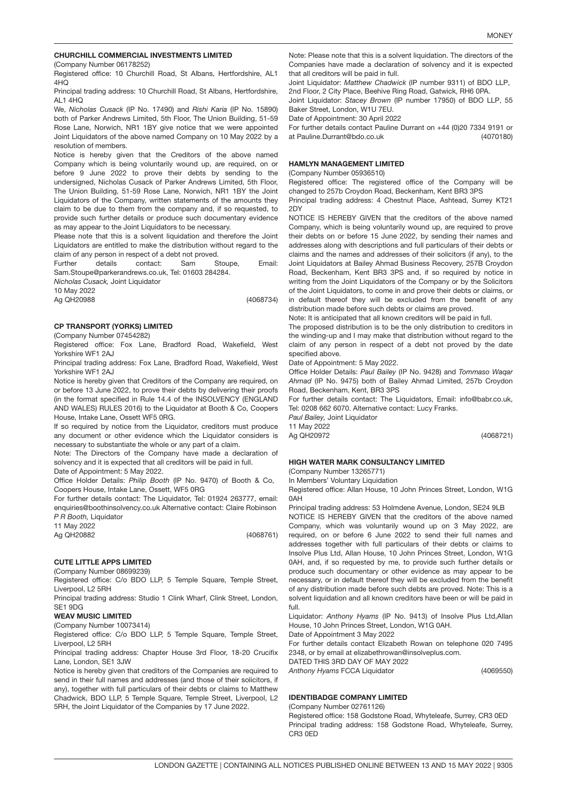## 4068734 CHURCHILL COMMERCIAL INVESTMENTS LIMITED

(Company Number 06178252)

Registered office: 10 Churchill Road, St Albans, Hertfordshire, AL1  $4H<sub>O</sub>$ 

Principal trading address: 10 Churchill Road, St Albans, Hertfordshire, AL1 4HQ

We, *Nicholas Cusack* (IP No. 17490) and *Rishi Karia* (IP No. 15890) both of Parker Andrews Limited, 5th Floor, The Union Building, 51-59 Rose Lane, Norwich, NR1 1BY give notice that we were appointed Joint Liquidators of the above named Company on 10 May 2022 by a resolution of members.

Notice is hereby given that the Creditors of the above named Company which is being voluntarily wound up, are required, on or before 9 June 2022 to prove their debts by sending to the undersigned, Nicholas Cusack of Parker Andrews Limited, 5th Floor, The Union Building, 51-59 Rose Lane, Norwich, NR1 1BY the Joint Liquidators of the Company, written statements of the amounts they claim to be due to them from the company and, if so requested, to provide such further details or produce such documentary evidence as may appear to the Joint Liquidators to be necessary.

Please note that this is a solvent liquidation and therefore the Joint Liquidators are entitled to make the distribution without regard to the claim of any person in respect of a debt not proved.

Further details contact: Sam Stoupe, Email: Sam.Stoupe@parkerandrews.co.uk, Tel: 01603 284284.

*Nicholas Cusack,* Joint Liquidator

10 May 2022

Ag QH20988

(4068734)

### 4068761 CP TRANSPORT (YORKS) LIMITED

(Company Number 07454282)

Registered office: Fox Lane, Bradford Road, Wakefield, West Yorkshire WF1 2AJ

Principal trading address: Fox Lane, Bradford Road, Wakefield, West Yorkshire WF1 2AJ

Notice is hereby given that Creditors of the Company are required, on or before 13 June 2022, to prove their debts by delivering their proofs (in the format specified in Rule 14.4 of the INSOLVENCY (ENGLAND AND WALES) RULES 2016) to the Liquidator at Booth & Co, Coopers House, Intake Lane, Ossett WF5 0RG.

If so required by notice from the Liquidator, creditors must produce any document or other evidence which the Liquidator considers is necessary to substantiate the whole or any part of a claim.

Note: The Directors of the Company have made a declaration of solvency and it is expected that all creditors will be paid in full.

Date of Appointment: 5 May 2022.

Office Holder Details: *Philip Booth* (IP No. 9470) of Booth & Co, Coopers House, Intake Lane, Ossett, WF5 0RG

For further details contact: The Liquidator, Tel: 01924 263777, email: enquiries@boothinsolvency.co.uk Alternative contact: Claire Robinson *P R Booth,* Liquidator

11 May 2022 Ag QH20882

(4068761)

#### 4070180 CUTE LITTLE APPS LIMITED

(Company Number 08699239)

Registered office: C/o BDO LLP, 5 Temple Square, Temple Street, Liverpool, L2 5RH

Principal trading address: Studio 1 Clink Wharf, Clink Street, London, SE1 9DG

#### WEAV MUSIC LIMITED

(Company Number 10073414)

Registered office: C/o BDO LLP, 5 Temple Square, Temple Street, Liverpool, L2 5RH

Principal trading address: Chapter House 3rd Floor, 18-20 Crucifix Lane, London, SE1 3JW

Notice is hereby given that creditors of the Companies are required to send in their full names and addresses (and those of their solicitors, if any), together with full particulars of their debts or claims to Matthew Chadwick, BDO LLP, 5 Temple Square, Temple Street, Liverpool, L2 5RH, the Joint Liquidator of the Companies by 17 June 2022.

Note: Please note that this is a solvent liquidation. The directors of the Companies have made a declaration of solvency and it is expected that all creditors will be paid in full.

Joint Liquidator: *Matthew Chadwick* (IP number 9311) of BDO LLP, 2nd Floor, 2 City Place, Beehive Ring Road, Gatwick, RH6 0PA.

Joint Liquidator: *Stacey Brown* (IP number 17950) of BDO LLP, 55 Baker Street, London, W1U 7EU.

Date of Appointment: 30 April 2022

(4070180) For further details contact Pauline Durrant on +44 (0)20 7334 9191 or at Pauline.Durrant@bdo.co.uk

## HAMLYN MANAGEMENT LIMITED

(Company Number 05936510)

Registered office: The registered office of the Company will be changed to 257b Croydon Road, Beckenham, Kent BR3 3PS

Principal trading address: 4 Chestnut Place, Ashtead, Surrey KT21 2DY

NOTICE IS HEREBY GIVEN that the creditors of the above named Company, which is being voluntarily wound up, are required to prove their debts on or before 15 June 2022, by sending their names and addresses along with descriptions and full particulars of their debts or claims and the names and addresses of their solicitors (if any), to the Joint Liquidators at Bailey Ahmad Business Recovery, 257B Croydon Road, Beckenham, Kent BR3 3PS and, if so required by notice in writing from the Joint Liquidators of the Company or by the Solicitors of the Joint Liquidators, to come in and prove their debts or claims, or in default thereof they will be excluded from the benefit of any distribution made before such debts or claims are proved.

Note: It is anticipated that all known creditors will be paid in full.

The proposed distribution is to be the only distribution to creditors in the winding-up and I may make that distribution without regard to the claim of any person in respect of a debt not proved by the date specified above.

Date of Appointment: 5 May 2022.

Office Holder Details: *Paul Bailey* (IP No. 9428) and *Tommaso Waqar Ahmad* (IP No. 9475) both of Bailey Ahmad Limited, 257b Croydon Road, Beckenham, Kent, BR3 3PS

For further details contact: The Liquidators, Email: info@babr.co.uk, Tel: 0208 662 6070. Alternative contact: Lucy Franks.

**Paul Bailey, Joint Liquidator** 

11 May 2022 Ag QH20972

(4068721)

## 4069550 HIGH WATER MARK CONSULTANCY LIMITED

(Company Number 13265771)

In Members' Voluntary Liquidation

Registered office: Allan House, 10 John Princes Street, London, W1G 0AH

Principal trading address: 53 Holmdene Avenue, London, SE24 9LB

NOTICE IS HEREBY GIVEN that the creditors of the above named Company, which was voluntarily wound up on 3 May 2022, are required, on or before 6 June 2022 to send their full names and addresses together with full particulars of their debts or claims to Insolve Plus Ltd, Allan House, 10 John Princes Street, London, W1G 0AH, and, if so requested by me, to provide such further details or produce such documentary or other evidence as may appear to be necessary, or in default thereof they will be excluded from the benefit of any distribution made before such debts are proved. Note: This is a solvent liquidation and all known creditors have been or will be paid in full.

Liquidator: *Anthony Hyams* (IP No. 9413) of Insolve Plus Ltd,Allan House, 10 John Princes Street, London, W1G 0AH.

Date of Appointment 3 May 2022

For further details contact Elizabeth Rowan on telephone 020 7495 2348, or by email at elizabethrowan@insolveplus.com.

DATED THIS 3RD DAY OF MAY 2022

(4069550)

#### 4068708 IDENTIBADGE COMPANY LIMITED

(Company Number 02761126)

*Anthony Hyams* FCCA Liquidator

Registered office: 158 Godstone Road, Whyteleafe, Surrey, CR3 0ED Principal trading address: 158 Godstone Road, Whyteleafe, Surrey, CR3 0ED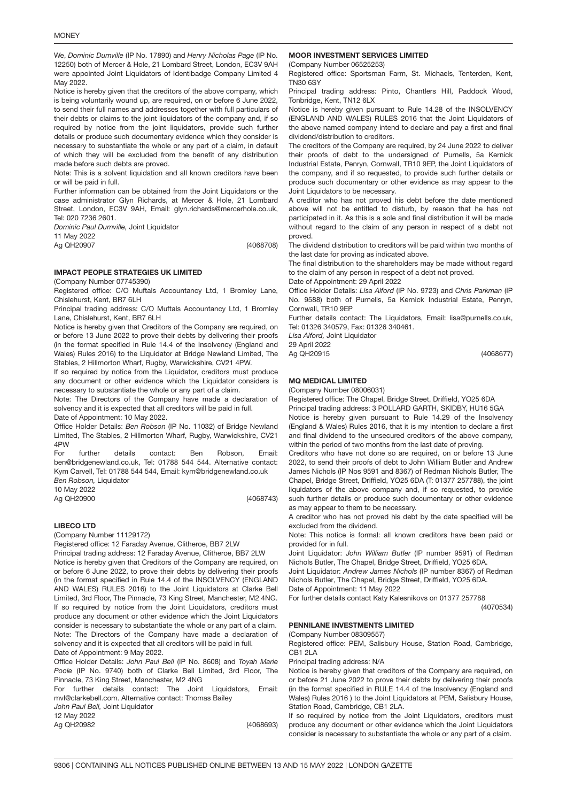We, *Dominic Dumville* (IP No. 17890) and *Henry Nicholas Page* (IP No. 12250) both of Mercer & Hole, 21 Lombard Street, London, EC3V 9AH were appointed Joint Liquidators of Identibadge Company Limited 4 May 2022.

Notice is hereby given that the creditors of the above company, which is being voluntarily wound up, are required, on or before 6 June 2022, to send their full names and addresses together with full particulars of their debts or claims to the joint liquidators of the company and, if so required by notice from the joint liquidators, provide such further details or produce such documentary evidence which they consider is necessary to substantiate the whole or any part of a claim, in default of which they will be excluded from the benefit of any distribution made before such debts are proved.

Note: This is a solvent liquidation and all known creditors have been or will be paid in full.

Further information can be obtained from the Joint Liquidators or the case administrator Glyn Richards, at Mercer & Hole, 21 Lombard Street, London, EC3V 9AH, Email: glyn.richards@mercerhole.co.uk, Tel: 020 7236 2601.

*Dominic Paul Dumville,* Joint Liquidator 11 May 2022

Ag QH20907

(4068708)

## IMPACT PEOPLE STRATEGIES UK LIMITED

(Company Number 07745390)

Registered office: C/O Muftals Accountancy Ltd, 1 Bromley Lane, Chislehurst, Kent, BR7 6LH

Principal trading address: C/O Muftals Accountancy Ltd, 1 Bromley Lane, Chislehurst, Kent, BR7 6LH

Notice is hereby given that Creditors of the Company are required, on or before 13 June 2022 to prove their debts by delivering their proofs (in the format specified in Rule 14.4 of the Insolvency (England and Wales) Rules 2016) to the Liquidator at Bridge Newland Limited, The Stables, 2 Hillmorton Wharf, Rugby, Warwickshire, CV21 4PW.

If so required by notice from the Liquidator, creditors must produce any document or other evidence which the Liquidator considers is necessary to substantiate the whole or any part of a claim.

Note: The Directors of the Company have made a declaration of solvency and it is expected that all creditors will be paid in full. Date of Appointment: 10 May 2022.

Office Holder Details: *Ben Robson* (IP No. 11032) of Bridge Newland Limited, The Stables, 2 Hillmorton Wharf, Rugby, Warwickshire, CV21 4PW

For further details contact: Ben Robson, Email: ben@bridgenewland.co.uk, Tel: 01788 544 544. Alternative contact: Kym Carvell, Tel: 01788 544 544, Email: kym@bridgenewland.co.uk *Ben Robson,* Liquidator

10 May 2022 Ag QH20900

(4068743)

## LIBECO LT<mark>D</mark>

(Company Number 11129172)

Registered office: 12 Faraday Avenue, Clitheroe, BB7 2LW

Principal trading address: 12 Faraday Avenue, Clitheroe, BB7 2LW Notice is hereby given that Creditors of the Company are required, on or before 6 June 2022, to prove their debts by delivering their proofs (in the format specified in Rule 14.4 of the INSOLVENCY (ENGLAND AND WALES) RULES 2016) to the Joint Liquidators at Clarke Bell Limited, 3rd Floor, The Pinnacle, 73 King Street, Manchester, M2 4NG. If so required by notice from the Joint Liquidators, creditors must produce any document or other evidence which the Joint Liquidators consider is necessary to substantiate the whole or any part of a claim. Note: The Directors of the Company have made a declaration of solvency and it is expected that all creditors will be paid in full. Date of Appointment: 9 May 2022.

Office Holder Details: *John Paul Bell* (IP No. 8608) and *Toyah Marie Poole* (IP No. 9740) both of Clarke Bell Limited, 3rd Floor, The Pinnacle, 73 King Street, Manchester, M2 4NG

For further details contact: The Joint Liquidators, Email: mvl@clarkebell.com. Alternative contact: Thomas Bailey

John Paul Bell, Joint Liquidator

12 May 2022 Ag QH20982

(4068693)

## 4068677 MOOR INVESTMENT SERVICES LIMITED

(Company Number 06525253)

Registered office: Sportsman Farm, St. Michaels, Tenterden, Kent, TN30 6SY

Principal trading address: Pinto, Chantlers Hill, Paddock Wood, Tonbridge, Kent, TN12 6LX

Notice is hereby given pursuant to Rule 14.28 of the INSOLVENCY (ENGLAND AND WALES) RULES 2016 that the Joint Liquidators of the above named company intend to declare and pay a first and final dividend/distribution to creditors.

The creditors of the Company are required, by 24 June 2022 to deliver their proofs of debt to the undersigned of Purnells, 5a Kernick Industrial Estate, Penryn, Cornwall, TR10 9EP, the Joint Liquidators of the company, and if so requested, to provide such further details or produce such documentary or other evidence as may appear to the Joint Liquidators to be necessary.

A creditor who has not proved his debt before the date mentioned above will not be entitled to disturb, by reason that he has not participated in it. As this is a sole and final distribution it will be made without regard to the claim of any person in respect of a debt not proved.

The dividend distribution to creditors will be paid within two months of the last date for proving as indicated above.

The final distribution to the shareholders may be made without regard to the claim of any person in respect of a debt not proved.

Date of Appointment: 29 April 2022

Office Holder Details: *Lisa Alford* (IP No. 9723) and *Chris Parkman* (IP No. 9588) both of Purnells, 5a Kernick Industrial Estate, Penryn, Cornwall, TR10 9EP

Further details contact: The Liquidators, Email: lisa@purnells.co.uk, Tel: 01326 340579, Fax: 01326 340461.

*Lisa Alford,* Joint Liquidator

29 April 2022

Ag QH20915

## MQ MEDICAL LIMITED

(Company Number 08006031)

Registered office: The Chapel, Bridge Street, Driffield, YO25 6DA

Principal trading address: 3 POLLARD GARTH, SKIDBY, HU16 5GA Notice is hereby given pursuant to Rule 14.29 of the Insolvency (England & Wales) Rules 2016, that it is my intention to declare a first and final dividend to the unsecured creditors of the above company, within the period of two months from the last date of proving.

Creditors who have not done so are required, on or before 13 June 2022, to send their proofs of debt to John William Butler and Andrew James Nichols (IP Nos 9591 and 8367) of Redman Nichols Butler, The Chapel, Bridge Street, Driffield, YO25 6DA (T: 01377 257788), the joint liquidators of the above company and, if so requested, to provide such further details or produce such documentary or other evidence as may appear to them to be necessary.

A creditor who has not proved his debt by the date specified will be excluded from the dividend.

Note: This notice is formal: all known creditors have been paid or provided for in full.

Joint Liquidator: *John William Butler* (IP number 9591) of Redman Nichols Butler, The Chapel, Bridge Street, Driffield, YO25 6DA.

Joint Liquidator: *Andrew James Nichols* (IP number 8367) of Redman Nichols Butler, The Chapel, Bridge Street, Driffield, YO25 6DA.

Date of Appointment: 11 May 2022

For further details contact Katy Kalesnikovs on 01377 257788

(4070534)

(4068677)

## PENNILANE INVESTMENTS LIMITED

#### (Company Number 08309557)

Registered office: PEM, Salisbury House, Station Road, Cambridge, CB1 2LA

Principal trading address: N/A

Notice is hereby given that creditors of the Company are required, on or before 21 June 2022 to prove their debts by delivering their proofs (in the format specified in RULE 14.4 of the Insolvency (England and Wales) Rules 2016 ) to the Joint Liquidators at PEM, Salisbury House, Station Road, Cambridge, CB1 2LA.

If so required by notice from the Joint Liquidators, creditors must produce any document or other evidence which the Joint Liquidators consider is necessary to substantiate the whole or any part of a claim.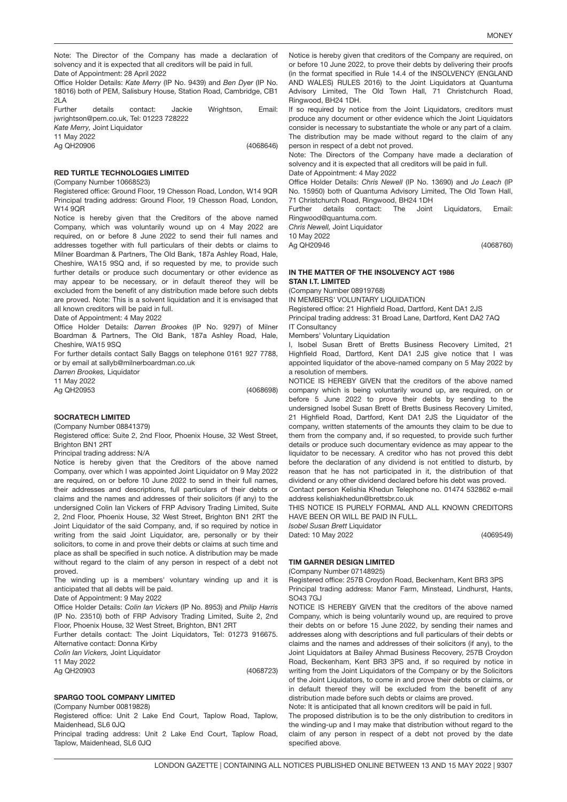Note: The Director of the Company has made a declaration of solvency and it is expected that all creditors will be paid in full. Date of Appointment: 28 April 2022

Office Holder Details: *Kate Merry* (IP No. 9439) and *Ben Dyer* (IP No. 18016) both of PEM, Salisbury House, Station Road, Cambridge, CB1  $2I_A$ 

Further details contact: Jackie Wrightson, Email: jwrightson@pem.co.uk, Tel: 01223 728222

*Kate Merry,* Joint Liquidator

11 May 2022

Ag QH20906

(4068646)

### RED TURTLE TECHNOLOGIES LIMITED

(Company Number 10668523)

Registered office: Ground Floor, 19 Chesson Road, London, W14 9QR Principal trading address: Ground Floor, 19 Chesson Road, London,  $W14$  9 $\cap$ R

Notice is hereby given that the Creditors of the above named Company, which was voluntarily wound up on 4 May 2022 are required, on or before 8 June 2022 to send their full names and addresses together with full particulars of their debts or claims to Milner Boardman & Partners, The Old Bank, 187a Ashley Road, Hale, Cheshire, WA15 9SQ and, if so requested by me, to provide such further details or produce such documentary or other evidence as may appear to be necessary, or in default thereof they will be excluded from the benefit of any distribution made before such debts are proved. Note: This is a solvent liquidation and it is envisaged that all known creditors will be paid in full.

Date of Appointment: 4 May 2022

Office Holder Details: *Darren Brookes* (IP No. 9297) of Milner Boardman & Partners, The Old Bank, 187a Ashley Road, Hale, Cheshire, WA15 9SQ

For further details contact Sally Baggs on telephone 0161 927 7788, or by email at sallyb@milnerboardman.co.uk

*Darren Brookes,* Liquidator

11 May 2022

Ag QH20953

(4068698)

#### SOCRATECH LIMITE<mark>D</mark>

(Company Number 08841379)

Registered office: Suite 2, 2nd Floor, Phoenix House, 32 West Street, Brighton BN1 2RT

Principal trading address: N/A

Notice is hereby given that the Creditors of the above named Company, over which I was appointed Joint Liquidator on 9 May 2022 are required, on or before 10 June 2022 to send in their full names, their addresses and descriptions, full particulars of their debts or claims and the names and addresses of their solicitors (if any) to the undersigned Colin Ian Vickers of FRP Advisory Trading Limited, Suite 2, 2nd Floor, Phoenix House, 32 West Street, Brighton BN1 2RT the Joint Liquidator of the said Company, and, if so required by notice in writing from the said Joint Liquidator, are, personally or by their solicitors, to come in and prove their debts or claims at such time and place as shall be specified in such notice. A distribution may be made without regard to the claim of any person in respect of a debt not proved.

The winding up is a members' voluntary winding up and it is anticipated that all debts will be paid.

Date of Appointment: 9 May 2022

Office Holder Details: *Colin Ian Vickers* (IP No. 8953) and *Philip Harris* (IP No. 23510) both of FRP Advisory Trading Limited, Suite 2, 2nd Floor, Phoenix House, 32 West Street, Brighton, BN1 2RT

Further details contact: The Joint Liquidators, Tel: 01273 916675. Alternative contact: Donna Kirby

*Colin Ian Vickers,* Joint Liquidator

11 May 2022

Ag QH20903

(4068723)

#### SPARGO TOOL COMPANY LIMITE<mark>D</mark>

(Company Number 00819828)

Registered office: Unit 2 Lake End Court, Taplow Road, Taplow, Maidenhead, SL6 0JQ

Principal trading address: Unit 2 Lake End Court, Taplow Road, Taplow, Maidenhead, SL6 0JQ

Notice is hereby given that creditors of the Company are required, on or before 10 June 2022, to prove their debts by delivering their proofs (in the format specified in Rule 14.4 of the INSOLVENCY (ENGLAND AND WALES) RULES 2016) to the Joint Liquidators at Quantuma Advisory Limited, The Old Town Hall, 71 Christchurch Road, Ringwood, BH24 1DH.

If so required by notice from the Joint Liquidators, creditors must produce any document or other evidence which the Joint Liquidators consider is necessary to substantiate the whole or any part of a claim. The distribution may be made without regard to the claim of any person in respect of a debt not proved.

Note: The Directors of the Company have made a declaration of solvency and it is expected that all creditors will be paid in full.

Date of Appointment: 4 May 2022

Office Holder Details: *Chris Newell* (IP No. 13690) and *Jo Leach* (IP No. 15950) both of Quantuma Advisory Limited, The Old Town Hall, 71 Christchurch Road, Ringwood, BH24 1DH

Further details contact: The Joint Liquidators, Email: Ringwood@quantuma.com.

*Chris Newell,* Joint Liquidator

10 May 2022 Ag QH20946

(4068760)

#### IN THE MATTER OF THE INSOLVENCY ACT 1986 STAN I.T. LIMITED

(Company Number 08919768) IN MEMBERS' VOLUNTARY LIQUIDATION

Registered office: 21 Highfield Road, Dartford, Kent DA1 2JS Principal trading address: 31 Broad Lane, Dartford, Kent DA2 7AQ IT Consultancy

Members' Voluntary Liquidation

I, Isobel Susan Brett of Bretts Business Recovery Limited, 21 Highfield Road, Dartford, Kent DA1 2JS give notice that I was appointed liquidator of the above-named company on 5 May 2022 by a resolution of members.

NOTICE IS HEREBY GIVEN that the creditors of the above named company which is being voluntarily wound up, are required, on or before 5 June 2022 to prove their debts by sending to the undersigned Isobel Susan Brett of Bretts Business Recovery Limited, 21 Highfield Road, Dartford, Kent DA1 2JS the Liquidator of the company, written statements of the amounts they claim to be due to them from the company and, if so requested, to provide such further details or produce such documentary evidence as may appear to the liquidator to be necessary. A creditor who has not proved this debt before the declaration of any dividend is not entitled to disturb, by reason that he has not participated in it, the distribution of that dividend or any other dividend declared before his debt was proved.

Contact person Kelishia Khedun Telephone no. 01474 532862 e-mail address kelishiakhedun@brettsbr.co.uk

THIS NOTICE IS PURELY FORMAL AND ALL KNOWN CREDITORS HAVE BEEN OR WILL BE PAID IN FULL.

*Isobel Susan Brett* Liquidator Dated: 10 May 2022

(4069549)

#### TIM GARNER DESIGN LIMITED

(Company Number 07148925)

Registered office: 257B Croydon Road, Beckenham, Kent BR3 3PS Principal trading address: Manor Farm, Minstead, Lindhurst, Hants, SO43 7GJ

NOTICE IS HEREBY GIVEN that the creditors of the above named Company, which is being voluntarily wound up, are required to prove their debts on or before 15 June 2022, by sending their names and addresses along with descriptions and full particulars of their debts or claims and the names and addresses of their solicitors (if any), to the Joint Liquidators at Bailey Ahmad Business Recovery, 257B Croydon Road, Beckenham, Kent BR3 3PS and, if so required by notice in writing from the Joint Liquidators of the Company or by the Solicitors of the Joint Liquidators, to come in and prove their debts or claims, or in default thereof they will be excluded from the benefit of any distribution made before such debts or claims are proved.

Note: It is anticipated that all known creditors will be paid in full.

The proposed distribution is to be the only distribution to creditors in the winding-up and I may make that distribution without regard to the claim of any person in respect of a debt not proved by the date specified above.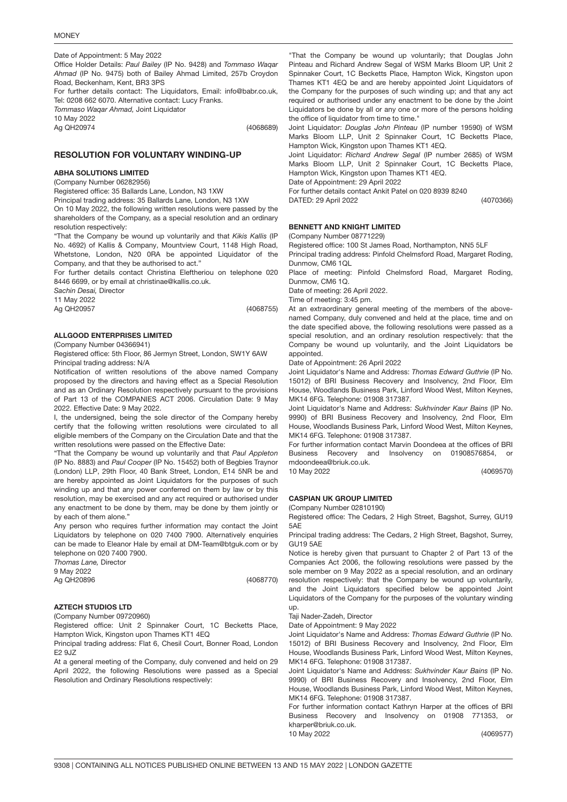#### Date of Appointment: 5 May 2022

Office Holder Details: *Paul Bailey* (IP No. 9428) and *Tommaso Waqar Ahmad* (IP No. 9475) both of Bailey Ahmad Limited, 257b Croydon Road, Beckenham, Kent, BR3 3PS

For further details contact: The Liquidators, Email: info@babr.co.uk, Tel: 0208 662 6070. Alternative contact: Lucy Franks.

*Tommaso Waqar Ahmad,* Joint Liquidator

10 May 2022

Ag QH20974

(4068689)

#### RESOLUTION FOR VOLUNTARY WINDING-UP

## ABHA SOLUTIONS LIMITED

(Company Number 06282956)

Registered office: 35 Ballards Lane, London, N3 1XW

Principal trading address: 35 Ballards Lane, London, N3 1XW

On 10 May 2022, the following written resolutions were passed by the shareholders of the Company, as a special resolution and an ordinary resolution respectively:

"That the Company be wound up voluntarily and that *Kikis Kallis* (IP No. 4692) of Kallis & Company, Mountview Court, 1148 High Road, Whetstone, London, N20 0RA be appointed Liquidator of the Company, and that they be authorised to act."

For further details contact Christina Eleftheriou on telephone 020 8446 6699, or by email at christinae@kallis.co.uk.

*Sachin Desai,* Director

11 May 2022 Ag QH20957

(4068755)

## ALLGOOD ENTERPRISES LIMITED

### (Company Number 04366941)

Registered office: 5th Floor, 86 Jermyn Street, London, SW1Y 6AW Principal trading address: N/A

Notification of written resolutions of the above named Company proposed by the directors and having effect as a Special Resolution and as an Ordinary Resolution respectively pursuant to the provisions of Part 13 of the COMPANIES ACT 2006. Circulation Date: 9 May 2022. Effective Date: 9 May 2022.

I, the undersigned, being the sole director of the Company hereby certify that the following written resolutions were circulated to all eligible members of the Company on the Circulation Date and that the written resolutions were passed on the Effective Date:

"That the Company be wound up voluntarily and that *Paul Appleton* (IP No. 8883) and *Paul Cooper* (IP No. 15452) both of Begbies Traynor (London) LLP, 29th Floor, 40 Bank Street, London, E14 5NR be and are hereby appointed as Joint Liquidators for the purposes of such winding up and that any power conferred on them by law or by this resolution, may be exercised and any act required or authorised under any enactment to be done by them, may be done by them jointly or by each of them alone."

Any person who requires further information may contact the Joint Liquidators by telephone on 020 7400 7900. Alternatively enquiries can be made to Eleanor Hale by email at DM-Team@btguk.com or by telephone on 020 7400 7900.

*Thomas Lane,* Director

9 May 2022 Ag QH20896

(4068770)

## AZTECH STUDIOS LTD

(Company Number 09720960)

Registered office: Unit 2 Spinnaker Court, 1C Becketts Place, Hampton Wick, Kingston upon Thames KT1 4EQ

Principal trading address: Flat 6, Chesil Court, Bonner Road, London **E2 9.IZ** 

At a general meeting of the Company, duly convened and held on 29 April 2022, the following Resolutions were passed as a Special Resolution and Ordinary Resolutions respectively:

"That the Company be wound up voluntarily; that Douglas John Pinteau and Richard Andrew Segal of WSM Marks Bloom UP, Unit 2 Spinnaker Court, 1C Becketts Place, Hampton Wick, Kingston upon Thames KT1 4EQ be and are hereby appointed Joint Liquidators of the Company for the purposes of such winding up; and that any act required or authorised under any enactment to be done by the Joint Liquidators be done by all or any one or more of the persons holding the office of liquidator from time to time."

Joint Liquidator: *Douglas John Pinteau* (IP number 19590) of WSM Marks Bloom LLP, Unit 2 Spinnaker Court, 1C Becketts Place, Hampton Wick, Kingston upon Thames KT1 4EQ.

Joint Liquidator: *Richard Andrew Segal* (IP number 2685) of WSM Marks Bloom LLP, Unit 2 Spinnaker Court, 1C Becketts Place, Hampton Wick, Kingston upon Thames KT1 4EQ.

Date of Appointment: 29 April 2022

For further details contact Ankit Patel on 020 8939 8240 DATED: 29 April 2022

## BENNETT AND KNIGHT LIMITED

(Company Number 08771229)

Registered office: 100 St James Road, Northampton, NN5 5LF

Principal trading address: Pinfold Chelmsford Road, Margaret Roding, Dunmow, CM6 1QL

Place of meeting: Pinfold Chelmsford Road, Margaret Roding, Dunmow, CM6 1Q.

Date of meeting: 26 April 2022.

Time of meeting: 3:45 pm.

At an extraordinary general meeting of the members of the abovenamed Company, duly convened and held at the place, time and on the date specified above, the following resolutions were passed as a special resolution, and an ordinary resolution respectively: that the Company be wound up voluntarily, and the Joint Liquidators be appointed.

Date of Appointment: 26 April 2022

Joint Liquidator's Name and Address: *Thomas Edward Guthrie* (IP No. 15012) of BRI Business Recovery and Insolvency, 2nd Floor, Elm House, Woodlands Business Park, Linford Wood West, Milton Keynes, MK14 6FG. Telephone: 01908 317387.

Joint Liquidator's Name and Address: *Sukhvinder Kaur Bains* (IP No. 9990) of BRI Business Recovery and Insolvency, 2nd Floor, Elm House, Woodlands Business Park, Linford Wood West, Milton Keynes, MK14 6FG. Telephone: 01908 317387.

For further information contact Marvin Doondeea at the offices of BRI Business Recovery and Insolvency on 01908576854, mdoondeea@briuk.co.uk. 10 May 2022

(4069570)

(4070366)

## CASPIAN UK GROUP LIMITED

(Company Number 02810190)

Registered office: The Cedars, 2 High Street, Bagshot, Surrey, GU19 5AE

Principal trading address: The Cedars, 2 High Street, Bagshot, Surrey, GU19 5AF

Notice is hereby given that pursuant to Chapter 2 of Part 13 of the Companies Act 2006, the following resolutions were passed by the sole member on 9 May 2022 as a special resolution, and an ordinary resolution respectively: that the Company be wound up voluntarily, and the Joint Liquidators specified below be appointed Joint Liquidators of the Company for the purposes of the voluntary winding up.

Taji Nader-Zadeh, Director

Date of Appointment: 9 May 2022

Joint Liquidator's Name and Address: *Thomas Edward Guthrie* (IP No. 15012) of BRI Business Recovery and Insolvency, 2nd Floor, Elm House, Woodlands Business Park, Linford Wood West, Milton Keynes, MK14 6FG. Telephone: 01908 317387.

Joint Liquidator's Name and Address: *Sukhvinder Kaur Bains* (IP No. 9990) of BRI Business Recovery and Insolvency, 2nd Floor, Elm House, Woodlands Business Park, Linford Wood West, Milton Keynes, MK14 6FG. Telephone: 01908 317387.

For further information contact Kathryn Harper at the offices of BRI Business Recovery and Insolvency on 01908 771353, or kharper@briuk.co.uk. 10 May 2022

(4069577)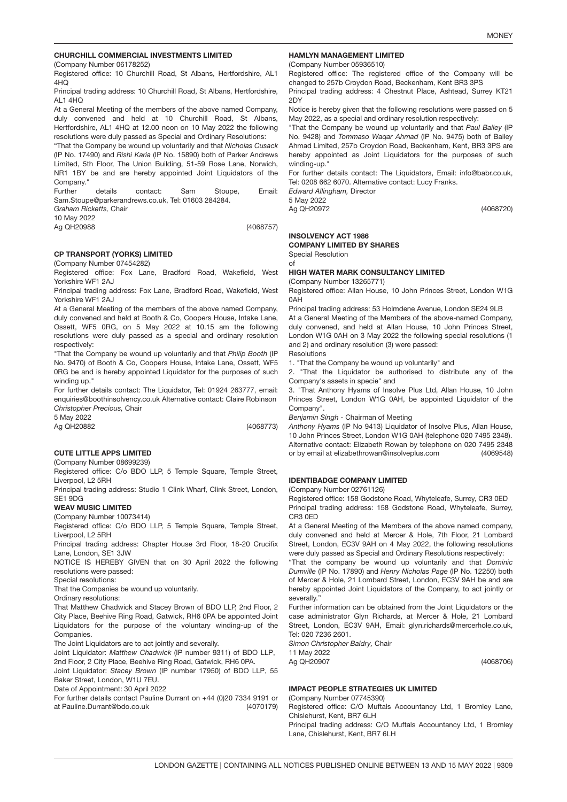(4068720)

## 4068757 CHURCHILL COMMERCIAL INVESTMENTS LIMITED

(Company Number 06178252)

Registered office: 10 Churchill Road, St Albans, Hertfordshire, AL1  $4H<sub>O</sub>$ 

Principal trading address: 10 Churchill Road, St Albans, Hertfordshire, AL1 4HQ

At a General Meeting of the members of the above named Company, duly convened and held at 10 Churchill Road, St Albans, Hertfordshire, AL1 4HQ at 12.00 noon on 10 May 2022 the following resolutions were duly passed as Special and Ordinary Resolutions:

"That the Company be wound up voluntarily and that *Nicholas Cusack* (IP No. 17490) and *Rishi Karia* (IP No. 15890) both of Parker Andrews Limited, 5th Floor, The Union Building, 51-59 Rose Lane, Norwich, NR1 1BY be and are hereby appointed Joint Liquidators of the Company."

Further details contact: Sam Stoupe, Email: Sam.Stoupe@parkerandrews.co.uk, Tel: 01603 284284. *Graham Ricketts,* Chair

10 May 2022 Ag QH20988

(4068757)

## CP TRANSPORT (YORKS) LIMIT<mark>ED</mark>

(Company Number 07454282)

Registered office: Fox Lane, Bradford Road, Wakefield, West Yorkshire WF1 2AJ

Principal trading address: Fox Lane, Bradford Road, Wakefield, West Yorkshire WF1 2AJ

At a General Meeting of the members of the above named Company, duly convened and held at Booth & Co, Coopers House, Intake Lane, Ossett, WF5 0RG, on 5 May 2022 at 10.15 am the following resolutions were duly passed as a special and ordinary resolution respectively:

"That the Company be wound up voluntarily and that *Philip Booth* (IP No. 9470) of Booth & Co, Coopers House, Intake Lane, Ossett, WF5 0RG be and is hereby appointed Liquidator for the purposes of such winding up."

For further details contact: The Liquidator, Tel: 01924 263777, email: enquiries@boothinsolvency.co.uk Alternative contact: Claire Robinson *Christopher Precious,* Chair

5 May 2022 Ag QH20882

(4068773)

#### CUTE LITTLE APPS LIMITED

(Company Number 08699239) Registered office: C/o BDO LLP, 5 Temple Square, Temple Street, Liverpool, L2 5RH

Principal trading address: Studio 1 Clink Wharf, Clink Street, London, SE1 9DG

#### WEAV MUSIC LIMITED

(Company Number 10073414)

Registered office: C/o BDO LLP, 5 Temple Square, Temple Street, Liverpool, L2 5RH

Principal trading address: Chapter House 3rd Floor, 18-20 Crucifix Lane, London, SE1 3JW

NOTICE IS HEREBY GIVEN that on 30 April 2022 the following resolutions were passed:

Special resolutions:

That the Companies be wound up voluntarily.

Ordinary resolutions:

That Matthew Chadwick and Stacey Brown of BDO LLP, 2nd Floor, 2 City Place, Beehive Ring Road, Gatwick, RH6 0PA be appointed Joint Liquidators for the purpose of the voluntary winding-up of the **Companies** 

The Joint Liquidators are to act jointly and severally.

Joint Liquidator: *Matthew Chadwick* (IP number 9311) of BDO LLP, 2nd Floor, 2 City Place, Beehive Ring Road, Gatwick, RH6 0PA. Joint Liquidator: *Stacey Brown* (IP number 17950) of BDO LLP, 55

Baker Street, London, W1U 7EU.

Date of Appointment: 30 April 2022

(4070179) For further details contact Pauline Durrant on +44 (0)20 7334 9191 or at Pauline.Durrant@bdo.co.uk

## HAMLYN MANAGEMENT LIMITED

(Company Number 05936510)

Registered office: The registered office of the Company will be changed to 257b Croydon Road, Beckenham, Kent BR3 3PS Principal trading address: 4 Chestnut Place, Ashtead, Surrey KT21 2DY

Notice is hereby given that the following resolutions were passed on 5 May 2022, as a special and ordinary resolution respectively:

"That the Company be wound up voluntarily and that *Paul Bailey* (IP No. 9428) and *Tommaso Waqar Ahmad* (IP No. 9475) both of Bailey Ahmad Limited, 257b Croydon Road, Beckenham, Kent, BR3 3PS are hereby appointed as Joint Liquidators for the purposes of such winding-up."

For further details contact: The Liquidators, Email: info@babr.co.uk, Tel: 0208 662 6070. Alternative contact: Lucy Franks.

*Edward Allingham,* Director 5 May 2022 Ag QH20972

#### INSOLVENCY ACT 1986 COMPANY LIMITED BY SHARES

Special Resolution

#### of HIGH WATER MARK CONSULTANCY LIMITED

(Company Number 13265771)

Registered office: Allan House, 10 John Princes Street, London W1G 0AH

Principal trading address: 53 Holmdene Avenue, London SE24 9LB

At a General Meeting of the Members of the above-named Company, duly convened, and held at Allan House, 10 John Princes Street, London W1G 0AH on 3 May 2022 the following special resolutions (1 and 2) and ordinary resolution (3) were passed:

**Resolutions** 

1. "That the Company be wound up voluntarily" and

2. "That the Liquidator be authorised to distribute any of the Company's assets in specie" and

3. "That Anthony Hyams of Insolve Plus Ltd, Allan House, 10 John Princes Street, London W1G 0AH, be appointed Liquidator of the Company".

*Benjamin Singh* - Chairman of Meeting

(4069548) *Anthony Hyams* (IP No 9413) Liquidator of Insolve Plus, Allan House, 10 John Princes Street, London W1G 0AH (telephone 020 7495 2348). Alternative contact: Elizabeth Rowan by telephone on 020 7495 2348 or by email at elizabethrowan@insolveplus.com

## 4068706 IDENTIBADGE COMPANY LIMITED

(Company Number 02761126)

Registered office: 158 Godstone Road, Whyteleafe, Surrey, CR3 0ED Principal trading address: 158 Godstone Road, Whyteleafe, Surrey, CR3 0ED

At a General Meeting of the Members of the above named company, duly convened and held at Mercer & Hole, 7th Floor, 21 Lombard Street, London, EC3V 9AH on 4 May 2022, the following resolutions were duly passed as Special and Ordinary Resolutions respectively:

"That the company be wound up voluntarily and that *Dominic Dumville* (IP No. 17890) and *Henry Nicholas Page* (IP No. 12250) both of Mercer & Hole, 21 Lombard Street, London, EC3V 9AH be and are hereby appointed Joint Liquidators of the Company, to act jointly or severally.

Further information can be obtained from the Joint Liquidators or the case administrator Glyn Richards, at Mercer & Hole, 21 Lombard Street, London, EC3V 9AH, Email: glyn.richards@mercerhole.co.uk, Tel: 020 7236 2601.

*Simon Christopher Baldry,* Chair 11 May 2022 Ag QH20907

(4068706)

## 4068661 IMPACT PEOPLE STRATEGIES UK LIMITED

(Company Number 07745390)

Registered office: C/O Muftals Accountancy Ltd, 1 Bromley Lane, Chislehurst, Kent, BR7 6LH

Principal trading address: C/O Muftals Accountancy Ltd, 1 Bromley Lane, Chislehurst, Kent, BR7 6LH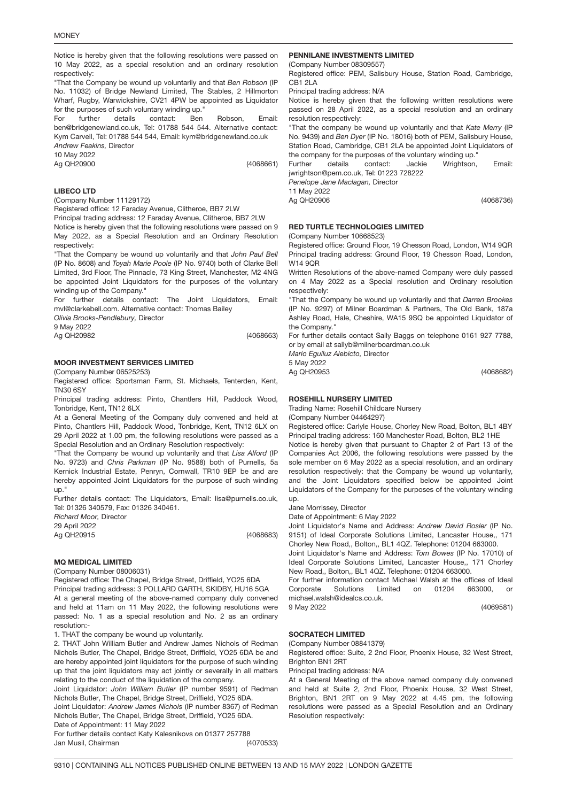Notice is hereby given that the following resolutions were passed on 10 May 2022, as a special resolution and an ordinary resolution respectively:

"That the Company be wound up voluntarily and that *Ben Robson* (IP No. 11032) of Bridge Newland Limited, The Stables, 2 Hillmorton Wharf, Rugby, Warwickshire, CV21 4PW be appointed as Liquidator for the purposes of such voluntary winding up."

For further details contact: Ben Robson, Email: ben@bridgenewland.co.uk, Tel: 01788 544 544. Alternative contact: Kym Carvell, Tel: 01788 544 544, Email: kym@bridgenewland.co.uk *Andrew Feakins,* Director

10 May 2022

Ag QH20900

(4068661)

## LIBECO LT<mark>D</mark>

(Company Number 11129172)

Registered office: 12 Faraday Avenue, Clitheroe, BB7 2LW

Principal trading address: 12 Faraday Avenue, Clitheroe, BB7 2LW Notice is hereby given that the following resolutions were passed on 9 May 2022, as a Special Resolution and an Ordinary Resolution respectively:

"That the Company be wound up voluntarily and that *John Paul Bell* (IP No. 8608) and *Toyah Marie Poole* (IP No. 9740) both of Clarke Bell Limited, 3rd Floor, The Pinnacle, 73 King Street, Manchester, M2 4NG be appointed Joint Liquidators for the purposes of the voluntary winding up of the Company."

For further details contact: The Joint Liquidators, Email: mvl@clarkebell.com. Alternative contact: Thomas Bailey

*Olivia Brooks-Pendlebury,* Director

9 May 2022

(4068663) Ag QH20982

## 4068683 MOOR INVESTMENT SERVICES LIMITED

(Company Number 06525253)

Registered office: Sportsman Farm, St. Michaels, Tenterden, Kent, TN30 6SY

Principal trading address: Pinto, Chantlers Hill, Paddock Wood, Tonbridge, Kent, TN12 6LX

At a General Meeting of the Company duly convened and held at Pinto, Chantlers Hill, Paddock Wood, Tonbridge, Kent, TN12 6LX on 29 April 2022 at 1.00 pm, the following resolutions were passed as a Special Resolution and an Ordinary Resolution respectively:

"That the Company be wound up voluntarily and that *Lisa Alford* (IP No. 9723) and *Chris Parkman* (IP No. 9588) both of Purnells, 5a Kernick Industrial Estate, Penryn, Cornwall, TR10 9EP be and are hereby appointed Joint Liquidators for the purpose of such winding up."

Further details contact: The Liquidators, Email: lisa@purnells.co.uk, Tel: 01326 340579, Fax: 01326 340461.

*Richard Moor,* Director 29 April 2022 Ag QH20915

(4068683)

#### MQ MEDICAL LIMITED

resolution:-

(Company Number 08006031)

Registered office: The Chapel, Bridge Street, Driffield, YO25 6DA

Principal trading address: 3 POLLARD GARTH, SKIDBY, HU16 5GA At a general meeting of the above-named company duly convened and held at 11am on 11 May 2022, the following resolutions were passed: No. 1 as a special resolution and No. 2 as an ordinary

1. THAT the company be wound up voluntarily.

2. THAT John William Butler and Andrew James Nichols of Redman Nichols Butler, The Chapel, Bridge Street, Driffield, YO25 6DA be and are hereby appointed joint liquidators for the purpose of such winding up that the joint liquidators may act jointly or severally in all matters relating to the conduct of the liquidation of the company.

Joint Liquidator: *John William Butler* (IP number 9591) of Redman Nichols Butler, The Chapel, Bridge Street, Driffield, YO25 6DA.

Joint Liquidator: *Andrew James Nichols* (IP number 8367) of Redman Nichols Butler, The Chapel, Bridge Street, Driffield, YO25 6DA.

Date of Appointment: 11 May 2022

(4070533) For further details contact Katy Kalesnikovs on 01377 257788 Jan Musil, Chairman

## PENNILANE INVESTMENTS LIMITED

(Company Number 08309557) Registered office: PEM, Salisbury House, Station Road, Cambridge, CB1 2LA

Principal trading address: N/A

Notice is hereby given that the following written resolutions were passed on 28 April 2022, as a special resolution and an ordinary resolution respectively:

"That the company be wound up voluntarily and that *Kate Merry* (IP No. 9439) and *Ben Dyer* (IP No. 18016) both of PEM, Salisbury House, Station Road, Cambridge, CB1 2LA be appointed Joint Liquidators of the company for the purposes of the voluntary winding up.

Further details contact: Jackie Wrightson, Email: jwrightson@pem.co.uk, Tel: 01223 728222 *Penelope Jane Maclagan,* Director

11 May 2022 Ag QH20906

(4068736)

(4068682)

## RED TURTLE TECHNOLOGIES LIMITED

(Company Number 10668523)

Registered office: Ground Floor, 19 Chesson Road, London, W14 9QR Principal trading address: Ground Floor, 19 Chesson Road, London, W14 9OB

Written Resolutions of the above-named Company were duly passed on 4 May 2022 as a Special resolution and Ordinary resolution respectively:

"That the Company be wound up voluntarily and that *Darren Brookes* (IP No. 9297) of Milner Boardman & Partners, The Old Bank, 187a Ashley Road, Hale, Cheshire, WA15 9SQ be appointed Liquidator of the Company."

For further details contact Sally Baggs on telephone 0161 927 7788, or by email at sallyb@milnerboardman.co.uk

*Mario Eguiluz Alebicto,* Director

5 May 2022

Ag QH20953

## 4069581 ROSEHILL NURSERY LIMITED

Trading Name: Rosehill Childcare Nursery

(Company Number 04464297)

Registered office: Carlyle House, Chorley New Road, Bolton, BL1 4BY Principal trading address: 160 Manchester Road, Bolton, BL2 1HE Notice is hereby given that pursuant to Chapter 2 of Part 13 of the Companies Act 2006, the following resolutions were passed by the sole member on 6 May 2022 as a special resolution, and an ordinary resolution respectively: that the Company be wound up voluntarily, and the Joint Liquidators specified below be appointed Joint Liquidators of the Company for the purposes of the voluntary winding up.

Jane Morrissey, Director

Date of Appointment: 6 May 2022

Joint Liquidator's Name and Address: *Andrew David Rosler* (IP No. 9151) of Ideal Corporate Solutions Limited, Lancaster House,, 171 Chorley New Road,, Bolton,, BL1 4QZ. Telephone: 01204 663000.

Joint Liquidator's Name and Address: *Tom Bowes* (IP No. 17010) of Ideal Corporate Solutions Limited, Lancaster House., 171 Chorley New Road,, Bolton,, BL1 4QZ. Telephone: 01204 663000.

For further information contact Michael Walsh at the offices of Ideal Corporate Solutions Limited on 01204 663000, or michael.walsh@idealcs.co.uk.

9 May 2022

(4069581)

## SOCRATECH LIMITED

(Company Number 08841379)

Registered office: Suite, 2 2nd Floor, Phoenix House, 32 West Street, Brighton BN1 2RT

Principal trading address: N/A

At a General Meeting of the above named company duly convened and held at Suite 2, 2nd Floor, Phoenix House, 32 West Street, Brighton, BN1 2RT on 9 May 2022 at 4.45 pm, the following resolutions were passed as a Special Resolution and an Ordinary Resolution respectively: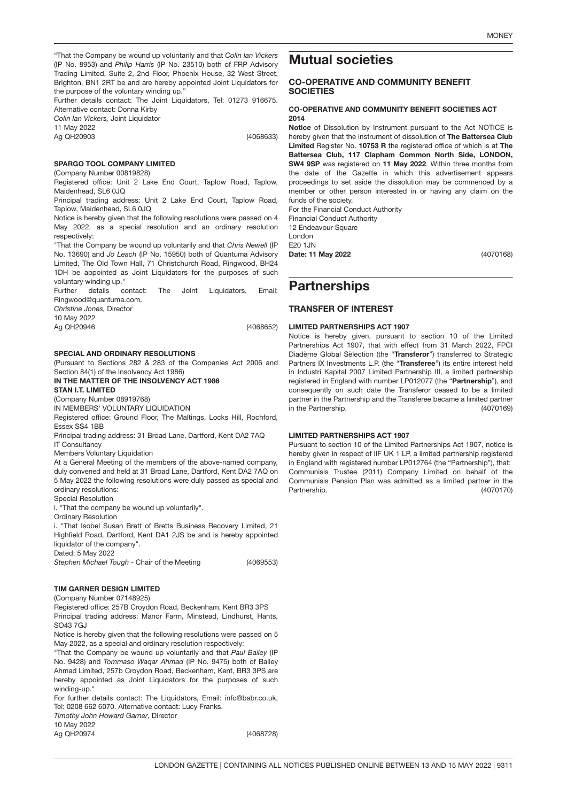"That the Company be wound up voluntarily and that *Colin Ian Vickers* (IP No. 8953) and *Philip Harris* (IP No. 23510) both of FRP Advisory Trading Limited, Suite 2, 2nd Floor, Phoenix House, 32 West Street, Brighton, BN1 2RT be and are hereby appointed Joint Liquidators for the purpose of the voluntary winding up."

Further details contact: The Joint Liquidators, Tel: 01273 916675. Alternative contact: Donna Kirby

*Colin Ian Vickers,* Joint Liquidator

11 May 2022

Ag QH20903

(4068633)

#### SPARGO TOOL COMPANY LIMITED

(Company Number 00819828)

Registered office: Unit 2 Lake End Court, Taplow Road, Taplow, Maidenhead, SL6 0JQ

Principal trading address: Unit 2 Lake End Court, Taplow Road, Taplow, Maidenhead, SL6 0JQ

Notice is hereby given that the following resolutions were passed on 4 May 2022, as a special resolution and an ordinary resolution respectively:

"That the Company be wound up voluntarily and that *Chris Newell* (IP No. 13690) and *Jo Leach* (IP No. 15950) both of Quantuma Advisory Limited, The Old Town Hall, 71 Christchurch Road, Ringwood, BH24 1DH be appointed as Joint Liquidators for the purposes of such voluntary winding up."

Further details contact: The Joint Liquidators, Email: Ringwood@quantuma.com.

*Christine Jones,* Director

10 May 2022 Ag QH20946

(4068652)

## SPECIAL AND ORDINARY RESOLUTIONS

(Pursuant to Sections 282 & 283 of the Companies Act 2006 and Section 84(1) of the Insolvency Act 1986)

## IN THE MATTER OF THE INSOLVENCY ACT 1986

STAN I.T. LIMITED

(Company Number 08919768)

IN MEMBERS' VOLUNTARY LIQUIDATION Registered office: Ground Floor, The Maltings, Locks Hill, Rochford, Essex SS4 1BB

Principal trading address: 31 Broad Lane, Dartford, Kent DA2 7AQ IT Consultancy

Members Voluntary Liquidation

At a General Meeting of the members of the above-named company, duly convened and held at 31 Broad Lane, Dartford, Kent DA2 7AQ on 5 May 2022 the following resolutions were duly passed as special and ordinary resolutions:

Special Resolution

i. "That the company be wound up voluntarily".

Ordinary Resolution

i. "That Isobel Susan Brett of Bretts Business Recovery Limited, 21 Highfield Road, Dartford, Kent DA1 2JS be and is hereby appointed liquidator of the company".

Dated: 5 May 2022

(4069553) *Stephen Michael Tough* - Chair of the Meeting

#### TIM GARNER DESIGN LIMITED

(Company Number 07148925)

Registered office: 257B Croydon Road, Beckenham, Kent BR3 3PS Principal trading address: Manor Farm, Minstead, Lindhurst, Hants, SO43 7GJ

Notice is hereby given that the following resolutions were passed on 5 May 2022, as a special and ordinary resolution respectively:

"That the Company be wound up voluntarily and that *Paul Bailey* (IP No. 9428) and *Tommaso Waqar Ahmad* (IP No. 9475) both of Bailey Ahmad Limited, 257b Croydon Road, Beckenham, Kent, BR3 3PS are hereby appointed as Joint Liquidators for the purposes of such winding-up."

For further details contact: The Liquidators, Email: info@babr.co.uk, Tel: 0208 662 6070. Alternative contact: Lucy Franks.

*Timothy John Howard Garner,* Director

10 May 2022 Ag QH20974

(4068728)

## Mutual societies

#### CO-OPERATIVE AND COMMUNITY BENEFIT **SOCIETIES**

#### CO-OPERATIVE AND COMMUNITY BENEFIT SOCIETIES ACT 2014

Notice of Dissolution by Instrument pursuant to the Act NOTICE is hereby given that the instrument of dissolution of The Battersea Club Limited Register No. 10753 R the registered office of which is at The Battersea Club, 117 Clapham Common North Side, LONDON, SW4 9SP was registered on 11 May 2022. Within three months from the date of the Gazette in which this advertisement appears proceedings to set aside the dissolution may be commenced by a member or other person interested in or having any claim on the funds of the society.

For the Financial Conduct Authority Financial Conduct Authority 12 Endeavour Square London E20 1JN Date: 11 May 2022

(4070168)

## **Partnerships**

## TRANSFER OF INTEREST

## LIMITED PARTNERSHIPS ACT 1907

(4070169) Notice is hereby given, pursuant to section 10 of the Limited Partnerships Act 1907, that with effect from 31 March 2022, FPCI Diadème Global Sèlection (the "Transferor") transferred to Strategic Partners IX Investments L.P. (the "Transferee") its entire interest held in Industri Kapital 2007 Limited Partnership III, a limited partnership registered in England with number LP012077 (the "Partnership"), and consequently on such date the Transferor ceased to be a limited partner in the Partnership and the Transferee became a limited partner in the Partnership.

## LIMITED PARTNERSHIPS ACT 1907

(4070170) Pursuant to section 10 of the Limited Partnerships Act 1907, notice is hereby given in respect of IIF UK 1 LP, a limited partnership registered in England with registered number LP012764 (the "Partnership"), that: Communisis Trustee (2011) Company Limited on behalf of the Communisis Pension Plan was admitted as a limited partner in the Partnership.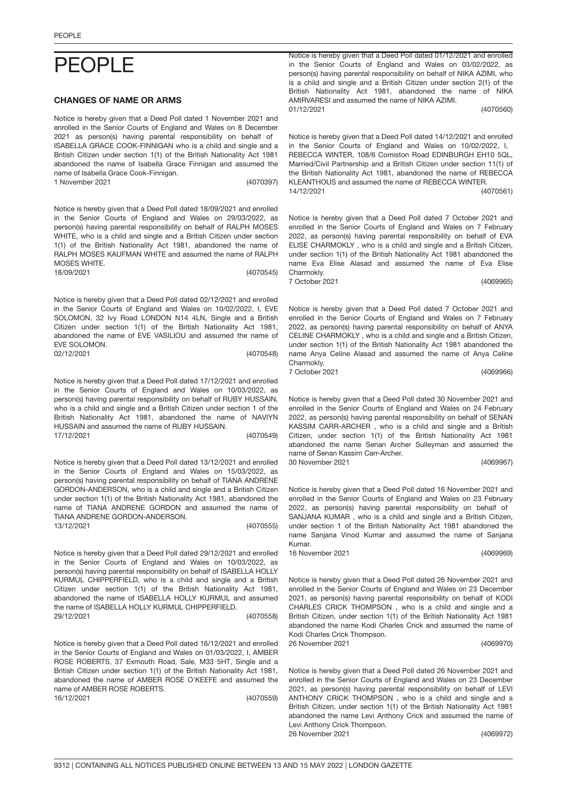# PEOPLE

## CHANGES OF NAME OR ARMS

Notice is hereby given that a Deed Poll dated 1 November 2021 and enrolled in the Senior Courts of England and Wales on 8 December 2021 as person(s) having parental responsibility on behalf of ISABELLA GRACE COOK-FINNIGAN who is a child and single and a British Citizen under section 1(1) of the British Nationality Act 1981 abandoned the name of Isabella Grace Finnigan and assumed the name of Isabella Grace Cook-Finnigan.

1 November 2021

(4070397)

Notice is hereby given that a Deed Poll dated 18/09/2021 and enrolled (4070545) in the Senior Courts of England and Wales on 29/03/2022, as person(s) having parental responsibility on behalf of RALPH MOSES WHITE, who is a child and single and a British Citizen under section 1(1) of the British Nationality Act 1981, abandoned the name of RALPH MOSES KAUFMAN WHITE and assumed the name of RALPH MOSES WHITE 18/09/2021

Notice is hereby given that a Deed Poll dated 02/12/2021 and enrolled in the Senior Courts of England and Wales on 10/02/2022, I, EVE SOLOMON, 32 Ivy Road LONDON N14 4LN, Single and a British Citizen under section 1(1) of the British Nationality Act 1981, abandoned the name of EVE VASILIOU and assumed the name of EVE SOLOMON.

(4070548) 02/12/2021

Notice is hereby given that a Deed Poll dated 17/12/2021 and enrolled (4070549) in the Senior Courts of England and Wales on 10/03/2022, as person(s) having parental responsibility on behalf of RUBY HUSSAIN, who is a child and single and a British Citizen under section 1 of the British Nationality Act 1981, abandoned the name of NAVIYN HUSSAIN and assumed the name of RUBY HUSSAIN. 17/12/2021

Notice is hereby given that a Deed Poll dated 13/12/2021 and enrolled (4070555) in the Senior Courts of England and Wales on 15/03/2022, as person(s) having parental responsibility on behalf of TIANA ANDRENE GORDON-ANDERSON, who is a child and single and a British Citizen under section 1(1) of the British Nationality Act 1981, abandoned the name of TIANA ANDRENE GORDON and assumed the name of TIANA ANDRENE GORDON-ANDERSON. 13/12/2021

Notice is hereby given that a Deed Poll dated 29/12/2021 and enrolled (4070558) in the Senior Courts of England and Wales on 10/03/2022, as person(s) having parental responsibility on behalf of ISABELLA HOLLY KURMUL CHIPPERFIELD, who is a child and single and a British Citizen under section 1(1) of the British Nationality Act 1981, abandoned the name of ISABELLA HOLLY KURMUL and assumed the name of ISABELLA HOLLY KURMUL CHIPPERFIELD. 29/12/2021

Notice is hereby given that a Deed Poll dated 16/12/2021 and enrolled in the Senior Courts of England and Wales on 01/03/2022, I, AMBER ROSE ROBERTS, 37 Exmouth Road, Sale, M33 5HT, Single and a British Citizen under section 1(1) of the British Nationality Act 1981, abandoned the name of AMBER ROSE O'KEEFE and assumed the name of AMBER ROSE ROBERTS. 16/12/2021

(4070559)

Notice is hereby given that a Deed Poll dated 01/12/2021 and enrolled (4070560) in the Senior Courts of England and Wales on 03/02/2022, as person(s) having parental responsibility on behalf of NIKA AZIMI, who is a child and single and a British Citizen under section 2(1) of the British Nationality Act 1981, abandoned the name of NIKA AMIRVARESI and assumed the name of NIKA AZIMI. 01/12/2021

Notice is hereby given that a Deed Poll dated 14/12/2021 and enrolled (4070561) in the Senior Courts of England and Wales on 10/02/2022, I, REBECCA WINTER, 108/6 Comiston Road EDINBURGH EH10 5QL, Married/Civil Partnership and a British Citizen under section 11(1) of the British Nationality Act 1981, abandoned the name of REBECCA KLEANTHOUS and assumed the name of REBECCA WINTER. 14/12/2021

Notice is hereby given that a Deed Poll dated 7 October 2021 and enrolled in the Senior Courts of England and Wales on 7 February 2022, as person(s) having parental responsibility on behalf of EVA ELISE CHARMOKLY , who is a child and single and a British Citizen, under section 1(1) of the British Nationality Act 1981 abandoned the name Eva Elise Alasad and assumed the name of Eva Elise Charmokly.

Notice is hereby given that a Deed Poll dated 7 October 2021 and enrolled in the Senior Courts of England and Wales on 7 February 2022, as person(s) having parental responsibility on behalf of ANYA CELINE CHARMOKLY , who is a child and single and a British Citizen, under section 1(1) of the British Nationality Act 1981 abandoned the name Anya Celine Alasad and assumed the name of Anya Celine

7 October 2021

Charmokly.

7 October 2021

(4069966)

(4069965)

Notice is hereby given that a Deed Poll dated 30 November 2021 and enrolled in the Senior Courts of England and Wales on 24 February 2022, as person(s) having parental responsibility on behalf of SENAN KASSIM CARR-ARCHER , who is a child and single and a British Citizen, under section 1(1) of the British Nationality Act 1981 abandoned the name Senan Archer Sulleyman and assumed the name of Senan Kassim Carr-Archer. 30 November 2021

(4069967)

Notice is hereby given that a Deed Poll dated 16 November 2021 and enrolled in the Senior Courts of England and Wales on 23 February 2022, as person(s) having parental responsibility on behalf of SANJANA KUMAR , who is a child and single and a British Citizen, under section 1 of the British Nationality Act 1981 abandoned the name Sanjana Vinod Kumar and assumed the name of Sanjana Kumar.

(4069969) 16 November 2021

Notice is hereby given that a Deed Poll dated 26 November 2021 and enrolled in the Senior Courts of England and Wales on 23 December 2021, as person(s) having parental responsibility on behalf of KODI CHARLES CRICK THOMPSON , who is a child and single and a British Citizen, under section 1(1) of the British Nationality Act 1981 abandoned the name Kodi Charles Crick and assumed the name of Kodi Charles Crick Thompson. 26 November 2021

(4069970)

Notice is hereby given that a Deed Poll dated 26 November 2021 and (4069972) enrolled in the Senior Courts of England and Wales on 23 December 2021, as person(s) having parental responsibility on behalf of LEVI ANTHONY CRICK THOMPSON , who is a child and single and a British Citizen, under section 1(1) of the British Nationality Act 1981 abandoned the name Levi Anthony Crick and assumed the name of Levi Anthony Crick Thompson. 26 November 2021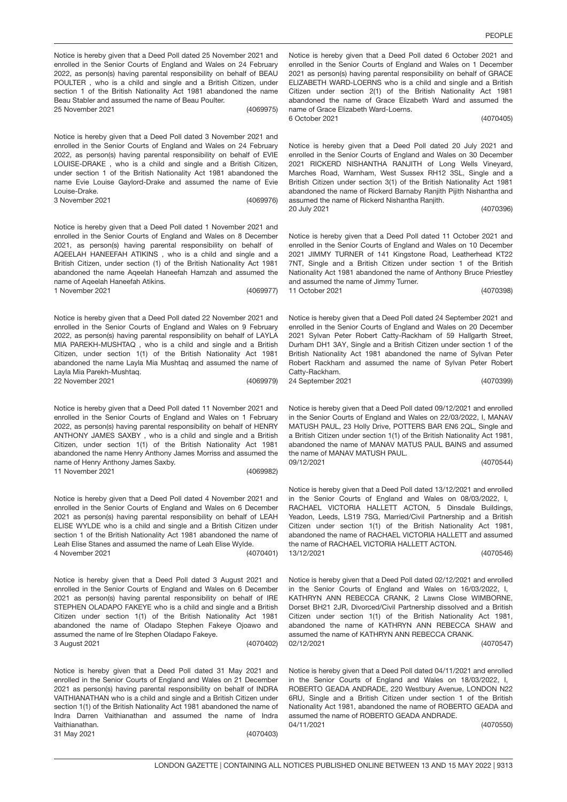Notice is hereby given that a Deed Poll dated 25 November 2021 and (4069975) Notice is hereby given that a Deed Poll dated 3 November 2021 and (4069976) Notice is hereby given that a Deed Poll dated 1 November 2021 and (4069977) Notice is hereby given that a Deed Poll dated 22 November 2021 and (4069979) Notice is hereby given that a Deed Poll dated 11 November 2021 and (4069982) Notice is hereby given that a Deed Poll dated 4 November 2021 and (4070401) Notice is hereby given that a Deed Poll dated 3 August 2021 and (4070402) Notice is hereby given that a Deed Poll dated 31 May 2021 and (4070403) Notice is hereby given that a Deed Poll dated 6 October 2021 and (4070405) Notice is hereby given that a Deed Poll dated 20 July 2021 and (4070396) Notice is hereby given that a Deed Poll dated 11 October 2021 and (4070398) Notice is hereby given that a Deed Poll dated 24 September 2021 and (4070399) Notice is hereby given that a Deed Poll dated 09/12/2021 and enrolled (4070544) Notice is hereby given that a Deed Poll dated 13/12/2021 and enrolled (4070546) Notice is hereby given that a Deed Poll dated 02/12/2021 and enrolled (4070547) Notice is hereby given that a Deed Poll dated 04/11/2021 and enrolled (4070550) enrolled in the Senior Courts of England and Wales on 24 February 2022, as person(s) having parental responsibility on behalf of BEAU POULTER , who is a child and single and a British Citizen, under section 1 of the British Nationality Act 1981 abandoned the name Beau Stabler and assumed the name of Beau Poulter. 25 November 2021 enrolled in the Senior Courts of England and Wales on 24 February 2022, as person(s) having parental responsibility on behalf of EVIE LOUISE-DRAKE , who is a child and single and a British Citizen, under section 1 of the British Nationality Act 1981 abandoned the name Evie Louise Gaylord-Drake and assumed the name of Evie Louise-Drake. 3 November 2021 enrolled in the Senior Courts of England and Wales on 8 December 2021, as person(s) having parental responsibility on behalf of AQEELAH HANEEFAH ATIKINS , who is a child and single and a British Citizen, under section (1) of the British Nationality Act 1981 abandoned the name Aqeelah Haneefah Hamzah and assumed the name of Aqeelah Haneefah Atikins. 1 November 2021 enrolled in the Senior Courts of England and Wales on 9 February 2022, as person(s) having parental responsibility on behalf of LAYLA MIA PAREKH-MUSHTAQ , who is a child and single and a British Citizen, under section 1(1) of the British Nationality Act 1981 abandoned the name Layla Mia Mushtaq and assumed the name of Layla Mia Parekh-Mushtaq. 22 November 2021 enrolled in the Senior Courts of England and Wales on 1 February 2022, as person(s) having parental responsibility on behalf of HENRY ANTHONY JAMES SAXBY , who is a child and single and a British Citizen, under section 1(1) of the British Nationality Act 1981 abandoned the name Henry Anthony James Morriss and assumed the name of Henry Anthony James Saxby. 11 November 2021 enrolled in the Senior Courts of England and Wales on 6 December 2021 as person(s) having parental responsibility on behalf of LEAH ELISE WYLDE who is a child and single and a British Citizen under section 1 of the British Nationality Act 1981 abandoned the name of Leah Elise Stanes and assumed the name of Leah Elise Wylde. 4 November 2021 enrolled in the Senior Courts of England and Wales on 6 December 2021 as person(s) having parental responsibility on behalf of IRE STEPHEN OLADAPO FAKEYE who is a child and single and a British Citizen under section 1(1) of the British Nationality Act 1981 abandoned the name of Oladapo Stephen Fakeye Ojoawo and assumed the name of Ire Stephen Oladapo Fakeye. 3 August 2021 enrolled in the Senior Courts of England and Wales on 21 December 2021 as person(s) having parental responsibility on behalf of INDRA VAITHIANATHAN who is a child and single and a British Citizen under section 1(1) of the British Nationality Act 1981 abandoned the name of Indra Darren Vaithianathan and assumed the name of Indra Vaithianathan. 31 May 2021 enrolled in the Senior Courts of England and Wales on 1 December 2021 as person(s) having parental responsibility on behalf of GRACE ELIZABETH WARD-LOERNS who is a child and single and a British Citizen under section 2(1) of the British Nationality Act 1981 abandoned the name of Grace Elizabeth Ward and assumed the name of Grace Elizabeth Ward-Loerns. 6 October 2021 enrolled in the Senior Courts of England and Wales on 30 December 2021 RICKERD NISHANTHA RANJITH of Long Wells Vineyard, Marches Road, Warnham, West Sussex RH12 3SL, Single and a British Citizen under section 3(1) of the British Nationality Act 1981 abandoned the name of Rickerd Barnaby Ranjith Pijith Nishantha and assumed the name of Rickerd Nishantha Ranjith. 20 July 2021 enrolled in the Senior Courts of England and Wales on 10 December 2021 JIMMY TURNER of 141 Kingstone Road, Leatherhead KT22 7NT, Single and a British Citizen under section 1 of the British Nationality Act 1981 abandoned the name of Anthony Bruce Priestley and assumed the name of Jimmy Turner. 11 October 2021 enrolled in the Senior Courts of England and Wales on 20 December 2021 Sylvan Peter Robert Catty-Rackham of 59 Hallgarth Street, Durham DH1 3AY, Single and a British Citizen under section 1 of the British Nationality Act 1981 abandoned the name of Sylvan Peter Robert Rackham and assumed the name of Sylvan Peter Robert Catty-Rackham. 24 September 2021 in the Senior Courts of England and Wales on 22/03/2022, I, MANAV MATUSH PAUL, 23 Holly Drive, POTTERS BAR EN6 2QL, Single and a British Citizen under section 1(1) of the British Nationality Act 1981, abandoned the name of MANAV MATUS PAUL BAINS and assumed the name of MANAV MATUSH PAUL. 09/12/2021 in the Senior Courts of England and Wales on 08/03/2022, I, RACHAEL VICTORIA HALLETT ACTON, 5 Dinsdale Buildings, Yeadon, Leeds, LS19 7SG, Married/Civil Partnership and a British Citizen under section 1(1) of the British Nationality Act 1981, abandoned the name of RACHAEL VICTORIA HALLETT and assumed the name of RACHAEL VICTORIA HALLETT ACTON. 13/12/2021 in the Senior Courts of England and Wales on 16/03/2022, I, KATHRYN ANN REBECCA CRANK, 2 Lawns Close WIMBORNE, Dorset BH21 2JR, Divorced/Civil Partnership dissolved and a British Citizen under section 1(1) of the British Nationality Act 1981, abandoned the name of KATHRYN ANN REBECCA SHAW and assumed the name of KATHRYN ANN REBECCA CRANK. 02/12/2021 in the Senior Courts of England and Wales on 18/03/2022, I, ROBERTO GEADA ANDRADE, 220 Westbury Avenue, LONDON N22 6RU, Single and a British Citizen under section 1 of the British Nationality Act 1981, abandoned the name of ROBERTO GEADA and assumed the name of ROBERTO GEADA ANDRADE. 04/11/2021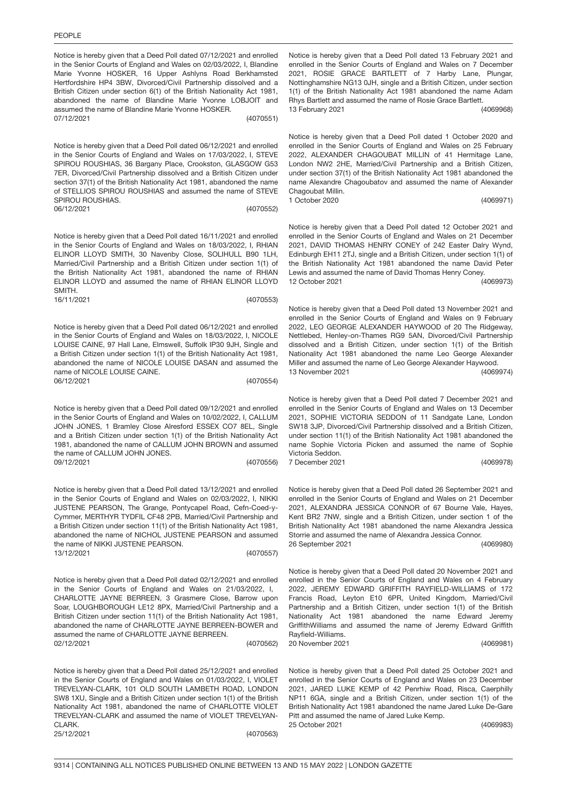Notice is hereby given that a Deed Poll dated 07/12/2021 and enrolled (4070551) in the Senior Courts of England and Wales on 02/03/2022, I, Blandine Marie Yvonne HOSKER, 16 Upper Ashlyns Road Berkhamsted Hertfordshire HP4 3BW, Divorced/Civil Partnership dissolved and a British Citizen under section 6(1) of the British Nationality Act 1981, abandoned the name of Blandine Marie Yvonne LOBJOIT and assumed the name of Blandine Marie Yvonne HOSKER. 07/12/2021

Notice is hereby given that a Deed Poll dated 06/12/2021 and enrolled (4070552) in the Senior Courts of England and Wales on 17/03/2022, I, STEVE SPIROU ROUSHIAS, 36 Bargany Place, Crookston, GLASGOW G53 7ER, Divorced/Civil Partnership dissolved and a British Citizen under section 37(1) of the British Nationality Act 1981, abandoned the name of STELLIOS SPIROU ROUSHIAS and assumed the name of STEVE SPIROU ROUSHIAS. 06/12/2021

Notice is hereby given that a Deed Poll dated 16/11/2021 and enrolled in the Senior Courts of England and Wales on 18/03/2022, I, RHIAN ELINOR LLOYD SMITH, 30 Navenby Close, SOLIHULL B90 1LH, Married/Civil Partnership and a British Citizen under section 1(1) of the British Nationality Act 1981, abandoned the name of RHIAN ELINOR LLOYD and assumed the name of RHIAN ELINOR LLOYD SMITH.

(4070553)

16/11/2021

Notice is hereby given that a Deed Poll dated 06/12/2021 and enrolled (4070554) in the Senior Courts of England and Wales on 18/03/2022, I, NICOLE LOUISE CAINE, 97 Hall Lane, Elmswell, Suffolk IP30 9JH, Single and a British Citizen under section 1(1) of the British Nationality Act 1981, abandoned the name of NICOLE LOUISE DASAN and assumed the name of NICOLE LOUISE CAINE. 06/12/2021

Notice is hereby given that a Deed Poll dated 09/12/2021 and enrolled (4070556) in the Senior Courts of England and Wales on 10/02/2022, I, CALLUM JOHN JONES, 1 Bramley Close Alresford ESSEX CO7 8EL, Single and a British Citizen under section 1(1) of the British Nationality Act 1981, abandoned the name of CALLUM JOHN BROWN and assumed the name of CALLUM JOHN JONES. 09/12/2021

Notice is hereby given that a Deed Poll dated 13/12/2021 and enrolled (4070557) in the Senior Courts of England and Wales on 02/03/2022, I, NIKKI JUSTENE PEARSON, The Grange, Pontycapel Road, Cefn-Coed-y-Cymmer, MERTHYR TYDFIL CF48 2PB, Married/Civil Partnership and a British Citizen under section 11(1) of the British Nationality Act 1981, abandoned the name of NICHOL JUSTENE PEARSON and assumed the name of NIKKI JUSTENE PEARSON. 13/12/2021

Notice is hereby given that a Deed Poll dated 02/12/2021 and enrolled (4070562) in the Senior Courts of England and Wales on 21/03/2022, I, CHARLOTTE JAYNE BERREEN, 3 Grasmere Close, Barrow upon Soar, LOUGHBOROUGH LE12 8PX, Married/Civil Partnership and a British Citizen under section 11(1) of the British Nationality Act 1981, abandoned the name of CHARLOTTE JAYNE BERREEN-BOWER and assumed the name of CHARLOTTE JAYNE BERREEN. 02/12/2021

Notice is hereby given that a Deed Poll dated 25/12/2021 and enrolled (4070563) in the Senior Courts of England and Wales on 01/03/2022, I, VIOLET TREVELYAN-CLARK, 101 OLD SOUTH LAMBETH ROAD, LONDON SW8 1XU, Single and a British Citizen under section 1(1) of the British Nationality Act 1981, abandoned the name of CHARLOTTE VIOLET TREVELYAN-CLARK and assumed the name of VIOLET TREVELYAN-CLARK. 25/12/2021

Notice is hereby given that a Deed Poll dated 13 February 2021 and (4069968) enrolled in the Senior Courts of England and Wales on 7 December 2021, ROSIE GRACE BARTLETT of 7 Harby Lane, Plungar, Nottinghamshire NG13 0JH, single and a British Citizen, under section 1(1) of the British Nationality Act 1981 abandoned the name Adam Rhys Bartlett and assumed the name of Rosie Grace Bartlett. 13 February 2021

Notice is hereby given that a Deed Poll dated 1 October 2020 and (4069971) enrolled in the Senior Courts of England and Wales on 25 February 2022, ALEXANDER CHAGOUBAT MILLIN of 41 Hermitage Lane, London NW2 2HE, Married/Civil Partnership and a British Citizen, under section 37(1) of the British Nationality Act 1981 abandoned the name Alexandre Chagoubatov and assumed the name of Alexander Chagoubat Millin. 1 October 2020

Notice is hereby given that a Deed Poll dated 12 October 2021 and (4069973) enrolled in the Senior Courts of England and Wales on 21 December 2021, DAVID THOMAS HENRY CONEY of 242 Easter Dalry Wynd, Edinburgh EH11 2TJ, single and a British Citizen, under section 1(1) of the British Nationality Act 1981 abandoned the name David Peter Lewis and assumed the name of David Thomas Henry Coney. 12 October 2021

Notice is hereby given that a Deed Poll dated 13 November 2021 and (4069974) enrolled in the Senior Courts of England and Wales on 9 February 2022, LEO GEORGE ALEXANDER HAYWOOD of 20 The Ridgeway, Nettlebed, Henley-on-Thames RG9 5AN, Divorced/Civil Partnership dissolved and a British Citizen, under section 1(1) of the British Nationality Act 1981 abandoned the name Leo George Alexander Miller and assumed the name of Leo George Alexander Haywood. 13 November 2021

Notice is hereby given that a Deed Poll dated 7 December 2021 and (4069978) enrolled in the Senior Courts of England and Wales on 13 December 2021, SOPHIE VICTORIA SEDDON of 11 Sandgate Lane, London SW18 3JP, Divorced/Civil Partnership dissolved and a British Citizen, under section 11(1) of the British Nationality Act 1981 abandoned the name Sophie Victoria Picken and assumed the name of Sophie Victoria Seddon. 7 December 2021

Notice is hereby given that a Deed Poll dated 26 September 2021 and  $(4069980)$ enrolled in the Senior Courts of England and Wales on 21 December 2021, ALEXANDRA JESSICA CONNOR of 67 Bourne Vale, Hayes, Kent BR2 7NW, single and a British Citizen, under section 1 of the British Nationality Act 1981 abandoned the name Alexandra Jessica Storrie and assumed the name of Alexandra Jessica Connor. 26 September 2021

Notice is hereby given that a Deed Poll dated 20 November 2021 and (4069981) enrolled in the Senior Courts of England and Wales on 4 February 2022, JEREMY EDWARD GRIFFITH RAYFIELD-WILLIAMS of 172 Francis Road, Leyton E10 6PR, United Kingdom, Married/Civil Partnership and a British Citizen, under section 1(1) of the British Nationality Act 1981 abandoned the name Edward Jeremy GriffithWilliams and assumed the name of Jeremy Edward Griffith Rayfield-Williams. 20 November 2021

Notice is hereby given that a Deed Poll dated 25 October 2021 and (4069983) enrolled in the Senior Courts of England and Wales on 23 December 2021, JARED LUKE KEMP of 42 Penrhiw Road, Risca, Caerphilly NP11 6GA, single and a British Citizen, under section 1(1) of the British Nationality Act 1981 abandoned the name Jared Luke De-Gare Pitt and assumed the name of Jared Luke Kemp. 25 October 2021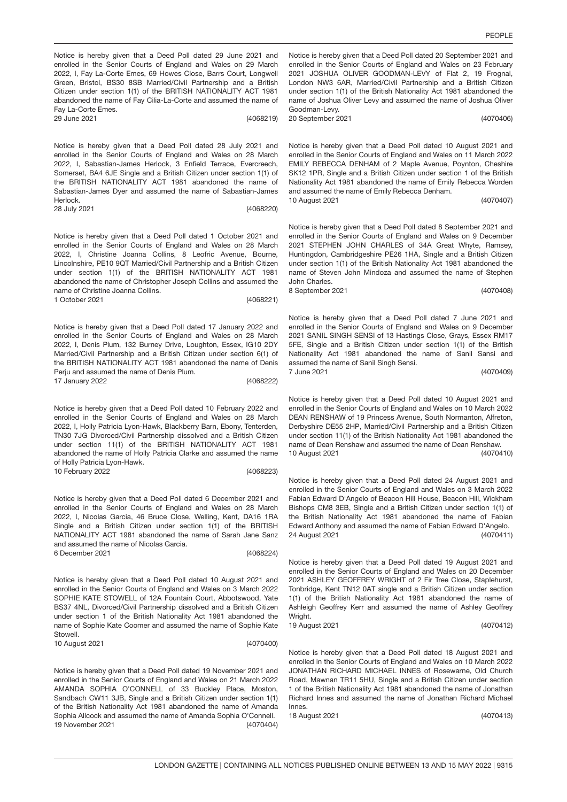Notice is hereby given that a Deed Poll dated 29 June 2021 and (4068219) Notice is hereby given that a Deed Poll dated 28 July 2021 and (4068220) Notice is hereby given that a Deed Poll dated 1 October 2021 and (4068221) Notice is hereby given that a Deed Poll dated 17 January 2022 and (4068222) Notice is hereby given that a Deed Poll dated 10 February 2022 and (4068223) Notice is hereby given that a Deed Poll dated 6 December 2021 and (4068224) Notice is hereby given that a Deed Poll dated 10 August 2021 and (4070400) Notice is hereby given that a Deed Poll dated 19 November 2021 and Notice is hereby given that a Deed Poll dated 20 September 2021 and (4070406) Notice is hereby given that a Deed Poll dated 10 August 2021 and (4070407) Notice is hereby given that a Deed Poll dated 8 September 2021 and (4070408) Notice is hereby given that a Deed Poll dated 7 June 2021 and (4070409) Notice is hereby given that a Deed Poll dated 10 August 2021 and (4070410) Notice is hereby given that a Deed Poll dated 24 August 2021 and (4070411) Notice is hereby given that a Deed Poll dated 19 August 2021 and (4070412) Notice is hereby given that a Deed Poll dated 18 August 2021 and enrolled in the Senior Courts of England and Wales on 29 March 2022, I, Fay La-Corte Emes, 69 Howes Close, Barrs Court, Longwell Green, Bristol, BS30 8SB Married/Civil Partnership and a British Citizen under section 1(1) of the BRITISH NATIONALITY ACT 1981 abandoned the name of Fay Cilia-La-Corte and assumed the name of Fay La-Corte Emes. 29 June 2021 enrolled in the Senior Courts of England and Wales on 28 March 2022, I, Sabastian-James Herlock, 3 Enfield Terrace, Evercreech, Somerset, BA4 6JE Single and a British Citizen under section 1(1) of the BRITISH NATIONALITY ACT 1981 abandoned the name of Sabastian-James Dyer and assumed the name of Sabastian-James Herlock. 28 July 2021 enrolled in the Senior Courts of England and Wales on 28 March 2022, I, Christine Joanna Collins, 8 Leofric Avenue, Bourne, Lincolnshire, PE10 9QT Married/Civil Partnership and a British Citizen under section 1(1) of the BRITISH NATIONALITY ACT 1981 abandoned the name of Christopher Joseph Collins and assumed the name of Christine Joanna Collins. 1 October 2021 enrolled in the Senior Courts of England and Wales on 28 March 2022, I, Denis Plum, 132 Burney Drive, Loughton, Essex, IG10 2DY Married/Civil Partnership and a British Citizen under section 6(1) of the BRITISH NATIONALITY ACT 1981 abandoned the name of Denis Periu and assumed the name of Denis Plum. 17 January 2022 enrolled in the Senior Courts of England and Wales on 28 March 2022, I, Holly Patricia Lyon-Hawk, Blackberry Barn, Ebony, Tenterden, TN30 7JG Divorced/Civil Partnership dissolved and a British Citizen under section 11(1) of the BRITISH NATIONALITY ACT 1981 abandoned the name of Holly Patricia Clarke and assumed the name of Holly Patricia Lyon-Hawk. 10 February 2022 enrolled in the Senior Courts of England and Wales on 28 March 2022, I, Nicolas Garcia, 46 Bruce Close, Welling, Kent, DA16 1RA Single and a British Citizen under section 1(1) of the BRITISH NATIONALITY ACT 1981 abandoned the name of Sarah Jane Sanz and assumed the name of Nicolas Garcia. 6 December 2021 enrolled in the Senior Courts of England and Wales on 3 March 2022 SOPHIE KATE STOWELL of 12A Fountain Court, Abbotswood, Yate BS37 4NL, Divorced/Civil Partnership dissolved and a British Citizen under section 1 of the British Nationality Act 1981 abandoned the name of Sophie Kate Coomer and assumed the name of Sophie Kate **Stowell** 10 August 2021 enrolled in the Senior Courts of England and Wales on 21 March 2022 AMANDA SOPHIA O'CONNELL of 33 Buckley Place, Moston, Sandbach CW11 3JB, Single and a British Citizen under section 1(1) of the British Nationality Act 1981 abandoned the name of Amanda enrolled in the Senior Courts of England and Wales on 23 February 2021 JOSHUA OLIVER GOODMAN-LEVY of Flat 2, 19 Frognal, London NW3 6AR, Married/Civil Partnership and a British Citizen under section 1(1) of the British Nationality Act 1981 abandoned the name of Joshua Oliver Levy and assumed the name of Joshua Oliver Goodman-Levy. 20 September 2021 enrolled in the Senior Courts of England and Wales on 11 March 2022 EMILY REBECCA DENHAM of 2 Maple Avenue, Poynton, Cheshire SK12 1PR, Single and a British Citizen under section 1 of the British Nationality Act 1981 abandoned the name of Emily Rebecca Worden and assumed the name of Emily Rebecca Denham. 10 August 2021 enrolled in the Senior Courts of England and Wales on 9 December 2021 STEPHEN JOHN CHARLES of 34A Great Whyte, Ramsey, Huntingdon, Cambridgeshire PE26 1HA, Single and a British Citizen under section 1(1) of the British Nationality Act 1981 abandoned the name of Steven John Mindoza and assumed the name of Stephen John Charles. 8 September 2021 enrolled in the Senior Courts of England and Wales on 9 December 2021 SANIL SINGH SENSI of 13 Hastings Close, Grays, Essex RM17 5FE, Single and a British Citizen under section 1(1) of the British Nationality Act 1981 abandoned the name of Sanil Sansi and assumed the name of Sanil Singh Sensi. 7 June 2021 enrolled in the Senior Courts of England and Wales on 10 March 2022 DEAN RENSHAW of 19 Princess Avenue, South Normanton, Alfreton, Derbyshire DE55 2HP, Married/Civil Partnership and a British Citizen under section 11(1) of the British Nationality Act 1981 abandoned the name of Dean Renshaw and assumed the name of Dean Renshaw. 10 August 2021 enrolled in the Senior Courts of England and Wales on 3 March 2022 Fabian Edward D'Angelo of Beacon Hill House, Beacon Hill, Wickham Bishops CM8 3EB, Single and a British Citizen under section 1(1) of the British Nationality Act 1981 abandoned the name of Fabian Edward Anthony and assumed the name of Fabian Edward D'Angelo. 24 August 2021 enrolled in the Senior Courts of England and Wales on 20 December 2021 ASHLEY GEOFFREY WRIGHT of 2 Fir Tree Close, Staplehurst, Tonbridge, Kent TN12 0AT single and a British Citizen under section 1(1) of the British Nationality Act 1981 abandoned the name of Ashleigh Geoffrey Kerr and assumed the name of Ashley Geoffrey Wright. 19 August 2021 enrolled in the Senior Courts of England and Wales on 10 March 2022 JONATHAN RICHARD MICHAEL INNES of Rosewarne, Old Church Road, Mawnan TR11 5HU, Single and a British Citizen under section 1 of the British Nationality Act 1981 abandoned the name of Jonathan Richard Innes and assumed the name of Jonathan Richard Michael Innes.

18 August 2021

(4070404)

Sophia Allcock and assumed the name of Amanda Sophia O'Connell.

19 November 2021

(4070413)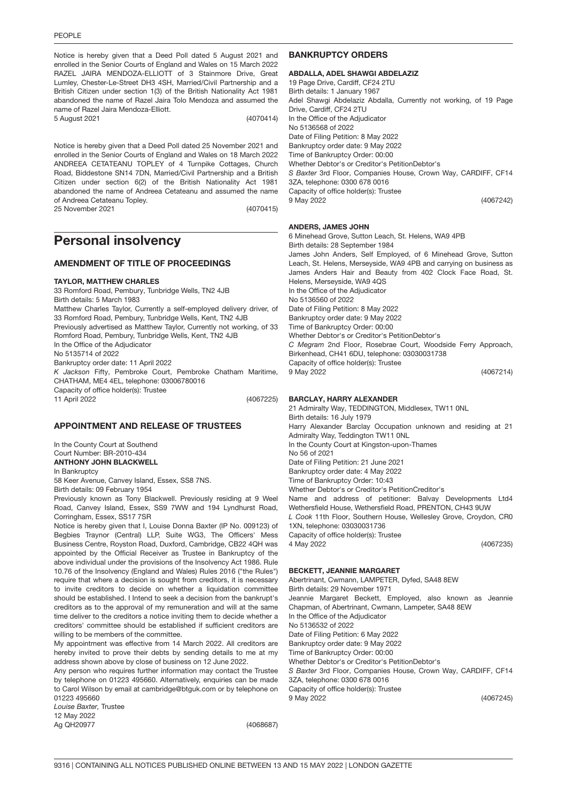Notice is hereby given that a Deed Poll dated 5 August 2021 and enrolled in the Senior Courts of England and Wales on 15 March 2022 RAZEL JAIRA MENDOZA-ELLIOTT of 3 Stainmore Drive, Great Lumley, Chester-Le-Street DH3 4SH, Married/Civil Partnership and a British Citizen under section 1(3) of the British Nationality Act 1981 abandoned the name of Razel Jaira Tolo Mendoza and assumed the name of Razel Jaira Mendoza-Elliott.

5 August 2021

(4070414)

Notice is hereby given that a Deed Poll dated 25 November 2021 and enrolled in the Senior Courts of England and Wales on 18 March 2022 ANDREEA CETATEANU TOPLEY of 4 Turnpike Cottages, Church Road, Biddestone SN14 7DN, Married/Civil Partnership and a British Citizen under section 6(2) of the British Nationality Act 1981 abandoned the name of Andreea Cetateanu and assumed the name of Andreea Cetateanu Topley. 25 November 2021

(4070415)

## Personal insolvency

## AMENDMENT OF TITLE OF PROCEEDINGS

## TAYLOR, MATTHEW CHARLES

(4067225) 33 Romford Road, Pembury, Tunbridge Wells, TN2 4JB Birth details: 5 March 1983 Matthew Charles Taylor, Currently a self-employed delivery driver, of 33 Romford Road, Pembury, Tunbridge Wells, Kent, TN2 4JB Previously advertised as Matthew Taylor, Currently not working, of 33 Romford Road, Pembury, Tunbridge Wells, Kent, TN2 4JB In the Office of the Adjudicator No 5135714 of 2022 Bankruptcy order date: 11 April 2022 *K Jackson* Fifty, Pembroke Court, Pembroke Chatham Maritime, CHATHAM, ME4 4EL, telephone: 03006780016 Capacity of office holder(s): Trustee 11 April 2022

#### APPOINTMENT AND RELEASE OF TRUSTEES

In the County Court at Southend Court Number: BR-2010-434 ANTHONY JOHN BLACKWELL In Bankruptcy

58 Keer Avenue, Canvey Island, Essex, SS8 7NS. Birth details: 09 February 1954

Previously known as Tony Blackwell. Previously residing at 9 Weel Road, Canvey Island, Essex, SS9 7WW and 194 Lyndhurst Road, Corringham, Essex, SS17 7SR

Notice is hereby given that I, Louise Donna Baxter (IP No. 009123) of Begbies Traynor (Central) LLP, Suite WG3, The Officers' Mess Business Centre, Royston Road, Duxford, Cambridge, CB22 4QH was appointed by the Official Receiver as Trustee in Bankruptcy of the above individual under the provisions of the Insolvency Act 1986. Rule 10.76 of the Insolvency (England and Wales) Rules 2016 ("the Rules") require that where a decision is sought from creditors, it is necessary to invite creditors to decide on whether a liquidation committee should be established. I Intend to seek a decision from the bankrupt's creditors as to the approval of my remuneration and will at the same time deliver to the creditors a notice inviting them to decide whether a creditors' committee should be established if sufficient creditors are willing to be members of the committee.

My appointment was effective from 14 March 2022. All creditors are hereby invited to prove their debts by sending details to me at my address shown above by close of business on 12 June 2022.

Any person who requires further information may contact the Trustee by telephone on 01223 495660. Alternatively, enquiries can be made to Carol Wilson by email at cambridge@btguk.com or by telephone on 01223 495660

*Louise Baxter,* Trustee 12 May 2022 Ag QH20977

(4068687)

## BANKRUPTCY ORDERS

## ABDALLA, ADEL SHAWGI ABDELA<mark>Z</mark>IZ

(4067242) 19 Page Drive, Cardiff, CF24 2TU Birth details: 1 January 1967 Adel Shawgi Abdelaziz Abdalla, Currently not working, of 19 Page Drive, Cardiff, CF24 2TU In the Office of the Adjudicator No 5136568 of 2022 Date of Filing Petition: 8 May 2022 Bankruptcy order date: 9 May 2022 Time of Bankruptcy Order: 00:00 Whether Debtor's or Creditor's PetitionDebtor's *S Baxter* 3rd Floor, Companies House, Crown Way, CARDIFF, CF14 3ZA, telephone: 0300 678 0016 Capacity of office holder(s): Trustee 9 May 2022

## ANDERS, JAMES JOHN

(4067214) 6 Minehead Grove, Sutton Leach, St. Helens, WA9 4PB Birth details: 28 September 1984 James John Anders, Self Employed, of 6 Minehead Grove, Sutton Leach, St. Helens, Merseyside, WA9 4PB and carrying on business as James Anders Hair and Beauty from 402 Clock Face Road, St. Helens, Merseyside, WA9 4QS In the Office of the Adjudicator No 5136560 of 2022 Date of Filing Petition: 8 May 2022 Bankruptcy order date: 9 May 2022 Time of Bankruptcy Order: 00:00 Whether Debtor's or Creditor's PetitionDebtor's *C Megram* 2nd Floor, Rosebrae Court, Woodside Ferry Approach, Birkenhead, CH41 6DU, telephone: 03030031738 Capacity of office holder(s): Trustee 9 May 2022

## BARCLAY, HARRY ALEXANDER

(4067235) 21 Admiralty Way, TEDDINGTON, Middlesex, TW11 0NL Birth details: 16 July 1979 Harry Alexander Barclay Occupation unknown and residing at 21 Admiralty Way, Teddington TW11 0NL In the County Court at Kingston-upon-Thames No 56 of 2021 Date of Filing Petition: 21 June 2021 Bankruptcy order date: 4 May 2022 Time of Bankruptcy Order: 10:43 Whether Debtor's or Creditor's PetitionCreditor's Name and address of petitioner: Balvay Developments Ltd4 Wethersfield House, Wethersfield Road, PRENTON, CH43 9UW *L Cook* 11th Floor, Southern House, Wellesley Grove, Croydon, CR0 1XN, telephone: 03030031736 Capacity of office holder(s): Trustee 4 May 2022

## BECKETT, JEANNIE MARGARET

(4067245) Abertrinant, Cwmann, LAMPETER, Dyfed, SA48 8EW Birth details: 29 November 1971 Jeannie Margaret Beckett, Employed, also known as Jeannie Chapman, of Abertrinant, Cwmann, Lampeter, SA48 8EW In the Office of the Adjudicator No 5136532 of 2022 Date of Filing Petition: 6 May 2022 Bankruptcy order date: 9 May 2022 Time of Bankruptcy Order: 00:00 Whether Debtor's or Creditor's PetitionDebtor's *S Baxter* 3rd Floor, Companies House, Crown Way, CARDIFF, CF14 3ZA, telephone: 0300 678 0016 Capacity of office holder(s): Trustee 9 May 2022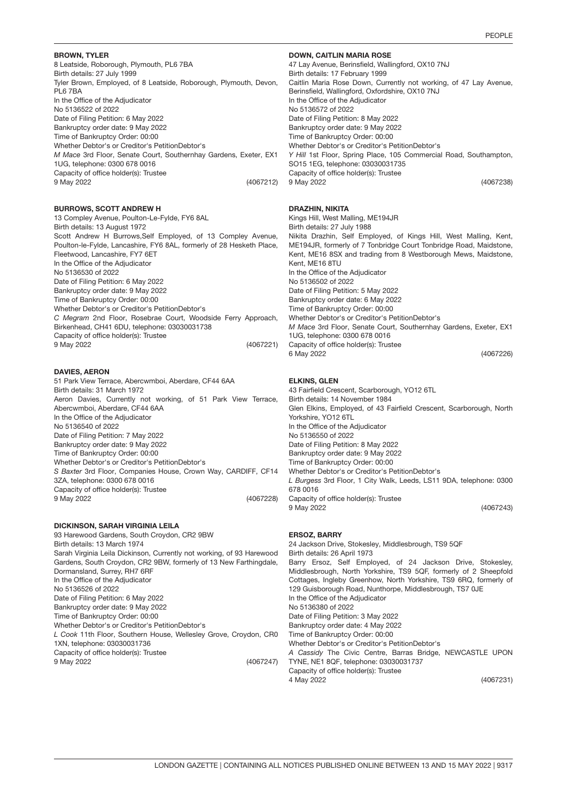## BROWN, TYLER

(4067212) 8 Leatside, Roborough, Plymouth, PL6 7BA Birth details: 27 July 1999 Tyler Brown, Employed, of 8 Leatside, Roborough, Plymouth, Devon, PL6 7BA In the Office of the Adjudicator No 5136522 of 2022 Date of Filing Petition: 6 May 2022 Bankruptcy order date: 9 May 2022 Time of Bankruptcy Order: 00:00 Whether Debtor's or Creditor's PetitionDebtor's *M Mace* 3rd Floor, Senate Court, Southernhay Gardens, Exeter, EX1 1UG, telephone: 0300 678 0016 Capacity of office holder(s): Trustee 9 May 2022

## BURROWS, SCOTT ANDREW H

(4067221) 13 Compley Avenue, Poulton-Le-Fylde, FY6 8AL Birth details: 13 August 1972 Scott Andrew H Burrows,Self Employed, of 13 Compley Avenue, Poulton-le-Fylde, Lancashire, FY6 8AL, formerly of 28 Hesketh Place, Fleetwood, Lancashire, FY7 6ET In the Office of the Adjudicator No 5136530 of 2022 Date of Filing Petition: 6 May 2022 Bankruptcy order date: 9 May 2022 Time of Bankruptcy Order: 00:00 Whether Debtor's or Creditor's PetitionDebtor's *C Megram* 2nd Floor, Rosebrae Court, Woodside Ferry Approach, Birkenhead, CH41 6DU, telephone: 03030031738 Capacity of office holder(s): Trustee 9 May 2022

#### DAVIES, AERON

(4067228) 51 Park View Terrace, Abercwmboi, Aberdare, CF44 6AA Birth details: 31 March 1972 Aeron Davies, Currently not working, of 51 Park View Terrace, Abercwmboi, Aberdare, CF44 6AA In the Office of the Adjudicator No 5136540 of 2022 Date of Filing Petition: 7 May 2022 Bankruptcy order date: 9 May 2022 Time of Bankruptcy Order: 00:00 Whether Debtor's or Creditor's PetitionDebtor's *S Baxter* 3rd Floor, Companies House, Crown Way, CARDIFF, CF14 3ZA, telephone: 0300 678 0016 Capacity of office holder(s): Trustee 9 May 2022

## 4067247 DICKINSON, SARAH VIRGINIA LEILA

(4067247) 93 Harewood Gardens, South Croydon, CR2 9BW Birth details: 13 March 1974 Sarah Virginia Leila Dickinson, Currently not working, of 93 Harewood Gardens, South Croydon, CR2 9BW, formerly of 13 New Farthingdale, Dormansland, Surrey, RH7 6RF In the Office of the Adjudicator No 5136526 of 2022 Date of Filing Petition: 6 May 2022 Bankruptcy order date: 9 May 2022 Time of Bankruptcy Order: 00:00 Whether Debtor's or Creditor's PetitionDebtor's *L Cook* 11th Floor, Southern House, Wellesley Grove, Croydon, CR0 1XN, telephone: 03030031736 Capacity of office holder(s): Trustee 9 May 2022

## DOWN, CAITLIN MARIA ROSE

(4067238) 47 Lay Avenue, Berinsfield, Wallingford, OX10 7NJ Birth details: 17 February 1999 Caitlin Maria Rose Down, Currently not working, of 47 Lay Avenue, Berinsfield, Wallingford, Oxfordshire, OX10 7NJ In the Office of the Adjudicator No 5136572 of 2022 Date of Filing Petition: 8 May 2022 Bankruptcy order date: 9 May 2022 Time of Bankruptcy Order: 00:00 Whether Debtor's or Creditor's PetitionDebtor's *Y Hill* 1st Floor, Spring Place, 105 Commercial Road, Southampton, SO15 1EG, telephone: 03030031735 Capacity of office holder(s): Trustee 9 May 2022

## DRAZHIN, NIKITA

| Kings Hill, West Malling, ME194JR                                 |
|-------------------------------------------------------------------|
| Birth details: 27 July 1988                                       |
| Nikita Drazhin, Self Employed, of Kings Hill, West Malling, Kent, |
| ME194JR, formerly of 7 Tonbridge Court Tonbridge Road, Maidstone, |
| Kent, ME16 8SX and trading from 8 Westborough Mews, Maidstone,    |
| Kent. ME16 8TU                                                    |
| In the Office of the Adjudicator                                  |
| No 5136502 of 2022                                                |
| Date of Filing Petition: 5 May 2022                               |
| Bankruptcy order date: 6 May 2022                                 |
| Time of Bankruptcy Order: 00:00                                   |
| Whether Debtor's or Creditor's PetitionDebtor's                   |
| M Mace 3rd Floor, Senate Court, Southernhay Gardens, Exeter, EX1  |
| 1UG, telephone: 0300 678 0016                                     |
| Capacity of office holder(s): Trustee                             |
| 6 May 2022<br>(4067226)                                           |
|                                                                   |

## ELKINS, GLEN

(4067243) 43 Fairfield Crescent, Scarborough, YO12 6TL Birth details: 14 November 1984 Glen Elkins, Employed, of 43 Fairfield Crescent, Scarborough, North Yorkshire, YO12 6TL In the Office of the Adjudicator No 5136550 of 2022 Date of Filing Petition: 8 May 2022 Bankruptcy order date: 9 May 2022 Time of Bankruptcy Order: 00:00 Whether Debtor's or Creditor's PetitionDebtor's *L Burgess* 3rd Floor, 1 City Walk, Leeds, LS11 9DA, telephone: 0300 678 0016 Capacity of office holder(s): Trustee 9 May 2022

#### ERSOZ, BARRY

(4067231) 24 Jackson Drive, Stokesley, Middlesbrough, TS9 5QF Birth details: 26 April 1973 Barry Ersoz, Self Employed, of 24 Jackson Drive, Stokesley, Middlesbrough, North Yorkshire, TS9 5QF, formerly of 2 Sheepfold Cottages, Ingleby Greenhow, North Yorkshire, TS9 6RQ, formerly of 129 Guisborough Road, Nunthorpe, Middlesbrough, TS7 0JE In the Office of the Adjudicator No 5136380 of 2022 Date of Filing Petition: 3 May 2022 Bankruptcy order date: 4 May 2022 Time of Bankruptcy Order: 00:00 Whether Debtor's or Creditor's PetitionDebtor's *A Cassidy* The Civic Centre, Barras Bridge, NEWCASTLE UPON TYNE, NE1 8QF, telephone: 03030031737 Capacity of office holder(s): Trustee 4 May 2022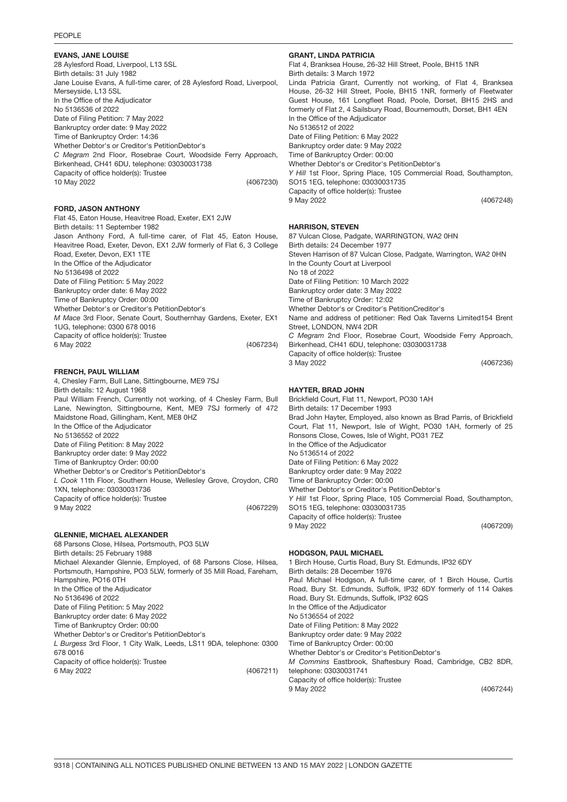EVANS, JANE LOUIS<mark>E</mark> (4067230) 28 Aylesford Road, Liverpool, L13 5SL Birth details: 31 July 1982 Jane Louise Evans, A full-time carer, of 28 Aylesford Road, Liverpool, Merseyside, L13 5SL In the Office of the Adjudicator No 5136536 of 2022 Date of Filing Petition: 7 May 2022 Bankruptcy order date: 9 May 2022 Time of Bankruptcy Order: 14:36 Whether Debtor's or Creditor's PetitionDebtor's *C Megram* 2nd Floor, Rosebrae Court, Woodside Ferry Approach, Birkenhead, CH41 6DU, telephone: 03030031738 Capacity of office holder(s): Trustee 10 May 2022

## FORD, JASON ANTHONY

(4067234) Flat 45, Eaton House, Heavitree Road, Exeter, EX1 2JW Birth details: 11 September 1982 Jason Anthony Ford, A full-time carer, of Flat 45, Eaton House, Heavitree Road, Exeter, Devon, EX1 2JW formerly of Flat 6, 3 College Road, Exeter, Devon, EX1 1TE In the Office of the Adjudicator No 5136498 of 2022 Date of Filing Petition: 5 May 2022 Bankruptcy order date: 6 May 2022 Time of Bankruptcy Order: 00:00 Whether Debtor's or Creditor's PetitionDebtor's *M Mace* 3rd Floor, Senate Court, Southernhay Gardens, Exeter, EX1 1UG, telephone: 0300 678 0016 Capacity of office holder(s): Trustee 6 May 2022

### 4067229 FRENCH, PAUL WILLIAM

(4067229) 4, Chesley Farm, Bull Lane, Sittingbourne, ME9 7SJ Birth details: 12 August 1968 Paul William French, Currently not working, of 4 Chesley Farm, Bull Lane, Newington, Sittingbourne, Kent, ME9 7SJ formerly of 472 Maidstone Road, Gillingham, Kent, ME8 0HZ In the Office of the Adjudicator No 5136552 of 2022 Date of Filing Petition: 8 May 2022 Bankruptcy order date: 9 May 2022 Time of Bankruptcy Order: 00:00 Whether Debtor's or Creditor's PetitionDebtor's *L Cook* 11th Floor, Southern House, Wellesley Grove, Croydon, CR0 1XN, telephone: 03030031736 Capacity of office holder(s): Trustee 9 May 2022

## GLENNIE, MICHAEL ALEXANDE<mark>R</mark>

(4067211) 68 Parsons Close, Hilsea, Portsmouth, PO3 5LW Birth details: 25 February 1988 Michael Alexander Glennie, Employed, of 68 Parsons Close, Hilsea, Portsmouth, Hampshire, PO3 5LW, formerly of 35 Mill Road, Fareham, Hampshire, PO16 0TH In the Office of the Adjudicator No 5136496 of 2022 Date of Filing Petition: 5 May 2022 Bankruptcy order date: 6 May 2022 Time of Bankruptcy Order: 00:00 Whether Debtor's or Creditor's PetitionDebtor's *L Burgess* 3rd Floor, 1 City Walk, Leeds, LS11 9DA, telephone: 0300 678 0016 Capacity of office holder(s): Trustee 6 May 2022

## 4067248 GRANT, LINDA PATRICIA

(4067248) Flat 4, Branksea House, 26-32 Hill Street, Poole, BH15 1NR Birth details: 3 March 1972 Linda Patricia Grant, Currently not working, of Flat 4, Branksea House, 26-32 Hill Street, Poole, BH15 1NR, formerly of Fleetwater Guest House, 161 Longfleet Road, Poole, Dorset, BH15 2HS and formerly of Flat 2, 4 Sailsbury Road, Bournemouth, Dorset, BH1 4EN In the Office of the Adjudicator No 5136512 of 2022 Date of Filing Petition: 6 May 2022 Bankruptcy order date: 9 May 2022 Time of Bankruptcy Order: 00:00 Whether Debtor's or Creditor's PetitionDebtor's *Y Hill* 1st Floor, Spring Place, 105 Commercial Road, Southampton, SO15 1EG, telephone: 03030031735 Capacity of office holder(s): Trustee 9 May 2022

## HARRISON, STEVEN

(4067236) 87 Vulcan Close, Padgate, WARRINGTON, WA2 0HN Birth details: 24 December 1977 Steven Harrison of 87 Vulcan Close, Padgate, Warrington, WA2 0HN In the County Court at Liverpool No 18 of 2022 Date of Filing Petition: 10 March 2022 Bankruptcy order date: 3 May 2022 Time of Bankruptcy Order: 12:02 Whether Debtor's or Creditor's PetitionCreditor's Name and address of petitioner: Red Oak Taverns Limited154 Brent Street, LONDON, NW4 2DR *C Megram* 2nd Floor, Rosebrae Court, Woodside Ferry Approach, Birkenhead, CH41 6DU, telephone: 03030031738 Capacity of office holder(s): Trustee 3 May 2022

## HAYTER, BRAD JOHN

(4067209) Brickfield Court, Flat 11, Newport, PO30 1AH Birth details: 17 December 1993 Brad John Hayter, Employed, also known as Brad Parris, of Brickfield Court, Flat 11, Newport, Isle of Wight, PO30 1AH, formerly of 25 Ronsons Close, Cowes, Isle of Wight, PO31 7EZ In the Office of the Adjudicator No 5136514 of 2022 Date of Filing Petition: 6 May 2022 Bankruptcy order date: 9 May 2022 Time of Bankruptcy Order: 00:00 Whether Debtor's or Creditor's PetitionDebtor's *Y Hill* 1st Floor, Spring Place, 105 Commercial Road, Southampton, SO15 1EG, telephone: 03030031735 Capacity of office holder(s): Trustee 9 May 2022

## 4067244 HODGSON, PAUL MICHAEL

(4067244) 1 Birch House, Curtis Road, Bury St. Edmunds, IP32 6DY Birth details: 28 December 1976 Paul Michael Hodgson, A full-time carer, of 1 Birch House, Curtis Road, Bury St. Edmunds, Suffolk, IP32 6DY formerly of 114 Oakes Road, Bury St. Edmunds, Suffolk, IP32 6QS In the Office of the Adjudicator No 5136554 of 2022 Date of Filing Petition: 8 May 2022 Bankruptcy order date: 9 May 2022 Time of Bankruptcy Order: 00:00 Whether Debtor's or Creditor's PetitionDebtor's *M Commins* Eastbrook, Shaftesbury Road, Cambridge, CB2 8DR, telephone: 03030031741 Capacity of office holder(s): Trustee 9 May 2022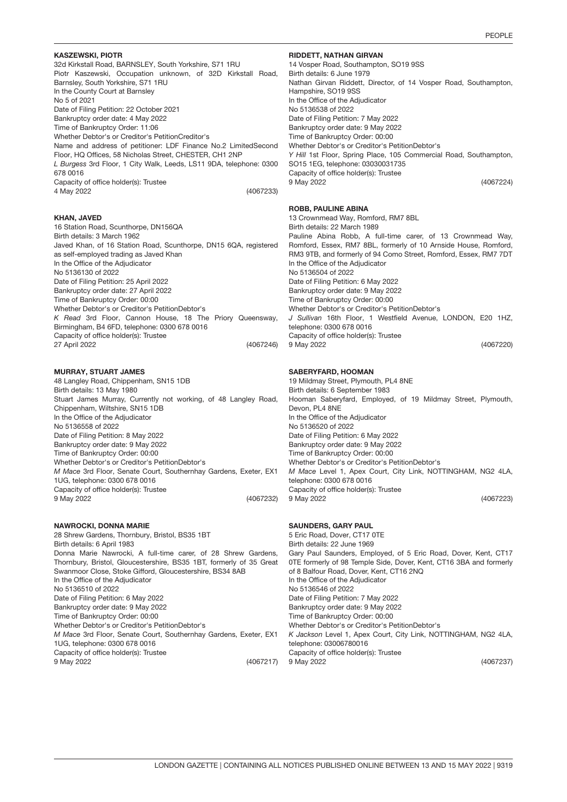## KASZEWSKI, PIOTR

(4067233) 32d Kirkstall Road, BARNSLEY, South Yorkshire, S71 1RU Piotr Kaszewski, Occupation unknown, of 32D Kirkstall Road, Barnsley, South Yorkshire, S71 1RU In the County Court at Barnsley No 5 of 2021 Date of Filing Petition: 22 October 2021 Bankruptcy order date: 4 May 2022 Time of Bankruptcy Order: 11:06 Whether Debtor's or Creditor's PetitionCreditor's Name and address of petitioner: LDF Finance No.2 LimitedSecond Floor, HQ Offices, 58 Nicholas Street, CHESTER, CH1 2NP *L Burgess* 3rd Floor, 1 City Walk, Leeds, LS11 9DA, telephone: 0300 678 0016 Capacity of office holder(s): Trustee 4 May 2022

#### KHAN, JAVED

(4067246) 16 Station Road, Scunthorpe, DN156QA Birth details: 3 March 1962 Javed Khan, of 16 Station Road, Scunthorpe, DN15 6QA, registered as self-employed trading as Javed Khan In the Office of the Adjudicator No 5136130 of 2022 Date of Filing Petition: 25 April 2022 Bankruptcy order date: 27 April 2022 Time of Bankruptcy Order: 00:00 Whether Debtor's or Creditor's PetitionDebtor's *K Read* 3rd Floor, Cannon House, 18 The Priory Queensway, Birmingham, B4 6FD, telephone: 0300 678 0016 Capacity of office holder(s): Trustee 27 April 2022

#### MURRAY, STUART JAM<mark>E</mark>S

(4067232) 48 Langley Road, Chippenham, SN15 1DB Birth details: 13 May 1980 Stuart James Murray, Currently not working, of 48 Langley Road, Chippenham, Wiltshire, SN15 1DB In the Office of the Adjudicator No 5136558 of 2022 Date of Filing Petition: 8 May 2022 Bankruptcy order date: 9 May 2022 Time of Bankruptcy Order: 00:00 Whether Debtor's or Creditor's PetitionDebtor's *M Mace* 3rd Floor, Senate Court, Southernhay Gardens, Exeter, EX1 1UG, telephone: 0300 678 0016 Capacity of office holder(s): Trustee 9 May 2022

## NAWROCKI, DONNA MARIE

28 Shrew Gardens, Thornbury, Bristol, BS35 1BT Birth details: 6 April 1983 Donna Marie Nawrocki, A full-time carer, of 28 Shrew Gardens, Thornbury, Bristol, Gloucestershire, BS35 1BT, formerly of 35 Great Swanmoor Close, Stoke Gifford, Gloucestershire, BS34 8AB In the Office of the Adjudicator No 5136510 of 2022 Date of Filing Petition: 6 May 2022 Bankruptcy order date: 9 May 2022 Time of Bankruptcy Order: 00:00 Whether Debtor's or Creditor's PetitionDebtor's *M Mace* 3rd Floor, Senate Court, Southernhay Gardens, Exeter, EX1 1UG, telephone: 0300 678 0016 Capacity of office holder(s): Trustee 9 May 2022

## RIDDETT, NATHAN GIRVAN

(4067224) 14 Vosper Road, Southampton, SO19 9SS Birth details: 6 June 1979 Nathan Girvan Riddett, Director, of 14 Vosper Road, Southampton, Hampshire, SO19 9SS In the Office of the Adjudicator No 5136538 of 2022 Date of Filing Petition: 7 May 2022 Bankruptcy order date: 9 May 2022 Time of Bankruptcy Order: 00:00 Whether Debtor's or Creditor's PetitionDebtor's *Y Hill* 1st Floor, Spring Place, 105 Commercial Road, Southampton, SO15 1EG, telephone: 03030031735 Capacity of office holder(s): Trustee 9 May 2022

## ROBB, PAULINE ABINA

| 13 Crownmead Way, Romford, RM7 8BL                               |
|------------------------------------------------------------------|
| Birth details: 22 March 1989                                     |
| Pauline Abina Robb, A full-time carer, of 13 Crownmead Way,      |
| Romford, Essex, RM7 8BL, formerly of 10 Arnside House, Romford,  |
| RM3 9TB, and formerly of 94 Como Street, Romford, Essex, RM7 7DT |
| In the Office of the Adjudicator                                 |
| No 5136504 of 2022                                               |
| Date of Filing Petition: 6 May 2022                              |
| Bankruptcy order date: 9 May 2022                                |
| Time of Bankruptcy Order: 00:00                                  |
| Whether Debtor's or Creditor's PetitionDebtor's                  |
| J Sullivan 16th Floor, 1 Westfield Avenue, LONDON, E20 1HZ,      |
| telephone: 0300 678 0016                                         |
| Capacity of office holder(s): Trustee                            |
| 9 May 2022<br>(4067220)                                          |
|                                                                  |

## SABERYFARD, HOOMAN

(4067223) 19 Mildmay Street, Plymouth, PL4 8NE Birth details: 6 September 1983 Hooman Saberyfard, Employed, of 19 Mildmay Street, Plymouth, Devon, PL4 8NE In the Office of the Adjudicator No 5136520 of 2022 Date of Filing Petition: 6 May 2022 Bankruptcy order date: 9 May 2022 Time of Bankruptcy Order: 00:00 Whether Debtor's or Creditor's PetitionDebtor's *M Mace* Level 1, Apex Court, City Link, NOTTINGHAM, NG2 4LA, telephone: 0300 678 0016 Capacity of office holder(s): Trustee 9 May 2022

## SAUNDERS, GARY PAUL

(4067217) 9 May 2022 (4067237) 5 Eric Road, Dover, CT17 0TE Birth details: 22 June 1969 Gary Paul Saunders, Employed, of 5 Eric Road, Dover, Kent, CT17 0TE formerly of 98 Temple Side, Dover, Kent, CT16 3BA and formerly of 8 Balfour Road, Dover, Kent, CT16 2NQ In the Office of the Adjudicator No 5136546 of 2022 Date of Filing Petition: 7 May 2022 Bankruptcy order date: 9 May 2022 Time of Bankruptcy Order: 00:00 Whether Debtor's or Creditor's PetitionDebtor's *K Jackson* Level 1, Apex Court, City Link, NOTTINGHAM, NG2 4LA, telephone: 03006780016 Capacity of office holder(s): Trustee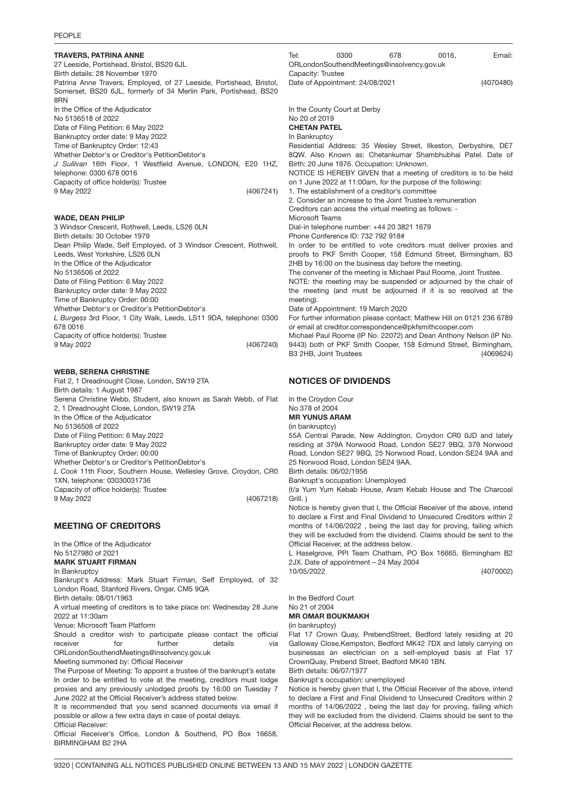| <b>TRAVERS, PATRINA ANNE</b>                                        |
|---------------------------------------------------------------------|
| 27 Leeside, Portishead, Bristol, BS20 6JL                           |
| Birth details: 28 November 1970                                     |
| Patrina Anne Travers, Employed, of 27 Leeside, Portishead, Bristol, |
| Somerset, BS20 6JL, formerly of 34 Merlin Park, Portishead, BS20    |
| 8RN                                                                 |
| In the Office of the Adjudicator                                    |
| No 5136518 of 2022                                                  |
| Date of Filing Petition: 6 May 2022                                 |
| Bankruptcy order date: 9 May 2022                                   |
| Time of Bankruptcy Order: 12:43                                     |
| Whether Debtor's or Creditor's PetitionDebtor's                     |
| J Sullivan 16th Floor, 1 Westfield Avenue, LONDON, E20 1HZ,         |
| telephone: 0300 678 0016                                            |
| Capacity of office holder(s): Trustee                               |
| 9 May 2022<br>(4067241)                                             |
|                                                                     |

## WADE, DEAN PHILIP

(4067240) 3 Windsor Crescent, Rothwell, Leeds, LS26 0LN Birth details: 30 October 1979 Dean Philip Wade, Self Employed, of 3 Windsor Crescent, Rothwell, Leeds, West Yorkshire, LS26 0LN In the Office of the Adjudicator No 5136506 of 2022 Date of Filing Petition: 6 May 2022 Bankruptcy order date: 9 May 2022 Time of Bankruptcy Order: 00:00 Whether Debtor's or Creditor's PetitionDebtor's *L Burgess* 3rd Floor, 1 City Walk, Leeds, LS11 9DA, telephone: 0300 678 0016 Capacity of office holder(s): Trustee 9 May 2022

## WEBB, SERENA CHRISTIN<mark>E</mark>

(4067218) Flat 2, 1 Dreadnought Close, London, SW19 2TA Birth details: 1 August 1987 Serena Christine Webb, Student, also known as Sarah Webb, of Flat 2, 1 Dreadnought Close, London, SW19 2TA In the Office of the Adjudicator No 5136508 of 2022 Date of Filing Petition: 6 May 2022 Bankruptcy order date: 9 May 2022 Time of Bankruptcy Order: 00:00 Whether Debtor's or Creditor's PetitionDebtor's *L Cook* 11th Floor, Southern House, Wellesley Grove, Croydon, CR0 1XN, telephone: 03030031736 Capacity of office holder(s): Trustee 9 May 2022

### MEETING OF CREDITORS

In the Office of the Adjudicator No 5127980 of 2021

#### MARK STUART FIRMAN

In Bankruptcy

Bankrupt's Address: Mark Stuart Firman, Self Employed, of 32 London Road, Stanford Rivers, Ongar, CM5 9QA

Birth details: 08/01/1963 A virtual meeting of creditors is to take place on: Wednesday 28 June

2022 at 11:30am

Venue: Microsoft Team Platform

Should a creditor wish to participate please contact the official receiver for further details via ORLondonSouthendMeetings@insolvency.gov.uk

Meeting summoned by: Official Receiver

The Purpose of Meeting: To appoint a trustee of the bankrupt's estate In order to be entitled to vote at the meeting, creditors must lodge proxies and any previously unlodged proofs by 16:00 on Tuesday 7 June 2022 at the Official Receiver's address stated below.

It is recommended that you send scanned documents via email if possible or allow a few extra days in case of postal delays. Official Receiver:

Official Receiver's Office, London & Southend, PO Box 16658, BIRMINGHAM B2 2HA

| Tel:                                       | 0300                            | 678 | 0016. | Email:    |  |  |  |
|--------------------------------------------|---------------------------------|-----|-------|-----------|--|--|--|
| ORLondonSouthendMeetings@insolvency.gov.uk |                                 |     |       |           |  |  |  |
| Capacity: Trustee                          |                                 |     |       |           |  |  |  |
|                                            | Date of Appointment: 24/08/2021 |     |       | (4070480) |  |  |  |

In the County Court at Derby No 20 of 2019 CHETAN PATEL In Bankruptcy

Residential Address: 35 Wesley Street, Ilkeston, Derbyshire, DE7 8QW. Also Known as: Chetankumar Shambhubhai Patel. Date of Birth: 20 June 1976. Occupation: Unknown. NOTICE IS HEREBY GIVEN that a meeting of creditors is to be held on 1 June 2022 at 11:00am, for the purpose of the following: 1. The establishment of a creditor's committee 2. Consider an increase to the Joint Trustee's remuneration Creditors can access the virtual meeting as follows: - Microsoft Teams Dial-in telephone number: +44 20 3821 1679 Phone Conference ID: 732 792 918# In order to be entitled to vote creditors must deliver proxies and proofs to PKF Smith Cooper, 158 Edmund Street, Birmingham, B3 2HB by 16:00 on the business day before the meeting.

The convener of the meeting is Michael Paul Roome, Joint Trustee. NOTE: the meeting may be suspended or adjourned by the chair of the meeting (and must be adjourned if it is so resolved at the meeting).

Date of Appointment: 19 March 2020

For further information please contact: Mathew Hill on 0121 236 6789 or email at creditor.correspondence@pkfsmithcooper.com

(4069624) Michael Paul Roome (IP No. 22072) and Dean Anthony Nelson (IP No. 9443) both of PKF Smith Cooper, 158 Edmund Street, Birmingham, B3 2HB, Joint Trustees

## NOTICES OF DIVIDENDS

In the Croydon Cour

No 378 of 2004

## MR YUNUS ARAM

(in bankruptcy)

55A Central Parade, New Addington, Croydon CR0 0JD and lately residing at 379A Norwood Road, London SE27 9BQ, 379 Norwood Road, London SE27 9BQ, 25 Norwood Road, London SE24 9AA and 25 Norwood Road, London SE24 9AA.

Birth details: 06/02/1956

Bankrupt's occupation: Unemployed

(t/a Yum Yum Kebab House, Aram Kebab House and The Charcoal Grill. )

Notice is hereby given that I, the Official Receiver of the above, intend to declare a First and Final Dividend to Unsecured Creditors within 2 months of 14/06/2022 , being the last day for proving, failing which they will be excluded from the dividend. Claims should be sent to the Official Receiver, at the address below.

L Haselgrove, PPI Team Chatham, PO Box 16665, Birmingham B2 2JX. Date of appointment – 24 May 2004

(4070002)

In the Bedford Court No 21 of 2004 MR OMAR BOUKMAKH

(in bankruptcy)

10/05/2022

Flat 17 Crown Quay, PrebendStreet, Bedford lately residing at 20 Galloway Close,Kempston, Bedford MK42 7DX and lately carrying on businessas an electrician on a self-employed basis at Flat 17 CrownQuay, Prebend Street, Bedford MK40 1BN.

Birth details: 06/07/1977

Bankrupt's occupation: unemployed

Notice is hereby given that I, the Official Receiver of the above, intend to declare a First and Final Dividend to Unsecured Creditors within 2 months of 14/06/2022 , being the last day for proving, failing which they will be excluded from the dividend. Claims should be sent to the Official Receiver, at the address below.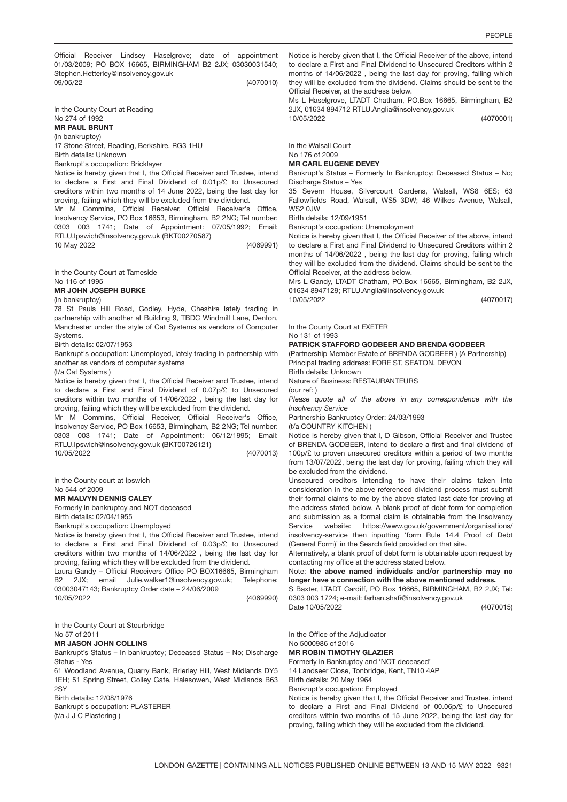(4070010) Official Receiver Lindsey Haselgrove; date of appointment 01/03/2009; PO BOX 16665, BIRMINGHAM B2 2JX; 03030031540; Stephen.Hetterley@insolvency.gov.uk 09/05/22

In the County Court at Reading No 274 of 1992

#### MR PAUL BRUNT

(in bankruptcy)

17 Stone Street, Reading, Berkshire, RG3 1HU Birth details: Unknown

Bankrupt's occupation: Bricklayer

Notice is hereby given that I, the Official Receiver and Trustee, intend to declare a First and Final Dividend of 0.01p/£ to Unsecured creditors within two months of 14 June 2022, being the last day for proving, failing which they will be excluded from the dividend.

Mr M Commins, Official Receiver, Official Receiver's Office, Insolvency Service, PO Box 16653, Birmingham, B2 2NG; Tel number: 0303 003 1741; Date of Appointment: 07/05/1992; Email: RTLU.Ipswich@insolvency.gov.uk (BKT00270587)

10 May 2022

(4069991)

In the County Court at Tameside

#### No 116 of 1995

MR JOHN JOSEPH BURKE

(in bankruptcy)

78 St Pauls Hill Road, Godley, Hyde, Cheshire lately trading in partnership with another at Building 9, TBDC Windmill Lane, Denton, Manchester under the style of Cat Systems as vendors of Computer Systems.

Birth details: 02/07/1953

Bankrupt's occupation: Unemployed, lately trading in partnership with another as vendors of computer systems

(t/a Cat Systems )

Notice is hereby given that I, the Official Receiver and Trustee, intend to declare a First and Final Dividend of 0.07p/£ to Unsecured creditors within two months of 14/06/2022 , being the last day for proving, failing which they will be excluded from the dividend.

(4070013) Mr M Commins, Official Receiver, Official Receiver's Office, Insolvency Service, PO Box 16653, Birmingham, B2 2NG; Tel number: 0303 003 1741; Date of Appointment: 06/12/1995; Email: RTLU.Ipswich@insolvency.gov.uk (BKT00726121)

10/05/2022

In the County court at Ipswich

## No 544 of 2009

MR MALVYN DENNIS CALEY

Formerly in bankruptcy and NOT deceased Birth details: 02/04/1955

Bankrupt's occupation: Unemployed

Notice is hereby given that I, the Official Receiver and Trustee, intend to declare a First and Final Dividend of 0.03p/£ to Unsecured creditors within two months of 14/06/2022 , being the last day for proving, failing which they will be excluded from the dividend.

(4069990) Laura Gandy – Official Receivers Office PO BOX16665, Birmingham B2 2JX; email Julie.walker1@insolvency.gov.uk; Telephone: 03003047143; Bankruptcy Order date – 24/06/2009 10/05/2022

In the County Court at Stourbridge

No 57 of 2011

#### MR JASON JOHN COLLINS

Bankrupt's Status – In bankruptcy; Deceased Status – No; Discharge Status - Yes

61 Woodland Avenue, Quarry Bank, Brierley Hill, West Midlands DY5 1EH; 51 Spring Street, Colley Gate, Halesowen, West Midlands B63 2SY Birth details: 12/08/1976

Bankrupt's occupation: PLASTERER (t/a J J C Plastering )

Notice is hereby given that I, the Official Receiver of the above, intend to declare a First and Final Dividend to Unsecured Creditors within 2 months of 14/06/2022 , being the last day for proving, failing which they will be excluded from the dividend. Claims should be sent to the Official Receiver, at the address below.

Ms L Haselgrove, LTADT Chatham, PO.Box 16665, Birmingham, B2 2JX, 01634 894712 RTLU.Anglia@insolvency.gov.uk 10/05/2022

(4070001)

In the Walsall Court No 176 of 2009

## MR CARL EUGENE DEVEY

Bankrupt's Status – Formerly In Bankruptcy; Deceased Status – No; Discharge Status – Yes

35 Severn House, Silvercourt Gardens, Walsall, WS8 6ES; 63 Fallowfields Road, Walsall, WS5 3DW; 46 Wilkes Avenue, Walsall,  $WSS$  0.  $NW$ 

Birth details: 12/09/1951

Bankrupt's occupation: Unemployment

Notice is hereby given that I, the Official Receiver of the above, intend to declare a First and Final Dividend to Unsecured Creditors within 2 months of 14/06/2022 , being the last day for proving, failing which they will be excluded from the dividend. Claims should be sent to the Official Receiver, at the address below.

Mrs L Gandy, LTADT Chatham, PO.Box 16665, Birmingham, B2 2JX, 01634 8947129; RTLU.Anglia@insolvency.gov.uk 10/05/2022

(4070017)

## In the County Court at EXETER

No 131 of 1993

#### PATRICK STAFFORD GODBEER AND BRENDA GODBEER

(Partnership Member Estate of BRENDA GODBEER ) (A Partnership) Principal trading address: FORE ST, SEATON, DEVON

Birth details: Unknown

Nature of Business: RESTAURANTEURS

(our ref: )

*Please quote all of the above in any correspondence with the Insolvency Service*

Partnership Bankruptcy Order: 24/03/1993

(t/a COUNTRY KITCHEN )

Notice is hereby given that I, D Gibson, Official Receiver and Trustee of BRENDA GODBEER, intend to declare a first and final dividend of 100p/£ to proven unsecured creditors within a period of two months from 13/07/2022, being the last day for proving, failing which they will be excluded from the dividend.

Unsecured creditors intending to have their claims taken into consideration in the above referenced dividend process must submit their formal claims to me by the above stated last date for proving at the address stated below. A blank proof of debt form for completion and submission as a formal claim is obtainable from the Insolvency Service website: https://www.gov.uk/government/organisations/ insolvency-service then inputting 'form Rule 14.4 Proof of Debt (General Form)' in the Search field provided on that site.

Alternatively, a blank proof of debt form is obtainable upon request by contacting my office at the address stated below.

Note: the above named individuals and/or partnership may no longer have a connection with the above mentioned address.

S Baxter, LTADT Cardiff, PO Box 16665, BIRMINGHAM, B2 2JX; Tel: 0303 003 1724; e-mail: farhan.shafi@insolvency.gov.uk Date 10/05/2022

(4070015)

In the Office of the Adjudicator No 5000986 of 2016

#### MR ROBIN TIMOTHY GLAZIER

Formerly in Bankruptcy and 'NOT deceased'

14 Landseer Close, Tonbridge, Kent, TN10 4AP

Birth details: 20 May 1964

Bankrupt's occupation: Employed

Notice is hereby given that I, the Official Receiver and Trustee, intend to declare a First and Final Dividend of 00.06p/£ to Unsecured creditors within two months of 15 June 2022, being the last day for proving, failing which they will be excluded from the dividend.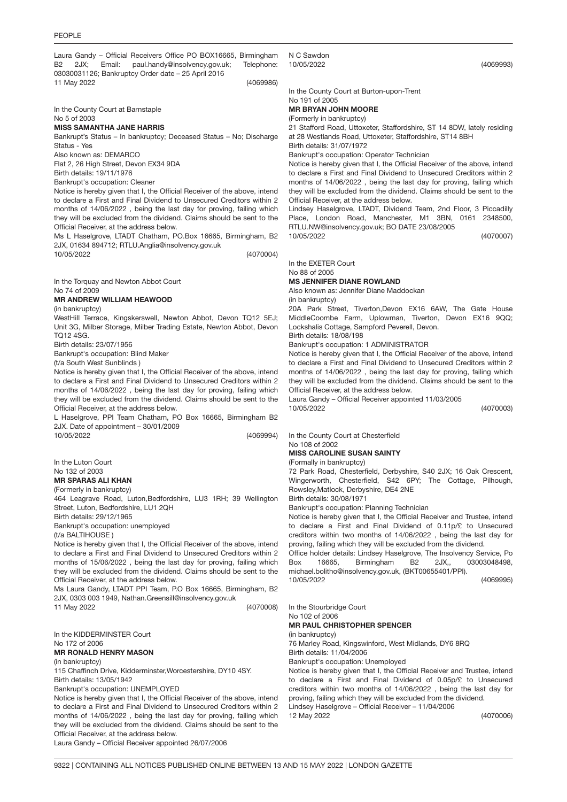(4069986) Laura Gandy – Official Receivers Office PO BOX16665, Birmingham B2 2JX; Email: paul.handy@insolvency.gov.uk; Telephone: 03030031126; Bankruptcy Order date – 25 April 2016 11 May 2022

In the County Court at Barnstaple No 5 of 2003

## MISS SAMANTHA JANE HARRIS

Bankrupt's Status – In bankruptcy; Deceased Status – No; Discharge Status - Yes

Also known as: DEMARCO

Flat 2, 26 High Street, Devon EX34 9DA

Birth details: 19/11/1976

Bankrupt's occupation: Cleaner

Notice is hereby given that I, the Official Receiver of the above, intend to declare a First and Final Dividend to Unsecured Creditors within 2 months of 14/06/2022 , being the last day for proving, failing which they will be excluded from the dividend. Claims should be sent to the Official Receiver, at the address below.

Ms L Haselgrove, LTADT Chatham, PO.Box 16665, Birmingham, B2 2JX, 01634 894712; RTLU.Anglia@insolvency.gov.uk

(4070004)

In the Torquay and Newton Abbot Court No 74 of 2009

MR ANDREW WILLIAM HEAWOOD

(in bankruptcy)

10/05/2022

WestHill Terrace, Kingskerswell, Newton Abbot, Devon TQ12 5EJ; Unit 3G, Milber Storage, Milber Trading Estate, Newton Abbot, Devon TQ12 4SG.

Birth details: 23/07/1956

Bankrupt's occupation: Blind Maker

(t/a South West Sunblinds )

Notice is hereby given that I, the Official Receiver of the above, intend to declare a First and Final Dividend to Unsecured Creditors within 2 months of 14/06/2022 , being the last day for proving, failing which they will be excluded from the dividend. Claims should be sent to the Official Receiver, at the address below.

L Haselgrove, PPI Team Chatham, PO Box 16665, Birmingham B2 2JX. Date of appointment – 30/01/2009 10/05/2022

(4069994)

In the Luton Cour<mark>t</mark> No 132 of 2003

## MR SPARAS ALI KHAN

(Formerly in bankruptcy)

464 Leagrave Road, Luton,Bedfordshire, LU3 1RH; 39 Wellington Street, Luton, Bedfordshire, LU1 2QH

Birth details: 29/12/1965

Bankrupt's occupation: unemployed

(t/a BALTIHOUSE )

Notice is hereby given that I, the Official Receiver of the above, intend to declare a First and Final Dividend to Unsecured Creditors within 2 months of 15/06/2022 , being the last day for proving, failing which they will be excluded from the dividend. Claims should be sent to the Official Receiver, at the address below.

(4070008) Ms Laura Gandy, LTADT PPI Team, P.O Box 16665, Birmingham, B2 2JX, 0303 003 1949, Nathan.Greensill@insolvency.gov.uk

11 May 2022

In the KIDDERMINSTER Court No 172 of 2006

## MR RONALD HENRY MASON

(in bankruptcy)

115 Chaffinch Drive, Kidderminster,Worcestershire, DY10 4SY. Birth details: 13/05/1942

Bankrupt's occupation: UNEMPLOYED

Notice is hereby given that I, the Official Receiver of the above, intend to declare a First and Final Dividend to Unsecured Creditors within 2 months of 14/06/2022 , being the last day for proving, failing which they will be excluded from the dividend. Claims should be sent to the Official Receiver, at the address below.

Laura Gandy – Official Receiver appointed 26/07/2006

N C Sawdon 10/05/2022

In the County Court at Burton-upon-Trent No 191 of 2005

MR BRYAN JOHN MOORE

(Formerly in bankruptcy)

21 Stafford Road, Uttoxeter, Staffordshire, ST 14 8DW, lately residing at 28 Westlands Road, Uttoxeter, Staffordshire, ST14 8BH

Birth details: 31/07/1972 Bankrupt's occupation: Operator Technician

Notice is hereby given that I, the Official Receiver of the above, intend to declare a First and Final Dividend to Unsecured Creditors within 2 months of 14/06/2022 , being the last day for proving, failing which they will be excluded from the dividend. Claims should be sent to the Official Receiver, at the address below.

(4070007) Lindsey Haselgrove, LTADT, Dividend Team, 2nd Floor, 3 Piccadilly Place, London Road, Manchester, M1 3BN, 0161 2348500, RTLU.NW@insolvency.gov.uk; BO DATE 23/08/2005 10/05/2022

In the EXETER Court

#### No 88 of 2005

MS JENNIFER DIANE ROWLAND

Also known as: Jennifer Diane Maddockan

(in bankruptcy)

20A Park Street, Tiverton,Devon EX16 6AW, The Gate House MiddleCoombe Farm, Uplowman, Tiverton, Devon EX16 9QQ; Lockshalis Cottage, Sampford Peverell, Devon.

## Birth details: 18/08/198

Bankrupt's occupation: 1 ADMINISTRATOR

Notice is hereby given that I, the Official Receiver of the above, intend to declare a First and Final Dividend to Unsecured Creditors within 2 months of 14/06/2022 , being the last day for proving, failing which they will be excluded from the dividend. Claims should be sent to the Official Receiver, at the address below.

Laura Gandy – Official Receiver appointed 11/03/2005

10/05/2022

(4070003)

#### In the County Court at Chesterfield No 108 of 2002

## MISS CAROLINE SUSAN SAINTY

(Formally in bankruptcy)

72 Park Road, Chesterfield, Derbyshire, S40 2JX; 16 Oak Crescent, Wingerworth, Chesterfield, S42 6PY; The Cottage, Pilhough, Rowsley,Matlock, Derbyshire, DE4 2NE

Birth details: 30/08/1971 Bankrupt's occupation: Planning Technician

Notice is hereby given that I, the Official Receiver and Trustee, intend to declare a First and Final Dividend of 0.11p/£ to Unsecured creditors within two months of 14/06/2022 , being the last day for proving, failing which they will be excluded from the dividend.

Office holder details: Lindsey Haselgrove, The Insolvency Service, Po Box 16665, Birmingham B2 2JX,, 03003048498, michael.bolitho@insolvency.gov.uk, (BKT00655401/PPI).

(4069995) 10/05/2022

In the Stourbridge Court No 102 of 2006 MR PAUL CHRISTOPHER SPENCER (in bankruptcy)

76 Marley Road, Kingswinford, West Midlands, DY6 8RQ Birth details: 11/04/2006

Bankrupt's occupation: Unemployed

Notice is hereby given that I, the Official Receiver and Trustee, intend to declare a First and Final Dividend of 0.05p/£ to Unsecured creditors within two months of 14/06/2022 , being the last day for proving, failing which they will be excluded from the dividend. Lindsey Haselgrove – Official Receiver – 11/04/2006

12 May 2022

(4070006)

(4069993)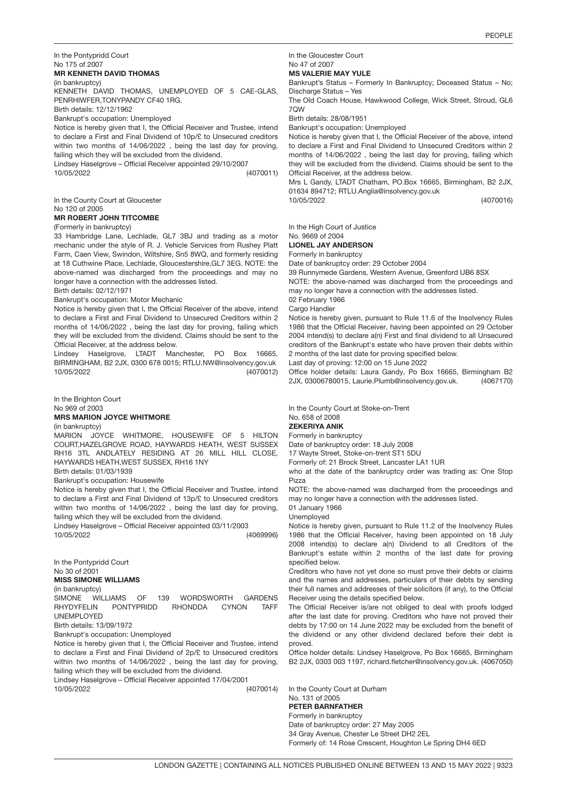#### In the Pontypridd Court No 175 of 2007 MR KENNETH DAVID THOMAS

## (in bankruptcy)

KENNETH DAVID THOMAS, UNEMPLOYED OF 5 CAE-GLAS, PENRHIWFER,TONYPANDY CF40 1RG.

Birth details: 12/12/1962

Bankrupt's occupation: Unemployed

Notice is hereby given that I, the Official Receiver and Trustee, intend to declare a First and Final Dividend of 10p/£ to Unsecured creditors within two months of 14/06/2022 , being the last day for proving, failing which they will be excluded from the dividend.

(4070011) Lindsey Haselgrove – Official Receiver appointed 29/10/2007 10/05/2022

In the County Court at Gloucester

#### No 120 of 2005

#### MR ROBERT JOHN TITCOMBE

(Formerly in bankruptcy)

33 Hambridge Lane, Lechlade, GL7 3BJ and trading as a motor mechanic under the style of R. J. Vehicle Services from Rushey Platt Farm, Caen View, Swindon, Wiltshire, Sn5 8WQ, and formerly residing at 18 Cuthwine Place, Lechlade, Gloucestershire,GL7 3EG. NOTE: the above-named was discharged from the proceedings and may no longer have a connection with the addresses listed.

#### Birth details: 02/12/1971

Bankrupt's occupation: Motor Mechanic

Notice is hereby given that I, the Official Receiver of the above, intend to declare a First and Final Dividend to Unsecured Creditors within 2 months of 14/06/2022 , being the last day for proving, failing which they will be excluded from the dividend. Claims should be sent to the Official Receiver, at the address below.

(4070012) Lindsey Haselgrove, LTADT Manchester, PO Box 16665, BIRMINGHAM, B2 2JX, 0300 678 0015; RTLU.NW@insolvency.gov.uk 10/05/2022

#### In the Brighton Court

No 969 of 2003

## MRS MARION JOYCE WHITMORE

(in bankruptcy)

MARION JOYCE WHITMORE, HOUSEWIFE OF 5 HILTON COURT,HAZELGROVE ROAD, HAYWARDS HEATH, WEST SUSSEX RH16 3TL ANDLATELY RESIDING AT 26 MILL HILL CLOSE, HAYWARDS HEATH,WEST SUSSEX, RH16 1NY

## Birth details: 01/03/1939

Bankrupt's occupation: Housewife

Notice is hereby given that I, the Official Receiver and Trustee, intend to declare a First and Final Dividend of 13p/£ to Unsecured creditors within two months of 14/06/2022 , being the last day for proving, failing which they will be excluded from the dividend.

Lindsey Haselgrove – Official Receiver appointed 03/11/2003 10/05/2022

(4069996)

In the Pontypridd Court

#### No 30 of 2001 MISS SIMONE WILLIAMS

(in bankruptcy)

SIMONE WILLIAMS OF 139 WORDSWORTH GARDENS RHYDYFELIN PONTYPRIDD RHONDDA CYNON TAFF UNEMPLOYED

Birth details: 13/09/1972

Bankrupt's occupation: Unemployed

Notice is hereby given that I, the Official Receiver and Trustee, intend to declare a First and Final Dividend of 2p/£ to Unsecured creditors within two months of 14/06/2022 , being the last day for proving, failing which they will be excluded from the dividend.

Lindsey Haselgrove – Official Receiver appointed 17/04/2001 10/05/2022

(4070014)

## In the Gloucester Court

#### No 47 of 2007 MS VALERIE MAY YULE

Bankrupt's Status – Formerly In Bankruptcy; Deceased Status – No; Discharge Status – Yes

The Old Coach House, Hawkwood College, Wick Street, Stroud, GL6 7QW

Birth details: 28/08/1951

Bankrupt's occupation: Unemployed

Notice is hereby given that I, the Official Receiver of the above, intend to declare a First and Final Dividend to Unsecured Creditors within 2 months of 14/06/2022 , being the last day for proving, failing which they will be excluded from the dividend. Claims should be sent to the Official Receiver, at the address below.

Mrs L Gandy, LTADT Chatham, PO.Box 16665, Birmingham, B2 2JX, 01634 894712; RTLU.Anglia@insolvency.gov.uk 10/05/2022

(4070016)

In the High Court of Justice

## No. 9669 of 2004

LIONEL JAY ANDERSON Formerly in bankruptcy

Date of bankruptcy order: 29 October 2004

39 Runnymede Gardens, Western Avenue, Greenford UB6 8SX

NOTE: the above-named was discharged from the proceedings and may no longer have a connection with the addresses listed.

02 February 1966

Cargo Handler

Notice is hereby given, pursuant to Rule 11.6 of the Insolvency Rules 1986 that the Official Receiver, having been appointed on 29 October 2004 intend(s) to declare a(n) First and final dividend to all Unsecured creditors of the Bankrupt's estate who have proven their debts within 2 months of the last date for proving specified below.

Last day of proving: 12:00 on 15 June 2022

(4067170) Office holder details: Laura Gandy, Po Box 16665, Birmingham B2 2JX, 03006780015, Laurie.Plumb@insolvency.gov.uk.

In the County Court at Stoke-on-Trent

#### No. 658 of 2008 ZEKERIYA ANIK

Formerly in bankruptcy

Date of bankruptcy order: 18 July 2008

17 Wayte Street, Stoke-on-trent ST1 5DU

Formerly of: 21 Brock Street, Lancaster LA1 1UR

who at the date of the bankruptcy order was trading as: One Stop

Pizza NOTE: the above-named was discharged from the proceedings and

may no longer have a connection with the addresses listed.

01 January 1966

Unemployed

Notice is hereby given, pursuant to Rule 11.2 of the Insolvency Rules 1986 that the Official Receiver, having been appointed on 18 July 2008 intend(s) to declare a(n) Dividend to all Creditors of the Bankrupt's estate within 2 months of the last date for proving specified below.

Creditors who have not yet done so must prove their debts or claims and the names and addresses, particulars of their debts by sending their full names and addresses of their solicitors (if any), to the Official Receiver using the details specified below.

The Official Receiver is/are not obliged to deal with proofs lodged after the last date for proving. Creditors who have not proved their debts by 17:00 on 14 June 2022 may be excluded from the benefit of the dividend or any other dividend declared before their debt is proved.

B2 2JX, 0303 003 1197, richard.fletcher@insolvency.gov.uk. (4067050) Office holder details: Lindsey Haselgrove, Po Box 16665, Birmingham

In the County Court at Durham No. 131 of 2005 PETER BARNFATHER Formerly in bankruptcy Date of bankruptcy order: 27 May 2005

34 Gray Avenue, Chester Le Street DH2 2EL Formerly of: 14 Rose Crescent, Houghton Le Spring DH4 6ED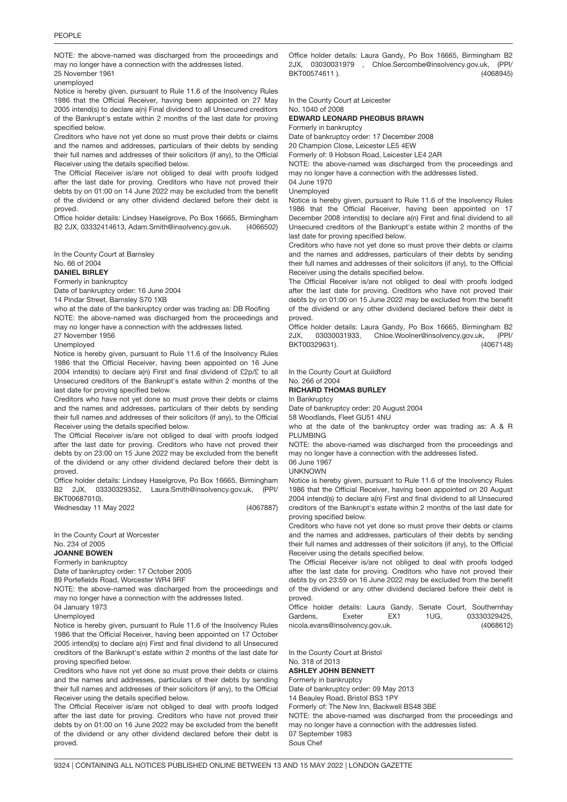NOTE: the above-named was discharged from the proceedings and may no longer have a connection with the addresses listed. 25 November 1961

unemployed

Notice is hereby given, pursuant to Rule 11.6 of the Insolvency Rules 1986 that the Official Receiver, having been appointed on 27 May 2005 intend(s) to declare a(n) Final dividend to all Unsecured creditors of the Bankrupt's estate within 2 months of the last date for proving specified below.

Creditors who have not yet done so must prove their debts or claims and the names and addresses, particulars of their debts by sending their full names and addresses of their solicitors (if any), to the Official Receiver using the details specified below.

The Official Receiver is/are not obliged to deal with proofs lodged after the last date for proving. Creditors who have not proved their debts by on 01:00 on 14 June 2022 may be excluded from the benefit of the dividend or any other dividend declared before their debt is proved.

(4066502) Office holder details: Lindsey Haselgrove, Po Box 16665, Birmingham B2 2JX, 03332414613, Adam.Smith@insolvency.gov.uk.

In the County Court at Barnsley No. 66 of 2004

#### DANIEL BIRLEY

Formerly in bankruptcy

Date of bankruptcy order: 16 June 2004 14 Pindar Street, Barnsley S70 1XB

who at the date of the bankruptcy order was trading as: DB Roofing NOTE: the above-named was discharged from the proceedings and may no longer have a connection with the addresses listed.

27 November 1956

Unemployed

Notice is hereby given, pursuant to Rule 11.6 of the Insolvency Rules 1986 that the Official Receiver, having been appointed on 16 June 2004 intend(s) to declare a(n) First and final dividend of £2p/£ to all Unsecured creditors of the Bankrupt's estate within 2 months of the last date for proving specified below.

Creditors who have not yet done so must prove their debts or claims and the names and addresses, particulars of their debts by sending their full names and addresses of their solicitors (if any), to the Official Receiver using the details specified below.

The Official Receiver is/are not obliged to deal with proofs lodged after the last date for proving. Creditors who have not proved their debts by on 23:00 on 15 June 2022 may be excluded from the benefit of the dividend or any other dividend declared before their debt is proved.

Office holder details: Lindsey Haselgrove, Po Box 16665, Birmingham B2 2JX, 03330329352, Laura.Smith@insolvency.gov.uk, (PPI/ BKT00687010).

Wednesday 11 May 2022

(4067887)

In the County Court at Worcester No. 234 of 2005

#### JOANNE BOWEN

Formerly in bankruptcy

Date of bankruptcy order: 17 October 2005

89 Portefields Road, Worcester WR4 9RF

NOTE: the above-named was discharged from the proceedings and may no longer have a connection with the addresses listed.

04 January 1973

Unemployed

Notice is hereby given, pursuant to Rule 11.6 of the Insolvency Rules 1986 that the Official Receiver, having been appointed on 17 October 2005 intend(s) to declare a(n) First and final dividend to all Unsecured creditors of the Bankrupt's estate within 2 months of the last date for proving specified below.

Creditors who have not yet done so must prove their debts or claims and the names and addresses, particulars of their debts by sending their full names and addresses of their solicitors (if any), to the Official Receiver using the details specified below.

The Official Receiver is/are not obliged to deal with proofs lodged after the last date for proving. Creditors who have not proved their debts by on 01:00 on 16 June 2022 may be excluded from the benefit of the dividend or any other dividend declared before their debt is proved.

(4068945) Office holder details: Laura Gandy, Po Box 16665, Birmingham B2 2JX, 03030031979 , Chloe.Sercombe@insolvency.gov.uk, (PPI/ BKT00574611 ).

In the County Court at Leicester

No. 1040 of 2008 EDWARD LEONARD PHEOBUS BRAWN

Formerly in bankruptcy

Date of bankruptcy order: 17 December 2008

20 Champion Close, Leicester LE5 4EW

Formerly of: 9 Hobson Road, Leicester LE4 2AR

NOTE: the above-named was discharged from the proceedings and may no longer have a connection with the addresses listed.

04 June 1970

Unemployed

Notice is hereby given, pursuant to Rule 11.6 of the Insolvency Rules 1986 that the Official Receiver, having been appointed on 17 December 2008 intend(s) to declare a(n) First and final dividend to all Unsecured creditors of the Bankrupt's estate within 2 months of the last date for proving specified below.

Creditors who have not yet done so must prove their debts or claims and the names and addresses, particulars of their debts by sending their full names and addresses of their solicitors (if any), to the Official Receiver using the details specified below.

The Official Receiver is/are not obliged to deal with proofs lodged after the last date for proving. Creditors who have not proved their debts by on 01:00 on 15 June 2022 may be excluded from the benefit of the dividend or any other dividend declared before their debt is proved.

(4067148) Office holder details: Laura Gandy, Po Box 16665, Birmingham B2 2JX, 03030031933, Chloe.Woolner@insolvency.gov.uk, (PPI/ BKT00329631).

In the County Court at Guildford

#### No. 266 of 2004 RICHARD THOMAS BURLEY

In Bankruptcy

Date of bankruptcy order: 20 August 2004

58 Woodlands, Fleet GU51 4NU

who at the date of the bankruptcy order was trading as: A & R **PLUMBING** 

NOTE: the above-named was discharged from the proceedings and may no longer have a connection with the addresses listed.

06 June 1967

**UNKNOWN** 

Notice is hereby given, pursuant to Rule 11.6 of the Insolvency Rules 1986 that the Official Receiver, having been appointed on 20 August 2004 intend(s) to declare a(n) First and final dividend to all Unsecured creditors of the Bankrupt's estate within 2 months of the last date for proving specified below.

Creditors who have not yet done so must prove their debts or claims and the names and addresses, particulars of their debts by sending their full names and addresses of their solicitors (if any), to the Official Receiver using the details specified below.

The Official Receiver is/are not obliged to deal with proofs lodged after the last date for proving. Creditors who have not proved their debts by on 23:59 on 16 June 2022 may be excluded from the benefit of the dividend or any other dividend declared before their debt is proved.

(4068612) Office holder details: Laura Gandy, Senate Court, Southernhay Gardens, Exeter EX1 1UG, 03330329425, nicola.evans@insolvency.gov.uk.

In the County Court at Bristol No. 318 of 2013 ASHLEY JOHN BENNETT

Formerly in bankruptcy Date of bankruptcy order: 09 May 2013 14 Beauley Road, Bristol BS3 1PY Formerly of: The New Inn, Backwell BS48 3BE NOTE: the above-named was discharged from the proceedings and may no longer have a connection with the addresses listed. 07 September 1983 Sous Chef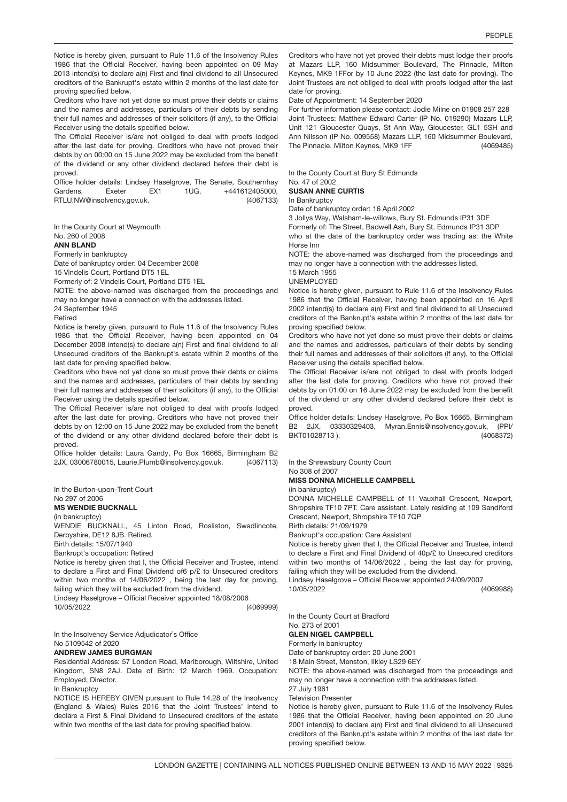Notice is hereby given, pursuant to Rule 11.6 of the Insolvency Rules 1986 that the Official Receiver, having been appointed on 09 May 2013 intend(s) to declare a(n) First and final dividend to all Unsecured creditors of the Bankrupt's estate within 2 months of the last date for proving specified below.

Creditors who have not yet done so must prove their debts or claims and the names and addresses, particulars of their debts by sending their full names and addresses of their solicitors (if any), to the Official Receiver using the details specified below.

The Official Receiver is/are not obliged to deal with proofs lodged after the last date for proving. Creditors who have not proved their debts by on 00:00 on 15 June 2022 may be excluded from the benefit of the dividend or any other dividend declared before their debt is proved.

(4067133) Office holder details: Lindsey Haselgrove, The Senate, Southernhay Gardens, Exeter EX1 1UG, +441612405000, RTLU.NW@insolvency.gov.uk.

In the County Court at Weymouth No. 260 of 2008

# ANN BLAND

Formerly in bankruptcy

Date of bankruptcy order: 04 December 2008

15 Vindelis Court, Portland DT5 1EL

Formerly of: 2 Vindelis Court, Portland DT5 1EL

NOTE: the above-named was discharged from the proceedings and may no longer have a connection with the addresses listed.

24 September 1945

Retired

Notice is hereby given, pursuant to Rule 11.6 of the Insolvency Rules 1986 that the Official Receiver, having been appointed on 04 December 2008 intend(s) to declare a(n) First and final dividend to all Unsecured creditors of the Bankrupt's estate within 2 months of the last date for proving specified below.

Creditors who have not yet done so must prove their debts or claims and the names and addresses, particulars of their debts by sending their full names and addresses of their solicitors (if any), to the Official Receiver using the details specified below.

The Official Receiver is/are not obliged to deal with proofs lodged after the last date for proving. Creditors who have not proved their debts by on 12:00 on 15 June 2022 may be excluded from the benefit of the dividend or any other dividend declared before their debt is proved.

(4067113) Office holder details: Laura Gandy, Po Box 16665, Birmingham B2 2JX, 03006780015, Laurie.Plumb@insolvency.gov.uk.

In the Burton-upon-Trent Court

No 297 of 2006

### MS WENDIE BUCKNALL

(in bankruptcy)

WENDIE BUCKNALL, 45 Linton Road, Rosliston, Swadlincote, Derbyshire, DE12 8JB. Retired.

Birth details: 15/07/1940

Bankrupt's occupation: Retired

Notice is hereby given that I, the Official Receiver and Trustee, intend to declare a First and Final Dividend of6 p/£ to Unsecured creditors within two months of 14/06/2022 , being the last day for proving, failing which they will be excluded from the dividend.

Lindsey Haselgrove – Official Receiver appointed 18/08/2006

10/05/2022

4069485 In the Insolvency Service Adjudicator`s Office No 5109542 of 2020

ANDREW JAMES BURGMAN

Residential Address: 57 London Road, Marlborough, Wiltshire, United Kingdom, SN8 2AJ. Date of Birth: 12 March 1969. Occupation: Employed, Director.

In Bankruptcy

NOTICE IS HEREBY GIVEN pursuant to Rule 14.28 of the Insolvency (England & Wales) Rules 2016 that the Joint Trustees' intend to declare a First & Final Dividend to Unsecured creditors of the estate within two months of the last date for proving specified below.

Creditors who have not yet proved their debts must lodge their proofs at Mazars LLP, 160 Midsummer Boulevard, The Pinnacle, Milton Keynes, MK9 1FFor by 10 June 2022 (the last date for proving). The Joint Trustees are not obliged to deal with proofs lodged after the last date for proving.

Date of Appointment: 14 September 2020

(4069485) For further information please contact: Jodie Milne on 01908 257 228 Joint Trustees: Matthew Edward Carter (IP No. 019290) Mazars LLP, Unit 121 Gloucester Quays, St Ann Way, Gloucester, GL1 5SH and Ann Nilsson (IP No. 009558) Mazars LLP, 160 Midsummer Boulevard, The Pinnacle, Milton Keynes, MK9 1FF

In the County Court at Bury St Edmunds No. 47 of 2002

### SUSAN ANNE CURTIS

In Bankruptcy

Date of bankruptcy order: 16 April 2002

3 Jollys Way, Walsham-le-willows, Bury St. Edmunds IP31 3DF

Formerly of: The Street, Badwell Ash, Bury St. Edmunds IP31 3DP

who at the date of the bankruptcy order was trading as: the White Horse Inn

NOTE: the above-named was discharged from the proceedings and may no longer have a connection with the addresses listed.

15 March 1955

UNEMPLOYED

Notice is hereby given, pursuant to Rule 11.6 of the Insolvency Rules 1986 that the Official Receiver, having been appointed on 16 April 2002 intend(s) to declare a(n) First and final dividend to all Unsecured creditors of the Bankrupt's estate within 2 months of the last date for proving specified below.

Creditors who have not yet done so must prove their debts or claims and the names and addresses, particulars of their debts by sending their full names and addresses of their solicitors (if any), to the Official Receiver using the details specified below.

The Official Receiver is/are not obliged to deal with proofs lodged after the last date for proving. Creditors who have not proved their debts by on 01:00 on 16 June 2022 may be excluded from the benefit of the dividend or any other dividend declared before their debt is proved.

(4068372) Office holder details: Lindsey Haselgrove, Po Box 16665, Birmingham B2 2JX, 03330329403, Myran.Ennis@insolvency.gov.uk, (PPI/ BKT01028713 ).

In the Shrewsbury County Court

# No 308 of 2007

MISS DONNA MICHELLE CAMPBELL

(in bankruptcy)

DONNA MICHELLE CAMPBELL of 11 Vauxhall Crescent, Newport, Shropshire TF10 7PT. Care assistant. Lately residing at 109 Sandiford Crescent, Newport, Shropshire TF10 7QP Birth details: 21/09/1979

Bankrupt's occupation: Care Assistant

Notice is hereby given that I, the Official Receiver and Trustee, intend to declare a First and Final Dividend of 40p/£ to Unsecured creditors within two months of 14/06/2022 , being the last day for proving, failing which they will be excluded from the dividend.

(4069988) Lindsey Haselgrove – Official Receiver appointed 24/09/2007 10/05/2022

In the County Court at Bradford

No. 273 of 2001

(4069999)

# GLEN NIGEL CAMPBELL

Formerly in bankruptcy Date of bankruptcy order: 20 June 2001

18 Main Street, Menston, Ilkley LS29 6EY

NOTE: the above-named was discharged from the proceedings and may no longer have a connection with the addresses listed.

27 July 1961 Television Presenter

Notice is hereby given, pursuant to Rule 11.6 of the Insolvency Rules 1986 that the Official Receiver, having been appointed on 20 June 2001 intend(s) to declare a(n) First and final dividend to all Unsecured creditors of the Bankrupt's estate within 2 months of the last date for proving specified below.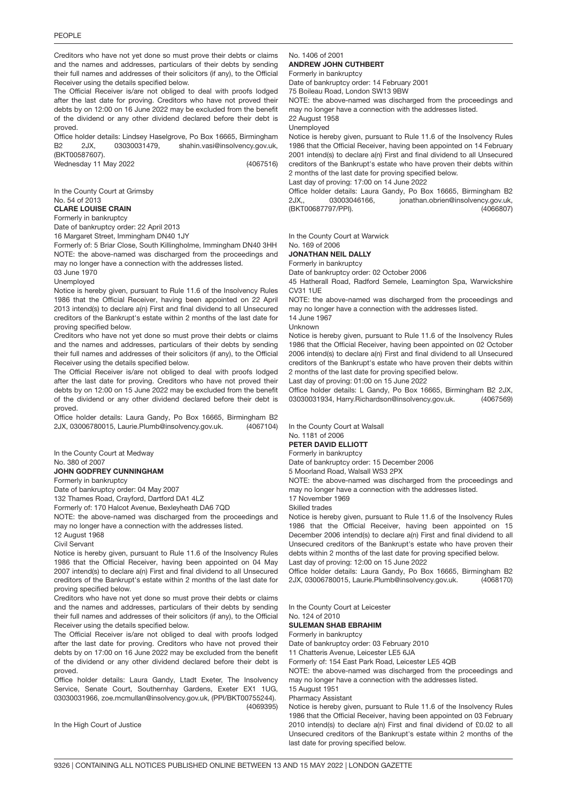Creditors who have not yet done so must prove their debts or claims and the names and addresses, particulars of their debts by sending their full names and addresses of their solicitors (if any), to the Official Receiver using the details specified below.

The Official Receiver is/are not obliged to deal with proofs lodged after the last date for proving. Creditors who have not proved their debts by on 12:00 on 16 June 2022 may be excluded from the benefit of the dividend or any other dividend declared before their debt is proved.

Office holder details: Lindsey Haselgrove, Po Box 16665, Birmingham B2 2JX, 03030031479, shahin.vasi@insolvency.gov.uk, (BKT00587607).

Wednesday 11 May 2022

(4067516)

In the County Court at Grimsby No. 54 of 2013

# CLARE LOUISE CRAIN

Formerly in bankruptcy

Date of bankruptcy order: 22 April 2013

16 Margaret Street, Immingham DN40 1JY

Formerly of: 5 Briar Close, South Killingholme, Immingham DN40 3HH NOTE: the above-named was discharged from the proceedings and may no longer have a connection with the addresses listed.

03 June 1970

Unemployed

Notice is hereby given, pursuant to Rule 11.6 of the Insolvency Rules 1986 that the Official Receiver, having been appointed on 22 April 2013 intend(s) to declare a(n) First and final dividend to all Unsecured creditors of the Bankrupt's estate within 2 months of the last date for proving specified below.

Creditors who have not yet done so must prove their debts or claims and the names and addresses, particulars of their debts by sending their full names and addresses of their solicitors (if any), to the Official Receiver using the details specified below.

The Official Receiver is/are not obliged to deal with proofs lodged after the last date for proving. Creditors who have not proved their debts by on 12:00 on 15 June 2022 may be excluded from the benefit of the dividend or any other dividend declared before their debt is proved.

(4067104) Office holder details: Laura Gandy, Po Box 16665, Birmingham B2 2JX, 03006780015, Laurie.Plumb@insolvency.gov.uk.

In the County Court at Medway No. 380 of 2007

# JOHN GODFREY CUNNINGHAM

Formerly in bankruptcy

Date of bankruptcy order: 04 May 2007

132 Thames Road, Crayford, Dartford DA1 4LZ

Formerly of: 170 Halcot Avenue, Bexleyheath DA6 7QD

NOTE: the above-named was discharged from the proceedings and may no longer have a connection with the addresses listed.

# 12 August 1968

Civil Servant

Notice is hereby given, pursuant to Rule 11.6 of the Insolvency Rules 1986 that the Official Receiver, having been appointed on 04 May 2007 intend(s) to declare a(n) First and final dividend to all Unsecured creditors of the Bankrupt's estate within 2 months of the last date for proving specified below.

Creditors who have not yet done so must prove their debts or claims and the names and addresses, particulars of their debts by sending their full names and addresses of their solicitors (if any), to the Official Receiver using the details specified below.

The Official Receiver is/are not obliged to deal with proofs lodged after the last date for proving. Creditors who have not proved their debts by on 17:00 on 16 June 2022 may be excluded from the benefit of the dividend or any other dividend declared before their debt is proved.

(4069395) Office holder details: Laura Gandy, Ltadt Exeter, The Insolvency Service, Senate Court, Southernhay Gardens, Exeter EX1 1UG, 03030031966, zoe.mcmullan@insolvency.gov.uk, (PPI/BKT00755244).

In the High Court of Justice

No. 1406 of 2001

# ANDREW JOHN CUTHBERT

Formerly in bankruptcy

Date of bankruptcy order: 14 February 2001 75 Boileau Road, London SW13 9BW

NOTE: the above-named was discharged from the proceedings and may no longer have a connection with the addresses listed.

22 August 1958 Unemployed

Notice is hereby given, pursuant to Rule 11.6 of the Insolvency Rules 1986 that the Official Receiver, having been appointed on 14 February 2001 intend(s) to declare a(n) First and final dividend to all Unsecured creditors of the Bankrupt's estate who have proven their debts within 2 months of the last date for proving specified below.

Last day of proving: 17:00 on 14 June 2022

(4066807) Office holder details: Laura Gandy, Po Box 16665, Birmingham B2 2JX,, 03003046166, jonathan.obrien@insolvency.gov.uk, (BKT00687797/PPI).

In the County Court at Warwick No. 169 of 2006

### JONATHAN NEIL DALLY

Formerly in bankruptcy

Date of bankruptcy order: 02 October 2006

45 Hatherall Road, Radford Semele, Leamington Spa, Warwickshire CV31 1UE

NOTE: the above-named was discharged from the proceedings and may no longer have a connection with the addresses listed.

14 June 1967

Unknown

Notice is hereby given, pursuant to Rule 11.6 of the Insolvency Rules 1986 that the Official Receiver, having been appointed on 02 October 2006 intend(s) to declare a(n) First and final dividend to all Unsecured creditors of the Bankrupt's estate who have proven their debts within 2 months of the last date for proving specified below.

Last day of proving: 01:00 on 15 June 2022

(4067569) Office holder details: L Gandy, Po Box 16665, Birmingham B2 2JX, 03030031934, Harry.Richardson@insolvency.gov.uk.

In the County Court at Walsall

# No. 1181 of 2006

PETER DAVID ELLIOTT

Formerly in bankruptcy Date of bankruptcy order: 15 December 2006

5 Moorland Road, Walsall WS3 2PX

NOTE: the above-named was discharged from the proceedings and

may no longer have a connection with the addresses listed.

17 November 1969

Skilled trades

Notice is hereby given, pursuant to Rule 11.6 of the Insolvency Rules 1986 that the Official Receiver, having been appointed on 15 December 2006 intend(s) to declare a(n) First and final dividend to all Unsecured creditors of the Bankrupt's estate who have proven their debts within 2 months of the last date for proving specified below. Last day of proving: 12:00 on 15 June 2022

(4068170) Office holder details: Laura Gandy, Po Box 16665, Birmingham B2 2JX, 03006780015, Laurie.Plumb@insolvency.gov.uk.

In the County Court at Leicester

# No. 124 of 2010

SULEMAN SHAB EBRAHIM Formerly in bankruptcy

Date of bankruptcy order: 03 February 2010 11 Chatteris Avenue, Leicester LE5 6JA

Formerly of: 154 East Park Road, Leicester LE5 4QB

NOTE: the above-named was discharged from the proceedings and may no longer have a connection with the addresses listed.

15 August 1951

Pharmacy Assistant

Notice is hereby given, pursuant to Rule 11.6 of the Insolvency Rules 1986 that the Official Receiver, having been appointed on 03 February 2010 intend(s) to declare a(n) First and final dividend of £0.02 to all Unsecured creditors of the Bankrupt's estate within 2 months of the last date for proving specified below.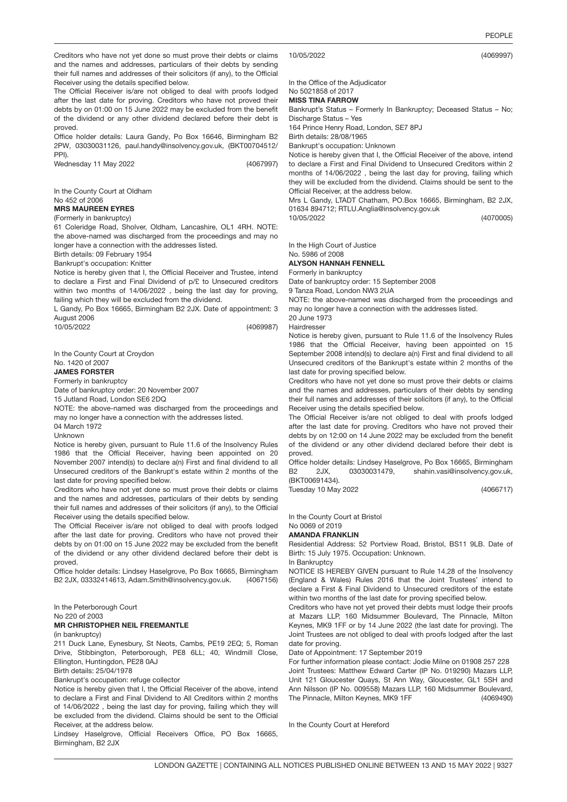(4069997) PEOPLE

Creditors who have not yet done so must prove their debts or claims and the names and addresses, particulars of their debts by sending their full names and addresses of their solicitors (if any), to the Official Receiver using the details specified below.

The Official Receiver is/are not obliged to deal with proofs lodged after the last date for proving. Creditors who have not proved their debts by on 01:00 on 15 June 2022 may be excluded from the benefit of the dividend or any other dividend declared before their debt is proved.

Office holder details: Laura Gandy, Po Box 16646, Birmingham B2 2PW, 03030031126, paul.handy@insolvency.gov.uk, (BKT00704512/ PPI).

Wednesday 11 May 2022

(4067997)

In the County Court at Oldham No 452 of 2006

### MRS MAUREEN EYRES

(Formerly in bankruptcy)

61 Coleridge Road, Sholver, Oldham, Lancashire, OL1 4RH. NOTE: the above-named was discharged from the proceedings and may no longer have a connection with the addresses listed.

Birth details: 09 February 1954

Bankrupt's occupation: Knitter

Notice is hereby given that I, the Official Receiver and Trustee, intend to declare a First and Final Dividend of p/£ to Unsecured creditors within two months of 14/06/2022 , being the last day for proving, failing which they will be excluded from the dividend.

L Gandy, Po Box 16665, Birmingham B2 2JX. Date of appointment: 3 August 2006

10/05/2022

(4069987)

In the County Court at Croydon No. 1420 of 2007

# JAMES FORSTER

Formerly in bankruptcy

Date of bankruptcy order: 20 November 2007

15 Jutland Road, London SE6 2DQ

NOTE: the above-named was discharged from the proceedings and may no longer have a connection with the addresses listed.

04 March 1972

Unknown

Notice is hereby given, pursuant to Rule 11.6 of the Insolvency Rules 1986 that the Official Receiver, having been appointed on 20 November 2007 intend(s) to declare a(n) First and final dividend to all Unsecured creditors of the Bankrupt's estate within 2 months of the last date for proving specified below.

Creditors who have not yet done so must prove their debts or claims and the names and addresses, particulars of their debts by sending their full names and addresses of their solicitors (if any), to the Official Receiver using the details specified below.

The Official Receiver is/are not obliged to deal with proofs lodged after the last date for proving. Creditors who have not proved their debts by on 01:00 on 15 June 2022 may be excluded from the benefit of the dividend or any other dividend declared before their debt is proved.

(4067156) Office holder details: Lindsey Haselgrove, Po Box 16665, Birmingham B2 2JX, 03332414613, Adam.Smith@insolvency.gov.uk.

In the Peterborough Court No 220 of 2003

### MR CHRISTOPHER NEIL FREEMANTLE

(in bankruptcy)

211 Duck Lane, Eynesbury, St Neots, Cambs, PE19 2EQ; 5, Roman Drive, Stibbington, Peterborough, PE8 6LL; 40, Windmill Close, Ellington, Huntingdon, PE28 0AJ

Birth details: 25/04/1978

Bankrupt's occupation: refuge collector

Notice is hereby given that I, the Official Receiver of the above, intend to declare a First and Final Dividend to All Creditors within 2 months of 14/06/2022 , being the last day for proving, failing which they will be excluded from the dividend. Claims should be sent to the Official Receiver, at the address below.

Lindsey Haselgrove, Official Receivers Office, PO Box 16665, Birmingham, B2 2JX

10/05/2022

In the Office of the Adjudicator

### No 5021858 of 2017 MISS TINA FARROW

Bankrupt's Status – Formerly In Bankruptcy; Deceased Status – No; Discharge Status – Yes

164 Prince Henry Road, London, SE7 8PJ

Birth details: 28/08/1965

Bankrupt's occupation: Unknown

Notice is hereby given that I, the Official Receiver of the above, intend to declare a First and Final Dividend to Unsecured Creditors within 2 months of 14/06/2022 , being the last day for proving, failing which they will be excluded from the dividend. Claims should be sent to the Official Receiver, at the address below.

Mrs L Gandy, LTADT Chatham, PO.Box 16665, Birmingham, B2 2JX, 01634 894712; RTLU.Anglia@insolvency.gov.uk 10/05/2022

(4070005)

In the High Court of Justice

### No. 5986 of 2008

ALYSON HANNAH FENNELL

Formerly in bankruptcy

Date of bankruptcy order: 15 September 2008 9 Tanza Road, London NW3 2UA

NOTE: the above-named was discharged from the proceedings and may no longer have a connection with the addresses listed.

20 June 1973

Hairdresser

Notice is hereby given, pursuant to Rule 11.6 of the Insolvency Rules 1986 that the Official Receiver, having been appointed on 15 September 2008 intend(s) to declare a(n) First and final dividend to all Unsecured creditors of the Bankrupt's estate within 2 months of the last date for proving specified below.

Creditors who have not yet done so must prove their debts or claims and the names and addresses, particulars of their debts by sending their full names and addresses of their solicitors (if any), to the Official Receiver using the details specified below.

The Official Receiver is/are not obliged to deal with proofs lodged after the last date for proving. Creditors who have not proved their debts by on 12:00 on 14 June 2022 may be excluded from the benefit of the dividend or any other dividend declared before their debt is proved.

Office holder details: Lindsey Haselgrove, Po Box 16665, Birmingham B2 2JX, 03030031479, shahin.vasi@insolvency.gov.uk, (BKT00691434).

(4066717)

In the County Court at Bristol

# No 0069 of 2019

### AMANDA FRANKLIN

Tuesday 10 May 2022

Residential Address: 52 Portview Road, Bristol, BS11 9LB. Date of Birth: 15 July 1975. Occupation: Unknown.

In Bankruptcy

NOTICE IS HEREBY GIVEN pursuant to Rule 14.28 of the Insolvency (England & Wales) Rules 2016 that the Joint Trustees' intend to declare a First & Final Dividend to Unsecured creditors of the estate within two months of the last date for proving specified below.

Creditors who have not yet proved their debts must lodge their proofs at Mazars LLP, 160 Midsummer Boulevard, The Pinnacle, Milton Keynes, MK9 1FF or by 14 June 2022 (the last date for proving). The Joint Trustees are not obliged to deal with proofs lodged after the last date for proving.

Date of Appointment: 17 September 2019

(4069490) For further information please contact: Jodie Milne on 01908 257 228 Joint Trustees: Matthew Edward Carter (IP No. 019290) Mazars LLP, Unit 121 Gloucester Quays, St Ann Way, Gloucester, GL1 5SH and Ann Nilsson (IP No. 009558) Mazars LLP, 160 Midsummer Boulevard, The Pinnacle, Milton Keynes, MK9 1FF

In the County Court at Hereford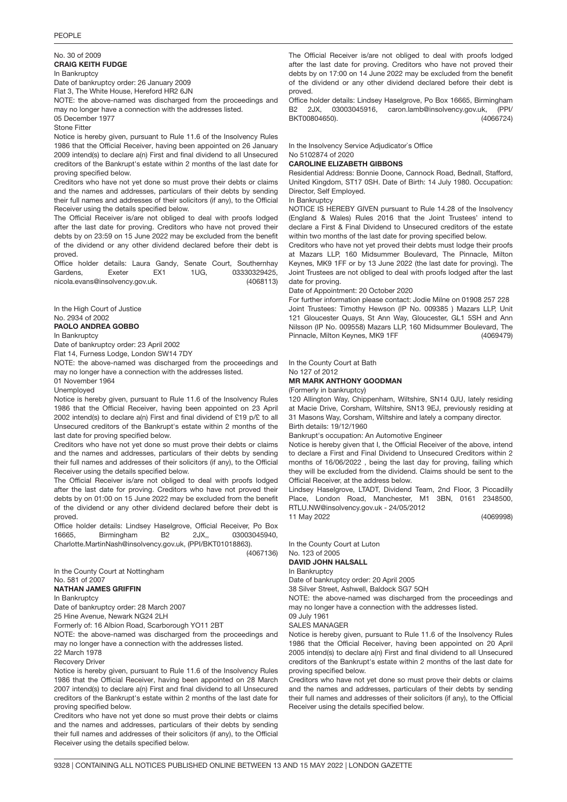### No. 30 of 2009 CRAIG KEITH FUDGE In Bankruptcy

Date of bankruptcy order: 26 January 2009 Flat 3, The White House, Hereford HR2 6JN

NOTE: the above-named was discharged from the proceedings and may no longer have a connection with the addresses listed.

05 December 1977

Stone Fitter

Notice is hereby given, pursuant to Rule 11.6 of the Insolvency Rules 1986 that the Official Receiver, having been appointed on 26 January 2009 intend(s) to declare a(n) First and final dividend to all Unsecured creditors of the Bankrupt's estate within 2 months of the last date for proving specified below.

Creditors who have not yet done so must prove their debts or claims and the names and addresses, particulars of their debts by sending their full names and addresses of their solicitors (if any), to the Official Receiver using the details specified below.

The Official Receiver is/are not obliged to deal with proofs lodged after the last date for proving. Creditors who have not proved their debts by on 23:59 on 15 June 2022 may be excluded from the benefit of the dividend or any other dividend declared before their debt is proved.

(4068113) Office holder details: Laura Gandy, Senate Court, Southernhay Gardens, Exeter EX1 1UG, 03330329425, nicola.evans@insolvency.gov.uk.

In the High Court of Justice

### No. 2934 of 2002

# PAOLO ANDREA GOBBO

In Bankruptcy

Date of bankruptcy order: 23 April 2002

Flat 14, Furness Lodge, London SW14 7DY

NOTE: the above-named was discharged from the proceedings and may no longer have a connection with the addresses listed. 01 November 1964

Unemployed

Notice is hereby given, pursuant to Rule 11.6 of the Insolvency Rules 1986 that the Official Receiver, having been appointed on 23 April 2002 intend(s) to declare a(n) First and final dividend of £19 p/£ to all Unsecured creditors of the Bankrupt's estate within 2 months of the last date for proving specified below.

Creditors who have not yet done so must prove their debts or claims and the names and addresses, particulars of their debts by sending their full names and addresses of their solicitors (if any), to the Official Receiver using the details specified below.

The Official Receiver is/are not obliged to deal with proofs lodged after the last date for proving. Creditors who have not proved their debts by on 01:00 on 15 June 2022 may be excluded from the benefit of the dividend or any other dividend declared before their debt is proved.

Office holder details: Lindsey Haselgrove, Official Receiver, Po Box 16665, Birmingham B2 2JX,, 03003045940, Charlotte.MartinNash@insolvency.gov.uk, (PPI/BKT01018863).

(4067136)

In the County Court at Nottingham

# No. 581 of 2007

NATHAN JAMES GRIFFIN

In Bankruptcy

Date of bankruptcy order: 28 March 2007

25 Hine Avenue, Newark NG24 2LH

Formerly of: 16 Albion Road, Scarborough YO11 2BT

NOTE: the above-named was discharged from the proceedings and may no longer have a connection with the addresses listed.

22 March 1978 Recovery Driver

Notice is hereby given, pursuant to Rule 11.6 of the Insolvency Rules 1986 that the Official Receiver, having been appointed on 28 March 2007 intend(s) to declare a(n) First and final dividend to all Unsecured creditors of the Bankrupt's estate within 2 months of the last date for proving specified below.

Creditors who have not yet done so must prove their debts or claims and the names and addresses, particulars of their debts by sending their full names and addresses of their solicitors (if any), to the Official Receiver using the details specified below.

The Official Receiver is/are not obliged to deal with proofs lodged after the last date for proving. Creditors who have not proved their debts by on 17:00 on 14 June 2022 may be excluded from the benefit of the dividend or any other dividend declared before their debt is proved.

(4066724) Office holder details: Lindsey Haselgrove, Po Box 16665, Birmingham B2 2JX, 03003045916, caron.lamb@insolvency.gov.uk, (PPI/ BKT00804650).

In the Insolvency Service Adjudicator's Office

### No 5102874 of 2020 CAROLINE ELIZABETH GIBBONS

Residential Address: Bonnie Doone, Cannock Road, Bednall, Stafford, United Kingdom, ST17 0SH. Date of Birth: 14 July 1980. Occupation: Director, Self Employed.

In Bankruptcy

NOTICE IS HEREBY GIVEN pursuant to Rule 14.28 of the Insolvency (England & Wales) Rules 2016 that the Joint Trustees' intend to declare a First & Final Dividend to Unsecured creditors of the estate within two months of the last date for proving specified below.

Creditors who have not yet proved their debts must lodge their proofs at Mazars LLP, 160 Midsummer Boulevard, The Pinnacle, Milton Keynes, MK9 1FF or by 13 June 2022 (the last date for proving). The Joint Trustees are not obliged to deal with proofs lodged after the last date for proving.

Date of Appointment: 20 October 2020

(4069479) For further information please contact: Jodie Milne on 01908 257 228 Joint Trustees: Timothy Hewson (IP No. 009385 ) Mazars LLP, Unit 121 Gloucester Quays, St Ann Way, Gloucester, GL1 5SH and Ann Nilsson (IP No. 009558) Mazars LLP, 160 Midsummer Boulevard, The Pinnacle, Milton Keynes, MK9 1FF

In the County Court at Bath

### No 127 of 2012 MR MARK ANTHONY GOODMAN

(Formerly in bankruptcy)

120 Allington Way, Chippenham, Wiltshire, SN14 0JU, lately residing at Macie Drive, Corsham, Wiltshire, SN13 9EJ, previously residing at 31 Masons Way, Corsham, Wiltshire and lately a company director. Birth details: 19/12/1960

Bankrupt's occupation: An Automotive Engineer

Notice is hereby given that I, the Official Receiver of the above, intend to declare a First and Final Dividend to Unsecured Creditors within 2 months of 16/06/2022 , being the last day for proving, failing which they will be excluded from the dividend. Claims should be sent to the Official Receiver, at the address below.

Lindsey Haselgrove, LTADT, Dividend Team, 2nd Floor, 3 Piccadilly Place, London Road, Manchester, M1 3BN, 0161 2348500, RTLU.NW@insolvency.gov.uk - 24/05/2012 11 May 2022

(4069998)

In the County Court at Luton No. 123 of 2005

### DAVID JOHN HALSALL

In Bankruptcy

Date of bankruptcy order: 20 April 2005

38 Silver Street, Ashwell, Baldock SG7 5QH

NOTE: the above-named was discharged from the proceedings and may no longer have a connection with the addresses listed.

09 July 1961

SALES MANAGER

Notice is hereby given, pursuant to Rule 11.6 of the Insolvency Rules 1986 that the Official Receiver, having been appointed on 20 April 2005 intend(s) to declare a(n) First and final dividend to all Unsecured creditors of the Bankrupt's estate within 2 months of the last date for proving specified below.

Creditors who have not yet done so must prove their debts or claims and the names and addresses, particulars of their debts by sending their full names and addresses of their solicitors (if any), to the Official Receiver using the details specified below.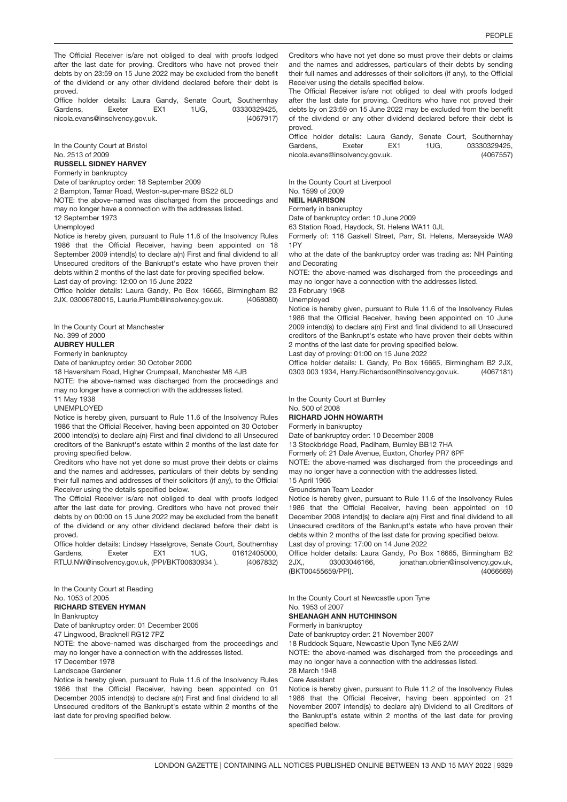The Official Receiver is/are not obliged to deal with proofs lodged after the last date for proving. Creditors who have not proved their debts by on 23:59 on 15 June 2022 may be excluded from the benefit of the dividend or any other dividend declared before their debt is proved.

(4067917) Office holder details: Laura Gandy, Senate Court, Southernhay Gardens, Exeter EX1 1UG, 03330329425, nicola.evans@insolvency.gov.uk.

In the County Court at Bristol No. 2513 of 2009

### RUSSELL SIDNEY HARVEY

Formerly in bankruptcy

Date of bankruptcy order: 18 September 2009

2 Bampton, Tamar Road, Weston-super-mare BS22 6LD

NOTE: the above-named was discharged from the proceedings and may no longer have a connection with the addresses listed.

12 September 1973

Unemployed

Notice is hereby given, pursuant to Rule 11.6 of the Insolvency Rules 1986 that the Official Receiver, having been appointed on 18 September 2009 intend(s) to declare  $a(n)$  First and final dividend to all Unsecured creditors of the Bankrupt's estate who have proven their debts within 2 months of the last date for proving specified below. Last day of proving: 12:00 on 15 June 2022

(4068080) Office holder details: Laura Gandy, Po Box 16665, Birmingham B2 2JX, 03006780015, Laurie.Plumb@insolvency.gov.uk.

In the County Court at Manchester

### No. 399 of 2000 AUBREY HULLER

# Formerly in bankruptcy

Date of bankruptcy order: 30 October 2000

18 Haversham Road, Higher Crumpsall, Manchester M8 4JB

NOTE: the above-named was discharged from the proceedings and may no longer have a connection with the addresses listed.

11 May 1938

### UNEMPLOYED

Notice is hereby given, pursuant to Rule 11.6 of the Insolvency Rules 1986 that the Official Receiver, having been appointed on 30 October 2000 intend(s) to declare a(n) First and final dividend to all Unsecured creditors of the Bankrupt's estate within 2 months of the last date for proving specified below.

Creditors who have not yet done so must prove their debts or claims and the names and addresses, particulars of their debts by sending their full names and addresses of their solicitors (if any), to the Official Receiver using the details specified below.

The Official Receiver is/are not obliged to deal with proofs lodged after the last date for proving. Creditors who have not proved their debts by on 00:00 on 15 June 2022 may be excluded from the benefit of the dividend or any other dividend declared before their debt is proved.

(4067832) Office holder details: Lindsey Haselgrove, Senate Court, Southernhay Gardens, Exeter EX1 1UG, 01612405000, RTLU.NW@insolvency.gov.uk, (PPI/BKT00630934 ).

In the County Court at Reading No. 1053 of 2005

# RICHARD STEVEN HYMAN

In Bankruptcy

Date of bankruptcy order: 01 December 2005 47 Lingwood, Bracknell RG12 7PZ

NOTE: the above-named was discharged from the proceedings and may no longer have a connection with the addresses listed.

17 December 1978

Landscape Gardener

Notice is hereby given, pursuant to Rule 11.6 of the Insolvency Rules 1986 that the Official Receiver, having been appointed on 01 December 2005 intend(s) to declare a(n) First and final dividend to all Unsecured creditors of the Bankrupt's estate within 2 months of the last date for proving specified below.

Creditors who have not yet done so must prove their debts or claims and the names and addresses, particulars of their debts by sending their full names and addresses of their solicitors (if any), to the Official Receiver using the details specified below.

The Official Receiver is/are not obliged to deal with proofs lodged after the last date for proving. Creditors who have not proved their debts by on 23:59 on 15 June 2022 may be excluded from the benefit of the dividend or any other dividend declared before their debt is proved.

(4067557) Office holder details: Laura Gandy, Senate Court, Southernhay Gardens, Exeter EX1 1UG, 03330329425, nicola.evans@insolvency.gov.uk.

In the County Court at Liverpool

# No. 1599 of 2009

# NEIL HARRISON

Formerly in bankruptcy

Date of bankruptcy order: 10 June 2009

63 Station Road, Haydock, St. Helens WA11 0JL

Formerly of: 116 Gaskell Street, Parr, St. Helens, Merseyside WA9 1PY

who at the date of the bankruptcy order was trading as: NH Painting and Decorating

NOTE: the above-named was discharged from the proceedings and may no longer have a connection with the addresses listed.

23 February 1968

Unemployed

Notice is hereby given, pursuant to Rule 11.6 of the Insolvency Rules 1986 that the Official Receiver, having been appointed on 10 June 2009 intend(s) to declare a(n) First and final dividend to all Unsecured creditors of the Bankrupt's estate who have proven their debts within 2 months of the last date for proving specified below.

Last day of proving: 01:00 on 15 June 2022

(4067181) Office holder details: L Gandy, Po Box 16665, Birmingham B2 2JX, 0303 003 1934, Harry.Richardson@insolvency.gov.uk.

In the County Court at Burnley No. 500 of 2008

### RICHARD JOHN HOWARTH

### Formerly in bankruptcy

Date of bankruptcy order: 10 December 2008

13 Stockbridge Road, Padiham, Burnley BB12 7HA

Formerly of: 21 Dale Avenue, Euxton, Chorley PR7 6PF

NOTE: the above-named was discharged from the proceedings and may no longer have a connection with the addresses listed.

15 April 1966

Groundsman Team Leader

Notice is hereby given, pursuant to Rule 11.6 of the Insolvency Rules 1986 that the Official Receiver, having been appointed on 10 December 2008 intend(s) to declare a(n) First and final dividend to all Unsecured creditors of the Bankrupt's estate who have proven their debts within 2 months of the last date for proving specified below. Last day of proving: 17:00 on 14 June 2022

(4066669) Office holder details: Laura Gandy, Po Box 16665, Birmingham B2 2JX,, 03003046166, jonathan.obrien@insolvency.gov.uk, (BKT00455659/PPI).

In the County Court at Newcastle upon Tyne

### No. 1953 of 2007 SHEANAGH ANN HUTCHINSON

# Formerly in bankruptcy

Date of bankruptcy order: 21 November 2007

18 Ruddock Square, Newcastle Upon Tyne NE6 2AW

NOTE: the above-named was discharged from the proceedings and may no longer have a connection with the addresses listed.

28 March 1948

#### Care Assistant

Notice is hereby given, pursuant to Rule 11.2 of the Insolvency Rules 1986 that the Official Receiver, having been appointed on 21 November 2007 intend(s) to declare a(n) Dividend to all Creditors of the Bankrupt's estate within 2 months of the last date for proving specified below.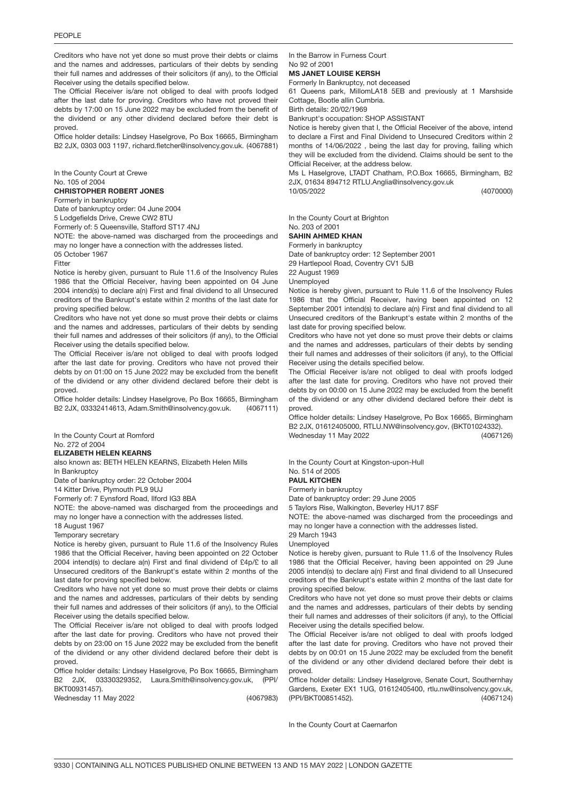Creditors who have not yet done so must prove their debts or claims and the names and addresses, particulars of their debts by sending their full names and addresses of their solicitors (if any), to the Official Receiver using the details specified below.

The Official Receiver is/are not obliged to deal with proofs lodged after the last date for proving. Creditors who have not proved their debts by 17:00 on 15 June 2022 may be excluded from the benefit of the dividend or any other dividend declared before their debt is proved.

B2 2JX, 0303 003 1197, richard.fletcher@insolvency.gov.uk. (4067881) Office holder details: Lindsey Haselgrove, Po Box 16665, Birmingham

In the County Court at Crewe No. 105 of 2004

### CHRISTOPHER ROBERT JONES

### Formerly in bankruptcy

Date of bankruptcy order: 04 June 2004

5 Lodgefields Drive, Crewe CW2 8TU

Formerly of: 5 Queensville, Stafford ST17 4NJ

NOTE: the above-named was discharged from the proceedings and may no longer have a connection with the addresses listed.

05 October 1967

Fitter

Notice is hereby given, pursuant to Rule 11.6 of the Insolvency Rules 1986 that the Official Receiver, having been appointed on 04 June 2004 intend(s) to declare a(n) First and final dividend to all Unsecured creditors of the Bankrupt's estate within 2 months of the last date for proving specified below.

Creditors who have not yet done so must prove their debts or claims and the names and addresses, particulars of their debts by sending their full names and addresses of their solicitors (if any), to the Official Receiver using the details specified below.

The Official Receiver is/are not obliged to deal with proofs lodged after the last date for proving. Creditors who have not proved their debts by on 01:00 on 15 June 2022 may be excluded from the benefit of the dividend or any other dividend declared before their debt is proved.

(4067111) Office holder details: Lindsey Haselgrove, Po Box 16665, Birmingham B2 2JX, 03332414613, Adam.Smith@insolvency.gov.uk.

In the County Court at Romford

# No. 272 of 2004

### ELIZABETH HELEN KEARNS

also known as: BETH HELEN KEARNS, Elizabeth Helen Mills In Bankruptcy

Date of bankruptcy order: 22 October 2004

14 Kitter Drive, Plymouth PL9 9UJ

Formerly of: 7 Eynsford Road, Ilford IG3 8BA

NOTE: the above-named was discharged from the proceedings and may no longer have a connection with the addresses listed.

18 August 1967

Temporary secretary

Notice is hereby given, pursuant to Rule 11.6 of the Insolvency Rules 1986 that the Official Receiver, having been appointed on 22 October 2004 intend(s) to declare a(n) First and final dividend of £4p/£ to all Unsecured creditors of the Bankrupt's estate within 2 months of the last date for proving specified below.

Creditors who have not yet done so must prove their debts or claims and the names and addresses, particulars of their debts by sending their full names and addresses of their solicitors (if any), to the Official Receiver using the details specified below.

The Official Receiver is/are not obliged to deal with proofs lodged after the last date for proving. Creditors who have not proved their debts by on 23:00 on 15 June 2022 may be excluded from the benefit of the dividend or any other dividend declared before their debt is proved.

Office holder details: Lindsey Haselgrove, Po Box 16665, Birmingham B2 2JX, 03330329352, Laura.Smith@insolvency.gov.uk, (PPI/ BKT00931457).

Wednesday 11 May 2022

(4067983)

In the Barrow in Furness Court No 92 of 2001

# MS JANET LOUISE KERSH

Formerly In Bankruptcy, not deceased

61 Queens park, MillomLA18 5EB and previously at 1 Marshside Cottage, Bootle allin Cumbria.

Birth details: 20/02/1969

Bankrupt's occupation: SHOP ASSISTANT

Notice is hereby given that I, the Official Receiver of the above, intend to declare a First and Final Dividend to Unsecured Creditors within 2 months of 14/06/2022 , being the last day for proving, failing which they will be excluded from the dividend. Claims should be sent to the Official Receiver, at the address below.

Ms L Haselgrove, LTADT Chatham, P.O.Box 16665, Birmingham, B2 2JX, 01634 894712 RTLU.Anglia@insolvency.gov.uk 10/05/2022

(4070000)

In the County Court at Brighton No. 203 of 2001 SAHIN AHMED KHAN

# Formerly in bankruptcy

Date of bankruptcy order: 12 September 2001

29 Hartlepool Road, Coventry CV1 5JB 22 August 1969

Unemployed

Notice is hereby given, pursuant to Rule 11.6 of the Insolvency Rules 1986 that the Official Receiver, having been appointed on 12 September 2001 intend(s) to declare a(n) First and final dividend to all Unsecured creditors of the Bankrupt's estate within 2 months of the last date for proving specified below.

Creditors who have not yet done so must prove their debts or claims and the names and addresses, particulars of their debts by sending their full names and addresses of their solicitors (if any), to the Official Receiver using the details specified below.

The Official Receiver is/are not obliged to deal with proofs lodged after the last date for proving. Creditors who have not proved their debts by on 00:00 on 15 June 2022 may be excluded from the benefit of the dividend or any other dividend declared before their debt is proved.

(4067126) Office holder details: Lindsey Haselgrove, Po Box 16665, Birmingham B2 2JX, 01612405000, RTLU.NW@insolvency.gov, (BKT01024332). Wednesday 11 May 2022

In the County Court at Kingston-upon-Hull No. 514 of 2005

## PAUL KITCHEN

Formerly in bankruptcy

Date of bankruptcy order: 29 June 2005

5 Taylors Rise, Walkington, Beverley HU17 8SF

NOTE: the above-named was discharged from the proceedings and may no longer have a connection with the addresses listed.

29 March 1943

Unemployed

Notice is hereby given, pursuant to Rule 11.6 of the Insolvency Rules 1986 that the Official Receiver, having been appointed on 29 June 2005 intend(s) to declare a(n) First and final dividend to all Unsecured creditors of the Bankrupt's estate within 2 months of the last date for proving specified below.

Creditors who have not yet done so must prove their debts or claims and the names and addresses, particulars of their debts by sending their full names and addresses of their solicitors (if any), to the Official Receiver using the details specified below.

The Official Receiver is/are not obliged to deal with proofs lodged after the last date for proving. Creditors who have not proved their debts by on 00:01 on 15 June 2022 may be excluded from the benefit of the dividend or any other dividend declared before their debt is proved.

(4067124) Office holder details: Lindsey Haselgrove, Senate Court, Southernhay Gardens, Exeter EX1 1UG, 01612405400, rtlu.nw@insolvency.gov.uk, (PPI/BKT00851452).

In the County Court at Caernarfon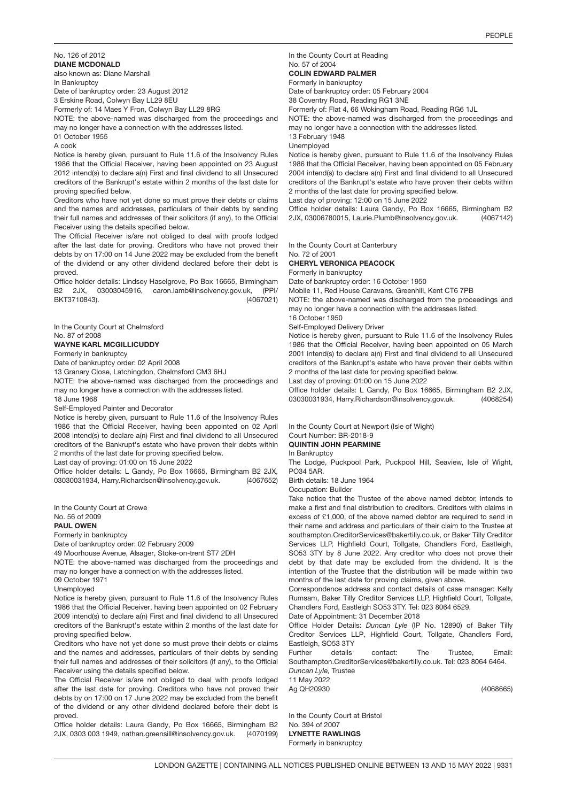# No. 126 of 2012 DIANE MCDONALD

also known as: Diane Marshall

In Bankruptcy

Date of bankruptcy order: 23 August 2012 3 Erskine Road, Colwyn Bay LL29 8EU

Formerly of: 14 Maes Y Fron, Colwyn Bay LL29 8RG

NOTE: the above-named was discharged from the proceedings and may no longer have a connection with the addresses listed.

01 October 1955

A cook

Notice is hereby given, pursuant to Rule 11.6 of the Insolvency Rules 1986 that the Official Receiver, having been appointed on 23 August 2012 intend(s) to declare a(n) First and final dividend to all Unsecured creditors of the Bankrupt's estate within 2 months of the last date for proving specified below.

Creditors who have not yet done so must prove their debts or claims and the names and addresses, particulars of their debts by sending their full names and addresses of their solicitors (if any), to the Official Receiver using the details specified below.

The Official Receiver is/are not obliged to deal with proofs lodged after the last date for proving. Creditors who have not proved their debts by on 17:00 on 14 June 2022 may be excluded from the benefit of the dividend or any other dividend declared before their debt is proved.

(4067021) Office holder details: Lindsey Haselgrove, Po Box 16665, Birmingham B2 2JX, 03003045916, caron.lamb@insolvency.gov.uk, (PPI/ BKT3710843).

In the County Court at Chelmsford No. 87 of 2008

### WAYNE KARL MCGILLICUDDY

Formerly in bankruptcy

Date of bankruptcy order: 02 April 2008

13 Granary Close, Latchingdon, Chelmsford CM3 6HJ

NOTE: the above-named was discharged from the proceedings and may no longer have a connection with the addresses listed.

18 June 1968

Self-Employed Painter and Decorator

Notice is hereby given, pursuant to Rule 11.6 of the Insolvency Rules 1986 that the Official Receiver, having been appointed on 02 April 2008 intend(s) to declare a(n) First and final dividend to all Unsecured creditors of the Bankrupt's estate who have proven their debts within 2 months of the last date for proving specified below.

Last day of proving: 01:00 on 15 June 2022

(4067652) Office holder details: L Gandy, Po Box 16665, Birmingham B2 2JX, 03030031934, Harry.Richardson@insolvency.gov.uk.

In the County Court at Crewe

# No. 56 of 2009

PAUL OWEN Formerly in bankruptcy

Date of bankruptcy order: 02 February 2009

49 Moorhouse Avenue, Alsager, Stoke-on-trent ST7 2DH

NOTE: the above-named was discharged from the proceedings and may no longer have a connection with the addresses listed.

09 October 1971

Unemployed

Notice is hereby given, pursuant to Rule 11.6 of the Insolvency Rules 1986 that the Official Receiver, having been appointed on 02 February 2009 intend(s) to declare a(n) First and final dividend to all Unsecured creditors of the Bankrupt's estate within 2 months of the last date for proving specified below.

Creditors who have not yet done so must prove their debts or claims and the names and addresses, particulars of their debts by sending their full names and addresses of their solicitors (if any), to the Official Receiver using the details specified below.

The Official Receiver is/are not obliged to deal with proofs lodged after the last date for proving. Creditors who have not proved their debts by on 17:00 on 17 June 2022 may be excluded from the benefit of the dividend or any other dividend declared before their debt is proved.

(4070199) Office holder details: Laura Gandy, Po Box 16665, Birmingham B2 2JX, 0303 003 1949, nathan.greensill@insolvency.gov.uk.

In the County Court at Reading No. 57 of 2004 COLIN EDWARD PALMER Formerly in bankruptcy Date of bankruptcy order: 05 February 2004

38 Coventry Road, Reading RG1 3NE

Formerly of: Flat 4, 66 Wokingham Road, Reading RG6 1JL

NOTE: the above-named was discharged from the proceedings and may no longer have a connection with the addresses listed.

13 February 1948 Unemployed

Notice is hereby given, pursuant to Rule 11.6 of the Insolvency Rules 1986 that the Official Receiver, having been appointed on 05 February 2004 intend(s) to declare a(n) First and final dividend to all Unsecured creditors of the Bankrupt's estate who have proven their debts within 2 months of the last date for proving specified below.

Last day of proving: 12:00 on 15 June 2022

(4067142) Office holder details: Laura Gandy, Po Box 16665, Birmingham B2 2JX, 03006780015, Laurie.Plumb@insolvency.gov.uk.

In the County Court at Canterbury

No. 72 of 2001

CHERYL VERONICA PEACOCK

Formerly in bankruptcy

Date of bankruptcy order: 16 October 1950

Mobile 11, Red House Caravans, Greenhill, Kent CT6 7PB

NOTE: the above-named was discharged from the proceedings and may no longer have a connection with the addresses listed.

16 October 1950

Self-Employed Delivery Driver

Notice is hereby given, pursuant to Rule 11.6 of the Insolvency Rules 1986 that the Official Receiver, having been appointed on 05 March 2001 intend(s) to declare a(n) First and final dividend to all Unsecured creditors of the Bankrupt's estate who have proven their debts within 2 months of the last date for proving specified below.

Last day of proving: 01:00 on 15 June 2022

(4068254) Office holder details: L Gandy, Po Box 16665, Birmingham B2 2JX, 03030031934, Harry.Richardson@insolvency.gov.uk.

In the County Court at Newport (Isle of Wight) Court Number: BR-2018-9

## QUINTIN JOHN PEARMINE

In Bankruptcy

The Lodge, Puckpool Park, Puckpool Hill, Seaview, Isle of Wight, PO34 5AR.

Birth details: 18 June 1964

Occupation: Builder

Take notice that the Trustee of the above named debtor, intends to make a first and final distribution to creditors. Creditors with claims in excess of £1,000, of the above named debtor are required to send in their name and address and particulars of their claim to the Trustee at southampton.CreditorServices@bakertilly.co.uk, or Baker Tilly Creditor Services LLP, Highfield Court, Tollgate, Chandlers Ford, Eastleigh, SO53 3TY by 8 June 2022. Any creditor who does not prove their debt by that date may be excluded from the dividend. It is the intention of the Trustee that the distribution will be made within two months of the last date for proving claims, given above.

Correspondence address and contact details of case manager: Kelly Rumsam, Baker Tilly Creditor Services LLP, Highfield Court, Tollgate, Chandlers Ford, Eastleigh SO53 3TY. Tel: 023 8064 6529.

Date of Appointment: 31 December 2018

Office Holder Details: *Duncan Lyle* (IP No. 12890) of Baker Tilly Creditor Services LLP, Highfield Court, Tollgate, Chandlers Ford, Eastleigh, SO53 3TY<br>Further details

Further details contact: The Trustee, Email: Southampton.CreditorServices@bakertilly.co.uk. Tel: 023 8064 6464. *Duncan Lyle,* Trustee

(4068665)

11 May 2022

Ag QH20930

In the County Court at Bristol No. 394 of 2007 LYNETTE RAWLINGS Formerly in bankruptcy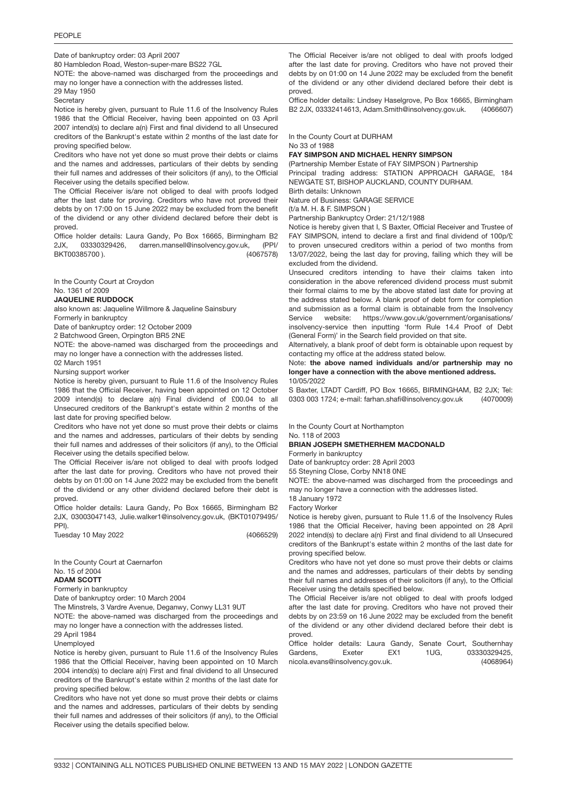Date of bankruptcy order: 03 April 2007

80 Hambledon Road, Weston-super-mare BS22 7GL

NOTE: the above-named was discharged from the proceedings and may no longer have a connection with the addresses listed.

29 May 1950

**Secretary** 

Notice is hereby given, pursuant to Rule 11.6 of the Insolvency Rules 1986 that the Official Receiver, having been appointed on 03 April 2007 intend(s) to declare a(n) First and final dividend to all Unsecured creditors of the Bankrupt's estate within 2 months of the last date for proving specified below.

Creditors who have not yet done so must prove their debts or claims and the names and addresses, particulars of their debts by sending their full names and addresses of their solicitors (if any), to the Official Receiver using the details specified below.

The Official Receiver is/are not obliged to deal with proofs lodged after the last date for proving. Creditors who have not proved their debts by on 17:00 on 15 June 2022 may be excluded from the benefit of the dividend or any other dividend declared before their debt is proved.

(4067578) Office holder details: Laura Gandy, Po Box 16665, Birmingham B2 2JX, 03330329426, darren.mansell@insolvency.gov.uk, (PPI/ BKT00385700 ).

In the County Court at Croydon

No. 1361 of 2009

# JAQUELINE RUDDOCK

also known as: Jaqueline Willmore & Jaqueline Sainsbury

Formerly in bankruptcy

Date of bankruptcy order: 12 October 2009

2 Batchwood Green, Orpington BR5 2NE

NOTE: the above-named was discharged from the proceedings and may no longer have a connection with the addresses listed.

02 March 1951

Nursing support worker

Notice is hereby given, pursuant to Rule 11.6 of the Insolvency Rules 1986 that the Official Receiver, having been appointed on 12 October 2009 intend(s) to declare a(n) Final dividend of £00.04 to all Unsecured creditors of the Bankrupt's estate within 2 months of the last date for proving specified below.

Creditors who have not yet done so must prove their debts or claims and the names and addresses, particulars of their debts by sending their full names and addresses of their solicitors (if any), to the Official Receiver using the details specified below.

The Official Receiver is/are not obliged to deal with proofs lodged after the last date for proving. Creditors who have not proved their debts by on 01:00 on 14 June 2022 may be excluded from the benefit of the dividend or any other dividend declared before their debt is proved.

Office holder details: Laura Gandy, Po Box 16665, Birmingham B2 2JX, 03003047143, Julie.walker1@insolvency.gov.uk, (BKT01079495/ PPI).

In the County Court at Caernarfon No. 15 of 2004

### ADAM SCOTT

Formerly in bankruptcy

Date of bankruptcy order: 10 March 2004

The Minstrels, 3 Vardre Avenue, Deganwy, Conwy LL31 9UT

NOTE: the above-named was discharged from the proceedings and may no longer have a connection with the addresses listed. 29 April 1984

# Unemployed

Notice is hereby given, pursuant to Rule 11.6 of the Insolvency Rules 1986 that the Official Receiver, having been appointed on 10 March 2004 intend(s) to declare a(n) First and final dividend to all Unsecured creditors of the Bankrupt's estate within 2 months of the last date for proving specified below.

Creditors who have not yet done so must prove their debts or claims and the names and addresses, particulars of their debts by sending their full names and addresses of their solicitors (if any), to the Official Receiver using the details specified below.

The Official Receiver is/are not obliged to deal with proofs lodged after the last date for proving. Creditors who have not proved their debts by on 01:00 on 14 June 2022 may be excluded from the benefit of the dividend or any other dividend declared before their debt is proved.

(4066607) Office holder details: Lindsey Haselgrove, Po Box 16665, Birmingham B2 2JX, 03332414613, Adam.Smith@insolvency.gov.uk.

# In the County Court at DURHAM

No 33 of 1988

FAY SIMPSON AND MICHAEL HENRY SIMPSON (Partnership Member Estate of FAY SIMPSON ) Partnership

Principal trading address: STATION APPROACH GARAGE, 184 NEWGATE ST, BISHOP AUCKLAND, COUNTY DURHAM.

Birth details: Unknown

Nature of Business: GARAGE SERVICE (t/a M. H. & F. SIMPSON )

Partnership Bankruptcy Order: 21/12/1988

Notice is hereby given that I, S Baxter, Official Receiver and Trustee of FAY SIMPSON, intend to declare a first and final dividend of 100p/£ to proven unsecured creditors within a period of two months from 13/07/2022, being the last day for proving, failing which they will be excluded from the dividend.

Unsecured creditors intending to have their claims taken into consideration in the above referenced dividend process must submit their formal claims to me by the above stated last date for proving at the address stated below. A blank proof of debt form for completion and submission as a formal claim is obtainable from the Insolvency Service website: https://www.gov.uk/government/organisations/ insolvency-service then inputting 'form Rule 14.4 Proof of Debt (General Form)' in the Search field provided on that site.

Alternatively, a blank proof of debt form is obtainable upon request by contacting my office at the address stated below.

#### Note: the above named individuals and/or partnership may no longer have a connection with the above mentioned address. 10/05/2022

(4070009) S Baxter, LTADT Cardiff, PO Box 16665, BIRMINGHAM, B2 2JX; Tel: 0303 003 1724; e-mail: farhan.shafi@insolvency.gov.uk

In the County Court at Northampton

# No. 118 of 2003

# BRIAN JOSEPH SMETHERHEM MACDONALD

Formerly in bankruptcy

Date of bankruptcy order: 28 April 2003

55 Steyning Close, Corby NN18 0NE

NOTE: the above-named was discharged from the proceedings and may no longer have a connection with the addresses listed.

18 January 1972

Factory Worker

(4066529)

Notice is hereby given, pursuant to Rule 11.6 of the Insolvency Rules 1986 that the Official Receiver, having been appointed on 28 April 2022 intend(s) to declare a(n) First and final dividend to all Unsecured creditors of the Bankrupt's estate within 2 months of the last date for proving specified below.

Creditors who have not yet done so must prove their debts or claims and the names and addresses, particulars of their debts by sending their full names and addresses of their solicitors (if any), to the Official Receiver using the details specified below.

The Official Receiver is/are not obliged to deal with proofs lodged after the last date for proving. Creditors who have not proved their debts by on 23:59 on 16 June 2022 may be excluded from the benefit of the dividend or any other dividend declared before their debt is proved.

(4068964) Office holder details: Laura Gandy, Senate Court, Southernhay Gardens, Exeter EX1 1UG, 03330329425, nicola.evans@insolvency.gov.uk.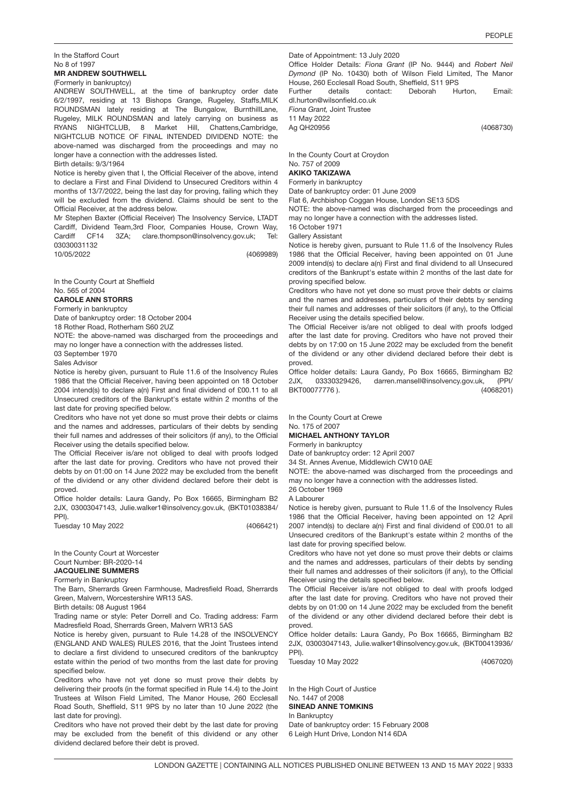### (Formerly in bankruptcy)

ANDREW SOUTHWELL, at the time of bankruptcy order date 6/2/1997, residing at 13 Bishops Grange, Rugeley, Staffs,MILK ROUNDSMAN lately residing at The Bungalow, BurnthillLane, Rugeley, MILK ROUNDSMAN and lately carrying on business as RYANS NIGHTCLUB, 8 Market Hill, Chattens,Cambridge, NIGHTCLUB NOTICE OF FINAL INTENDED DIVIDEND NOTE: the above-named was discharged from the proceedings and may no longer have a connection with the addresses listed.

### Birth details: 9/3/1964

Notice is hereby given that I, the Official Receiver of the above, intend to declare a First and Final Dividend to Unsecured Creditors within 4 months of 13/7/2022, being the last day for proving, failing which they will be excluded from the dividend. Claims should be sent to the Official Receiver, at the address below.

Mr Stephen Baxter (Official Receiver) The Insolvency Service, LTADT Cardiff, Dividend Team,3rd Floor, Companies House, Crown Way, Cardiff CF14 3ZA; clare.thompson@insolvency.gov.uk; Tel: 03030031132 10/05/2022

(4069989)

In the County Court at Sheffield

### No. 565 of 2004

# CAROLE ANN STORRS

Formerly in bankruptcy

Date of bankruptcy order: 18 October 2004

18 Rother Road, Rotherham S60 2UZ

NOTE: the above-named was discharged from the proceedings and may no longer have a connection with the addresses listed.

03 September 1970

Sales Advisor

Notice is hereby given, pursuant to Rule 11.6 of the Insolvency Rules 1986 that the Official Receiver, having been appointed on 18 October 2004 intend(s) to declare a(n) First and final dividend of £00.11 to all Unsecured creditors of the Bankrupt's estate within 2 months of the last date for proving specified below.

Creditors who have not yet done so must prove their debts or claims and the names and addresses, particulars of their debts by sending their full names and addresses of their solicitors (if any), to the Official Receiver using the details specified below.

The Official Receiver is/are not obliged to deal with proofs lodged after the last date for proving. Creditors who have not proved their debts by on 01:00 on 14 June 2022 may be excluded from the benefit of the dividend or any other dividend declared before their debt is proved.

Office holder details: Laura Gandy, Po Box 16665, Birmingham B2 2JX, 03003047143, Julie.walker1@insolvency.gov.uk, (BKT01038384/ PPI).

Tuesday 10 May 2022

(4066421)

In the County Court at Worcester Court Number: BR-2020-14 JACQUELINE SUMMERS

#### Formerly in Bankruptcy

The Barn, Sherrards Green Farmhouse, Madresfield Road, Sherrards Green, Malvern, Worcestershire WR13 5AS.

Birth details: 08 August 1964

Trading name or style: Peter Dorrell and Co. Trading address: Farm Madresfield Road, Sherrards Green, Malvern WR13 5AS

Notice is hereby given, pursuant to Rule 14.28 of the INSOLVENCY (ENGLAND AND WALES) RULES 2016, that the Joint Trustees intend to declare a first dividend to unsecured creditors of the bankruptcy estate within the period of two months from the last date for proving specified below.

Creditors who have not yet done so must prove their debts by delivering their proofs (in the format specified in Rule 14.4) to the Joint Trustees at Wilson Field Limited, The Manor House, 260 Ecclesall Road South, Sheffield, S11 9PS by no later than 10 June 2022 (the last date for proving).

Creditors who have not proved their debt by the last date for proving may be excluded from the benefit of this dividend or any other dividend declared before their debt is proved.

# Date of Appointment: 13 July 2020

Office Holder Details: *Fiona Grant* (IP No. 9444) and *Robert Neil Dymond* (IP No. 10430) both of Wilson Field Limited, The Manor House, 260 Ecclesall Road South, Sheffield, S11 9PS

Further details contact: Deborah Hurton, Email: dl.hurton@wilsonfield.co.uk

*Fiona Grant,* Joint Trustee

11 May 2022 Ag QH20956

(4068730)

In the County Court at Croydon No. 757 of 2009

# AKIKO TAKIZAWA

Formerly in bankruptcy

Date of bankruptcy order: 01 June 2009

Flat 6, Archbishop Coggan House, London SE13 5DS

NOTE: the above-named was discharged from the proceedings and may no longer have a connection with the addresses listed.

16 October 1971

Gallery Assistant

Notice is hereby given, pursuant to Rule 11.6 of the Insolvency Rules 1986 that the Official Receiver, having been appointed on 01 June 2009 intend(s) to declare a(n) First and final dividend to all Unsecured creditors of the Bankrupt's estate within 2 months of the last date for proving specified below.

Creditors who have not yet done so must prove their debts or claims and the names and addresses, particulars of their debts by sending their full names and addresses of their solicitors (if any), to the Official Receiver using the details specified below.

The Official Receiver is/are not obliged to deal with proofs lodged after the last date for proving. Creditors who have not proved their debts by on 17:00 on 15 June 2022 may be excluded from the benefit of the dividend or any other dividend declared before their debt is proved.

(4068201) Office holder details: Laura Gandy, Po Box 16665, Birmingham B2 2JX, 03330329426, darren.mansell@insolvency.gov.uk, (PPI/ BKT00077776 ).

In the County Court at Crewe

No. 175 of 2007

# MICHAEL ANTHONY TAYLOR

Formerly in bankruptcy

Date of bankruptcy order: 12 April 2007

34 St. Annes Avenue, Middlewich CW10 0AE

NOTE: the above-named was discharged from the proceedings and may no longer have a connection with the addresses listed.

# 26 October 1969

A Labourer

Notice is hereby given, pursuant to Rule 11.6 of the Insolvency Rules 1986 that the Official Receiver, having been appointed on 12 April 2007 intend(s) to declare a(n) First and final dividend of £00.01 to all Unsecured creditors of the Bankrupt's estate within 2 months of the last date for proving specified below.

Creditors who have not yet done so must prove their debts or claims and the names and addresses, particulars of their debts by sending their full names and addresses of their solicitors (if any), to the Official Receiver using the details specified below.

The Official Receiver is/are not obliged to deal with proofs lodged after the last date for proving. Creditors who have not proved their debts by on 01:00 on 14 June 2022 may be excluded from the benefit of the dividend or any other dividend declared before their debt is proved.

Office holder details: Laura Gandy, Po Box 16665, Birmingham B2 2JX, 03003047143, Julie.walker1@insolvency.gov.uk, (BKT00413936/ PPI).

Tuesday 10 May 2022

(4067020)

In the High Court of Justice No. 1447 of 2008 SINEAD ANNE TOMKINS In Bankruptcy Date of bankruptcy order: 15 February 2008 6 Leigh Hunt Drive, London N14 6DA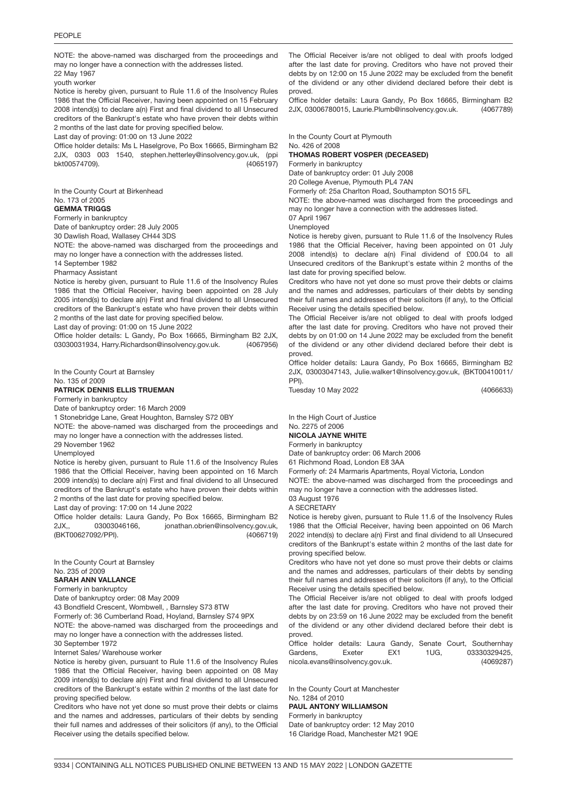NOTE: the above-named was discharged from the proceedings and may no longer have a connection with the addresses listed. 22 May 1967

# youth worker

Notice is hereby given, pursuant to Rule 11.6 of the Insolvency Rules 1986 that the Official Receiver, having been appointed on 15 February 2008 intend(s) to declare a(n) First and final dividend to all Unsecured creditors of the Bankrupt's estate who have proven their debts within 2 months of the last date for proving specified below.

Last day of proving: 01:00 on 13 June 2022

(4065197) Office holder details: Ms L Haselgrove, Po Box 16665, Birmingham B2 2JX, 0303 003 1540, stephen.hetterley@insolvency.gov.uk, (ppi bkt00574709).

In the County Court at Birkenhead No. 173 of 2005

# GEMMA TRIGGS

Formerly in bankruptcy

Date of bankruptcy order: 28 July 2005 30 Dawlish Road, Wallasey CH44 3DS

NOTE: the above-named was discharged from the proceedings and may no longer have a connection with the addresses listed.

14 September 1982

Pharmacy Assistant

Notice is hereby given, pursuant to Rule 11.6 of the Insolvency Rules 1986 that the Official Receiver, having been appointed on 28 July 2005 intend(s) to declare a(n) First and final dividend to all Unsecured creditors of the Bankrupt's estate who have proven their debts within 2 months of the last date for proving specified below.

Last day of proving: 01:00 on 15 June 2022

(4067956) Office holder details: L Gandy, Po Box 16665, Birmingham B2 2JX, 03030031934, Harry.Richardson@insolvency.gov.uk.

In the County Court at Barnsley

No. 135 of 2009

### PATRICK DENNIS ELLIS TRUEMAN

Formerly in bankruptcy

Date of bankruptcy order: 16 March 2009

1 Stonebridge Lane, Great Houghton, Barnsley S72 0BY

NOTE: the above-named was discharged from the proceedings and may no longer have a connection with the addresses listed. 29 November 1962

Unemployed

Notice is hereby given, pursuant to Rule 11.6 of the Insolvency Rules 1986 that the Official Receiver, having been appointed on 16 March 2009 intend(s) to declare a(n) First and final dividend to all Unsecured creditors of the Bankrupt's estate who have proven their debts within 2 months of the last date for proving specified below.

Last day of proving: 17:00 on 14 June 2022

(4066719) Office holder details: Laura Gandy, Po Box 16665, Birmingham B2 2JX,, 03003046166, jonathan.obrien@insolvency.gov.uk, (BKT00627092/PPI).

In the County Court at Barnsley No. 235 of 2009

### SARAH ANN VALLANCE

Formerly in bankruptcy

Date of bankruptcy order: 08 May 2009

43 Bondfield Crescent, Wombwell, , Barnsley S73 8TW Formerly of: 36 Cumberland Road, Hoyland, Barnsley S74 9PX NOTE: the above-named was discharged from the proceedings and

may no longer have a connection with the addresses listed.

30 September 1972

Internet Sales/ Warehouse worker

Notice is hereby given, pursuant to Rule 11.6 of the Insolvency Rules 1986 that the Official Receiver, having been appointed on 08 May 2009 intend(s) to declare a(n) First and final dividend to all Unsecured creditors of the Bankrupt's estate within 2 months of the last date for proving specified below.

Creditors who have not yet done so must prove their debts or claims and the names and addresses, particulars of their debts by sending their full names and addresses of their solicitors (if any), to the Official Receiver using the details specified below.

The Official Receiver is/are not obliged to deal with proofs lodged after the last date for proving. Creditors who have not proved their debts by on 12:00 on 15 June 2022 may be excluded from the benefit of the dividend or any other dividend declared before their debt is proved.

(4067789) Office holder details: Laura Gandy, Po Box 16665, Birmingham B2 2JX, 03006780015, Laurie.Plumb@insolvency.gov.uk.

In the County Court at Plymouth

No. 426 of 2008

# THOMAS ROBERT VOSPER (DECEASED)

Formerly in bankruptcy

Date of bankruptcy order: 01 July 2008 20 College Avenue, Plymouth PL4 7AN

Formerly of: 25a Charlton Road, Southampton SO15 5FL

NOTE: the above-named was discharged from the proceedings and may no longer have a connection with the addresses listed.

07 April 1967 Unemployed

Notice is hereby given, pursuant to Rule 11.6 of the Insolvency Rules 1986 that the Official Receiver, having been appointed on 01 July 2008 intend(s) to declare a(n) Final dividend of £00.04 to all Unsecured creditors of the Bankrupt's estate within 2 months of the last date for proving specified below.

Creditors who have not yet done so must prove their debts or claims and the names and addresses, particulars of their debts by sending their full names and addresses of their solicitors (if any), to the Official Receiver using the details specified below.

The Official Receiver is/are not obliged to deal with proofs lodged after the last date for proving. Creditors who have not proved their debts by on 01:00 on 14 June 2022 may be excluded from the benefit of the dividend or any other dividend declared before their debt is proved.

Office holder details: Laura Gandy, Po Box 16665, Birmingham B2 2JX, 03003047143, Julie.walker1@insolvency.gov.uk, (BKT00410011/ PPI).

Tuesday 10 May 2022

(4066633)

In the High Court of Justice No. 2275 of 2006 NICOLA JAYNE WHITE

### Formerly in bankruptcy Date of bankruptcy order: 06 March 2006 61 Richmond Road, London E8 3AA

Formerly of: 24 Marmaris Apartments, Royal Victoria, London

NOTE: the above-named was discharged from the proceedings and may no longer have a connection with the addresses listed.

03 August 1976

A SECRETARY

Notice is hereby given, pursuant to Rule 11.6 of the Insolvency Rules 1986 that the Official Receiver, having been appointed on 06 March 2022 intend(s) to declare a(n) First and final dividend to all Unsecured creditors of the Bankrupt's estate within 2 months of the last date for proving specified below.

Creditors who have not yet done so must prove their debts or claims and the names and addresses, particulars of their debts by sending their full names and addresses of their solicitors (if any), to the Official Receiver using the details specified below.

The Official Receiver is/are not obliged to deal with proofs lodged after the last date for proving. Creditors who have not proved their debts by on 23:59 on 16 June 2022 may be excluded from the benefit of the dividend or any other dividend declared before their debt is proved.

(4069287) Office holder details: Laura Gandy, Senate Court, Southernhay Exeter EX1 1UG, 03330329425, nicola.evans@insolvency.gov.uk.

In the County Court at Manchester No. 1284 of 2010

### PAUL ANTONY WILLIAMSON

Formerly in bankruptcy Date of bankruptcy order: 12 May 2010 16 Claridge Road, Manchester M21 9QE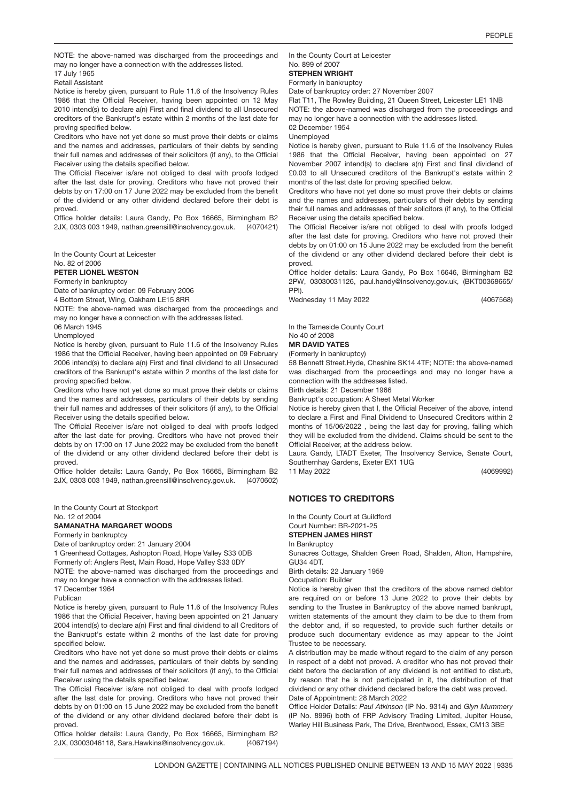NOTE: the above-named was discharged from the proceedings and may no longer have a connection with the addresses listed. 17 July 1965

Retail Assistant

Notice is hereby given, pursuant to Rule 11.6 of the Insolvency Rules 1986 that the Official Receiver, having been appointed on 12 May 2010 intend(s) to declare a(n) First and final dividend to all Unsecured creditors of the Bankrupt's estate within 2 months of the last date for proving specified below.

Creditors who have not yet done so must prove their debts or claims and the names and addresses, particulars of their debts by sending their full names and addresses of their solicitors (if any), to the Official Receiver using the details specified below.

The Official Receiver is/are not obliged to deal with proofs lodged after the last date for proving. Creditors who have not proved their debts by on 17:00 on 17 June 2022 may be excluded from the benefit of the dividend or any other dividend declared before their debt is proved.

(4070421) Office holder details: Laura Gandy, Po Box 16665, Birmingham B2 2JX, 0303 003 1949, nathan.greensill@insolvency.gov.uk.

In the County Court at Leicester No. 82 of 2006

# PETER LIONEL WESTON

Formerly in bankruptcy

Date of bankruptcy order: 09 February 2006

4 Bottom Street, Wing, Oakham LE15 8RR

NOTE: the above-named was discharged from the proceedings and may no longer have a connection with the addresses listed.

06 March 1945

Unemployed

Notice is hereby given, pursuant to Rule 11.6 of the Insolvency Rules 1986 that the Official Receiver, having been appointed on 09 February 2006 intend(s) to declare a(n) First and final dividend to all Unsecured creditors of the Bankrupt's estate within 2 months of the last date for proving specified below.

Creditors who have not yet done so must prove their debts or claims and the names and addresses, particulars of their debts by sending their full names and addresses of their solicitors (if any), to the Official Receiver using the details specified below.

The Official Receiver is/are not obliged to deal with proofs lodged after the last date for proving. Creditors who have not proved their debts by on 17:00 on 17 June 2022 may be excluded from the benefit of the dividend or any other dividend declared before their debt is proved.

(4070602) Office holder details: Laura Gandy, Po Box 16665, Birmingham B2 2JX, 0303 003 1949, nathan.greensill@insolvency.gov.uk.

In the County Court at Stockport No. 12 of 2004

# SAMANATHA MARGARET WOODS

Formerly in bankruptcy

Date of bankruptcy order: 21 January 2004

1 Greenhead Cottages, Ashopton Road, Hope Valley S33 0DB

Formerly of: Anglers Rest, Main Road, Hope Valley S33 0DY

NOTE: the above-named was discharged from the proceedings and may no longer have a connection with the addresses listed.

17 December 1964

Publican

Notice is hereby given, pursuant to Rule 11.6 of the Insolvency Rules 1986 that the Official Receiver, having been appointed on 21 January 2004 intend(s) to declare a(n) First and final dividend to all Creditors of the Bankrupt's estate within 2 months of the last date for proving specified below.

Creditors who have not yet done so must prove their debts or claims and the names and addresses, particulars of their debts by sending their full names and addresses of their solicitors (if any), to the Official Receiver using the details specified below.

The Official Receiver is/are not obliged to deal with proofs lodged after the last date for proving. Creditors who have not proved their debts by on 01:00 on 15 June 2022 may be excluded from the benefit of the dividend or any other dividend declared before their debt is proved.

(4067194) Office holder details: Laura Gandy, Po Box 16665, Birmingham B2 2JX, 03003046118, Sara.Hawkins@insolvency.gov.uk.

In the County Court at Leicester No. 899 of 2007 STEPHEN WRIGHT

# Formerly in bankruptcy

Date of bankruptcy order: 27 November 2007

Flat T11, The Rowley Building, 21 Queen Street, Leicester LE1 1NB

NOTE: the above-named was discharged from the proceedings and may no longer have a connection with the addresses listed.

02 December 1954

Unemployed

Notice is hereby given, pursuant to Rule 11.6 of the Insolvency Rules 1986 that the Official Receiver, having been appointed on 27 November 2007 intend(s) to declare a(n) First and final dividend of £0.03 to all Unsecured creditors of the Bankrupt's estate within 2 months of the last date for proving specified below.

Creditors who have not yet done so must prove their debts or claims and the names and addresses, particulars of their debts by sending their full names and addresses of their solicitors (if any), to the Official Receiver using the details specified below.

The Official Receiver is/are not obliged to deal with proofs lodged after the last date for proving. Creditors who have not proved their debts by on 01:00 on 15 June 2022 may be excluded from the benefit of the dividend or any other dividend declared before their debt is proved.

Office holder details: Laura Gandy, Po Box 16646, Birmingham B2 2PW, 03030031126, paul.handy@insolvency.gov.uk, (BKT00368665/ PPI).

Wednesday 11 May 2022

In the Tameside County Court No 40 of 2008

# MR DAVID YATES

(Formerly in bankruptcy)

58 Bennett Street,Hyde, Cheshire SK14 4TF; NOTE: the above-named was discharged from the proceedings and may no longer have a connection with the addresses listed.

Birth details: 21 December 1966

Bankrupt's occupation: A Sheet Metal Worker

Notice is hereby given that I, the Official Receiver of the above, intend to declare a First and Final Dividend to Unsecured Creditors within 2 months of 15/06/2022 , being the last day for proving, failing which they will be excluded from the dividend. Claims should be sent to the Official Receiver, at the address below.

Laura Gandy, LTADT Exeter, The Insolvency Service, Senate Court, Southernhay Gardens, Exeter EX1 1UG 11 May 2022

(4069992)

(4067568)

# NOTICES TO CREDITORS

In the County Court at Guildford Court Number: BR-2021-25 STEPHEN JAMES HIRST

### In Bankruptcy

Sunacres Cottage, Shalden Green Road, Shalden, Alton, Hampshire, GU34 4DT.

Birth details: 22 January 1959

Occupation: Builder

Notice is hereby given that the creditors of the above named debtor are required on or before 13 June 2022 to prove their debts by sending to the Trustee in Bankruptcy of the above named bankrupt, written statements of the amount they claim to be due to them from the debtor and, if so requested, to provide such further details or produce such documentary evidence as may appear to the Joint Trustee to be necessary.

A distribution may be made without regard to the claim of any person in respect of a debt not proved. A creditor who has not proved their debt before the declaration of any dividend is not entitled to disturb, by reason that he is not participated in it, the distribution of that dividend or any other dividend declared before the debt was proved. Date of Appointment: 28 March 2022

Office Holder Details: *Paul Atkinson* (IP No. 9314) and *Glyn Mummery* (IP No. 8996) both of FRP Advisory Trading Limited, Jupiter House, Warley Hill Business Park, The Drive, Brentwood, Essex, CM13 3BE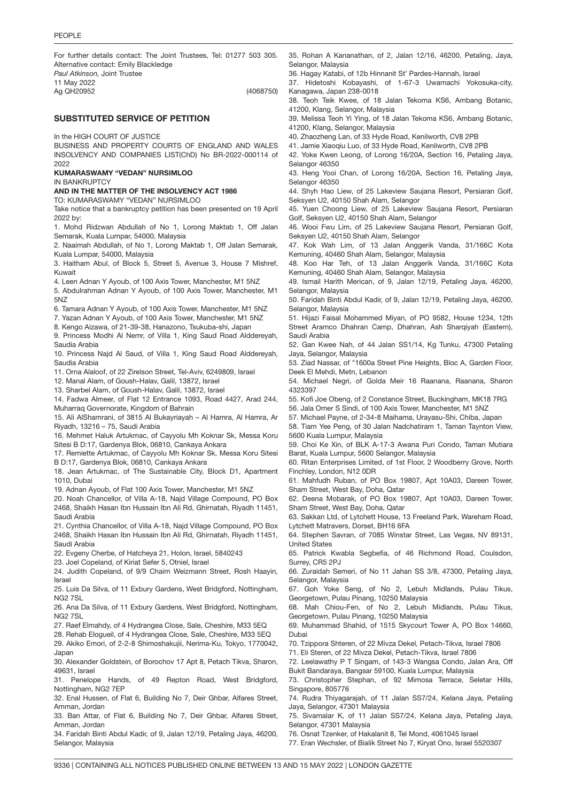(4068750) For further details contact: The Joint Trustees, Tel: 01277 503 305. Alternative contact: Emily Blackledge *Paul Atkinson,* Joint Trustee 11 May 2022 Ag QH20952

SUBSTITUTED SERVICE OF PETITION

In the HIGH COURT OF JUSTICE

BUSINESS AND PROPERTY COURTS OF ENGLAND AND WALES INSOLVENCY AND COMPANIES LIST(ChD) No BR-2022-000114 of 2022

### KUMARASWAMY "VEDAN" NURSIMLOO IN BANKRUPTCY

AND IN THE MATTER OF THE INSOLVENCY ACT 1986 TO: KUMARASWAMY "VEDAN" NURSIMLOO

Take notice that a bankruptcy petition has been presented on 19 April 2022 by:

1. Mohd Ridzwan Abdullah of No 1, Lorong Maktab 1, Off Jalan Semarak, Kuala Lumpar, 54000, Malaysia

2. Naaimah Abdullah, of No 1, Lorong Maktab 1, Off Jalan Semarak, Kuala Lumpar, 54000, Malaysia

3. Haitham Abul, of Block 5, Street 5, Avenue 3, House 7 Mishref, Kuwait

4. Leen Adnan Y Ayoub, of 100 Axis Tower, Manchester, M1 5NZ

5. Abdulrahman Adnan Y Ayoub, of 100 Axis Tower, Manchester, M1 5NZ

6. Tamara Adnan Y Ayoub, of 100 Axis Tower, Manchester, M1 5NZ

7. Yazan Adnan Y Ayoub, of 100 Axis Tower, Manchester, M1 5NZ

8. Kengo Aizawa, of 21-39-38, Hanazono, Tsukuba-shi, Japan

9. Princess Modhi Al Nemr, of Villa 1, King Saud Road Alddereyah, Saudia Arabia

10. Princess Najd Al Saud, of Villa 1, King Saud Road Alddereyah, Saudia Arabia

11. Orna Alaloof, of 22 Zirelson Street, Tel-Aviv, 6249809, Israel

12. Manal Alam, of Goush-Halav, Galil, 13872, Israel

13. Sharbel Alam, of Goush-Halav, Galil, 13872, Israel

14. Fadwa Almeer, of Flat 12 Entrance 1093, Road 4427, Arad 244, Muharraq Governorate, Kingdom of Bahrain

15. Ali AlShamrani, of 3815 Al Bukayriayah – Al Hamra, Al Hamra, Ar Riyadh, 13216 – 75, Saudi Arabia

16. Mehmet Haluk Artukmac, of Cayyolu Mh Koknar Sk, Messa Koru Sitesi B D:17, Gardenya Blok, 06810, Cankaya Ankara

17. Remiette Artukmac, of Cayyolu Mh Koknar Sk, Messa Koru Sitesi B D:17, Gardenya Blok, 06810, Cankaya Ankara

18. Jean Artukmac, of The Sustainable City, Block D1, Apartment 1010, Dubai

19. Adnan Ayoub, of Flat 100 Axis Tower, Manchester, M1 5NZ

20. Noah Chancellor, of Villa A-18, Najd Village Compound, PO Box 2468, Shaikh Hasan Ibn Hussain Ibn Ali Rd, Ghirnatah, Riyadh 11451, Saudi Arabia

21. Cynthia Chancellor, of Villa A-18, Najd Village Compound, PO Box 2468, Shaikh Hasan Ibn Hussain Ibn Ali Rd, Ghirnatah, Riyadh 11451, Saudi Arabia

22. Evgeny Cherbe, of Hatcheya 21, Holon, Israel, 5840243

23. Joel Copeland, of Kiriat Sefer 5, Otniel, Israel

24. Judith Copeland, of 9/9 Chaim Weizmann Street, Rosh Haayin, Israel

25. Luis Da Silva, of 11 Exbury Gardens, West Bridgford, Nottingham, NG2 7SL

26. Ana Da Silva, of 11 Exbury Gardens, West Bridgford, Nottingham, NG2 7SL

27. Raef Elmahdy, of 4 Hydrangea Close, Sale, Cheshire, M33 5EQ

28. Rehab Elogueil, of 4 Hydrangea Close, Sale, Cheshire, M33 5EQ

29. Akiko Emori, of 2-2-8 Shimoshakujii, Nerima-Ku, Tokyo, 1770042, Japan

30. Alexander Goldstein, of Borochov 17 Apt 8, Petach Tikva, Sharon, 49631, Israel

31. Penelope Hands, of 49 Repton Road, West Bridgford, Nottingham, NG2 7EP

32. Enal Hussen, of Flat 6, Building No 7, Deir Ghbar, Alfares Street, Amman, Jordan

33. Ban Attar, of Flat 6, Building No 7, Deir Ghbar, Alfares Street, Amman, Jordan

34. Faridah Binti Abdul Kadir, of 9, Jalan 12/19, Petaling Jaya, 46200, Selangor, Malaysia

35. Rohan A Kananathan, of 2, Jalan 12/16, 46200, Petaling, Jaya, Selangor, Malaysia

36. Hagay Katabi, of 12b Hinnanit St' Pardes-Hannah, Israel

37. Hidetoshi Kobayashi, of 1-67-3 Uwamachi Yokosuka-city, Kanagawa, Japan 238-0018

38. Teoh Teik Kwee, of 18 Jalan Tekoma KS6, Ambang Botanic, 41200, Klang, Selangor, Malaysia

39. Melissa Teoh Yi Ying, of 18 Jalan Tekoma KS6, Ambang Botanic, 41200, Klang, Selangor, Malaysia

40. Zhaozheng Lan, of 33 Hyde Road, Kenilworth, CV8 2PB

41. Jamie Xiaoqiu Luo, of 33 Hyde Road, Kenilworth, CV8 2PB

42. Yoke Kwen Leong, of Lorong 16/20A, Section 16, Petaling Jaya, Selangor 46350

43. Heng Yooi Chan, of Lorong 16/20A, Section 16, Petaling Jaya, Selangor 46350

44. Shyh Hao Liew, of 25 Lakeview Saujana Resort, Persiaran Golf, Seksyen U2, 40150 Shah Alam, Selangor

45. Yuen Choong Liew, of 25 Lakeview Saujana Resort, Persiaran Golf, Seksyen U2, 40150 Shah Alam, Selangor

46. Wooi Fwu Lim, of 25 Lakeview Saujana Resort, Persiaran Golf, Seksyen U2, 40150 Shah Alam, Selangor

47. Kok Wah Lim, of 13 Jalan Anggerik Vanda, 31/166C Kota Kemuning, 40460 Shah Alam, Selangor, Malaysia

48. Koo Har Teh, of 13 Jalan Anggerik Vanda, 31/166C Kota Kemuning, 40460 Shah Alam, Selangor, Malaysia

49. Ismail Harith Merican, of 9, Jalan 12/19, Petaling Jaya, 46200, Selangor, Malaysia

50. Faridah Binti Abdul Kadir, of 9, Jalan 12/19, Petaling Jaya, 46200, Selangor, Malaysia

51. Hijazi Faisal Mohammed Miyan, of PO 9582, House 1234, 12th Street Aramco Dhahran Camp, Dhahran, Ash Sharqiyah (Eastern), Saudi Arabia

52. Gan Kwee Nah, of 44 Jalan SS1/14, Kg Tunku, 47300 Petaling Jaya, Selangor, Malaysia

53. Ziad Nassar, of "1600a Street Pine Heights, Bloc A, Garden Floor, Deek El Mehdi, Metn, Lebanon

54. Michael Negri, of Golda Meir 16 Raanana, Raanana, Sharon 4323397

55. Kofi Joe Obeng, of 2 Constance Street, Buckingham, MK18 7RG

56. Jala Omer S Sindi, of 100 Axis Tower, Manchester, M1 5NZ

57. Michael Payne, of 2-34-8 Maihama, Urayasu-Shi, Chiba, Japan

58. Tiam Yee Peng, of 30 Jalan Nadchatiram 1, Taman Taynton View, 5600 Kuala Lumpur, Malaysia

59. Choi Ke Xin, of BLK A-17-3 Awana Puri Condo, Taman Mutiara Barat, Kuala Lumpur, 5600 Selangor, Malaysia

60. Ritan Enterprises Limited, of 1st Floor, 2 Woodberry Grove, North Finchley, London, N12 0DR

61. Mahfudh Ruban, of PO Box 19807, Apt 10A03, Dareen Tower, Sham Street, West Bay, Doha, Qatar

62. Deena Mobarak, of PO Box 19807, Apt 10A03, Dareen Tower, Sham Street, West Bay, Doha, Qatar

63. Sakkan Ltd, of Lytchett House, 13 Freeland Park, Wareham Road, Lytchett Matravers, Dorset, BH16 6FA

64. Stephen Savran, of 7085 Winstar Street, Las Vegas, NV 89131, United States

65. Patrick Kwabla Segbefia, of 46 Richmond Road, Coulsdon, Surrey, CR5 2PJ

66. Zuraidah Semeri, of No 11 Jahan SS 3/8, 47300, Petaling Jaya, Selangor, Malaysia

67. Goh Yoke Seng, of No 2, Lebuh Midlands, Pulau Tikus, Georgetown, Pulau Pinang, 10250 Malaysia

68. Mah Chiou-Fen, of No 2, Lebuh Midlands, Pulau Tikus, Georgetown, Pulau Pinang, 10250 Malaysia

69. Muhammad Shahid, of 1515 Skycourt Tower A, PO Box 14660, Dubai

70. Tzippora Shteren, of 22 Mivza Dekel, Petach-Tikva, Israel 7806

71. Eli Steren, of 22 Mivza Dekel, Petach-Tikva, Israel 7806

72. Leelawathy P T Singam, of 143-3 Wangsa Condo, Jalan Ara, Off Bukit Bandaraya, Bangsar 59100, Kuala Lumpur, Malaysia

73. Christopher Stephan, of 92 Mimosa Terrace, Seletar Hills, Singapore, 805776

74. Rudra Thiyagarajah, of 11 Jalan SS7/24, Kelana Jaya, Petaling Jaya, Selangor, 47301 Malaysia

75. Sivamalar K, of 11 Jalan SS7/24, Kelana Jaya, Petaling Jaya, Selangor, 47301 Malaysia

76. Osnat Tzenker, of Hakalanit 8, Tel Mond, 4061045 Israel

77. Eran Wechsler, of Bialik Street No 7, Kiryat Ono, Israel 5520307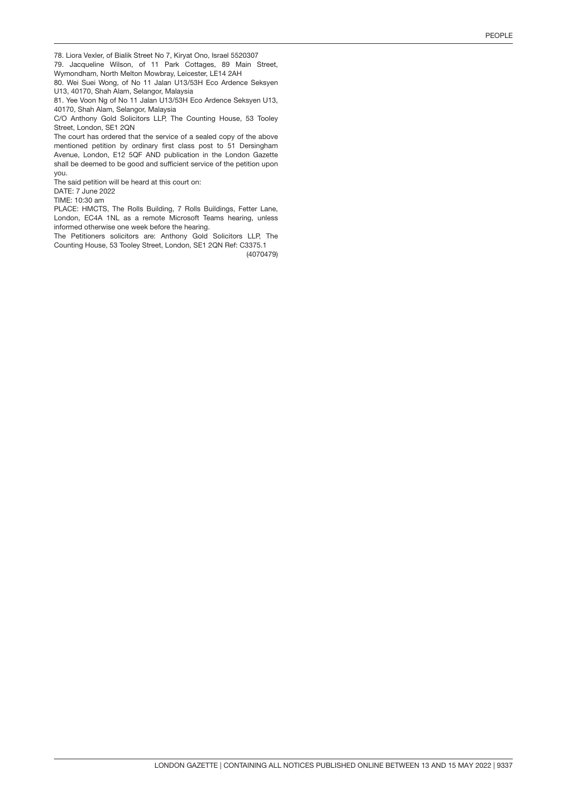78. Liora Vexler, of Bialik Street No 7, Kiryat Ono, Israel 5520307

79. Jacqueline Wilson, of 11 Park Cottages, 89 Main Street, Wymondham, North Melton Mowbray, Leicester, LE14 2AH

80. Wei Suei Wong, of No 11 Jalan U13/53H Eco Ardence Seksyen U13, 40170, Shah Alam, Selangor, Malaysia

81. Yee Voon Ng of No 11 Jalan U13/53H Eco Ardence Seksyen U13, 40170, Shah Alam, Selangor, Malaysia

C/O Anthony Gold Solicitors LLP, The Counting House, 53 Tooley Street, London, SE1 2QN

The court has ordered that the service of a sealed copy of the above mentioned petition by ordinary first class post to 51 Dersingham Avenue, London, E12 5QF AND publication in the London Gazette shall be deemed to be good and sufficient service of the petition upon you.

The said petition will be heard at this court on:

DATE: 7 June 2022

TIME: 10:30 am

PLACE: HMCTS, The Rolls Building, 7 Rolls Buildings, Fetter Lane, London, EC4A 1NL as a remote Microsoft Teams hearing, unless informed otherwise one week before the hearing.

The Petitioners solicitors are: Anthony Gold Solicitors LLP, The Counting House, 53 Tooley Street, London, SE1 2QN Ref: C3375.1

(4070479)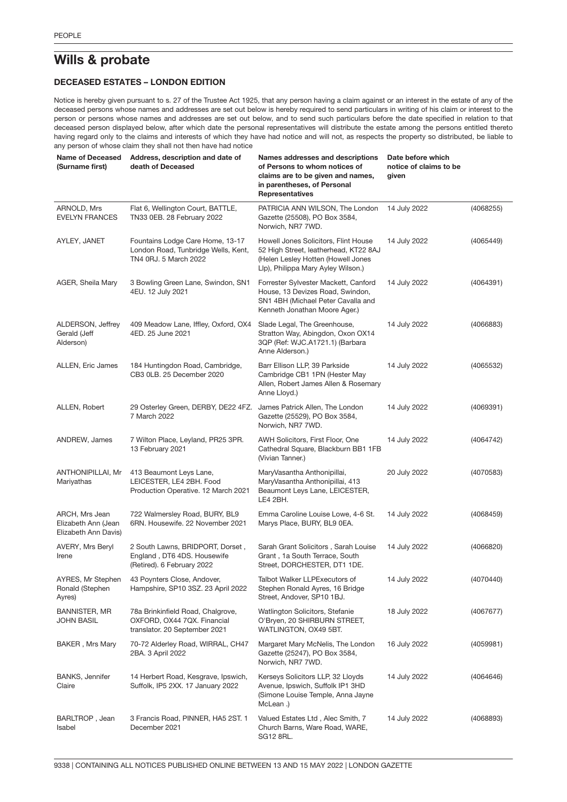# Wills & probate

# DECEASED ESTATES – LONDON EDITION

Notice is hereby given pursuant to s. 27 of the Trustee Act 1925, that any person having a claim against or an interest in the estate of any of the deceased persons whose names and addresses are set out below is hereby required to send particulars in writing of his claim or interest to the person or persons whose names and addresses are set out below, and to send such particulars before the date specified in relation to that deceased person displayed below, after which date the personal representatives will distribute the estate among the persons entitled thereto having regard only to the claims and interests of which they have had notice and will not, as respects the property so distributed, be liable to any person of whose claim they shall not then have had notice

| <b>Name of Deceased</b><br>(Surname first)                    | Address, description and date of<br>death of Deceased                                             | Names addresses and descriptions<br>of Persons to whom notices of<br>claims are to be given and names,<br>in parentheses, of Personal<br>Representatives  | Date before which<br>notice of claims to be<br>given |           |
|---------------------------------------------------------------|---------------------------------------------------------------------------------------------------|-----------------------------------------------------------------------------------------------------------------------------------------------------------|------------------------------------------------------|-----------|
| ARNOLD, Mrs<br><b>EVELYN FRANCES</b>                          | Flat 6, Wellington Court, BATTLE,<br>TN33 0EB. 28 February 2022                                   | PATRICIA ANN WILSON, The London<br>Gazette (25508), PO Box 3584,<br>Norwich, NR7 7WD.                                                                     | 14 July 2022                                         | (4068255) |
| AYLEY, JANET                                                  | Fountains Lodge Care Home, 13-17<br>London Road, Tunbridge Wells, Kent,<br>TN4 0RJ. 5 March 2022  | Howell Jones Solicitors, Flint House<br>52 High Street, leatherhead, KT22 8AJ<br>(Helen Lesley Hotten (Howell Jones<br>Llp), Philippa Mary Ayley Wilson.) | 14 July 2022                                         | (4065449) |
| AGER, Sheila Mary                                             | 3 Bowling Green Lane, Swindon, SN1<br>4EU. 12 July 2021                                           | Forrester Sylvester Mackett, Canford<br>House, 13 Devizes Road, Swindon,<br>SN1 4BH (Michael Peter Cavalla and<br>Kenneth Jonathan Moore Ager.)           | 14 July 2022                                         | (4064391) |
| ALDERSON, Jeffrey<br>Gerald (Jeff<br>Alderson)                | 409 Meadow Lane, Iffley, Oxford, OX4<br>4ED, 25 June 2021                                         | Slade Legal, The Greenhouse,<br>Stratton Way, Abingdon, Oxon OX14<br>3QP (Ref: WJC.A1721.1) (Barbara<br>Anne Alderson.)                                   | 14 July 2022                                         | (4066883) |
| ALLEN, Eric James                                             | 184 Huntingdon Road, Cambridge,<br>CB3 0LB. 25 December 2020                                      | Barr Ellison LLP, 39 Parkside<br>Cambridge CB1 1PN (Hester May<br>Allen, Robert James Allen & Rosemary<br>Anne Lloyd.)                                    | 14 July 2022                                         | (4065532) |
| ALLEN, Robert                                                 | 29 Osterley Green, DERBY, DE22 4FZ. James Patrick Allen, The London<br>7 March 2022               | Gazette (25529), PO Box 3584,<br>Norwich, NR7 7WD.                                                                                                        | 14 July 2022                                         | (4069391) |
| ANDREW, James                                                 | 7 Wilton Place, Leyland, PR25 3PR.<br>13 February 2021                                            | AWH Solicitors, First Floor, One<br>Cathedral Square, Blackburn BB1 1FB<br>(Vivian Tanner.)                                                               | 14 July 2022                                         | (4064742) |
| <b>ANTHONIPILLAI, Mr</b><br>Mariyathas                        | 413 Beaumont Leys Lane,<br>LEICESTER, LE4 2BH. Food<br>Production Operative. 12 March 2021        | MaryVasantha Anthonipillai,<br>MaryVasantha Anthonipillai, 413<br>Beaumont Leys Lane, LEICESTER,<br>LE4 2BH.                                              | 20 July 2022                                         | (4070583) |
| ARCH, Mrs Jean<br>Elizabeth Ann (Jean<br>Elizabeth Ann Davis) | 722 Walmersley Road, BURY, BL9<br>6RN. Housewife. 22 November 2021                                | Emma Caroline Louise Lowe, 4-6 St.<br>Marys Place, BURY, BL9 0EA.                                                                                         | 14 July 2022                                         | (4068459) |
| AVERY, Mrs Beryl<br>Irene                                     | 2 South Lawns, BRIDPORT, Dorset,<br>England, DT6 4DS. Housewife<br>(Retired). 6 February 2022     | Sarah Grant Solicitors, Sarah Louise<br>Grant, 1a South Terrace, South<br>Street, DORCHESTER, DT1 1DE.                                                    | 14 July 2022                                         | (4066820) |
| AYRES, Mr Stephen<br>Ronald (Stephen<br>Ayres)                | 43 Poynters Close, Andover,<br>Hampshire, SP10 3SZ. 23 April 2022                                 | Talbot Walker LLPExecutors of<br>Stephen Ronald Ayres, 16 Bridge<br>Street, Andover, SP10 1BJ.                                                            | 14 July 2022                                         | (4070440) |
| BANNISTER, MR<br><b>JOHN BASIL</b>                            | 78a Brinkinfield Road, Chalgrove,<br>OXFORD, OX44 7QX. Financial<br>translator. 20 September 2021 | Watlington Solicitors, Stefanie<br>O'Bryen, 20 SHIRBURN STREET,<br>WATLINGTON, OX49 5BT.                                                                  | 18 July 2022                                         | (4067677) |
| BAKER, Mrs Mary                                               | 70-72 Alderley Road, WIRRAL, CH47<br>2BA. 3 April 2022                                            | Margaret Mary McNelis, The London<br>Gazette (25247), PO Box 3584,<br>Norwich, NR7 7WD.                                                                   | 16 July 2022                                         | (4059981) |
| <b>BANKS, Jennifer</b><br>Claire                              | 14 Herbert Road, Kesgrave, Ipswich,<br>Suffolk, IP5 2XX. 17 January 2022                          | Kerseys Solicitors LLP, 32 Lloyds<br>Avenue, Ipswich, Suffolk IP1 3HD<br>(Simone Louise Temple, Anna Jayne<br>McLean.)                                    | 14 July 2022                                         | (4064646) |
| BARLTROP, Jean<br>Isabel                                      | 3 Francis Road, PINNER, HA5 2ST. 1<br>December 2021                                               | Valued Estates Ltd, Alec Smith, 7<br>Church Barns, Ware Road, WARE,<br>SG12 8RL.                                                                          | 14 July 2022                                         | (4068893) |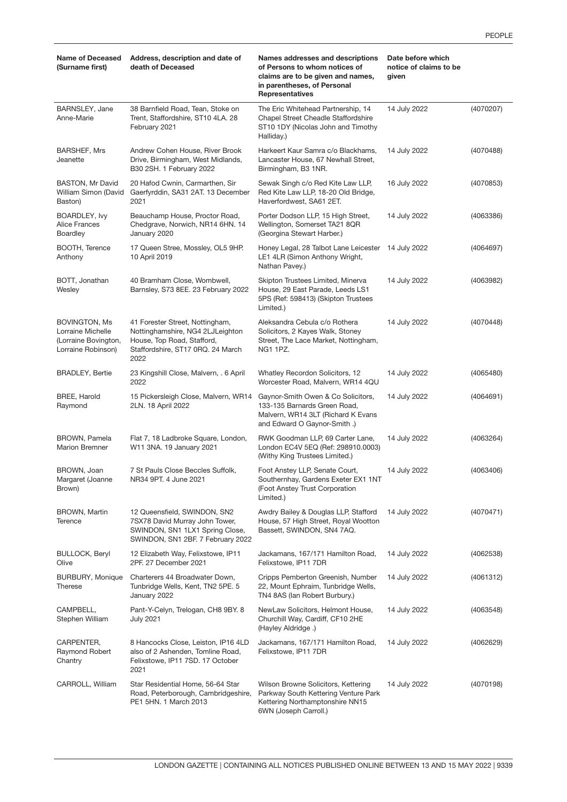| <b>Name of Deceased</b><br>(Surname first)                                       | Address, description and date of<br>death of Deceased                                                                                          | Names addresses and descriptions<br>of Persons to whom notices of<br>claims are to be given and names,<br>in parentheses, of Personal<br><b>Representatives</b> | Date before which<br>notice of claims to be<br>given |           |
|----------------------------------------------------------------------------------|------------------------------------------------------------------------------------------------------------------------------------------------|-----------------------------------------------------------------------------------------------------------------------------------------------------------------|------------------------------------------------------|-----------|
| <b>BARNSLEY, Jane</b><br>Anne-Marie                                              | 38 Barnfield Road, Tean, Stoke on<br>Trent, Staffordshire, ST10 4LA. 28<br>February 2021                                                       | The Eric Whitehead Partnership, 14<br><b>Chapel Street Cheadle Staffordshire</b><br>ST10 1DY (Nicolas John and Timothy<br>Halliday.)                            | 14 July 2022                                         | (4070207) |
| <b>BARSHEF, Mrs</b><br>Jeanette                                                  | Andrew Cohen House, River Brook<br>Drive, Birmingham, West Midlands,<br>B30 2SH. 1 February 2022                                               | Harkeert Kaur Samra c/o Blackhams,<br>Lancaster House, 67 Newhall Street,<br>Birmingham, B3 1NR.                                                                | 14 July 2022                                         | (4070488) |
| <b>BASTON, Mr David</b><br>William Simon (David<br>Baston)                       | 20 Hafod Cwnin, Carmarthen, Sir<br>Gaerfyrddin, SA31 2AT. 13 December<br>2021                                                                  | Sewak Singh c/o Red Kite Law LLP,<br>Red Kite Law LLP, 18-20 Old Bridge,<br>Haverfordwest, SA61 2ET.                                                            | 16 July 2022                                         | (4070853) |
| BOARDLEY, Ivy<br><b>Alice Frances</b><br><b>Boardley</b>                         | Beauchamp House, Proctor Road,<br>Chedgrave, Norwich, NR14 6HN. 14<br>January 2020                                                             | Porter Dodson LLP, 15 High Street,<br>Wellington, Somerset TA21 8QR<br>(Georgina Stewart Harber.)                                                               | 14 July 2022                                         | (4063386) |
| BOOTH, Terence<br>Anthony                                                        | 17 Queen Stree, Mossley, OL5 9HP.<br>10 April 2019                                                                                             | Honey Legal, 28 Talbot Lane Leicester<br>LE1 4LR (Simon Anthony Wright,<br>Nathan Pavey.)                                                                       | 14 July 2022                                         | (4064697) |
| BOTT, Jonathan<br>Wesley                                                         | 40 Bramham Close, Wombwell,<br>Barnsley, S73 8EE. 23 February 2022                                                                             | Skipton Trustees Limited, Minerva<br>House, 29 East Parade, Leeds LS1<br>5PS (Ref: 598413) (Skipton Trustees<br>Limited.)                                       | 14 July 2022                                         | (4063982) |
| BOVINGTON, Ms<br>Lorraine Michelle<br>(Lorraine Bovington,<br>Lorraine Robinson) | 41 Forester Street, Nottingham,<br>Nottinghamshire, NG4 2LJLeighton<br>House, Top Road, Stafford,<br>Staffordshire, ST17 0RQ. 24 March<br>2022 | Aleksandra Cebula c/o Rothera<br>Solicitors, 2 Kayes Walk, Stoney<br>Street, The Lace Market, Nottingham,<br><b>NG1 1PZ.</b>                                    | 14 July 2022                                         | (4070448) |
| <b>BRADLEY, Bertie</b>                                                           | 23 Kingshill Close, Malvern, . 6 April<br>2022                                                                                                 | <b>Whatley Recordon Solicitors, 12</b><br>Worcester Road, Malvern, WR14 4QU                                                                                     | 14 July 2022                                         | (4065480) |
| <b>BREE, Harold</b><br>Raymond                                                   | 15 Pickersleigh Close, Malvern, WR14<br>2LN. 18 April 2022                                                                                     | Gaynor-Smith Owen & Co Solicitors,<br>133-135 Barnards Green Road,<br>Malvern, WR14 3LT (Richard K Evans<br>and Edward O Gaynor-Smith.)                         | 14 July 2022                                         | (4064691) |
| BROWN, Pamela<br><b>Marion Bremner</b>                                           | Flat 7, 18 Ladbroke Square, London,<br>W11 3NA. 19 January 2021                                                                                | RWK Goodman LLP, 69 Carter Lane,<br>London EC4V 5EQ (Ref: 298910.0003)<br>(Withy King Trustees Limited.)                                                        | 14 July 2022                                         | (4063264) |
| BROWN, Joan<br>Margaret (Joanne<br>Brown)                                        | 7 St Pauls Close Beccles Suffolk,<br>NR34 9PT. 4 June 2021                                                                                     | Foot Anstey LLP, Senate Court,<br>Southernhay, Gardens Exeter EX1 1NT<br>(Foot Anstey Trust Corporation<br>Limited.)                                            | 14 July 2022                                         | (4063406) |
| BROWN, Martin<br>Terence                                                         | 12 Queensfield, SWINDON, SN2<br>7SX78 David Murray John Tower,<br>SWINDON, SN1 1LX1 Spring Close,<br>SWINDON, SN1 2BF. 7 February 2022         | Awdry Bailey & Douglas LLP, Stafford<br>House, 57 High Street, Royal Wootton<br>Bassett, SWINDON, SN4 7AQ.                                                      | 14 July 2022                                         | (4070471) |
| <b>BULLOCK, Beryl</b><br>Olive                                                   | 12 Elizabeth Way, Felixstowe, IP11<br>2PF. 27 December 2021                                                                                    | Jackamans, 167/171 Hamilton Road,<br>Felixstowe, IP11 7DR                                                                                                       | 14 July 2022                                         | (4062538) |
| <b>BURBURY, Monique</b><br>Therese                                               | Charterers 44 Broadwater Down,<br>Tunbridge Wells, Kent, TN2 5PE. 5<br>January 2022                                                            | Cripps Pemberton Greenish, Number<br>22, Mount Ephraim, Tunbridge Wells,<br>TN4 8AS (lan Robert Burbury.)                                                       | 14 July 2022                                         | (4061312) |
| CAMPBELL,<br>Stephen William                                                     | Pant-Y-Celyn, Trelogan, CH8 9BY. 8<br><b>July 2021</b>                                                                                         | NewLaw Solicitors, Helmont House,<br>Churchill Way, Cardiff, CF10 2HE<br>(Hayley Aldridge.)                                                                     | 14 July 2022                                         | (4063548) |
| CARPENTER,<br>Raymond Robert<br>Chantry                                          | 8 Hancocks Close, Leiston, IP16 4LD<br>also of 2 Ashenden, Tomline Road,<br>Felixstowe, IP11 7SD. 17 October<br>2021                           | Jackamans, 167/171 Hamilton Road,<br>Felixstowe, IP11 7DR                                                                                                       | 14 July 2022                                         | (4062629) |
| CARROLL, William                                                                 | Star Residential Home, 56-64 Star<br>Road, Peterborough, Cambridgeshire,<br>PE1 5HN. 1 March 2013                                              | Wilson Browne Solicitors, Kettering<br>Parkway South Kettering Venture Park<br>Kettering Northamptonshire NN15<br>6WN (Joseph Carroll.)                         | 14 July 2022                                         | (4070198) |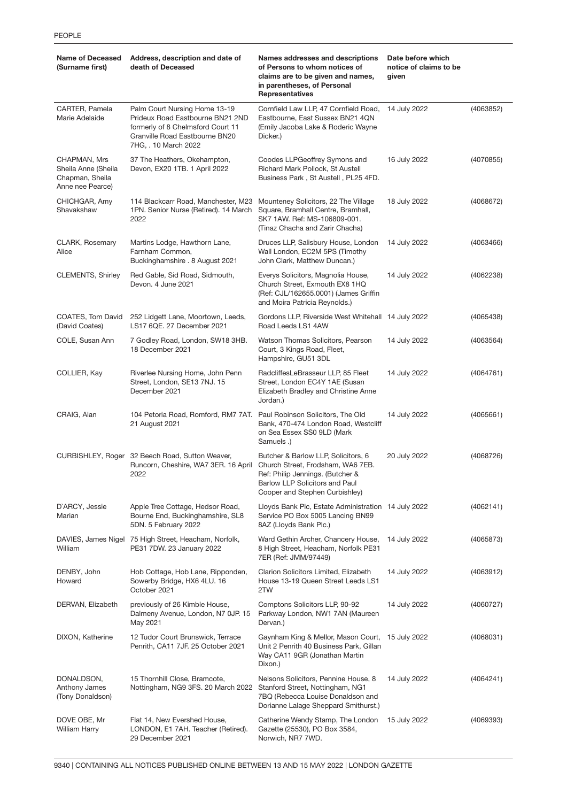| <b>Name of Deceased</b><br>(Surname first)                                 | Address, description and date of<br>death of Deceased                                                                                                            | Names addresses and descriptions<br>of Persons to whom notices of<br>claims are to be given and names,<br>in parentheses, of Personal<br><b>Representatives</b>                  | Date before which<br>notice of claims to be<br>given |           |
|----------------------------------------------------------------------------|------------------------------------------------------------------------------------------------------------------------------------------------------------------|----------------------------------------------------------------------------------------------------------------------------------------------------------------------------------|------------------------------------------------------|-----------|
| CARTER, Pamela<br>Marie Adelaide                                           | Palm Court Nursing Home 13-19<br>Prideux Road Eastbourne BN21 2ND<br>formerly of 8 Chelmsford Court 11<br>Granville Road Eastbourne BN20<br>7HG, . 10 March 2022 | Cornfield Law LLP, 47 Cornfield Road,<br>Eastbourne, East Sussex BN21 4QN<br>(Emily Jacoba Lake & Roderic Wayne<br>Dicker.)                                                      | 14 July 2022                                         | (4063852) |
| CHAPMAN, Mrs<br>Sheila Anne (Sheila<br>Chapman, Sheila<br>Anne nee Pearce) | 37 The Heathers, Okehampton,<br>Devon, EX20 1TB. 1 April 2022                                                                                                    | Coodes LLPGeoffrey Symons and<br>Richard Mark Pollock, St Austell<br>Business Park, St Austell, PL25 4FD.                                                                        | 16 July 2022                                         | (4070855) |
| CHICHGAR, Amy<br>Shavakshaw                                                | 114 Blackcarr Road, Manchester, M23<br>1PN. Senior Nurse (Retired). 14 March<br>2022                                                                             | Mounteney Solicitors, 22 The Village<br>Square, Bramhall Centre, Bramhall,<br>SK7 1AW. Ref: MS-106809-001.<br>(Tinaz Chacha and Zarir Chacha)                                    | 18 July 2022                                         | (4068672) |
| CLARK, Rosemary<br>Alice                                                   | Martins Lodge, Hawthorn Lane,<br>Farnham Common,<br>Buckinghamshire . 8 August 2021                                                                              | Druces LLP, Salisbury House, London<br>Wall London, EC2M 5PS (Timothy<br>John Clark, Matthew Duncan.)                                                                            | 14 July 2022                                         | (4063466) |
| <b>CLEMENTS, Shirley</b>                                                   | Red Gable, Sid Road, Sidmouth,<br>Devon. 4 June 2021                                                                                                             | Everys Solicitors, Magnolia House,<br>Church Street, Exmouth EX8 1HQ<br>(Ref: CJL/162655.0001) (James Griffin<br>and Moira Patricia Reynolds.)                                   | 14 July 2022                                         | (4062238) |
| COATES, Tom David<br>(David Coates)                                        | 252 Lidgett Lane, Moortown, Leeds,<br>LS17 6QE. 27 December 2021                                                                                                 | Gordons LLP, Riverside West Whitehall 14 July 2022<br>Road Leeds LS1 4AW                                                                                                         |                                                      | (4065438) |
| COLE, Susan Ann                                                            | 7 Godley Road, London, SW18 3HB.<br>18 December 2021                                                                                                             | Watson Thomas Solicitors, Pearson<br>Court, 3 Kings Road, Fleet,<br>Hampshire, GU51 3DL                                                                                          | 14 July 2022                                         | (4063564) |
| COLLIER, Kay                                                               | Riverlee Nursing Home, John Penn<br>Street, London, SE13 7NJ. 15<br>December 2021                                                                                | RadcliffesLeBrasseur LLP, 85 Fleet<br>Street, London EC4Y 1AE (Susan<br>Elizabeth Bradley and Christine Anne<br>Jordan.)                                                         | 14 July 2022                                         | (4064761) |
| CRAIG, Alan                                                                | 104 Petoria Road, Romford, RM7 7AT. Paul Robinson Solicitors, The Old<br>21 August 2021                                                                          | Bank, 470-474 London Road, Westcliff<br>on Sea Essex SS0 9LD (Mark<br>Samuels.)                                                                                                  | 14 July 2022                                         | (4065661) |
|                                                                            | CURBISHLEY, Roger 32 Beech Road, Sutton Weaver,<br>Runcorn, Cheshire, WA7 3ER. 16 April<br>2022                                                                  | Butcher & Barlow LLP, Solicitors, 6<br>Church Street, Frodsham, WA6 7EB.<br>Ref: Philip Jennings. (Butcher &<br>Barlow LLP Solicitors and Paul<br>Cooper and Stephen Curbishley) | 20 July 2022                                         | (4068726) |
| D'ARCY, Jessie<br>Marian                                                   | Apple Tree Cottage, Hedsor Road,<br>Bourne End, Buckinghamshire, SL8<br>5DN. 5 February 2022                                                                     | Lloyds Bank Plc, Estate Administration 14 July 2022<br>Service PO Box 5005 Lancing BN99<br>8AZ (Lloyds Bank Plc.)                                                                |                                                      | (4062141) |
| William                                                                    | DAVIES, James Nigel 75 High Street, Heacham, Norfolk,<br>PE31 7DW. 23 January 2022                                                                               | Ward Gethin Archer, Chancery House,<br>8 High Street, Heacham, Norfolk PE31<br>7ER (Ref: JMM/97449)                                                                              | 14 July 2022                                         | (4065873) |
| DENBY, John<br>Howard                                                      | Hob Cottage, Hob Lane, Ripponden,<br>Sowerby Bridge, HX6 4LU. 16<br>October 2021                                                                                 | Clarion Solicitors Limited, Elizabeth<br>House 13-19 Queen Street Leeds LS1<br>2TW                                                                                               | 14 July 2022                                         | (4063912) |
| DERVAN, Elizabeth                                                          | previously of 26 Kimble House,<br>Dalmeny Avenue, London, N7 0JP. 15<br>May 2021                                                                                 | Comptons Solicitors LLP, 90-92<br>Parkway London, NW1 7AN (Maureen<br>Dervan.)                                                                                                   | 14 July 2022                                         | (4060727) |
| DIXON, Katherine                                                           | 12 Tudor Court Brunswick, Terrace<br>Penrith, CA11 7JF. 25 October 2021                                                                                          | Gaynham King & Mellor, Mason Court, 15 July 2022<br>Unit 2 Penrith 40 Business Park, Gillan<br>Way CA11 9GR (Jonathan Martin<br>Dixon.)                                          |                                                      | (4068031) |
| DONALDSON,<br>Anthony James<br>(Tony Donaldson)                            | 15 Thornhill Close, Bramcote,<br>Nottingham, NG9 3FS. 20 March 2022                                                                                              | Nelsons Solicitors, Pennine House, 8<br>Stanford Street, Nottingham, NG1<br>7BQ (Rebecca Louise Donaldson and<br>Dorianne Lalage Sheppard Smithurst.)                            | 14 July 2022                                         | (4064241) |
| DOVE OBE, Mr<br>William Harry                                              | Flat 14, New Evershed House,<br>LONDON, E1 7AH. Teacher (Retired).<br>29 December 2021                                                                           | Catherine Wendy Stamp, The London<br>Gazette (25530), PO Box 3584,<br>Norwich, NR7 7WD.                                                                                          | 15 July 2022                                         | (4069393) |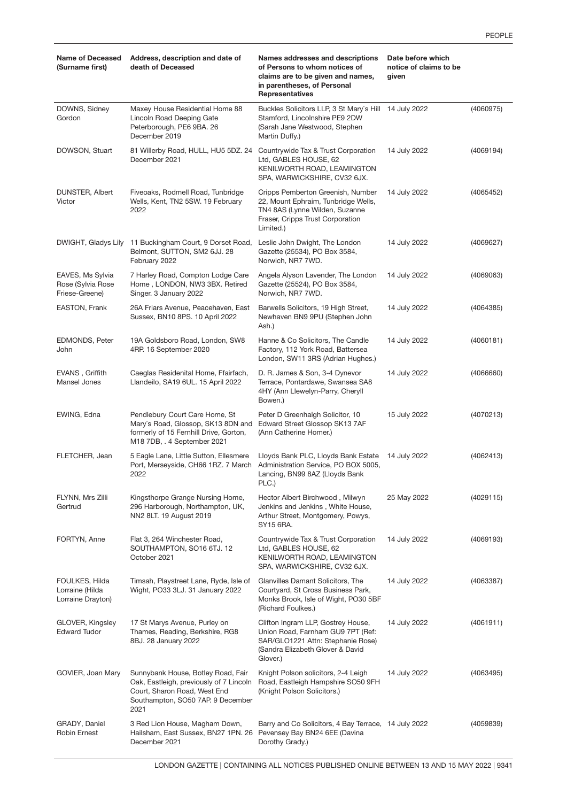| <b>Name of Deceased</b><br>(Surname first)              | Address, description and date of<br>death of Deceased                                                                                                      | Names addresses and descriptions<br>of Persons to whom notices of<br>claims are to be given and names,<br>in parentheses, of Personal<br><b>Representatives</b> | Date before which<br>notice of claims to be<br>given |           |
|---------------------------------------------------------|------------------------------------------------------------------------------------------------------------------------------------------------------------|-----------------------------------------------------------------------------------------------------------------------------------------------------------------|------------------------------------------------------|-----------|
| DOWNS, Sidney<br>Gordon                                 | Maxey House Residential Home 88<br>Lincoln Road Deeping Gate<br>Peterborough, PE6 9BA. 26<br>December 2019                                                 | Buckles Solicitors LLP, 3 St Mary's Hill 14 July 2022<br>Stamford, Lincolnshire PE9 2DW<br>(Sarah Jane Westwood, Stephen<br>Martin Duffy.)                      |                                                      | (4060975) |
| DOWSON, Stuart                                          | 81 Willerby Road, HULL, HU5 5DZ. 24 Countrywide Tax & Trust Corporation<br>December 2021                                                                   | Ltd, GABLES HOUSE, 62<br>KENILWORTH ROAD, LEAMINGTON<br>SPA, WARWICKSHIRE, CV32 6JX.                                                                            | 14 July 2022                                         | (4069194) |
| DUNSTER, Albert<br>Victor                               | Fiveoaks, Rodmell Road, Tunbridge<br>Wells, Kent, TN2 5SW. 19 February<br>2022                                                                             | Cripps Pemberton Greenish, Number<br>22, Mount Ephraim, Tunbridge Wells,<br>TN4 8AS (Lynne Wilden, Suzanne<br>Fraser, Cripps Trust Corporation<br>Limited.)     | 14 July 2022                                         | (4065452) |
| DWIGHT, Gladys Lily                                     | 11 Buckingham Court, 9 Dorset Road,<br>Belmont, SUTTON, SM2 6JJ. 28<br>February 2022                                                                       | Leslie John Dwight, The London<br>Gazette (25534), PO Box 3584,<br>Norwich, NR7 7WD.                                                                            | 14 July 2022                                         | (4069627) |
| EAVES, Ms Sylvia<br>Rose (Sylvia Rose<br>Friese-Greene) | 7 Harley Road, Compton Lodge Care<br>Home, LONDON, NW3 3BX. Retired<br>Singer. 3 January 2022                                                              | Angela Alyson Lavender, The London<br>Gazette (25524), PO Box 3584,<br>Norwich, NR7 7WD.                                                                        | 14 July 2022                                         | (4069063) |
| EASTON, Frank                                           | 26A Friars Avenue, Peacehaven, East<br>Sussex, BN10 8PS. 10 April 2022                                                                                     | Barwells Solicitors, 19 High Street,<br>Newhaven BN9 9PU (Stephen John<br>Ash.)                                                                                 | 14 July 2022                                         | (4064385) |
| EDMONDS, Peter<br>John                                  | 19A Goldsboro Road, London, SW8<br>4RP. 16 September 2020                                                                                                  | Hanne & Co Solicitors, The Candle<br>Factory, 112 York Road, Battersea<br>London, SW11 3RS (Adrian Hughes.)                                                     | 14 July 2022                                         | (4060181) |
| EVANS, Griffith<br><b>Mansel Jones</b>                  | Caeglas Residenital Home, Ffairfach,<br>Llandeilo, SA19 6UL. 15 April 2022                                                                                 | D. R. James & Son, 3-4 Dynevor<br>Terrace, Pontardawe, Swansea SA8<br>4HY (Ann Llewelyn-Parry, Cheryll<br>Bowen.)                                               | 14 July 2022                                         | (4066660) |
| EWING, Edna                                             | Pendlebury Court Care Home, St<br>Mary's Road, Glossop, SK13 8DN and<br>formerly of 15 Fernhill Drive, Gorton,<br>M18 7DB, . 4 September 2021              | Peter D Greenhalgh Solicitor, 10<br>Edward Street Glossop SK13 7AF<br>(Ann Catherine Homer.)                                                                    | 15 July 2022                                         | (4070213) |
| FLETCHER, Jean                                          | 5 Eagle Lane, Little Sutton, Ellesmere<br>Port, Merseyside, CH66 1RZ. 7 March<br>2022                                                                      | Lloyds Bank PLC, Lloyds Bank Estate<br>Administration Service, PO BOX 5005,<br>Lancing, BN99 8AZ (Lloyds Bank<br>PLC.)                                          | 14 July 2022                                         | (4062413) |
| FLYNN, Mrs Zilli<br>Gertrud                             | Kingsthorpe Grange Nursing Home,<br>296 Harborough, Northampton, UK,<br>NN2 8LT. 19 August 2019                                                            | Hector Albert Birchwood, Milwyn<br>Jenkins and Jenkins, White House,<br>Arthur Street, Montgomery, Powys,<br>SY15 6RA.                                          | 25 May 2022                                          | (4029115) |
| FORTYN, Anne                                            | Flat 3, 264 Winchester Road,<br>SOUTHAMPTON, SO16 6TJ. 12<br>October 2021                                                                                  | Countrywide Tax & Trust Corporation<br>Ltd, GABLES HOUSE, 62<br>KENILWORTH ROAD, LEAMINGTON<br>SPA, WARWICKSHIRE, CV32 6JX.                                     | 14 July 2022                                         | (4069193) |
| FOULKES, Hilda<br>Lorraine (Hilda<br>Lorraine Drayton)  | Timsah, Playstreet Lane, Ryde, Isle of<br>Wight, PO33 3LJ. 31 January 2022                                                                                 | Glanvilles Damant Solicitors, The<br>Courtyard, St Cross Business Park,<br>Monks Brook, Isle of Wight, PO30 5BF<br>(Richard Foulkes.)                           | 14 July 2022                                         | (4063387) |
| GLOVER, Kingsley<br><b>Edward Tudor</b>                 | 17 St Marys Avenue, Purley on<br>Thames, Reading, Berkshire, RG8<br>8BJ. 28 January 2022                                                                   | Clifton Ingram LLP, Gostrey House,<br>Union Road, Farnham GU9 7PT (Ref:<br>SAR/GLO1221 Attn: Stephanie Rose)<br>(Sandra Elizabeth Glover & David<br>Glover.)    | 14 July 2022                                         | (4061911) |
| GOVIER, Joan Mary                                       | Sunnybank House, Botley Road, Fair<br>Oak, Eastleigh, previously of 7 Lincoln<br>Court, Sharon Road, West End<br>Southampton, SO50 7AP. 9 December<br>2021 | Knight Polson solicitors, 2-4 Leigh<br>Road, Eastleigh Hampshire SO50 9FH<br>(Knight Polson Solicitors.)                                                        | 14 July 2022                                         | (4063495) |
| GRADY, Daniel<br>Robin Ernest                           | 3 Red Lion House, Magham Down,<br>Hailsham, East Sussex, BN27 1PN. 26 Pevensey Bay BN24 6EE (Davina<br>December 2021                                       | Barry and Co Solicitors, 4 Bay Terrace, 14 July 2022<br>Dorothy Grady.)                                                                                         |                                                      | (4059839) |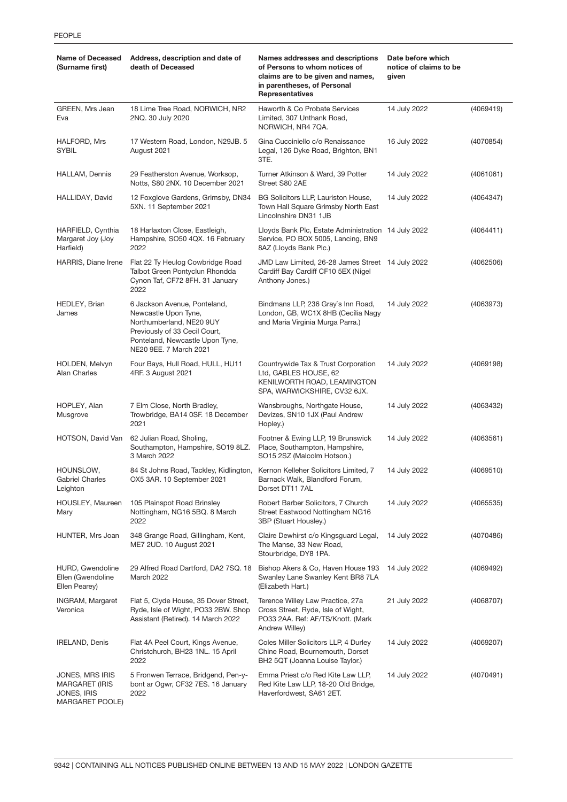| <b>Name of Deceased</b><br>(Surname first)                                 | Address, description and date of<br>death of Deceased                                                                                                                          | Names addresses and descriptions<br>of Persons to whom notices of<br>claims are to be given and names,<br>in parentheses, of Personal<br>Representatives | Date before which<br>notice of claims to be<br>given |           |
|----------------------------------------------------------------------------|--------------------------------------------------------------------------------------------------------------------------------------------------------------------------------|----------------------------------------------------------------------------------------------------------------------------------------------------------|------------------------------------------------------|-----------|
| GREEN, Mrs Jean<br>Eva                                                     | 18 Lime Tree Road, NORWICH, NR2<br>2NQ. 30 July 2020                                                                                                                           | Haworth & Co Probate Services<br>Limited, 307 Unthank Road,<br>NORWICH, NR4 7QA.                                                                         | 14 July 2022                                         | (4069419) |
| HALFORD, Mrs<br>SYBIL                                                      | 17 Western Road, London, N29JB. 5<br>August 2021                                                                                                                               | Gina Cucciniello c/o Renaissance<br>Legal, 126 Dyke Road, Brighton, BN1<br>3TE.                                                                          | 16 July 2022                                         | (4070854) |
| <b>HALLAM, Dennis</b>                                                      | 29 Featherston Avenue, Worksop,<br>Notts, S80 2NX. 10 December 2021                                                                                                            | Turner Atkinson & Ward, 39 Potter<br>Street S80 2AE                                                                                                      | 14 July 2022                                         | (4061061) |
| HALLIDAY, David                                                            | 12 Foxglove Gardens, Grimsby, DN34<br>5XN. 11 September 2021                                                                                                                   | BG Solicitors LLP, Lauriston House,<br>Town Hall Square Grimsby North East<br>Lincolnshire DN31 1JB                                                      | 14 July 2022                                         | (4064347) |
| HARFIELD, Cynthia<br>Margaret Joy (Joy<br>Harfield)                        | 18 Harlaxton Close, Eastleigh,<br>Hampshire, SO50 4QX. 16 February<br>2022                                                                                                     | Lloyds Bank Plc, Estate Administration 14 July 2022<br>Service, PO BOX 5005, Lancing, BN9<br>8AZ (Lloyds Bank Plc.)                                      |                                                      | (4064411) |
| HARRIS, Diane Irene                                                        | Flat 22 Ty Heulog Cowbridge Road<br>Talbot Green Pontyclun Rhondda<br>Cynon Taf, CF72 8FH. 31 January<br>2022                                                                  | JMD Law Limited, 26-28 James Street 14 July 2022<br>Cardiff Bay Cardiff CF10 5EX (Nigel<br>Anthony Jones.)                                               |                                                      | (4062506) |
| HEDLEY, Brian<br>James                                                     | 6 Jackson Avenue, Ponteland,<br>Newcastle Upon Tyne,<br>Northumberland, NE20 9UY<br>Previously of 33 Cecil Court,<br>Ponteland, Newcastle Upon Tyne,<br>NE20 9EE, 7 March 2021 | Bindmans LLP, 236 Gray's Inn Road,<br>London, GB, WC1X 8HB (Cecília Nagy<br>and Maria Virginia Murga Parra.)                                             | 14 July 2022                                         | (4063973) |
| HOLDEN, Melvyn<br>Alan Charles                                             | Four Bays, Hull Road, HULL, HU11<br>4RF. 3 August 2021                                                                                                                         | Countrywide Tax & Trust Corporation<br>Ltd, GABLES HOUSE, 62<br>KENILWORTH ROAD, LEAMINGTON<br>SPA, WARWICKSHIRE, CV32 6JX.                              | 14 July 2022                                         | (4069198) |
| HOPLEY, Alan<br>Musgrove                                                   | 7 Elm Close, North Bradley,<br>Trowbridge, BA14 0SF, 18 December<br>2021                                                                                                       | Wansbroughs, Northgate House,<br>Devizes, SN10 1JX (Paul Andrew<br>Hopley.)                                                                              | 14 July 2022                                         | (4063432) |
| HOTSON, David Van                                                          | 62 Julian Road, Sholing,<br>Southampton, Hampshire, SO19 8LZ.<br>3 March 2022                                                                                                  | Footner & Ewing LLP, 19 Brunswick<br>Place, Southampton, Hampshire,<br>SO15 2SZ (Malcolm Hotson.)                                                        | 14 July 2022                                         | (4063561) |
| HOUNSLOW,<br><b>Gabriel Charles</b><br>Leighton                            | 84 St Johns Road, Tackley, Kidlington,<br>OX5 3AR. 10 September 2021                                                                                                           | Kernon Kelleher Solicitors Limited, 7<br>Barnack Walk, Blandford Forum,<br>Dorset DT11 7AL                                                               | 14 July 2022                                         | (4069510) |
| HOUSLEY, Maureen<br>Mary                                                   | 105 Plainspot Road Brinsley<br>Nottingham, NG16 5BQ. 8 March<br>2022                                                                                                           | Robert Barber Solicitors, 7 Church<br>Street Eastwood Nottingham NG16<br>3BP (Stuart Housley.)                                                           | 14 July 2022                                         | (4065535) |
| HUNTER, Mrs Joan                                                           | 348 Grange Road, Gillingham, Kent,<br>ME7 2UD. 10 August 2021                                                                                                                  | Claire Dewhirst c/o Kingsguard Legal,<br>The Manse, 33 New Road,<br>Stourbridge, DY8 1PA.                                                                | 14 July 2022                                         | (4070486) |
| HURD, Gwendoline<br>Ellen (Gwendoline<br>Ellen Pearey)                     | 29 Alfred Road Dartford, DA2 7SQ. 18<br><b>March 2022</b>                                                                                                                      | Bishop Akers & Co, Haven House 193<br>Swanley Lane Swanley Kent BR8 7LA<br>(Elizabeth Hart.)                                                             | 14 July 2022                                         | (4069492) |
| INGRAM, Margaret<br>Veronica                                               | Flat 5, Clyde House, 35 Dover Street,<br>Ryde, Isle of Wight, PO33 2BW. Shop<br>Assistant (Retired). 14 March 2022                                                             | Terence Willey Law Practice, 27a<br>Cross Street, Ryde, Isle of Wight,<br>PO33 2AA. Ref: AF/TS/Knott. (Mark<br>Andrew Willey)                            | 21 July 2022                                         | (4068707) |
| <b>IRELAND, Denis</b>                                                      | Flat 4A Peel Court, Kings Avenue,<br>Christchurch, BH23 1NL. 15 April<br>2022                                                                                                  | Coles Miller Solicitors LLP, 4 Durley<br>Chine Road, Bournemouth, Dorset<br>BH2 5QT (Joanna Louise Taylor.)                                              | 14 July 2022                                         | (4069207) |
| JONES, MRS IRIS<br><b>MARGARET (IRIS</b><br>JONES, IRIS<br>MARGARET POOLE) | 5 Fronwen Terrace, Bridgend, Pen-y-<br>bont ar Ogwr, CF32 7ES. 16 January<br>2022                                                                                              | Emma Priest c/o Red Kite Law LLP,<br>Red Kite Law LLP, 18-20 Old Bridge,<br>Haverfordwest, SA61 2ET.                                                     | 14 July 2022                                         | (4070491) |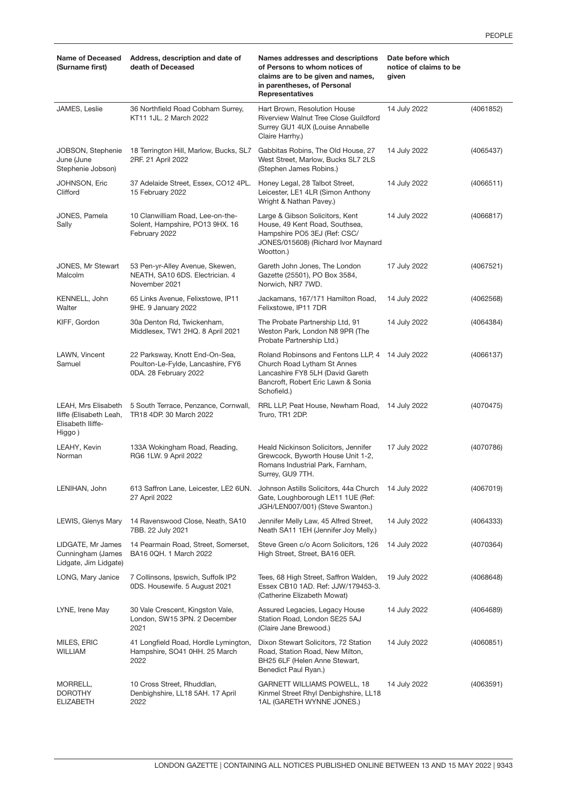| <b>Name of Deceased</b><br>(Surname first)                                    | Address, description and date of<br>death of Deceased                                        | Names addresses and descriptions<br>of Persons to whom notices of<br>claims are to be given and names,<br>in parentheses, of Personal<br><b>Representatives</b>          | Date before which<br>notice of claims to be<br>given |           |
|-------------------------------------------------------------------------------|----------------------------------------------------------------------------------------------|--------------------------------------------------------------------------------------------------------------------------------------------------------------------------|------------------------------------------------------|-----------|
| JAMES, Leslie                                                                 | 36 Northfield Road Cobham Surrey,<br>KT11 1JL, 2 March 2022                                  | Hart Brown, Resolution House<br><b>Riverview Walnut Tree Close Guildford</b><br>Surrey GU1 4UX (Louise Annabelle<br>Claire Harrhy.)                                      | 14 July 2022                                         | (4061852) |
| JOBSON, Stephenie<br>June (June<br>Stephenie Jobson)                          | 18 Terrington Hill, Marlow, Bucks, SL7<br>2RF. 21 April 2022                                 | Gabbitas Robins, The Old House, 27<br>West Street, Marlow, Bucks SL7 2LS<br>(Stephen James Robins.)                                                                      | 14 July 2022                                         | (4065437) |
| JOHNSON, Eric<br>Clifford                                                     | 37 Adelaide Street, Essex, CO12 4PL.<br>15 February 2022                                     | Honey Legal, 28 Talbot Street,<br>Leicester, LE1 4LR (Simon Anthony<br>Wright & Nathan Pavey.)                                                                           | 14 July 2022                                         | (4066511) |
| JONES, Pamela<br>Sally                                                        | 10 Clanwilliam Road, Lee-on-the-<br>Solent, Hampshire, PO13 9HX. 16<br>February 2022         | Large & Gibson Solicitors, Kent<br>House, 49 Kent Road, Southsea,<br>Hampshire PO5 3EJ (Ref: CSC/<br>JONES/015608) (Richard Ivor Maynard<br>Wootton.)                    | 14 July 2022                                         | (4066817) |
| JONES, Mr Stewart<br>Malcolm                                                  | 53 Pen-yr-Alley Avenue, Skewen,<br>NEATH, SA10 6DS. Electrician. 4<br>November 2021          | Gareth John Jones, The London<br>Gazette (25501), PO Box 3584,<br>Norwich, NR7 7WD.                                                                                      | 17 July 2022                                         | (4067521) |
| KENNELL, John<br>Walter                                                       | 65 Links Avenue, Felixstowe, IP11<br>9HE. 9 January 2022                                     | Jackamans, 167/171 Hamilton Road,<br>Felixstowe, IP11 7DR                                                                                                                | 14 July 2022                                         | (4062568) |
| KIFF, Gordon                                                                  | 30a Denton Rd, Twickenham,<br>Middlesex, TW1 2HQ. 8 April 2021                               | The Probate Partnership Ltd, 91<br>Weston Park, London N8 9PR (The<br>Probate Partnership Ltd.)                                                                          | 14 July 2022                                         | (4064384) |
| LAWN, Vincent<br>Samuel                                                       | 22 Parksway, Knott End-On-Sea,<br>Poulton-Le-Fylde, Lancashire, FY6<br>0DA. 28 February 2022 | Roland Robinsons and Fentons LLP, 4 14 July 2022<br>Church Road Lytham St Annes<br>Lancashire FY8 5LH (David Gareth<br>Bancroft, Robert Eric Lawn & Sonia<br>Schofield.) |                                                      | (4066137) |
| LEAH, Mrs Elisabeth<br>Iliffe (Elisabeth Leah,<br>Elisabeth Iliffe-<br>Higgo) | 5 South Terrace, Penzance, Cornwall,<br>TR18 4DP. 30 March 2022                              | RRL LLP, Peat House, Newham Road,<br>Truro, TR1 2DP.                                                                                                                     | 14 July 2022                                         | (4070475) |
| LEAHY, Kevin<br>Norman                                                        | 133A Wokingham Road, Reading,<br>RG6 1LW. 9 April 2022                                       | Heald Nickinson Solicitors, Jennifer<br>Grewcock, Byworth House Unit 1-2,<br>Romans Industrial Park, Farnham,<br>Surrey, GU9 7TH.                                        | 17 July 2022                                         | (4070786) |
| LENIHAN, John                                                                 | 613 Saffron Lane, Leicester, LE2 6UN.<br>27 April 2022                                       | Johnson Astills Solicitors, 44a Church<br>Gate, Loughborough LE11 1UE (Ref:<br>JGH/LEN007/001) (Steve Swanton.)                                                          | 14 July 2022                                         | (4067019) |
| LEWIS, Glenys Mary                                                            | 14 Ravenswood Close, Neath, SA10<br>7BB. 22 July 2021                                        | Jennifer Melly Law, 45 Alfred Street,<br>Neath SA11 1EH (Jennifer Joy Melly.)                                                                                            | 14 July 2022                                         | (4064333) |
| LIDGATE, Mr James<br>Cunningham (James<br>Lidgate, Jim Lidgate)               | 14 Pearmain Road, Street, Somerset,<br>BA16 0QH. 1 March 2022                                | Steve Green c/o Acorn Solicitors, 126<br>High Street, Street, BA16 0ER.                                                                                                  | 14 July 2022                                         | (4070364) |
| LONG, Mary Janice                                                             | 7 Collinsons, Ipswich, Suffolk IP2<br>0DS. Housewife. 5 August 2021                          | Tees, 68 High Street, Saffron Walden,<br>Essex CB10 1AD. Ref: JJW/179453-3.<br>(Catherine Elizabeth Mowat)                                                               | 19 July 2022                                         | (4068648) |
| LYNE, Irene May                                                               | 30 Vale Crescent, Kingston Vale,<br>London, SW15 3PN. 2 December<br>2021                     | Assured Legacies, Legacy House<br>Station Road, London SE25 5AJ<br>(Claire Jane Brewood.)                                                                                | 14 July 2022                                         | (4064689) |
| MILES, ERIC<br>WILLIAM                                                        | 41 Longfield Road, Hordle Lymington,<br>Hampshire, SO41 0HH. 25 March<br>2022                | Dixon Stewart Solicitors, 72 Station<br>Road, Station Road, New Milton,<br>BH25 6LF (Helen Anne Stewart,<br>Benedict Paul Ryan.)                                         | 14 July 2022                                         | (4060851) |
| MORRELL,<br>DOROTHY<br><b>ELIZABETH</b>                                       | 10 Cross Street, Rhuddlan,<br>Denbighshire, LL18 5AH. 17 April<br>2022                       | <b>GARNETT WILLIAMS POWELL, 18</b><br>Kinmel Street Rhyl Denbighshire, LL18<br>1AL (GARETH WYNNE JONES.)                                                                 | 14 July 2022                                         | (4063591) |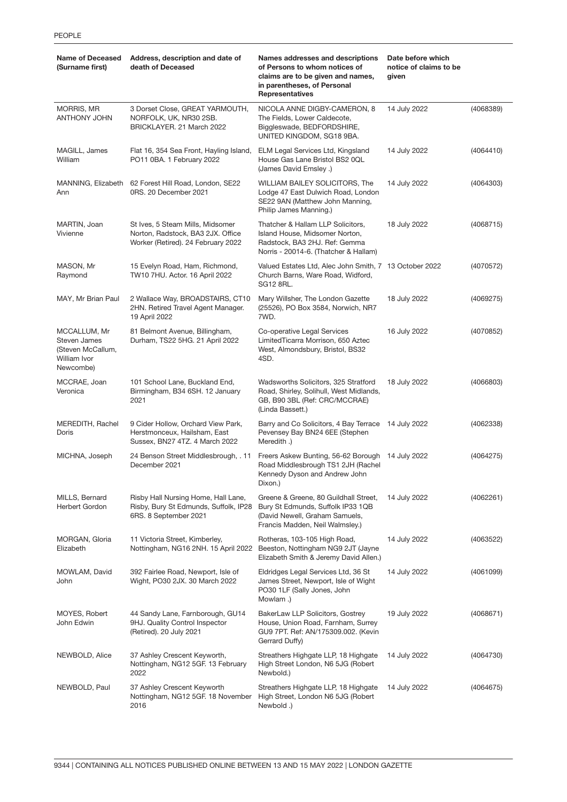| <b>Name of Deceased</b><br>(Surname first)                                     | Address, description and date of<br>death of Deceased                                                       | Names addresses and descriptions<br>of Persons to whom notices of<br>claims are to be given and names,<br>in parentheses, of Personal<br><b>Representatives</b> | Date before which<br>notice of claims to be<br>given |           |
|--------------------------------------------------------------------------------|-------------------------------------------------------------------------------------------------------------|-----------------------------------------------------------------------------------------------------------------------------------------------------------------|------------------------------------------------------|-----------|
| MORRIS, MR<br><b>ANTHONY JOHN</b>                                              | 3 Dorset Close, GREAT YARMOUTH,<br>NORFOLK, UK, NR30 2SB.<br>BRICKLAYER. 21 March 2022                      | NICOLA ANNE DIGBY-CAMERON, 8<br>The Fields, Lower Caldecote,<br>Biggleswade, BEDFORDSHIRE,<br>UNITED KINGDOM, SG18 9BA.                                         | 14 July 2022                                         | (4068389) |
| MAGILL, James<br>William                                                       | Flat 16, 354 Sea Front, Hayling Island,<br>PO11 0BA. 1 February 2022                                        | ELM Legal Services Ltd, Kingsland<br>House Gas Lane Bristol BS2 0QL<br>(James David Emsley .)                                                                   | 14 July 2022                                         | (4064410) |
| MANNING, Elizabeth<br>Ann                                                      | 62 Forest Hill Road, London, SE22<br>0RS. 20 December 2021                                                  | <b>WILLIAM BAILEY SOLICITORS, The</b><br>Lodge 47 East Dulwich Road, London<br>SE22 9AN (Matthew John Manning,<br>Philip James Manning.)                        | 14 July 2022                                         | (4064303) |
| MARTIN, Joan<br>Vivienne                                                       | St Ives, 5 Steam Mills, Midsomer<br>Norton, Radstock, BA3 2JX. Office<br>Worker (Retired). 24 February 2022 | Thatcher & Hallam LLP Solicitors,<br>Island House, Midsomer Norton,<br>Radstock, BA3 2HJ. Ref: Gemma<br>Norris - 20014-6. (Thatcher & Hallam)                   | 18 July 2022                                         | (4068715) |
| MASON, Mr<br>Raymond                                                           | 15 Evelyn Road, Ham, Richmond,<br>TW10 7HU. Actor. 16 April 2022                                            | Valued Estates Ltd, Alec John Smith, 7 13 October 2022<br>Church Barns, Ware Road, Widford,<br>SG12 8RL.                                                        |                                                      | (4070572) |
| MAY, Mr Brian Paul                                                             | 2 Wallace Way, BROADSTAIRS, CT10<br>2HN. Retired Travel Agent Manager.<br>19 April 2022                     | Mary Willsher, The London Gazette<br>(25526), PO Box 3584, Norwich, NR7<br>7WD.                                                                                 | 18 July 2022                                         | (4069275) |
| MCCALLUM, Mr<br>Steven James<br>(Steven McCallum,<br>William Ivor<br>Newcombe) | 81 Belmont Avenue, Billingham,<br>Durham, TS22 5HG. 21 April 2022                                           | Co-operative Legal Services<br>LimitedTicarra Morrison, 650 Aztec<br>West, Almondsbury, Bristol, BS32<br>4SD.                                                   | 16 July 2022                                         | (4070852) |
| MCCRAE, Joan<br>Veronica                                                       | 101 School Lane, Buckland End,<br>Birmingham, B34 6SH. 12 January<br>2021                                   | Wadsworths Solicitors, 325 Stratford<br>Road, Shirley, Solihull, West Midlands,<br>GB, B90 3BL (Ref: CRC/MCCRAE)<br>(Linda Bassett.)                            | 18 July 2022                                         | (4066803) |
| MEREDITH, Rachel<br>Doris                                                      | 9 Cider Hollow, Orchard View Park,<br>Herstmonceux, Hailsham, East<br>Sussex, BN27 4TZ. 4 March 2022        | Barry and Co Solicitors, 4 Bay Terrace<br>Pevensey Bay BN24 6EE (Stephen<br>Meredith .)                                                                         | 14 July 2022                                         | (4062338) |
| MICHNA, Joseph                                                                 | 24 Benson Street Middlesbrough, . 11<br>December 2021                                                       | Freers Askew Bunting, 56-62 Borough<br>Road Middlesbrough TS1 2JH (Rachel<br>Kennedy Dyson and Andrew John<br>Dixon.)                                           | 14 July 2022                                         | (4064275) |
| MILLS, Bernard<br>Herbert Gordon                                               | Risby Hall Nursing Home, Hall Lane,<br>Risby, Bury St Edmunds, Suffolk, IP28<br>6RS. 8 September 2021       | Greene & Greene, 80 Guildhall Street,<br>Bury St Edmunds, Suffolk IP33 1QB<br>(David Newell, Graham Samuels,<br>Francis Madden, Neil Walmsley.)                 | 14 July 2022                                         | (4062261) |
| MORGAN, Gloria<br>Elizabeth                                                    | 11 Victoria Street, Kimberley,<br>Nottingham, NG16 2NH. 15 April 2022                                       | Rotheras, 103-105 High Road,<br>Beeston, Nottingham NG9 2JT (Jayne<br>Elizabeth Smith & Jeremy David Allen.)                                                    | 14 July 2022                                         | (4063522) |
| MOWLAM, David<br>John                                                          | 392 Fairlee Road, Newport, Isle of<br>Wight, PO30 2JX. 30 March 2022                                        | Eldridges Legal Services Ltd, 36 St<br>James Street, Newport, Isle of Wight<br>PO30 1LF (Sally Jones, John<br>Mowlam.)                                          | 14 July 2022                                         | (4061099) |
| MOYES, Robert<br>John Edwin                                                    | 44 Sandy Lane, Farnborough, GU14<br>9HJ. Quality Control Inspector<br>(Retired). 20 July 2021               | BakerLaw LLP Solicitors, Gostrey<br>House, Union Road, Farnham, Surrey<br>GU9 7PT. Ref: AN/175309.002. (Kevin<br>Gerrard Duffy)                                 | 19 July 2022                                         | (4068671) |
| NEWBOLD, Alice                                                                 | 37 Ashley Crescent Keyworth,<br>Nottingham, NG12 5GF. 13 February<br>2022                                   | Streathers Highgate LLP, 18 Highgate<br>High Street London, N6 5JG (Robert<br>Newbold.)                                                                         | 14 July 2022                                         | (4064730) |
| NEWBOLD, Paul                                                                  | 37 Ashley Crescent Keyworth<br>Nottingham, NG12 5GF. 18 November<br>2016                                    | Streathers Highgate LLP, 18 Highgate<br>High Street, London N6 5JG (Robert<br>Newbold .)                                                                        | 14 July 2022                                         | (4064675) |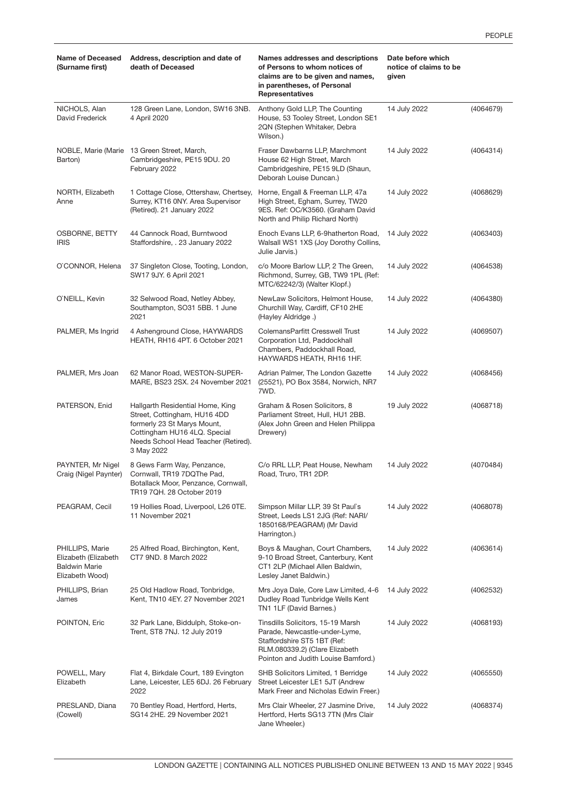| <b>Name of Deceased</b><br>(Surname first)                                         | Address, description and date of<br>death of Deceased                                                                                                                                 | Names addresses and descriptions<br>of Persons to whom notices of<br>claims are to be given and names,<br>in parentheses, of Personal<br><b>Representatives</b>            | Date before which<br>notice of claims to be<br>given |           |
|------------------------------------------------------------------------------------|---------------------------------------------------------------------------------------------------------------------------------------------------------------------------------------|----------------------------------------------------------------------------------------------------------------------------------------------------------------------------|------------------------------------------------------|-----------|
| NICHOLS, Alan<br>David Frederick                                                   | 128 Green Lane, London, SW16 3NB.<br>4 April 2020                                                                                                                                     | Anthony Gold LLP, The Counting<br>House, 53 Tooley Street, London SE1<br>2QN (Stephen Whitaker, Debra<br>Wilson.)                                                          | 14 July 2022                                         | (4064679) |
| Barton)                                                                            | NOBLE, Marie (Marie 13 Green Street, March,<br>Cambridgeshire, PE15 9DU. 20<br>February 2022                                                                                          | Fraser Dawbarns LLP, Marchmont<br>House 62 High Street, March<br>Cambridgeshire, PE15 9LD (Shaun,<br>Deborah Louise Duncan.)                                               | 14 July 2022                                         | (4064314) |
| NORTH, Elizabeth<br>Anne                                                           | 1 Cottage Close, Ottershaw, Chertsey,<br>Surrey, KT16 0NY. Area Supervisor<br>(Retired). 21 January 2022                                                                              | Horne, Engall & Freeman LLP, 47a<br>High Street, Egham, Surrey, TW20<br>9ES. Ref: OC/K3560. (Graham David<br>North and Philip Richard North)                               | 14 July 2022                                         | (4068629) |
| OSBORNE, BETTY<br><b>IRIS</b>                                                      | 44 Cannock Road, Burntwood<br>Staffordshire, . 23 January 2022                                                                                                                        | Enoch Evans LLP, 6-9hatherton Road,<br>Walsall WS1 1XS (Joy Dorothy Collins,<br>Julie Jarvis.)                                                                             | 14 July 2022                                         | (4063403) |
| O`CONNOR, Helena                                                                   | 37 Singleton Close, Tooting, London,<br>SW17 9JY. 6 April 2021                                                                                                                        | c/o Moore Barlow LLP, 2 The Green,<br>Richmond, Surrey, GB, TW9 1PL (Ref:<br>MTC/62242/3) (Walter Klopf.)                                                                  | 14 July 2022                                         | (4064538) |
| O'NEILL, Kevin                                                                     | 32 Selwood Road, Netley Abbey,<br>Southampton, SO31 5BB. 1 June<br>2021                                                                                                               | NewLaw Solicitors, Helmont House,<br>Churchill Way, Cardiff, CF10 2HE<br>(Hayley Aldridge.)                                                                                | 14 July 2022                                         | (4064380) |
| PALMER, Ms Ingrid                                                                  | 4 Ashenground Close, HAYWARDS<br>HEATH, RH16 4PT. 6 October 2021                                                                                                                      | ColemansParfitt Cresswell Trust<br>Corporation Ltd, Paddockhall<br>Chambers, Paddockhall Road,<br>HAYWARDS HEATH, RH16 1HF.                                                | 14 July 2022                                         | (4069507) |
| PALMER, Mrs Joan                                                                   | 62 Manor Road, WESTON-SUPER-<br>MARE, BS23 2SX. 24 November 2021                                                                                                                      | Adrian Palmer, The London Gazette<br>(25521), PO Box 3584, Norwich, NR7<br>7WD.                                                                                            | 14 July 2022                                         | (4068456) |
| PATERSON, Enid                                                                     | Hallgarth Residential Home, King<br>Street, Cottingham, HU16 4DD<br>formerly 23 St Marys Mount,<br>Cottingham HU16 4LQ. Special<br>Needs School Head Teacher (Retired).<br>3 May 2022 | Graham & Rosen Solicitors, 8<br>Parliament Street, Hull, HU1 2BB.<br>(Alex John Green and Helen Philippa<br>Drewery)                                                       | 19 July 2022                                         | (4068718) |
| PAYNTER, Mr Nigel<br>Craig (Nigel Paynter)                                         | 8 Gews Farm Way, Penzance,<br>Cornwall, TR19 7DQThe Pad,<br>Botallack Moor, Penzance, Cornwall,<br>TR19 7QH, 28 October 2019                                                          | C/o RRL LLP, Peat House, Newham<br>Road, Truro, TR1 2DP.                                                                                                                   | 14 July 2022                                         | (4070484) |
| PEAGRAM, Cecil                                                                     | 19 Hollies Road, Liverpool, L26 OTE.<br>11 November 2021                                                                                                                              | Simpson Millar LLP, 39 St Paul's<br>Street, Leeds LS1 2JG (Ref: NARI/<br>1850168/PEAGRAM) (Mr David<br>Harrington.)                                                        | 14 July 2022                                         | (4068078) |
| PHILLIPS, Marie<br>Elizabeth (Elizabeth<br><b>Baldwin Marie</b><br>Elizabeth Wood) | 25 Alfred Road, Birchington, Kent,<br>CT7 9ND. 8 March 2022                                                                                                                           | Boys & Maughan, Court Chambers,<br>9-10 Broad Street, Canterbury, Kent<br>CT1 2LP (Michael Allen Baldwin,<br>Lesley Janet Baldwin.)                                        | 14 July 2022                                         | (4063614) |
| PHILLIPS, Brian<br>James                                                           | 25 Old Hadlow Road, Tonbridge,<br>Kent, TN10 4EY. 27 November 2021                                                                                                                    | Mrs Joya Dale, Core Law Limited, 4-6<br>Dudley Road Tunbridge Wells Kent<br>TN1 1LF (David Barnes.)                                                                        | 14 July 2022                                         | (4062532) |
| POINTON, Eric                                                                      | 32 Park Lane, Biddulph, Stoke-on-<br>Trent, ST8 7NJ. 12 July 2019                                                                                                                     | Tinsdills Solicitors, 15-19 Marsh<br>Parade, Newcastle-under-Lyme,<br>Staffordshire ST5 1BT (Ref:<br>RLM.080339.2) (Clare Elizabeth<br>Pointon and Judith Louise Bamford.) | 14 July 2022                                         | (4068193) |
| POWELL, Mary<br>Elizabeth                                                          | Flat 4, Birkdale Court, 189 Evington<br>Lane, Leicester, LE5 6DJ. 26 February<br>2022                                                                                                 | SHB Solicitors Limited, 1 Berridge<br>Street Leicester LE1 5JT (Andrew<br>Mark Freer and Nicholas Edwin Freer.)                                                            | 14 July 2022                                         | (4065550) |
| PRESLAND, Diana<br>(Cowell)                                                        | 70 Bentley Road, Hertford, Herts,<br>SG14 2HE. 29 November 2021                                                                                                                       | Mrs Clair Wheeler, 27 Jasmine Drive,<br>Hertford, Herts SG13 7TN (Mrs Clair<br>Jane Wheeler.)                                                                              | 14 July 2022                                         | (4068374) |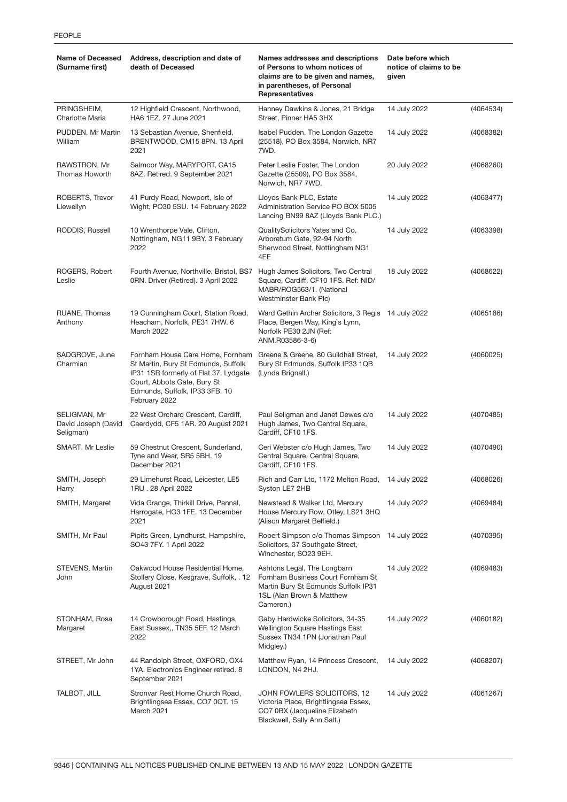| <b>Name of Deceased</b><br>(Surname first)       | Address, description and date of<br>death of Deceased                                                                                                                                              | Names addresses and descriptions<br>of Persons to whom notices of<br>claims are to be given and names,<br>in parentheses, of Personal<br>Representatives | Date before which<br>notice of claims to be<br>given |           |
|--------------------------------------------------|----------------------------------------------------------------------------------------------------------------------------------------------------------------------------------------------------|----------------------------------------------------------------------------------------------------------------------------------------------------------|------------------------------------------------------|-----------|
| PRINGSHEIM,<br>Charlotte Maria                   | 12 Highfield Crescent, Northwood,<br>HA6 1EZ, 27 June 2021                                                                                                                                         | Hanney Dawkins & Jones, 21 Bridge<br>Street, Pinner HA5 3HX                                                                                              | 14 July 2022                                         | (4064534) |
| PUDDEN, Mr Martin<br>William                     | 13 Sebastian Avenue, Shenfield,<br>BRENTWOOD, CM15 8PN. 13 April<br>2021                                                                                                                           | Isabel Pudden, The London Gazette<br>(25518), PO Box 3584, Norwich, NR7<br>7WD.                                                                          | 14 July 2022                                         | (4068382) |
| RAWSTRON, Mr<br>Thomas Howorth                   | Salmoor Way, MARYPORT, CA15<br>8AZ. Retired. 9 September 2021                                                                                                                                      | Peter Leslie Foster, The London<br>Gazette (25509), PO Box 3584,<br>Norwich, NR7 7WD.                                                                    | 20 July 2022                                         | (4068260) |
| ROBERTS, Trevor<br>Llewellyn                     | 41 Purdy Road, Newport, Isle of<br>Wight, PO30 5SU. 14 February 2022                                                                                                                               | Lloyds Bank PLC, Estate<br>Administration Service PO BOX 5005<br>Lancing BN99 8AZ (Lloyds Bank PLC.)                                                     | 14 July 2022                                         | (4063477) |
| RODDIS, Russell                                  | 10 Wrenthorpe Vale, Clifton,<br>Nottingham, NG11 9BY. 3 February<br>2022                                                                                                                           | QualitySolicitors Yates and Co,<br>Arboretum Gate, 92-94 North<br>Sherwood Street, Nottingham NG1<br>4EE                                                 | 14 July 2022                                         | (4063398) |
| ROGERS, Robert<br>Leslie                         | Fourth Avenue, Northville, Bristol, BS7<br>0RN. Driver (Retired). 3 April 2022                                                                                                                     | Hugh James Solicitors, Two Central<br>Square, Cardiff, CF10 1FS. Ref: NID/<br>MABR/ROG563/1. (National<br>Westminster Bank Plc)                          | 18 July 2022                                         | (4068622) |
| RUANE, Thomas<br>Anthony                         | 19 Cunningham Court, Station Road,<br>Heacham, Norfolk, PE31 7HW. 6<br><b>March 2022</b>                                                                                                           | Ward Gethin Archer Solicitors, 3 Regis 14 July 2022<br>Place, Bergen Way, King's Lynn,<br>Norfolk PE30 2JN (Ref:<br>ANM.R03586-3-6)                      |                                                      | (4065186) |
| SADGROVE, June<br>Charmian                       | Fornham House Care Home, Fornham<br>St Martin, Bury St Edmunds, Suffolk<br>IP31 1SR formerly of Flat 37, Lydgate<br>Court, Abbots Gate, Bury St<br>Edmunds, Suffolk, IP33 3FB. 10<br>February 2022 | Greene & Greene, 80 Guildhall Street,<br>Bury St Edmunds, Suffolk IP33 1QB<br>(Lynda Brignall.)                                                          | 14 July 2022                                         | (4060025) |
| SELIGMAN, Mr<br>David Joseph (David<br>Seligman) | 22 West Orchard Crescent, Cardiff,<br>Caerdydd, CF5 1AR. 20 August 2021                                                                                                                            | Paul Seligman and Janet Dewes c/o<br>Hugh James, Two Central Square,<br>Cardiff, CF10 1FS.                                                               | 14 July 2022                                         | (4070485) |
| SMART, Mr Leslie                                 | 59 Chestnut Crescent, Sunderland,<br>Tyne and Wear, SR5 5BH. 19<br>December 2021                                                                                                                   | Ceri Webster c/o Hugh James, Two<br>Central Square, Central Square,<br>Cardiff, CF10 1FS.                                                                | 14 July 2022                                         | (4070490) |
| SMITH, Joseph<br>Harry                           | 29 Limehurst Road, Leicester, LE5<br>1RU . 28 April 2022                                                                                                                                           | Rich and Carr Ltd, 1172 Melton Road, 14 July 2022<br>Syston LE7 2HB                                                                                      |                                                      | (4068026) |
| SMITH, Margaret                                  | Vida Grange, Thirkill Drive, Pannal,<br>Harrogate, HG3 1FE. 13 December<br>2021                                                                                                                    | Newstead & Walker Ltd, Mercury<br>House Mercury Row, Otley, LS21 3HQ<br>(Alison Margaret Belfield.)                                                      | 14 July 2022                                         | (4069484) |
| SMITH, Mr Paul                                   | Pipits Green, Lyndhurst, Hampshire,<br>SO43 7FY. 1 April 2022                                                                                                                                      | Robert Simpson c/o Thomas Simpson 14 July 2022<br>Solicitors, 37 Southgate Street,<br>Winchester, SO23 9EH.                                              |                                                      | (4070395) |
| STEVENS, Martin<br>John                          | Oakwood House Residential Home.<br>Stollery Close, Kesgrave, Suffolk, . 12<br>August 2021                                                                                                          | Ashtons Legal, The Longbarn<br>Fornham Business Court Fornham St<br>Martin Bury St Edmunds Suffolk IP31<br>1SL (Alan Brown & Matthew<br>Cameron.)        | 14 July 2022                                         | (4069483) |
| STONHAM, Rosa<br>Margaret                        | 14 Crowborough Road, Hastings,<br>East Sussex,, TN35 5EF. 12 March<br>2022                                                                                                                         | Gaby Hardwicke Solicitors, 34-35<br><b>Wellington Square Hastings East</b><br>Sussex TN34 1PN (Jonathan Paul<br>Midgley.)                                | 14 July 2022                                         | (4060182) |
| STREET, Mr John                                  | 44 Randolph Street, OXFORD, OX4<br>1YA. Electronics Engineer retired. 8<br>September 2021                                                                                                          | Matthew Ryan, 14 Princess Crescent,<br>LONDON, N4 2HJ.                                                                                                   | 14 July 2022                                         | (4068207) |
| TALBOT, JILL                                     | Stronvar Rest Home Church Road,<br>Brightlingsea Essex, CO7 0QT. 15<br>March 2021                                                                                                                  | JOHN FOWLERS SOLICITORS, 12<br>Victoria Place, Brightlingsea Essex,<br>CO7 0BX (Jacqueline Elizabeth<br>Blackwell, Sally Ann Salt.)                      | 14 July 2022                                         | (4061267) |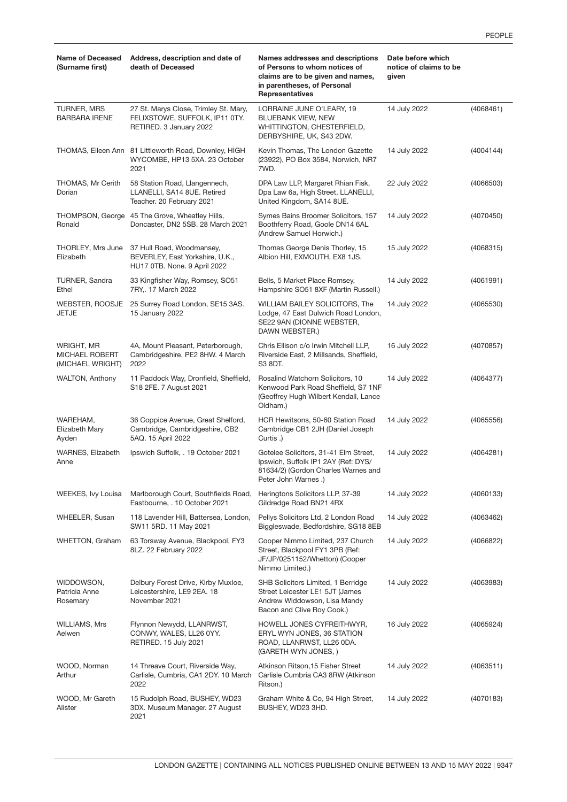| <b>Name of Deceased</b><br>(Surname first)       | Address, description and date of<br>death of Deceased                                              | Names addresses and descriptions<br>of Persons to whom notices of<br>claims are to be given and names,<br>in parentheses, of Personal<br>Representatives | Date before which<br>notice of claims to be<br>aiven |           |
|--------------------------------------------------|----------------------------------------------------------------------------------------------------|----------------------------------------------------------------------------------------------------------------------------------------------------------|------------------------------------------------------|-----------|
| TURNER, MRS<br><b>BARBARA IRENE</b>              | 27 St. Marys Close, Trimley St. Mary,<br>FELIXSTOWE, SUFFOLK, IP11 0TY.<br>RETIRED. 3 January 2022 | LORRAINE JUNE O'LEARY, 19<br>BLUEBANK VIEW, NEW<br>WHITTINGTON, CHESTERFIELD,<br>DERBYSHIRE, UK, S43 2DW.                                                | 14 July 2022                                         | (4068461) |
|                                                  | THOMAS, Eileen Ann 81 Littleworth Road, Downley, HIGH<br>WYCOMBE, HP13 5XA. 23 October<br>2021     | Kevin Thomas, The London Gazette<br>(23922), PO Box 3584, Norwich, NR7<br>7WD.                                                                           | 14 July 2022                                         | (4004144) |
| THOMAS, Mr Cerith<br>Dorian                      | 58 Station Road, Llangennech,<br>LLANELLI, SA14 8UE. Retired<br>Teacher. 20 February 2021          | DPA Law LLP, Margaret Rhian Fisk,<br>Dpa Law 6a, High Street, LLANELLI,<br>United Kingdom, SA14 8UE.                                                     | 22 July 2022                                         | (4066503) |
| Ronald                                           | THOMPSON, George 45 The Grove, Wheatley Hills,<br>Doncaster, DN2 5SB. 28 March 2021                | Symes Bains Broomer Solicitors, 157<br>Boothferry Road, Goole DN14 6AL<br>(Andrew Samuel Horwich.)                                                       | 14 July 2022                                         | (4070450) |
| THORLEY, Mrs June<br>Elizabeth                   | 37 Hull Road, Woodmansey,<br>BEVERLEY, East Yorkshire, U.K.,<br>HU17 0TB. None. 9 April 2022       | Thomas George Denis Thorley, 15<br>Albion Hill, EXMOUTH, EX8 1JS.                                                                                        | 15 July 2022                                         | (4068315) |
| TURNER, Sandra<br>Ethel                          | 33 Kingfisher Way, Romsey, SO51<br>7RY,. 17 March 2022                                             | Bells, 5 Market Place Romsey,<br>Hampshire SO51 8XF (Martin Russell.)                                                                                    | 14 July 2022                                         | (4061991) |
| WEBSTER, ROOSJE<br><b>JETJE</b>                  | 25 Surrey Road London, SE15 3AS.<br>15 January 2022                                                | WILLIAM BAILEY SOLICITORS, The<br>Lodge, 47 East Dulwich Road London,<br>SE22 9AN (DIONNE WEBSTER,<br>DAWN WEBSTER.)                                     | 14 July 2022                                         | (4065530) |
| WRIGHT, MR<br>MICHAEL ROBERT<br>(MICHAEL WRIGHT) | 4A, Mount Pleasant, Peterborough,<br>Cambridgeshire, PE2 8HW. 4 March<br>2022                      | Chris Ellison c/o Irwin Mitchell LLP,<br>Riverside East, 2 Millsands, Sheffield,<br>S3 8DT.                                                              | 16 July 2022                                         | (4070857) |
| <b>WALTON, Anthony</b>                           | 11 Paddock Way, Dronfield, Sheffield,<br>S18 2FE. 7 August 2021                                    | Rosalind Watchorn Solicitors, 10<br>Kenwood Park Road Sheffield, S7 1NF<br>(Geoffrey Hugh Wilbert Kendall, Lance<br>Oldham.)                             | 14 July 2022                                         | (4064377) |
| WAREHAM,<br>Elizabeth Mary<br>Ayden              | 36 Coppice Avenue, Great Shelford,<br>Cambridge, Cambridgeshire, CB2<br>5AQ. 15 April 2022         | HCR Hewitsons, 50-60 Station Road<br>Cambridge CB1 2JH (Daniel Joseph<br>Curtis .)                                                                       | 14 July 2022                                         | (4065556) |
| WARNES, Elizabeth<br>Anne                        | Ipswich Suffolk, . 19 October 2021                                                                 | Gotelee Solicitors, 31-41 Elm Street,<br>Ipswich, Suffolk IP1 2AY (Ref: DYS/<br>81634/2) (Gordon Charles Warnes and<br>Peter John Warnes .)              | 14 July 2022                                         | (4064281) |
| WEEKES, Ivy Louisa                               | Marlborough Court, Southfields Road,<br>Eastbourne, . 10 October 2021                              | Heringtons Solicitors LLP, 37-39<br>Gildredge Road BN21 4RX                                                                                              | 14 July 2022                                         | (4060133) |
| WHEELER, Susan                                   | 118 Lavender Hill, Battersea, London,<br>SW11 5RD. 11 May 2021                                     | Pellys Solicitors Ltd, 2 London Road<br>Biggleswade, Bedfordshire, SG18 8EB                                                                              | 14 July 2022                                         | (4063462) |
| WHETTON, Graham                                  | 63 Torsway Avenue, Blackpool, FY3<br>8LZ. 22 February 2022                                         | Cooper Nimmo Limited, 237 Church<br>Street, Blackpool FY1 3PB (Ref:<br>JF/JP/0251152/Whetton) (Cooper<br>Nimmo Limited.)                                 | 14 July 2022                                         | (4066822) |
| WIDDOWSON,<br>Patricia Anne<br>Rosemary          | Delbury Forest Drive, Kirby Muxloe,<br>Leicestershire, LE9 2EA. 18<br>November 2021                | SHB Solicitors Limited, 1 Berridge<br>Street Leicester LE1 5JT (James<br>Andrew Widdowson, Lisa Mandy<br>Bacon and Clive Roy Cook.)                      | 14 July 2022                                         | (4063983) |
| WILLIAMS, Mrs<br>Aelwen                          | Ffynnon Newydd, LLANRWST,<br>CONWY, WALES, LL26 0YY.<br>RETIRED. 15 July 2021                      | HOWELL JONES CYFREITHWYR,<br>ERYL WYN JONES, 36 STATION<br>ROAD, LLANRWST, LL26 0DA.<br>(GARETH WYN JONES, )                                             | 16 July 2022                                         | (4065924) |
| WOOD, Norman<br>Arthur                           | 14 Threave Court, Riverside Way,<br>Carlisle, Cumbria, CA1 2DY. 10 March<br>2022                   | Atkinson Ritson, 15 Fisher Street<br>Carlisle Cumbria CA3 8RW (Atkinson<br>Ritson.)                                                                      | 14 July 2022                                         | (4063511) |
| WOOD, Mr Gareth<br>Alister                       | 15 Rudolph Road, BUSHEY, WD23<br>3DX. Museum Manager. 27 August<br>2021                            | Graham White & Co, 94 High Street,<br>BUSHEY, WD23 3HD.                                                                                                  | 14 July 2022                                         | (4070183) |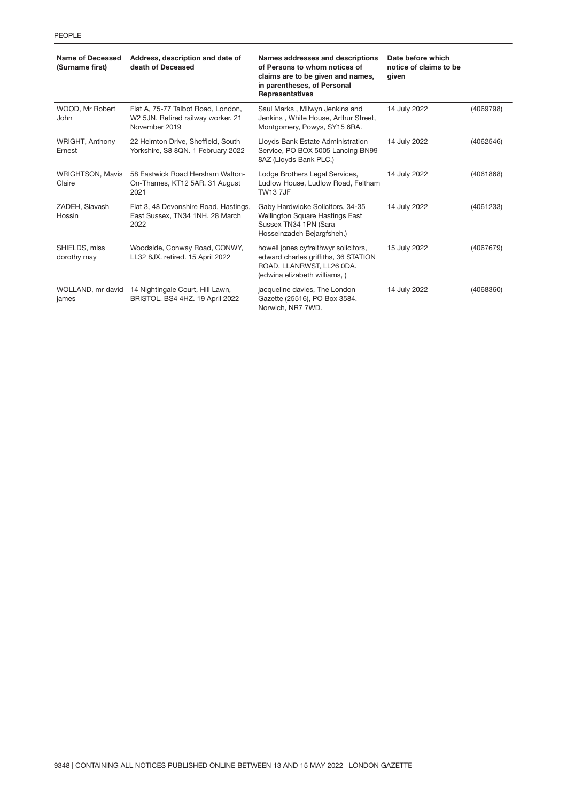| <b>Name of Deceased</b><br>(Surname first) | Address, description and date of<br>death of Deceased                                     | Names addresses and descriptions<br>of Persons to whom notices of<br>claims are to be given and names,<br>in parentheses, of Personal<br><b>Representatives</b> | Date before which<br>notice of claims to be<br>given |           |
|--------------------------------------------|-------------------------------------------------------------------------------------------|-----------------------------------------------------------------------------------------------------------------------------------------------------------------|------------------------------------------------------|-----------|
| WOOD, Mr Robert<br>John                    | Flat A, 75-77 Talbot Road, London,<br>W2 5JN. Retired railway worker. 21<br>November 2019 | Saul Marks, Milwyn Jenkins and<br>Jenkins, White House, Arthur Street,<br>Montgomery, Powys, SY15 6RA.                                                          | 14 July 2022                                         | (4069798) |
| WRIGHT, Anthony<br>Ernest                  | 22 Helmton Drive, Sheffield, South<br>Yorkshire, S8 8QN. 1 February 2022                  | Lloyds Bank Estate Administration<br>Service, PO BOX 5005 Lancing BN99<br>8AZ (Lloyds Bank PLC.)                                                                | 14 July 2022                                         | (4062546) |
| <b>WRIGHTSON, Mavis</b><br>Claire          | 58 Eastwick Road Hersham Walton-<br>On-Thames, KT12 5AR. 31 August<br>2021                | Lodge Brothers Legal Services,<br>Ludlow House, Ludlow Road, Feltham<br><b>TW137JF</b>                                                                          | 14 July 2022                                         | (4061868) |
| ZADEH, Siavash<br>Hossin                   | Flat 3, 48 Devonshire Road, Hastings,<br>East Sussex, TN34 1NH. 28 March<br>2022          | Gaby Hardwicke Solicitors, 34-35<br><b>Wellington Square Hastings East</b><br>Sussex TN34 1PN (Sara<br>Hosseinzadeh Bejargfsheh.)                               | 14 July 2022                                         | (4061233) |
| SHIELDS, miss<br>dorothy may               | Woodside, Conway Road, CONWY,<br>LL32 8JX. retired. 15 April 2022                         | howell jones cyfreithwyr solicitors,<br>edward charles griffiths, 36 STATION<br>ROAD, LLANRWST, LL26 0DA.<br>(edwina elizabeth williams,)                       | 15 July 2022                                         | (4067679) |
| WOLLAND, mr david<br>james                 | 14 Nightingale Court, Hill Lawn,<br>BRISTOL, BS4 4HZ. 19 April 2022                       | jacqueline davies, The London<br>Gazette (25516), PO Box 3584,<br>Norwich, NR7 7WD.                                                                             | 14 July 2022                                         | (4068360) |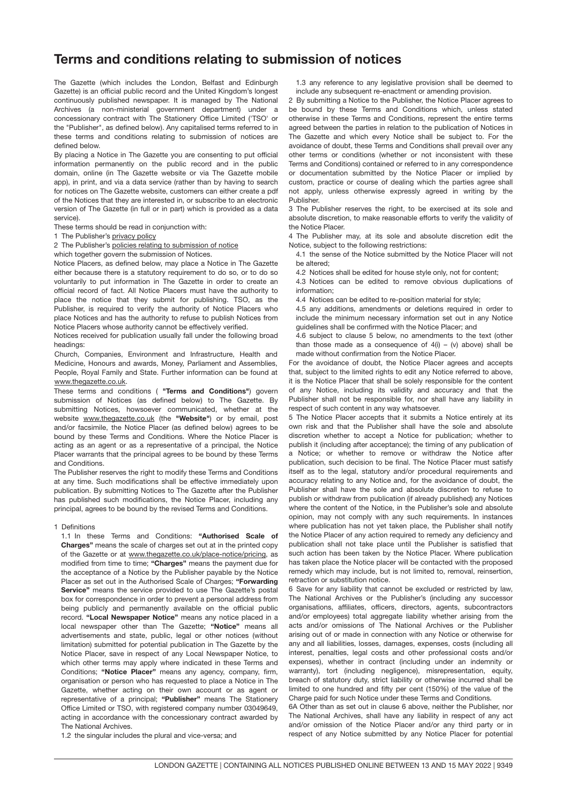# Terms and conditions relating to submission of notices

The Gazette (which includes the London, Belfast and Edinburgh Gazette) is an official public record and the United Kingdom's longest continuously published newspaper. It is managed by The National Archives (a non-ministerial government department) under a concessionary contract with The Stationery Office Limited ('TSO' or the "Publisher", as defined below). Any capitalised terms referred to in these terms and conditions relating to submission of notices are defined below.

By placing a Notice in The Gazette you are consenting to put official information permanently on the public record and in the public domain, online (in The Gazette website or via The Gazette mobile app), in print, and via a data service (rather than by having to search for notices on The Gazette website, customers can either create a pdf of the Notices that they are interested in, or subscribe to an electronic version of The Gazette (in full or in part) which is provided as a data service).

These terms should be read in conjunction with:

1 The Publisher's [privacy policy](https://www.thegazette.co.uk/privacy)

2 The Publisher's [policies relating to submission of notice](https://www.thegazette.co.uk/place-notice/policy)

which together govern the submission of Notices.

Notice Placers, as defined below, may place a Notice in The Gazette either because there is a statutory requirement to do so, or to do so voluntarily to put information in The Gazette in order to create an official record of fact. All Notice Placers must have the authority to place the notice that they submit for publishing. TSO, as the Publisher, is required to verify the authority of Notice Placers who place Notices and has the authority to refuse to publish Notices from Notice Placers whose authority cannot be effectively verified.

Notices received for publication usually fall under the following broad headings:

Church, Companies, Environment and Infrastructure, Health and Medicine, Honours and awards, Money, Parliament and Assemblies, People, Royal Family and State. Further information can be found at [www.thegazette.co.uk.](https://www.thegazette.co.uk)

These terms and conditions ( "Terms and Conditions") govern submission of Notices (as defined below) to The Gazette. By submitting Notices, howsoever communicated, whether at the website [www.thegazette.co.uk](http://www.thegazette.co.uk) (the "Website") or by email, post and/or facsimile, the Notice Placer (as defined below) agrees to be bound by these Terms and Conditions. Where the Notice Placer is acting as an agent or as a representative of a principal, the Notice Placer warrants that the principal agrees to be bound by these Terms and Conditions.

The Publisher reserves the right to modify these Terms and Conditions at any time. Such modifications shall be effective immediately upon publication. By submitting Notices to The Gazette after the Publisher has published such modifications, the Notice Placer, including any principal, agrees to be bound by the revised Terms and Conditions.

#### 1 Definitions

1.1 In these Terms and Conditions: "Authorised Scale of Charges" means the scale of charges set out at in the printed copy of the Gazette or at [www.thegazette.co.uk/place-notice/pricing](https://www.thegazette.co.uk/place-notice/pricing), as modified from time to time; "Charges" means the payment due for the acceptance of a Notice by the Publisher payable by the Notice Placer as set out in the Authorised Scale of Charges; "Forwarding Service" means the service provided to use The Gazette's postal box for correspondence in order to prevent a personal address from being publicly and permanently available on the official public record. "Local Newspaper Notice" means any notice placed in a local newspaper other than The Gazette; "Notice" means all advertisements and state, public, legal or other notices (without limitation) submitted for potential publication in The Gazette by the Notice Placer, save in respect of any Local Newspaper Notice, to which other terms may apply where indicated in these Terms and Conditions; "Notice Placer" means any agency, company, firm, organisation or person who has requested to place a Notice in The Gazette, whether acting on their own account or as agent or representative of a principal; "Publisher" means The Stationery Office Limited or TSO, with registered company number 03049649, acting in accordance with the concessionary contract awarded by The National Archives.

1.2 the singular includes the plural and vice-versa; and

1.3 any reference to any legislative provision shall be deemed to include any subsequent re-enactment or amending provision.

2 By submitting a Notice to the Publisher, the Notice Placer agrees to be bound by these Terms and Conditions which, unless stated otherwise in these Terms and Conditions, represent the entire terms agreed between the parties in relation to the publication of Notices in The Gazette and which every Notice shall be subject to. For the avoidance of doubt, these Terms and Conditions shall prevail over any other terms or conditions (whether or not inconsistent with these Terms and Conditions) contained or referred to in any correspondence or documentation submitted by the Notice Placer or implied by custom, practice or course of dealing which the parties agree shall not apply, unless otherwise expressly agreed in writing by the Publisher.

3 The Publisher reserves the right, to be exercised at its sole and absolute discretion, to make reasonable efforts to verify the validity of the Notice Placer.

4 The Publisher may, at its sole and absolute discretion edit the Notice, subject to the following restrictions:

4.1 the sense of the Notice submitted by the Notice Placer will not be altered;

4.2 Notices shall be edited for house style only, not for content;

4.3 Notices can be edited to remove obvious duplications of information;

4.4 Notices can be edited to re-position material for style;

4.5 any additions, amendments or deletions required in order to include the minimum necessary information set out in any Notice guidelines shall be confirmed with the Notice Placer; and

4.6 subject to clause 5 below, no amendments to the text (other than those made as a consequence of  $4(i) - (v)$  above) shall be made without confirmation from the Notice Placer.

For the avoidance of doubt, the Notice Placer agrees and accepts that, subject to the limited rights to edit any Notice referred to above, it is the Notice Placer that shall be solely responsible for the content of any Notice, including its validity and accuracy and that the Publisher shall not be responsible for, nor shall have any liability in respect of such content in any way whatsoever.

5 The Notice Placer accepts that it submits a Notice entirely at its own risk and that the Publisher shall have the sole and absolute discretion whether to accept a Notice for publication; whether to publish it (including after acceptance); the timing of any publication of a Notice; or whether to remove or withdraw the Notice after publication, such decision to be final. The Notice Placer must satisfy itself as to the legal, statutory and/or procedural requirements and accuracy relating to any Notice and, for the avoidance of doubt, the Publisher shall have the sole and absolute discretion to refuse to publish or withdraw from publication (if already published) any Notices where the content of the Notice, in the Publisher's sole and absolute opinion, may not comply with any such requirements. In instances where publication has not yet taken place, the Publisher shall notify the Notice Placer of any action required to remedy any deficiency and publication shall not take place until the Publisher is satisfied that such action has been taken by the Notice Placer. Where publication has taken place the Notice placer will be contacted with the proposed remedy which may include, but is not limited to, removal, reinsertion, retraction or substitution notice.

6 Save for any liability that cannot be excluded or restricted by law, The National Archives or the Publisher's (including any successor organisations, affiliates, officers, directors, agents, subcontractors and/or employees) total aggregate liability whether arising from the acts and/or omissions of The National Archives or the Publisher arising out of or made in connection with any Notice or otherwise for any and all liabilities, losses, damages, expenses, costs (including all interest, penalties, legal costs and other professional costs and/or expenses), whether in contract (including under an indemnity or warranty), tort (including negligence), misrepresentation, equity, breach of statutory duty, strict liability or otherwise incurred shall be limited to one hundred and fifty per cent (150%) of the value of the Charge paid for such Notice under these Terms and Conditions.

6A Other than as set out in clause 6 above, neither the Publisher, nor The National Archives, shall have any liability in respect of any act and/or omission of the Notice Placer and/or any third party or in respect of any Notice submitted by any Notice Placer for potential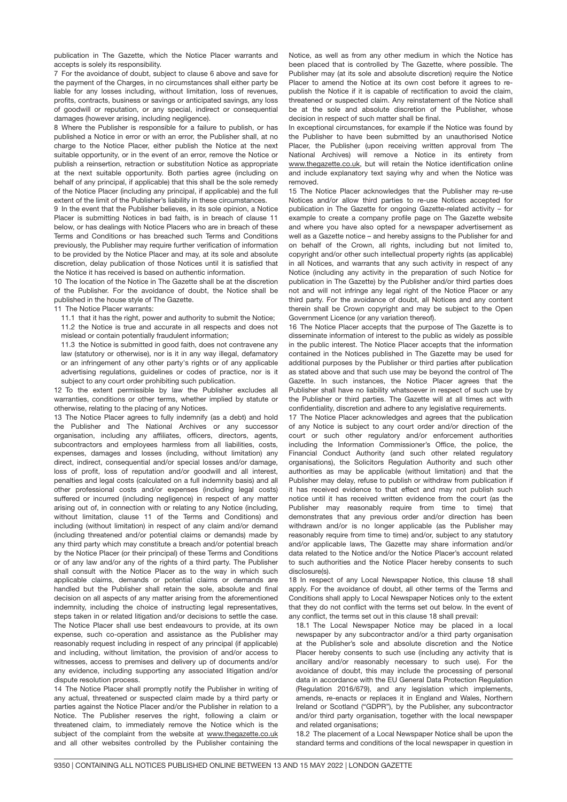publication in The Gazette, which the Notice Placer warrants and accepts is solely its responsibility.

7 For the avoidance of doubt, subject to clause 6 above and save for the payment of the Charges, in no circumstances shall either party be liable for any losses including, without limitation, loss of revenues, profits, contracts, business or savings or anticipated savings, any loss of goodwill or reputation, or any special, indirect or consequential damages (however arising, including negligence).

8 Where the Publisher is responsible for a failure to publish, or has published a Notice in error or with an error, the Publisher shall, at no charge to the Notice Placer, either publish the Notice at the next suitable opportunity, or in the event of an error, remove the Notice or publish a reinsertion, retraction or substitution Notice as appropriate at the next suitable opportunity. Both parties agree (including on behalf of any principal, if applicable) that this shall be the sole remedy of the Notice Placer (including any principal, if applicable) and the full extent of the limit of the Publisher's liability in these circumstances.

9 In the event that the Publisher believes, in its sole opinion, a Notice Placer is submitting Notices in bad faith, is in breach of clause 11 below, or has dealings with Notice Placers who are in breach of these Terms and Conditions or has breached such Terms and Conditions previously, the Publisher may require further verification of information to be provided by the Notice Placer and may, at its sole and absolute discretion, delay publication of those Notices until it is satisfied that the Notice it has received is based on authentic information.

10 The location of the Notice in The Gazette shall be at the discretion of the Publisher. For the avoidance of doubt, the Notice shall be published in the house style of The Gazette.

### 11 The Notice Placer warrants:

11.1 that it has the right, power and authority to submit the Notice; 11.2 the Notice is true and accurate in all respects and does not

mislead or contain potentially fraudulent information;

11.3 the Notice is submitted in good faith, does not contravene any law (statutory or otherwise), nor is it in any way illegal, defamatory or an infringement of any other party's rights or of any applicable advertising regulations, guidelines or codes of practice, nor is it subject to any court order prohibiting such publication.

12 To the extent permissible by law the Publisher excludes all warranties, conditions or other terms, whether implied by statute or otherwise, relating to the placing of any Notices.

13 The Notice Placer agrees to fully indemnify (as a debt) and hold the Publisher and The National Archives or any successor organisation, including any affiliates, officers, directors, agents, subcontractors and employees harmless from all liabilities, costs, expenses, damages and losses (including, without limitation) any direct, indirect, consequential and/or special losses and/or damage, loss of profit, loss of reputation and/or goodwill and all interest, penalties and legal costs (calculated on a full indemnity basis) and all other professional costs and/or expenses (including legal costs) suffered or incurred (including negligence) in respect of any matter arising out of, in connection with or relating to any Notice (including, without limitation, clause 11 of the Terms and Conditions) and including (without limitation) in respect of any claim and/or demand (including threatened and/or potential claims or demands) made by any third party which may constitute a breach and/or potential breach by the Notice Placer (or their principal) of these Terms and Conditions or of any law and/or any of the rights of a third party. The Publisher shall consult with the Notice Placer as to the way in which such applicable claims, demands or potential claims or demands are handled but the Publisher shall retain the sole, absolute and final decision on all aspects of any matter arising from the aforementioned indemnity, including the choice of instructing legal representatives, steps taken in or related litigation and/or decisions to settle the case. The Notice Placer shall use best endeavours to provide, at its own expense, such co-operation and assistance as the Publisher may reasonably request including in respect of any principal (if applicable) and including, without limitation, the provision of and/or access to witnesses, access to premises and delivery up of documents and/or any evidence, including supporting any associated litigation and/or dispute resolution process.

14 The Notice Placer shall promptly notify the Publisher in writing of any actual, threatened or suspected claim made by a third party or parties against the Notice Placer and/or the Publisher in relation to a Notice. The Publisher reserves the right, following a claim or threatened claim, to immediately remove the Notice which is the subject of the complaint from the website at [www.thegazette.co.uk](https://www.thegazette.co.uk) and all other websites controlled by the Publisher containing the Notice, as well as from any other medium in which the Notice has been placed that is controlled by The Gazette, where possible. The Publisher may (at its sole and absolute discretion) require the Notice Placer to amend the Notice at its own cost before it agrees to republish the Notice if it is capable of rectification to avoid the claim, threatened or suspected claim. Any reinstatement of the Notice shall be at the sole and absolute discretion of the Publisher, whose decision in respect of such matter shall be final.

In exceptional circumstances, for example if the Notice was found by the Publisher to have been submitted by an unauthorised Notice Placer, the Publisher (upon receiving written approval from The National Archives) will remove a Notice in its entirety from [www.thegazette.co.uk,](https://www.thegazette.co.uk) but will retain the Notice identification online and include explanatory text saying why and when the Notice was removed.

15 The Notice Placer acknowledges that the Publisher may re-use Notices and/or allow third parties to re-use Notices accepted for publication in The Gazette for ongoing Gazette-related activity – for example to create a company profile page on The Gazette website and where you have also opted for a newspaper advertisement as well as a Gazette notice – and hereby assigns to the Publisher for and on behalf of the Crown, all rights, including but not limited to, copyright and/or other such intellectual property rights (as applicable) in all Notices, and warrants that any such activity in respect of any Notice (including any activity in the preparation of such Notice for publication in The Gazette) by the Publisher and/or third parties does not and will not infringe any legal right of the Notice Placer or any third party. For the avoidance of doubt, all Notices and any content therein shall be Crown copyright and may be subject to the Open Government Licence (or any variation thereof).

16 The Notice Placer accepts that the purpose of The Gazette is to disseminate information of interest to the public as widely as possible in the public interest. The Notice Placer accepts that the information contained in the Notices published in The Gazette may be used for additional purposes by the Publisher or third parties after publication as stated above and that such use may be beyond the control of The Gazette. In such instances, the Notice Placer agrees that the Publisher shall have no liability whatsoever in respect of such use by the Publisher or third parties. The Gazette will at all times act with confidentiality, discretion and adhere to any legislative requirements.

17 The Notice Placer acknowledges and agrees that the publication of any Notice is subject to any court order and/or direction of the court or such other regulatory and/or enforcement authorities including the Information Commissioner's Office, the police, the Financial Conduct Authority (and such other related regulatory organisations), the Solicitors Regulation Authority and such other authorities as may be applicable (without limitation) and that the Publisher may delay, refuse to publish or withdraw from publication if it has received evidence to that effect and may not publish such notice until it has received written evidence from the court (as the Publisher may reasonably require from time to time) that demonstrates that any previous order and/or direction has been withdrawn and/or is no longer applicable (as the Publisher may reasonably require from time to time) and/or, subject to any statutory and/or applicable laws, The Gazette may share information and/or data related to the Notice and/or the Notice Placer's account related to such authorities and the Notice Placer hereby consents to such disclosure(s).

18 In respect of any Local Newspaper Notice, this clause 18 shall apply. For the avoidance of doubt, all other terms of the Terms and Conditions shall apply to Local Newspaper Notices only to the extent that they do not conflict with the terms set out below. In the event of any conflict, the terms set out in this clause 18 shall prevail:

18.1 The Local Newspaper Notice may be placed in a local newspaper by any subcontractor and/or a third party organisation at the Publisher's sole and absolute discretion and the Notice Placer hereby consents to such use (including any activity that is ancillary and/or reasonably necessary to such use). For the avoidance of doubt, this may include the processing of personal data in accordance with the EU General Data Protection Regulation (Regulation 2016/679), and any legislation which implements, amends, re-enacts or replaces it in England and Wales, Northern Ireland or Scotland ("GDPR"), by the Publisher, any subcontractor and/or third party organisation, together with the local newspaper and related organisations;

18.2 The placement of a Local Newspaper Notice shall be upon the standard terms and conditions of the local newspaper in question in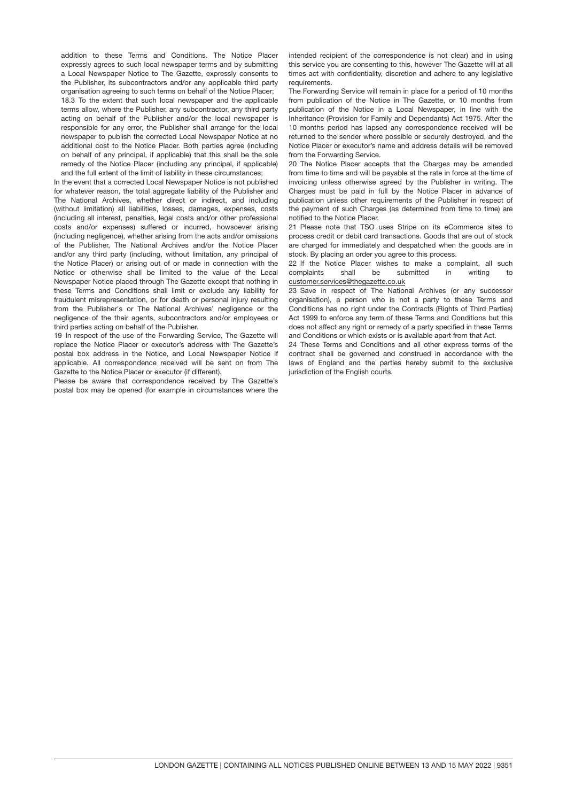18.3 To the extent that such local newspaper and the applicable addition to these Terms and Conditions. The Notice Placer expressly agrees to such local newspaper terms and by submitting a Local Newspaper Notice to The Gazette, expressly consents to the Publisher, its subcontractors and/or any applicable third party organisation agreeing to such terms on behalf of the Notice Placer; terms allow, where the Publisher, any subcontractor, any third party acting on behalf of the Publisher and/or the local newspaper is responsible for any error, the Publisher shall arrange for the local newspaper to publish the corrected Local Newspaper Notice at no additional cost to the Notice Placer. Both parties agree (including on behalf of any principal, if applicable) that this shall be the sole remedy of the Notice Placer (including any principal, if applicable) and the full extent of the limit of liability in these circumstances;

In the event that a corrected Local Newspaper Notice is not published for whatever reason, the total aggregate liability of the Publisher and The National Archives, whether direct or indirect, and including (without limitation) all liabilities, losses, damages, expenses, costs (including all interest, penalties, legal costs and/or other professional costs and/or expenses) suffered or incurred, howsoever arising (including negligence), whether arising from the acts and/or omissions of the Publisher, The National Archives and/or the Notice Placer and/or any third party (including, without limitation, any principal of the Notice Placer) or arising out of or made in connection with the Notice or otherwise shall be limited to the value of the Local Newspaper Notice placed through The Gazette except that nothing in these Terms and Conditions shall limit or exclude any liability for fraudulent misrepresentation, or for death or personal injury resulting from the Publisher's or The National Archives' negligence or the negligence of the their agents, subcontractors and/or employees or third parties acting on behalf of the Publisher.

19 In respect of the use of the Forwarding Service, The Gazette will replace the Notice Placer or executor's address with The Gazette's postal box address in the Notice, and Local Newspaper Notice if applicable. All correspondence received will be sent on from The Gazette to the Notice Placer or executor (if different).

Please be aware that correspondence received by The Gazette's postal box may be opened (for example in circumstances where the intended recipient of the correspondence is not clear) and in using this service you are consenting to this, however The Gazette will at all times act with confidentiality, discretion and adhere to any legislative requirements.

The Forwarding Service will remain in place for a period of 10 months from publication of the Notice in The Gazette, or 10 months from publication of the Notice in a Local Newspaper, in line with the Inheritance (Provision for Family and Dependants) Act 1975. After the 10 months period has lapsed any correspondence received will be returned to the sender where possible or securely destroyed, and the Notice Placer or executor's name and address details will be removed from the Forwarding Service.

20 The Notice Placer accepts that the Charges may be amended from time to time and will be payable at the rate in force at the time of invoicing unless otherwise agreed by the Publisher in writing. The Charges must be paid in full by the Notice Placer in advance of publication unless other requirements of the Publisher in respect of the payment of such Charges (as determined from time to time) are notified to the Notice Placer.

21 Please note that TSO uses Stripe on its eCommerce sites to process credit or debit card transactions. Goods that are out of stock are charged for immediately and despatched when the goods are in stock. By placing an order you agree to this process.

22 If the Notice Placer wishes to make a complaint, all such complaints shall be submitted in writing [customer.services@thegazette.co.uk](mailto:customer.services@thegazette.co.uk)

23 Save in respect of The National Archives (or any successor organisation), a person who is not a party to these Terms and Conditions has no right under the Contracts (Rights of Third Parties) Act 1999 to enforce any term of these Terms and Conditions but this does not affect any right or remedy of a party specified in these Terms and Conditions or which exists or is available apart from that Act.

24 These Terms and Conditions and all other express terms of the contract shall be governed and construed in accordance with the laws of England and the parties hereby submit to the exclusive jurisdiction of the English courts.